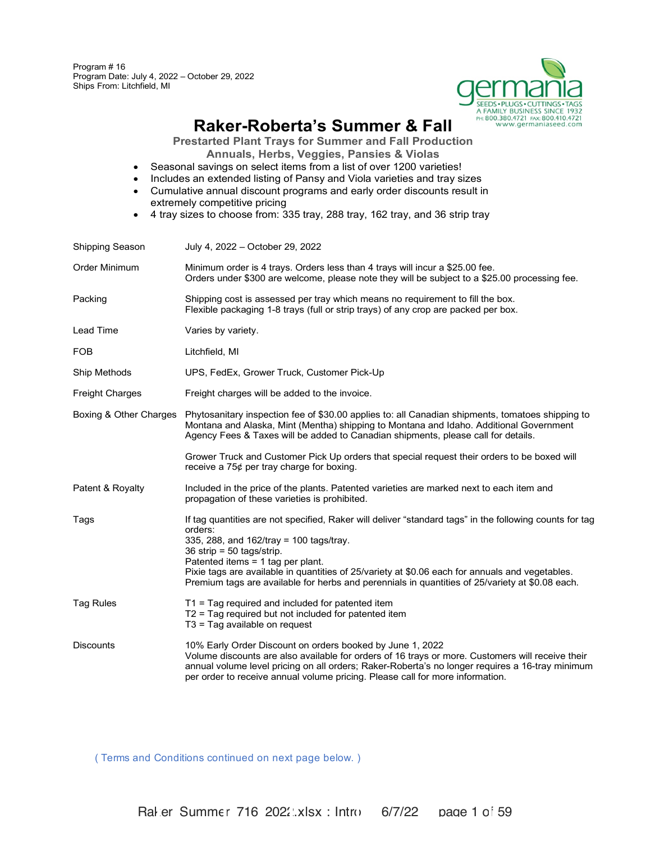Program # 16 Program Date: July 4, 2022 – October 29, 2022 Ships From: Litchfield, MI



# **Raker-Roberta's Summer & Fall**

**Prestarted Plant Trays for Summer and Fall Production Annuals, Herbs, Veggies, Pansies & Violas**

- Seasonal savings on select items from a list of over 1200 varieties!
- Includes an extended listing of Pansy and Viola varieties and tray sizes
- Cumulative annual discount programs and early order discounts result in extremely competitive pricing
- 4 tray sizes to choose from: 335 tray, 288 tray, 162 tray, and 36 strip tray

| <b>Shipping Season</b> | July 4, 2022 - October 29, 2022                                                                                                                                                                                                                                                                                                                                                                                                         |
|------------------------|-----------------------------------------------------------------------------------------------------------------------------------------------------------------------------------------------------------------------------------------------------------------------------------------------------------------------------------------------------------------------------------------------------------------------------------------|
| Order Minimum          | Minimum order is 4 trays. Orders less than 4 trays will incur a \$25.00 fee.<br>Orders under \$300 are welcome, please note they will be subject to a \$25.00 processing fee.                                                                                                                                                                                                                                                           |
| Packing                | Shipping cost is assessed per tray which means no requirement to fill the box.<br>Flexible packaging 1-8 trays (full or strip trays) of any crop are packed per box.                                                                                                                                                                                                                                                                    |
| Lead Time              | Varies by variety.                                                                                                                                                                                                                                                                                                                                                                                                                      |
| <b>FOB</b>             | Litchfield, MI                                                                                                                                                                                                                                                                                                                                                                                                                          |
| Ship Methods           | UPS, FedEx, Grower Truck, Customer Pick-Up                                                                                                                                                                                                                                                                                                                                                                                              |
| <b>Freight Charges</b> | Freight charges will be added to the invoice.                                                                                                                                                                                                                                                                                                                                                                                           |
| Boxing & Other Charges | Phytosanitary inspection fee of \$30.00 applies to: all Canadian shipments, tomatoes shipping to<br>Montana and Alaska, Mint (Mentha) shipping to Montana and Idaho. Additional Government<br>Agency Fees & Taxes will be added to Canadian shipments, please call for details.                                                                                                                                                         |
|                        | Grower Truck and Customer Pick Up orders that special request their orders to be boxed will<br>receive a 75¢ per tray charge for boxing.                                                                                                                                                                                                                                                                                                |
| Patent & Royalty       | Included in the price of the plants. Patented varieties are marked next to each item and<br>propagation of these varieties is prohibited.                                                                                                                                                                                                                                                                                               |
| Tags                   | If tag quantities are not specified, Raker will deliver "standard tags" in the following counts for tag<br>orders:<br>335, 288, and 162/tray = 100 tags/tray.<br>$36$ strip = 50 tags/strip.<br>Patented items = 1 tag per plant.<br>Pixie tags are available in quantities of 25/variety at \$0.06 each for annuals and vegetables.<br>Premium tags are available for herbs and perennials in quantities of 25/variety at \$0.08 each. |
| Tag Rules              | $T1$ = Tag required and included for patented item<br>$T2$ = Tag required but not included for patented item<br>$T3$ = Tag available on request                                                                                                                                                                                                                                                                                         |
| <b>Discounts</b>       | 10% Early Order Discount on orders booked by June 1, 2022<br>Volume discounts are also available for orders of 16 trays or more. Customers will receive their<br>annual volume level pricing on all orders; Raker-Roberta's no longer requires a 16-tray minimum<br>per order to receive annual volume pricing. Please call for more information.                                                                                       |

( Terms and Conditions continued on next page below. )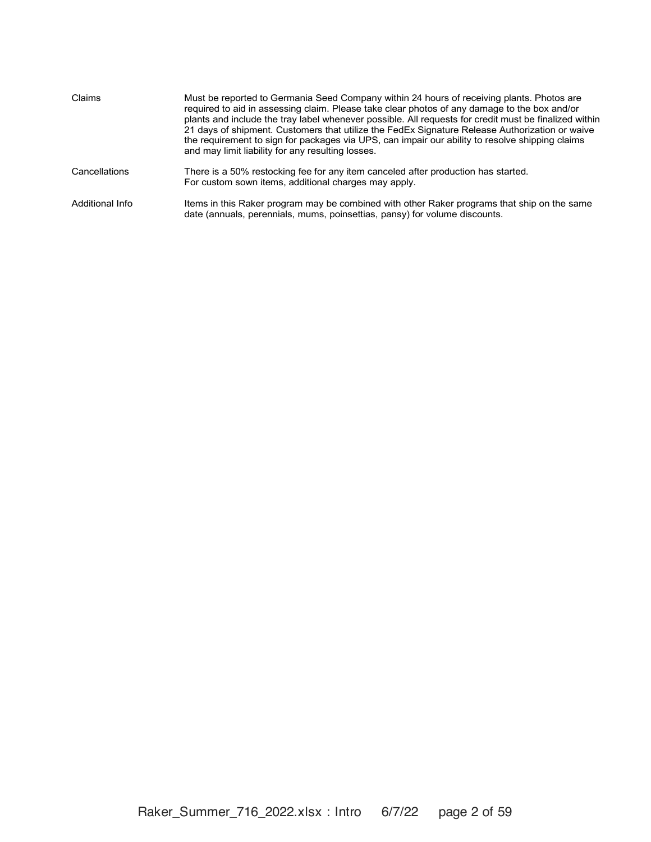| Claims          | Must be reported to Germania Seed Company within 24 hours of receiving plants. Photos are<br>required to aid in assessing claim. Please take clear photos of any damage to the box and/or<br>plants and include the tray label whenever possible. All requests for credit must be finalized within<br>21 days of shipment. Customers that utilize the FedEx Signature Release Authorization or waive<br>the requirement to sign for packages via UPS, can impair our ability to resolve shipping claims<br>and may limit liability for any resulting losses. |
|-----------------|--------------------------------------------------------------------------------------------------------------------------------------------------------------------------------------------------------------------------------------------------------------------------------------------------------------------------------------------------------------------------------------------------------------------------------------------------------------------------------------------------------------------------------------------------------------|
| Cancellations   | There is a 50% restocking fee for any item canceled after production has started.<br>For custom sown items, additional charges may apply.                                                                                                                                                                                                                                                                                                                                                                                                                    |
| Additional Info | Items in this Raker program may be combined with other Raker programs that ship on the same<br>date (annuals, perennials, mums, poinsettias, pansy) for volume discounts.                                                                                                                                                                                                                                                                                                                                                                                    |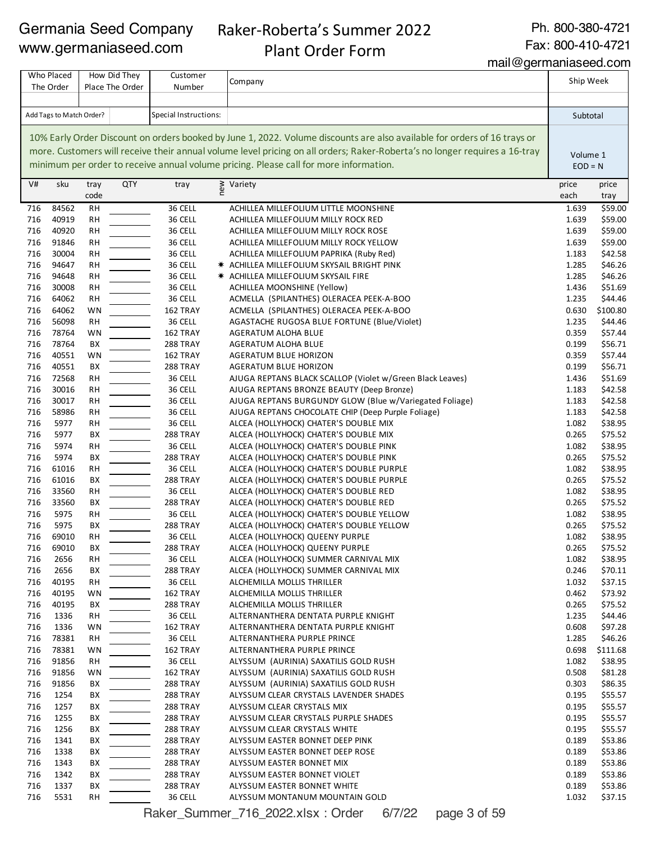# Raker-Roberta's Summer 2022 Plant Order Form

Ph. 800-380-4721

Fax: 800-410-4721

mail@germaniaseed.com

#### Company V# sku tray code QTY tray  $\sum_{n=1}^{\infty}$  Variety price price that the contract of the contract of the contract of the contract of the contract of the contract of the contract of the contract of the contract of the contract of the contract of the c each price tray 84562 RH 36 CELL ACHILLEA MILLEFOLIUM LITTLE MOONSHINE 1.639 \$59.00 40919 RH 36 CELL ACHILLEA MILLEFOLIUM MILLY ROCK RED 1.639 \$59.00 40920 RH 36 CELL ACHILLEA MILLEFOLIUM MILLY ROCK ROSE 1.639 \$59.00 91846 RH 36 CELL ACHILLEA MILLEFOLIUM MILLY ROCK YELLOW 1.639 \$59.00 30004 RH 36 CELL ACHILLEA MILLEFOLIUM PAPRIKA (Ruby Red) 1.183 \$42.58 94647 RH 36 CELL ✷ ACHILLEA MILLEFOLIUM SKYSAIL BRIGHT PINK 1.285 \$46.26 94648 RH 36 CELL ✷ ACHILLEA MILLEFOLIUM SKYSAIL FIRE 1.285 \$46.26 30008 RH 36 CELL ACHILLEA MOONSHINE (Yellow) 1.436 \$51.69 64062 RH 36 CELL ACMELLA (SPILANTHES) OLERACEA PEEK-A-BOO 1.235 \$44.46 64062 WN 162 TRAY ACMELLA (SPILANTHES) OLERACEA PEEK-A-BOO 0.630 \$100.80 56098 RH 36 CELL AGASTACHE RUGOSA BLUE FORTUNE (Blue/Violet) 1.235 \$44.46 78764 WN 162 TRAY AGERATUM ALOHA BLUE 0.359 \$57.44 78764 BX 288 TRAY AGERATUM ALOHA BLUE 0.199 \$56.71 40551 WN 162 TRAY AGERATUM BLUE HORIZON 0.359 \$57.44 40551 BX 288 TRAY AGERATUM BLUE HORIZON 0.199 \$56.71 72568 RH 36 CELL AJUGA REPTANS BLACK SCALLOP (Violet w/Green Black Leaves) 1.436 \$51.69 30016 RH 36 CELL AJUGA REPTANS BRONZE BEAUTY (Deep Bronze) 1.183 \$42.58 30017 RH 36 CELL AJUGA REPTANS BURGUNDY GLOW (Blue w/Variegated Foliage) 1.183 \$42.58 58986 RH 36 CELL AJUGA REPTANS CHOCOLATE CHIP (Deep Purple Foliage) 1.183 \$42.58 5977 RH 36 CELL ALCEA (HOLLYHOCK) CHATER'S DOUBLE MIX 1.082 \$38.95 5977 BX 288 TRAY ALCEA (HOLLYHOCK) CHATER'S DOUBLE MIX 0.265 \$75.52 5974 RH 36 CELL ALCEA (HOLLYHOCK) CHATER'S DOUBLE PINK 1.082 \$38.95 5974 BX 288 TRAY ALCEA (HOLLYHOCK) CHATER'S DOUBLE PINK 0.265 \$75.52 61016 RH 36 CELL ALCEA (HOLLYHOCK) CHATER'S DOUBLE PURPLE 1.082 \$38.95 61016 BX 288 TRAY ALCEA (HOLLYHOCK) CHATER'S DOUBLE PURPLE 0.265 \$75.52 33560 RH 36 CELL ALCEA (HOLLYHOCK) CHATER'S DOUBLE RED 1.082 \$38.95 33560 BX 288 TRAY ALCEA (HOLLYHOCK) CHATER'S DOUBLE RED 0.265 \$75.52 5975 RH 36 CELL ALCEA (HOLLYHOCK) CHATER'S DOUBLE YELLOW 1.082 \$38.95 5975 BX 288 TRAY ALCEA (HOLLYHOCK) CHATER'S DOUBLE YELLOW 0.265 \$75.52 69010 RH 36 CELL ALCEA (HOLLYHOCK) QUEENY PURPLE 1.082 \$38.95 69010 BX 288 TRAY ALCEA (HOLLYHOCK) QUEENY PURPLE 0.265 \$75.52 2656 RH 36 CELL ALCEA (HOLLYHOCK) SUMMER CARNIVAL MIX 1.082 \$38.95 2656 BX 288 TRAY ALCEA (HOLLYHOCK) SUMMER CARNIVAL MIX 0.246 \$70.11 40195 RH 36 CELL ALCHEMILLA MOLLIS THRILLER 1.032 \$37.15 40195 WN 162 TRAY ALCHEMILLA MOLLIS THRILLER 0.462 \$73.92 40195 BX 288 TRAY ALCHEMILLA MOLLIS THRILLER 0.265 \$75.52 1336 RH 36 CELL ALTERNANTHERA DENTATA PURPLE KNIGHT 1.235 \$44.46 1336 WN 162 TRAY ALTERNANTHERA DENTATA PURPLE KNIGHT 0.608 \$97.28 78381 RH 36 CELL ALTERNANTHERA PURPLE PRINCE 1.285 \$46.26 78381 WN 162 TRAY ALTERNANTHERA PURPLE PRINCE 0.698 \$111.68 91856 RH 36 CELL ALYSSUM (AURINIA) SAXATILIS GOLD RUSH 1.082 \$38.95 91856 WN 162 TRAY ALYSSUM (AURINIA) SAXATILIS GOLD RUSH 0.508 \$81.28 91856 BX 288 TRAY ALYSSUM (AURINIA) SAXATILIS GOLD RUSH 0.303 \$86.35 1254 BX 288 TRAY ALYSSUM CLEAR CRYSTALS LAVENDER SHADES 0.195 \$55.57 1257 BX 288 TRAY ALYSSUM CLEAR CRYSTALS MIX 0.195 \$55.57 1255 BX 288 TRAY ALYSSUM CLEAR CRYSTALS PURPLE SHADES 0.195 \$55.57 THE 1256 BX 288 TRAY ALYSSUM CLEAR CRYSTALS WHITE 2015 1256 88 55.57 1341 BX 288 TRAY ALYSSUM EASTER BONNET DEEP PINK 0.189 \$53.86 1338 BX 288 TRAY ALYSSUM EASTER BONNET DEEP ROSE 0.189 \$53.86 1343 BX 288 TRAY ALYSSUM EASTER BONNET MIX 0.189 \$53.86 The the test of the set of the set of the set of the set of the set of the set of the set of the set of the set of the set of the set of the set of the set of the set of the set of the set of the set of the set of the set THE 1337 BX 288 TRAY ALYSSUM EASTER BONNET WHITE 1991 120 AM 253.86 5531 RH 36 CELL ALYSSUM MONTANUM MOUNTAIN GOLD 1.032 \$37.15 10% Early Order Discount on orders booked by June 1, 2022. Volume discounts are also available for orders of 16 trays or more. Customers will receive their annual volume level pricing on all orders; Raker-Roberta's no longer requires a 16-tray minimum per order to receive annual volume pricing. Please call for more information. Who Placed How Did They Customer Customer Company Communication and the Ship Week The Order How Did They Place The Order Customer Number Add Tags to Match Order? Special Instructions: Subtotal Subtotal Subtotal Subtotal Subtotal Subtotal Subtotal Subtotal Subtotal Subtotal Subtotal Subtotal Subtotal Subtotal Subtotal Subtotal Subtotal Subtotal Subtotal Subt Volume 1  $EOD = N$

Raker Summer 716 2022.xlsx : Order 6/7/22 page 3 of 59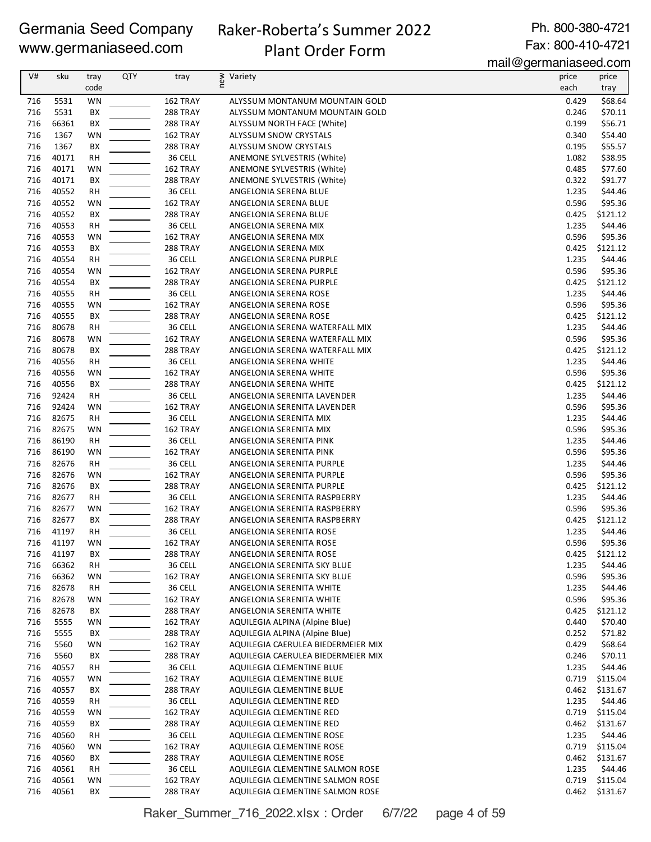### Raker-Roberta's Summer 2022 Plant Order Form

Ph. 800-380-4721 Fax: 800-410-4721

mail@germaniaseed.com

|            |                |                 |            |                 |                                    | $111$ an $\sim$ gor mannaoood.oon |                     |
|------------|----------------|-----------------|------------|-----------------|------------------------------------|-----------------------------------|---------------------|
| V#         | sku            | tray            | <b>QTY</b> | tray            | ≷ Variety<br>E                     | price                             | price               |
|            |                | code            |            |                 |                                    | each                              | tray                |
| 716        | 5531           | WN              |            | 162 TRAY        | ALYSSUM MONTANUM MOUNTAIN GOLD     | 0.429                             | \$68.64             |
| 716        | 5531           | BX              |            | 288 TRAY        | ALYSSUM MONTANUM MOUNTAIN GOLD     | 0.246                             | \$70.11             |
| 716        | 66361          | BX              |            | 288 TRAY        | ALYSSUM NORTH FACE (White)         | 0.199                             | \$56.71             |
| 716        | 1367           | <b>WN</b>       |            | 162 TRAY        | ALYSSUM SNOW CRYSTALS              | 0.340                             | \$54.40             |
| 716        | 1367           | BX              |            | 288 TRAY        | ALYSSUM SNOW CRYSTALS              | 0.195                             | \$55.57             |
| 716        | 40171          | RH              |            | 36 CELL         | ANEMONE SYLVESTRIS (White)         | 1.082                             | \$38.95             |
| 716        | 40171          | WN              |            | 162 TRAY        | ANEMONE SYLVESTRIS (White)         | 0.485                             | \$77.60             |
| 716        | 40171          | BX              |            | 288 TRAY        | ANEMONE SYLVESTRIS (White)         | 0.322                             | \$91.77             |
| 716        | 40552          | <b>RH</b>       |            | 36 CELL         | ANGELONIA SERENA BLUE              | 1.235                             | \$44.46             |
| 716        | 40552          | WN              |            | 162 TRAY        | ANGELONIA SERENA BLUE              | 0.596                             | \$95.36             |
| 716        | 40552          | BX              |            | 288 TRAY        | ANGELONIA SERENA BLUE              | 0.425                             | \$121.12            |
| 716        | 40553          | <b>RH</b>       |            | 36 CELL         | ANGELONIA SERENA MIX               | 1.235                             | \$44.46             |
| 716        | 40553          | <b>WN</b>       |            | 162 TRAY        | ANGELONIA SERENA MIX               | 0.596                             | \$95.36             |
| 716        | 40553          | BX              |            | <b>288 TRAY</b> | ANGELONIA SERENA MIX               | 0.425                             | \$121.12            |
| 716        | 40554          | RH              |            | 36 CELL         | ANGELONIA SERENA PURPLE            | 1.235                             | \$44.46             |
| 716        | 40554          | WN              |            | 162 TRAY        | ANGELONIA SERENA PURPLE            | 0.596                             | \$95.36             |
| 716        | 40554          | BX              |            | 288 TRAY        | ANGELONIA SERENA PURPLE            | 0.425                             | \$121.12            |
| 716        | 40555          | <b>RH</b>       |            | 36 CELL         | ANGELONIA SERENA ROSE              | 1.235                             | \$44.46             |
| 716        | 40555          | WN              |            | 162 TRAY        | ANGELONIA SERENA ROSE              | 0.596                             | \$95.36             |
| 716        | 40555          | BX              |            | 288 TRAY        | ANGELONIA SERENA ROSE              | 0.425                             | \$121.12            |
| 716        | 80678          | <b>RH</b>       |            | 36 CELL         | ANGELONIA SERENA WATERFALL MIX     | 1.235                             | \$44.46             |
| 716        | 80678          | WN              |            | 162 TRAY        | ANGELONIA SERENA WATERFALL MIX     | 0.596                             | \$95.36             |
| 716        | 80678          | BX              |            | 288 TRAY        | ANGELONIA SERENA WATERFALL MIX     | 0.425                             | \$121.12            |
| 716        | 40556          | RH              |            | 36 CELL         | ANGELONIA SERENA WHITE             | 1.235                             | \$44.46             |
| 716        | 40556          | WN              |            | 162 TRAY        | ANGELONIA SERENA WHITE             | 0.596                             | \$95.36             |
| 716        | 40556          | BX              |            | 288 TRAY        | ANGELONIA SERENA WHITE             | 0.425                             | \$121.12            |
| 716        | 92424          | <b>RH</b>       |            | 36 CELL         | ANGELONIA SERENITA LAVENDER        | 1.235                             | \$44.46             |
| 716        | 92424          | <b>WN</b>       |            | 162 TRAY        | ANGELONIA SERENITA LAVENDER        | 0.596                             | \$95.36             |
| 716        | 82675          | RH              |            | 36 CELL         | ANGELONIA SERENITA MIX             | 1.235                             | \$44.46             |
| 716        | 82675          | WN              |            | 162 TRAY        | ANGELONIA SERENITA MIX             | 0.596                             | \$95.36             |
| 716        | 86190          | <b>RH</b>       |            | 36 CELL         | ANGELONIA SERENITA PINK            | 1.235                             | \$44.46             |
| 716        | 86190          | WN              |            | 162 TRAY        | ANGELONIA SERENITA PINK            | 0.596                             | \$95.36             |
| 716        | 82676          | RH              |            | 36 CELL         | ANGELONIA SERENITA PURPLE          | 1.235                             | \$44.46             |
| 716        | 82676          | WN              |            | 162 TRAY        |                                    | 0.596                             | \$95.36             |
| 716        | 82676          | BX              |            | 288 TRAY        | ANGELONIA SERENITA PURPLE          |                                   | \$121.12            |
| 716        | 82677          | <b>RH</b>       |            | 36 CELL         | ANGELONIA SERENITA PURPLE          | 0.425<br>1.235                    | \$44.46             |
|            |                |                 |            |                 | ANGELONIA SERENITA RASPBERRY       |                                   |                     |
| 716        | 82677          | WN              |            | 162 TRAY        | ANGELONIA SERENITA RASPBERRY       | 0.596                             | \$95.36             |
| 716<br>716 | 82677<br>41197 | BX<br><b>RH</b> |            | 288 TRAY        | ANGELONIA SERENITA RASPBERRY       | 0.425                             | \$121.12<br>\$44.46 |
|            |                |                 |            | 36 CELL         | ANGELONIA SERENITA ROSE            | 1.235                             |                     |
|            | 716 41197      | WN              |            | 162 TRAY        | ANGELONIA SERENITA ROSE            | 0.596                             | \$95.36             |
| 716        | 41197          | BХ              |            | <b>288 TRAY</b> | ANGELONIA SERENITA ROSE            | 0.425                             | \$121.12            |
| 716        | 66362          | RH              |            | 36 CELL         | ANGELONIA SERENITA SKY BLUE        | 1.235                             | \$44.46             |
| 716        | 66362          | WN              |            | 162 TRAY        | ANGELONIA SERENITA SKY BLUE        | 0.596                             | \$95.36             |
| 716        | 82678          | RH              |            | 36 CELL         | ANGELONIA SERENITA WHITE           | 1.235                             | \$44.46             |
| 716        | 82678          | WN              |            | 162 TRAY        | ANGELONIA SERENITA WHITE           | 0.596                             | \$95.36             |
| 716        | 82678          | BХ              |            | 288 TRAY        | ANGELONIA SERENITA WHITE           | 0.425                             | \$121.12            |
| 716        | 5555           | WN              |            | 162 TRAY        | AQUILEGIA ALPINA (Alpine Blue)     | 0.440                             | \$70.40             |
| 716        | 5555           | ВX              |            | 288 TRAY        | AQUILEGIA ALPINA (Alpine Blue)     | 0.252                             | \$71.82             |
| 716        | 5560           | WN              |            | 162 TRAY        | AQUILEGIA CAERULEA BIEDERMEIER MIX | 0.429                             | \$68.64             |
| 716        | 5560           | BХ              |            | 288 TRAY        | AQUILEGIA CAERULEA BIEDERMEIER MIX | 0.246                             | \$70.11             |
| 716        | 40557          | RH              |            | 36 CELL         | AQUILEGIA CLEMENTINE BLUE          | 1.235                             | \$44.46             |
| 716        | 40557          | WN              |            | 162 TRAY        | AQUILEGIA CLEMENTINE BLUE          | 0.719                             | \$115.04            |
| 716        | 40557          | ВX              |            | 288 TRAY        | AQUILEGIA CLEMENTINE BLUE          | 0.462                             | \$131.67            |
| 716        | 40559          | RH              |            | 36 CELL         | AQUILEGIA CLEMENTINE RED           | 1.235                             | \$44.46             |
| 716        | 40559          | WN              |            | 162 TRAY        | AQUILEGIA CLEMENTINE RED           | 0.719                             | \$115.04            |
| 716        | 40559          | ВX              |            | 288 TRAY        | AQUILEGIA CLEMENTINE RED           | 0.462                             | \$131.67            |
| 716        | 40560          | RH              |            | 36 CELL         | AQUILEGIA CLEMENTINE ROSE          | 1.235                             | \$44.46             |
| 716        | 40560          | WN              |            | 162 TRAY        | AQUILEGIA CLEMENTINE ROSE          | 0.719                             | \$115.04            |
| 716        | 40560          | ВX              |            | <b>288 TRAY</b> | AQUILEGIA CLEMENTINE ROSE          | 0.462                             | \$131.67            |
| 716        | 40561          | RH              |            | 36 CELL         | AQUILEGIA CLEMENTINE SALMON ROSE   | 1.235                             | \$44.46             |
| 716        | 40561          | WN              |            | 162 TRAY        | AQUILEGIA CLEMENTINE SALMON ROSE   | 0.719                             | \$115.04            |
| 716        | 40561          | BX              |            | 288 TRAY        | AQUILEGIA CLEMENTINE SALMON ROSE   | 0.462                             | \$131.67            |

Raker\_Summer\_716\_2022.xlsx : Order 6/7/22 page 4 of 59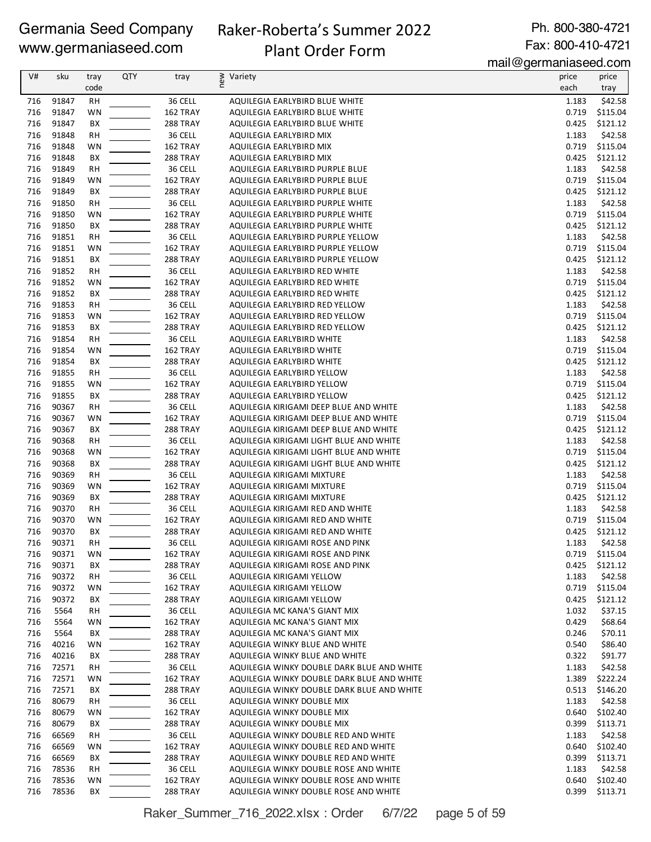# Raker-Roberta's Summer 2022 Plant Order Form

Ph. 800-380-4721 Fax: 800-410-4721

mail@germaniaseed.com

| V#         | sku            | tray<br>code    | <b>QTY</b> | tray                 | ≥ Variety<br>E                                                                   | price<br>each  | price<br>tray        |
|------------|----------------|-----------------|------------|----------------------|----------------------------------------------------------------------------------|----------------|----------------------|
| 716        | 91847          | RH              |            | 36 CELL              | AQUILEGIA EARLYBIRD BLUE WHITE                                                   | 1.183          | \$42.58              |
| 716        | 91847          | WN              |            | 162 TRAY             | AQUILEGIA EARLYBIRD BLUE WHITE                                                   | 0.719          | \$115.04             |
| 716        | 91847          | BX              |            | 288 TRAY             | AQUILEGIA EARLYBIRD BLUE WHITE                                                   | 0.425          | \$121.12             |
| 716        | 91848          | <b>RH</b>       |            | 36 CELL              | AQUILEGIA EARLYBIRD MIX                                                          | 1.183          | \$42.58              |
| 716        | 91848          | WN              |            | 162 TRAY             | AQUILEGIA EARLYBIRD MIX                                                          | 0.719          | \$115.04             |
| 716        | 91848          | BX              |            | 288 TRAY             | AQUILEGIA EARLYBIRD MIX                                                          | 0.425          | \$121.12             |
| 716        | 91849          | <b>RH</b>       |            | 36 CELL              | AQUILEGIA EARLYBIRD PURPLE BLUE                                                  | 1.183          | \$42.58              |
| 716        | 91849          | WN              |            | 162 TRAY             | AQUILEGIA EARLYBIRD PURPLE BLUE                                                  | 0.719          | \$115.04             |
| 716        | 91849          | BX              |            | 288 TRAY             | AQUILEGIA EARLYBIRD PURPLE BLUE                                                  | 0.425          | \$121.12             |
| 716        | 91850          | RH              |            | 36 CELL              | AQUILEGIA EARLYBIRD PURPLE WHITE                                                 | 1.183          | \$42.58              |
| 716        | 91850          | WN              |            | 162 TRAY             | AQUILEGIA EARLYBIRD PURPLE WHITE                                                 | 0.719          | \$115.04             |
| 716        | 91850          | BХ              |            | <b>288 TRAY</b>      | AQUILEGIA EARLYBIRD PURPLE WHITE                                                 | 0.425          | \$121.12             |
| 716        | 91851          | <b>RH</b>       |            | 36 CELL              | AQUILEGIA EARLYBIRD PURPLE YELLOW                                                | 1.183          | \$42.58              |
| 716        | 91851          | WN              |            | 162 TRAY             | AQUILEGIA EARLYBIRD PURPLE YELLOW                                                | 0.719          | \$115.04             |
| 716        | 91851          | BX              |            | 288 TRAY             | AQUILEGIA EARLYBIRD PURPLE YELLOW                                                | 0.425          | \$121.12             |
| 716        | 91852          | RH              |            | 36 CELL              | AQUILEGIA EARLYBIRD RED WHITE                                                    | 1.183          | \$42.58              |
| 716        | 91852          | WN              |            | 162 TRAY             | AQUILEGIA EARLYBIRD RED WHITE                                                    | 0.719          | \$115.04             |
| 716        | 91852          | BX              |            | 288 TRAY             | AQUILEGIA EARLYBIRD RED WHITE                                                    | 0.425          | \$121.12             |
| 716        | 91853          | <b>RH</b>       |            | 36 CELL              | AQUILEGIA EARLYBIRD RED YELLOW                                                   | 1.183          | \$42.58              |
| 716        | 91853          | WN              |            | 162 TRAY             | AQUILEGIA EARLYBIRD RED YELLOW                                                   | 0.719          | \$115.04             |
| 716        | 91853          | BХ              |            | 288 TRAY             | AQUILEGIA EARLYBIRD RED YELLOW                                                   | 0.425          | \$121.12             |
| 716        | 91854          | <b>RH</b>       |            | 36 CELL              | AQUILEGIA EARLYBIRD WHITE                                                        | 1.183          | \$42.58              |
| 716        | 91854          | WN              |            | 162 TRAY             | AQUILEGIA EARLYBIRD WHITE                                                        | 0.719          | \$115.04             |
| 716        | 91854          | BX              |            | 288 TRAY             | AQUILEGIA EARLYBIRD WHITE                                                        | 0.425          | \$121.12             |
| 716        | 91855          | <b>RH</b>       |            | 36 CELL              | AQUILEGIA EARLYBIRD YELLOW                                                       | 1.183          | \$42.58              |
| 716        | 91855          | WN              |            | 162 TRAY             | AQUILEGIA EARLYBIRD YELLOW                                                       | 0.719          | \$115.04             |
| 716<br>716 | 91855<br>90367 | BX              |            | 288 TRAY             | AQUILEGIA EARLYBIRD YELLOW                                                       | 0.425          | \$121.12<br>\$42.58  |
| 716        | 90367          | <b>RH</b><br>WN |            | 36 CELL<br>162 TRAY  | AQUILEGIA KIRIGAMI DEEP BLUE AND WHITE<br>AQUILEGIA KIRIGAMI DEEP BLUE AND WHITE | 1.183<br>0.719 | \$115.04             |
| 716        | 90367          | BХ              |            | 288 TRAY             | AQUILEGIA KIRIGAMI DEEP BLUE AND WHITE                                           | 0.425          | \$121.12             |
| 716        | 90368          | RH              |            | 36 CELL              | AQUILEGIA KIRIGAMI LIGHT BLUE AND WHITE                                          | 1.183          | \$42.58              |
| 716        | 90368          | WN              |            | 162 TRAY             | AQUILEGIA KIRIGAMI LIGHT BLUE AND WHITE                                          | 0.719          | \$115.04             |
| 716        | 90368          | BX              |            | 288 TRAY             | AQUILEGIA KIRIGAMI LIGHT BLUE AND WHITE                                          | 0.425          | \$121.12             |
| 716        | 90369          | RH              |            | 36 CELL              | AQUILEGIA KIRIGAMI MIXTURE                                                       | 1.183          | \$42.58              |
| 716        | 90369          | WN              |            | 162 TRAY             | AQUILEGIA KIRIGAMI MIXTURE                                                       | 0.719          | \$115.04             |
| 716        | 90369          | BX              |            | 288 TRAY             | AQUILEGIA KIRIGAMI MIXTURE                                                       | 0.425          | \$121.12             |
| 716        | 90370          | RH              |            | 36 CELL              | AQUILEGIA KIRIGAMI RED AND WHITE                                                 | 1.183          | \$42.58              |
| 716        | 90370          | WN              |            | 162 TRAY             | AQUILEGIA KIRIGAMI RED AND WHITE                                                 | 0.719          | \$115.04             |
| 716        | 90370          | BX              |            | 288 TRAY             | AQUILEGIA KIRIGAMI RED AND WHITE                                                 | 0.425          | \$121.12             |
| 716        | 90371          | RH              |            | 36 CELL              | AQUILEGIA KIRIGAMI ROSE AND PINK                                                 |                | 1.183 \$42.58        |
| 716        | 90371          | WN              |            | 162 TRAY             | AQUILEGIA KIRIGAMI ROSE AND PINK                                                 | 0.719          | \$115.04             |
| 716        | 90371          | BХ              |            | 288 TRAY             | AQUILEGIA KIRIGAMI ROSE AND PINK                                                 | 0.425          | \$121.12             |
| 716        | 90372          | RH              |            | 36 CELL              | AQUILEGIA KIRIGAMI YELLOW                                                        | 1.183          | \$42.58              |
| 716        | 90372          | WN              |            | 162 TRAY             | AQUILEGIA KIRIGAMI YELLOW                                                        | 0.719          | \$115.04             |
| 716        | 90372          | BХ              |            | 288 TRAY             | AQUILEGIA KIRIGAMI YELLOW                                                        | 0.425          | \$121.12             |
| 716        | 5564           | RH              |            | 36 CELL              | AQUILEGIA MC KANA'S GIANT MIX                                                    | 1.032          | \$37.15              |
| 716        | 5564           | WN              |            | 162 TRAY             | AQUILEGIA MC KANA'S GIANT MIX                                                    | 0.429          | \$68.64              |
| 716        | 5564           | BХ              |            | 288 TRAY             | AQUILEGIA MC KANA'S GIANT MIX                                                    | 0.246          | \$70.11              |
| 716        | 40216          | WN              |            | 162 TRAY             | AQUILEGIA WINKY BLUE AND WHITE                                                   | 0.540          | \$86.40              |
| 716        | 40216          | BХ              |            | 288 TRAY             | AQUILEGIA WINKY BLUE AND WHITE                                                   | 0.322          | \$91.77              |
| 716        | 72571          | RH              |            | 36 CELL              | AQUILEGIA WINKY DOUBLE DARK BLUE AND WHITE                                       | 1.183          | \$42.58              |
| 716        | 72571          | WN              |            | 162 TRAY             | AQUILEGIA WINKY DOUBLE DARK BLUE AND WHITE                                       | 1.389          | \$222.24             |
| 716        | 72571          | BХ              |            | 288 TRAY             | AQUILEGIA WINKY DOUBLE DARK BLUE AND WHITE                                       | 0.513          | \$146.20             |
| 716        | 80679          | RH              |            | 36 CELL              | AQUILEGIA WINKY DOUBLE MIX                                                       | 1.183          | \$42.58              |
| 716        | 80679          | WN              |            | 162 TRAY             | AQUILEGIA WINKY DOUBLE MIX                                                       | 0.640          | \$102.40             |
| 716        | 80679          | BХ              |            | 288 TRAY             | AQUILEGIA WINKY DOUBLE MIX                                                       | 0.399          | \$113.71             |
| 716        | 66569          | RH              |            | 36 CELL              | AQUILEGIA WINKY DOUBLE RED AND WHITE                                             | 1.183          | \$42.58              |
| 716        | 66569          | WN              |            | 162 TRAY             | AQUILEGIA WINKY DOUBLE RED AND WHITE                                             | 0.640          | \$102.40             |
| 716        | 66569          | BХ              |            | 288 TRAY             | AQUILEGIA WINKY DOUBLE RED AND WHITE                                             | 0.399          | \$113.71             |
| 716        | 78536          | RH              |            | 36 CELL              | AQUILEGIA WINKY DOUBLE ROSE AND WHITE                                            | 1.183          | \$42.58              |
| 716<br>716 | 78536<br>78536 | WN<br>BХ        |            | 162 TRAY<br>288 TRAY | AQUILEGIA WINKY DOUBLE ROSE AND WHITE<br>AQUILEGIA WINKY DOUBLE ROSE AND WHITE   | 0.640<br>0.399 | \$102.40<br>\$113.71 |
|            |                |                 |            |                      |                                                                                  |                |                      |

Raker\_Summer\_716\_2022.xlsx : Order 6/7/22 page 5 of 59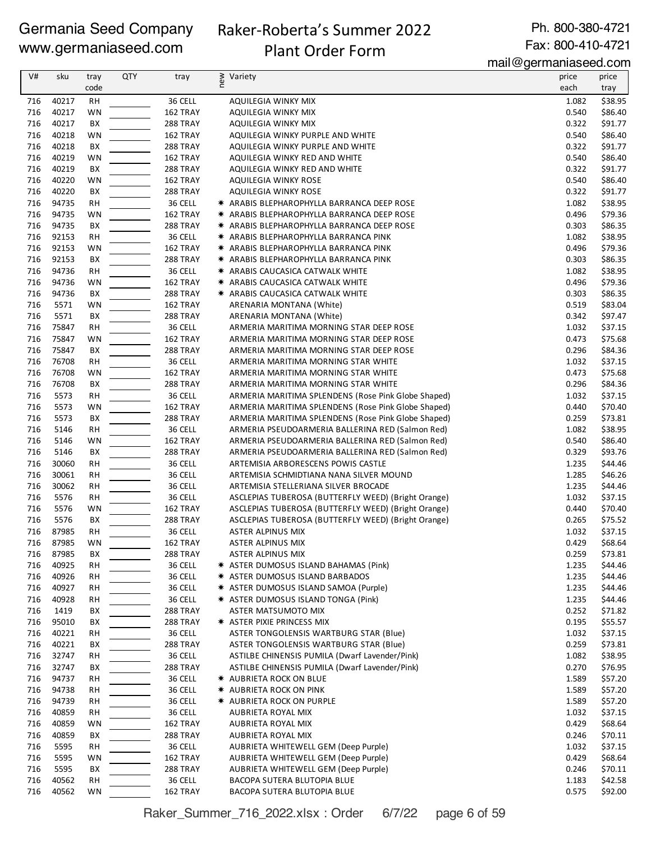# Raker-Roberta's Summer 2022

Ph. 800-380-4721 Fax: 800-410-4721

# Plant Order Form

mail@germaniaseed.com

|     |       |           |            |                 |                                                     | $11001$ $\sim$ gormaniao oo a.oo n |         |
|-----|-------|-----------|------------|-----------------|-----------------------------------------------------|------------------------------------|---------|
| V#  | sku   | tray      | <b>QTY</b> | tray            | new<br>Variety                                      | price                              | price   |
|     |       | code      |            |                 |                                                     | each                               | tray    |
| 716 | 40217 | <b>RH</b> |            | 36 CELL         | <b>AQUILEGIA WINKY MIX</b>                          | 1.082                              | \$38.95 |
| 716 | 40217 | <b>WN</b> |            | 162 TRAY        | AQUILEGIA WINKY MIX                                 | 0.540                              | \$86.40 |
| 716 | 40217 | BX        |            | 288 TRAY        | <b>AQUILEGIA WINKY MIX</b>                          | 0.322                              | \$91.77 |
| 716 | 40218 | <b>WN</b> |            | 162 TRAY        | AQUILEGIA WINKY PURPLE AND WHITE                    | 0.540                              | \$86.40 |
| 716 |       |           |            |                 |                                                     |                                    | \$91.77 |
|     | 40218 | BX        |            | 288 TRAY        | AQUILEGIA WINKY PURPLE AND WHITE                    | 0.322                              |         |
| 716 | 40219 | WN        |            | 162 TRAY        | AQUILEGIA WINKY RED AND WHITE                       | 0.540                              | \$86.40 |
| 716 | 40219 | BX        |            | 288 TRAY        | AQUILEGIA WINKY RED AND WHITE                       | 0.322                              | \$91.77 |
| 716 | 40220 | WN        |            | 162 TRAY        | <b>AQUILEGIA WINKY ROSE</b>                         | 0.540                              | \$86.40 |
| 716 | 40220 | BX        |            | 288 TRAY        | AQUILEGIA WINKY ROSE                                | 0.322                              | \$91.77 |
| 716 | 94735 | <b>RH</b> |            | 36 CELL         | * ARABIS BLEPHAROPHYLLA BARRANCA DEEP ROSE          | 1.082                              | \$38.95 |
| 716 | 94735 | WN        |            | 162 TRAY        | * ARABIS BLEPHAROPHYLLA BARRANCA DEEP ROSE          | 0.496                              | \$79.36 |
| 716 | 94735 | BX        |            | 288 TRAY        | * ARABIS BLEPHAROPHYLLA BARRANCA DEEP ROSE          | 0.303                              | \$86.35 |
| 716 | 92153 | <b>RH</b> |            | 36 CELL         | * ARABIS BLEPHAROPHYLLA BARRANCA PINK               | 1.082                              | \$38.95 |
| 716 | 92153 | <b>WN</b> |            | 162 TRAY        | * ARABIS BLEPHAROPHYLLA BARRANCA PINK               | 0.496                              | \$79.36 |
| 716 | 92153 | BX        |            | 288 TRAY        | * ARABIS BLEPHAROPHYLLA BARRANCA PINK               | 0.303                              | \$86.35 |
| 716 | 94736 | <b>RH</b> |            | 36 CELL         | * ARABIS CAUCASICA CATWALK WHITE                    | 1.082                              | \$38.95 |
| 716 | 94736 | WN        |            | 162 TRAY        | * ARABIS CAUCASICA CATWALK WHITE                    | 0.496                              | \$79.36 |
| 716 | 94736 | BX        |            | 288 TRAY        | * ARABIS CAUCASICA CATWALK WHITE                    | 0.303                              | \$86.35 |
|     |       |           |            |                 |                                                     |                                    |         |
| 716 | 5571  | WN        |            | 162 TRAY        | ARENARIA MONTANA (White)                            | 0.519                              | \$83.04 |
| 716 | 5571  | BX        |            | 288 TRAY        | ARENARIA MONTANA (White)                            | 0.342                              | \$97.47 |
| 716 | 75847 | <b>RH</b> |            | 36 CELL         | ARMERIA MARITIMA MORNING STAR DEEP ROSE             | 1.032                              | \$37.15 |
| 716 | 75847 | <b>WN</b> |            | 162 TRAY        | ARMERIA MARITIMA MORNING STAR DEEP ROSE             | 0.473                              | \$75.68 |
| 716 | 75847 | BX        |            | 288 TRAY        | ARMERIA MARITIMA MORNING STAR DEEP ROSE             | 0.296                              | \$84.36 |
| 716 | 76708 | RH        |            | 36 CELL         | ARMERIA MARITIMA MORNING STAR WHITE                 | 1.032                              | \$37.15 |
| 716 | 76708 | WN        |            | 162 TRAY        | ARMERIA MARITIMA MORNING STAR WHITE                 | 0.473                              | \$75.68 |
| 716 | 76708 | BX        |            | 288 TRAY        | ARMERIA MARITIMA MORNING STAR WHITE                 | 0.296                              | \$84.36 |
| 716 | 5573  | <b>RH</b> |            | 36 CELL         | ARMERIA MARITIMA SPLENDENS (Rose Pink Globe Shaped) | 1.032                              | \$37.15 |
| 716 | 5573  | <b>WN</b> |            | 162 TRAY        | ARMERIA MARITIMA SPLENDENS (Rose Pink Globe Shaped) | 0.440                              | \$70.40 |
| 716 | 5573  | BX        |            | 288 TRAY        | ARMERIA MARITIMA SPLENDENS (Rose Pink Globe Shaped) | 0.259                              | \$73.81 |
| 716 | 5146  | <b>RH</b> |            | 36 CELL         | ARMERIA PSEUDOARMERIA BALLERINA RED (Salmon Red)    | 1.082                              | \$38.95 |
| 716 | 5146  | <b>WN</b> |            | 162 TRAY        | ARMERIA PSEUDOARMERIA BALLERINA RED (Salmon Red)    | 0.540                              | \$86.40 |
| 716 | 5146  |           |            | 288 TRAY        |                                                     | 0.329                              | \$93.76 |
|     |       | BX        |            |                 | ARMERIA PSEUDOARMERIA BALLERINA RED (Salmon Red)    |                                    |         |
| 716 | 30060 | RH        |            | 36 CELL         | ARTEMISIA ARBORESCENS POWIS CASTLE                  | 1.235                              | \$44.46 |
| 716 | 30061 | <b>RH</b> |            | 36 CELL         | ARTEMISIA SCHMIDTIANA NANA SILVER MOUND             | 1.285                              | \$46.26 |
| 716 | 30062 | <b>RH</b> |            | 36 CELL         | ARTEMISIA STELLERIANA SILVER BROCADE                | 1.235                              | \$44.46 |
| 716 | 5576  | <b>RH</b> |            | 36 CELL         | ASCLEPIAS TUBEROSA (BUTTERFLY WEED) (Bright Orange) | 1.032                              | \$37.15 |
| 716 | 5576  | <b>WN</b> |            | 162 TRAY        | ASCLEPIAS TUBEROSA (BUTTERFLY WEED) (Bright Orange) | 0.440                              | \$70.40 |
| 716 | 5576  | BX        |            | 288 TRAY        | ASCLEPIAS TUBEROSA (BUTTERFLY WEED) (Bright Orange) | 0.265                              | \$75.52 |
| 716 | 87985 | <b>RH</b> |            | 36 CELL         | ASTER ALPINUS MIX                                   | 1.032                              | \$37.15 |
| 716 | 87985 | WN        |            | 162 TRAY        | ASTER ALPINUS MIX                                   | 0.429                              | \$68.64 |
| 716 | 87985 | BХ        |            | <b>288 TRAY</b> | ASTER ALPINUS MIX                                   | 0.259                              | \$73.81 |
| 716 | 40925 | <b>RH</b> |            | 36 CELL         | * ASTER DUMOSUS ISLAND BAHAMAS (Pink)               | 1.235                              | \$44.46 |
| 716 | 40926 | <b>RH</b> |            | 36 CELL         | * ASTER DUMOSUS ISLAND BARBADOS                     | 1.235                              | \$44.46 |
| 716 | 40927 | <b>RH</b> |            | 36 CELL         | * ASTER DUMOSUS ISLAND SAMOA (Purple)               | 1.235                              | \$44.46 |
| 716 | 40928 | <b>RH</b> |            | 36 CELL         | * ASTER DUMOSUS ISLAND TONGA (Pink)                 | 1.235                              | \$44.46 |
| 716 | 1419  | ВX        |            | 288 TRAY        | ASTER MATSUMOTO MIX                                 | 0.252                              | \$71.82 |
| 716 | 95010 | BХ        |            | 288 TRAY        | * ASTER PIXIE PRINCESS MIX                          | 0.195                              | \$55.57 |
| 716 | 40221 | <b>RH</b> |            | 36 CELL         | ASTER TONGOLENSIS WARTBURG STAR (Blue)              | 1.032                              | \$37.15 |
| 716 | 40221 | BX        |            | 288 TRAY        | ASTER TONGOLENSIS WARTBURG STAR (Blue)              | 0.259                              | \$73.81 |
|     |       |           |            | 36 CELL         | ASTILBE CHINENSIS PUMILA (Dwarf Lavender/Pink)      |                                    | \$38.95 |
| 716 | 32747 | <b>RH</b> |            |                 |                                                     | 1.082                              |         |
| 716 | 32747 | BХ        |            | 288 TRAY        | ASTILBE CHINENSIS PUMILA (Dwarf Lavender/Pink)      | 0.270                              | \$76.95 |
| 716 | 94737 | <b>RH</b> |            | 36 CELL         | * AUBRIETA ROCK ON BLUE                             | 1.589                              | \$57.20 |
| 716 | 94738 | RH        |            | 36 CELL         | <b>★ AUBRIETA ROCK ON PINK</b>                      | 1.589                              | \$57.20 |
| 716 | 94739 | RH        |            | 36 CELL         | <b>* AUBRIETA ROCK ON PURPLE</b>                    | 1.589                              | \$57.20 |
| 716 | 40859 | RH        |            | 36 CELL         | AUBRIETA ROYAL MIX                                  | 1.032                              | \$37.15 |
| 716 | 40859 | WN        |            | 162 TRAY        | AUBRIETA ROYAL MIX                                  | 0.429                              | \$68.64 |
| 716 | 40859 | BX        |            | 288 TRAY        | AUBRIETA ROYAL MIX                                  | 0.246                              | \$70.11 |
| 716 | 5595  | RH        |            | 36 CELL         | AUBRIETA WHITEWELL GEM (Deep Purple)                | 1.032                              | \$37.15 |
| 716 | 5595  | WN        |            | 162 TRAY        | AUBRIETA WHITEWELL GEM (Deep Purple)                | 0.429                              | \$68.64 |
| 716 | 5595  | BХ        |            | 288 TRAY        | AUBRIETA WHITEWELL GEM (Deep Purple)                | 0.246                              | \$70.11 |
| 716 | 40562 | RH        |            | 36 CELL         | BACOPA SUTERA BLUTOPIA BLUE                         | 1.183                              | \$42.58 |
| 716 | 40562 | WN        |            | 162 TRAY        | BACOPA SUTERA BLUTOPIA BLUE                         | 0.575                              | \$92.00 |

Raker\_Summer\_716\_2022.xlsx : Order 6/7/22 page 6 of 59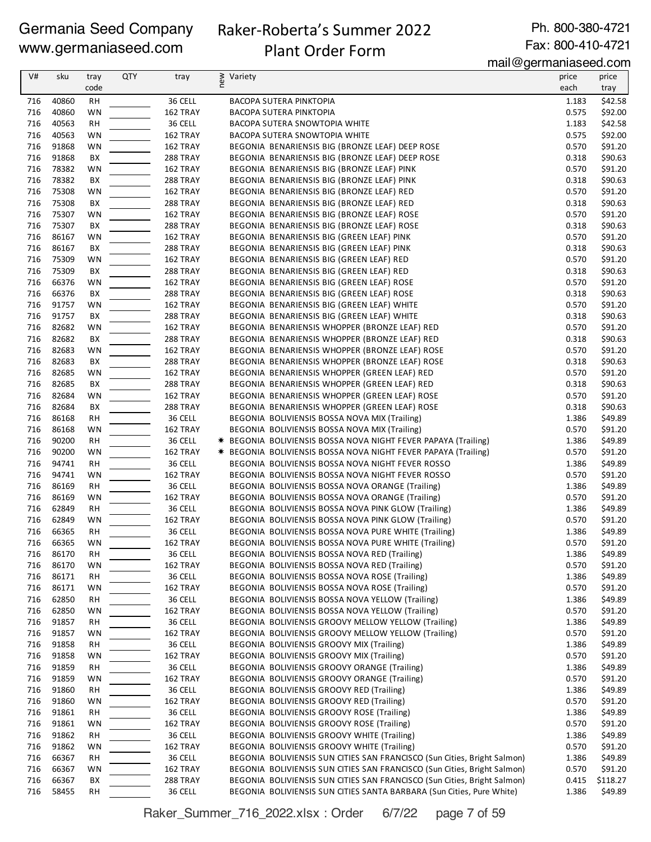# Raker-Roberta's Summer 2022

Ph. 800-380-4721 Fax: 800-410-4721

# Plant Order Form

mail@germaniaseed.com

| V#  | sku   | tray      | <b>QTY</b> | tray                 | Variety                                                                  | price | price    |
|-----|-------|-----------|------------|----------------------|--------------------------------------------------------------------------|-------|----------|
|     |       |           |            |                      | new                                                                      |       |          |
|     |       | code      |            |                      |                                                                          | each  | tray     |
| 716 | 40860 | RH        |            | 36 CELL              | BACOPA SUTERA PINKTOPIA                                                  | 1.183 | \$42.58  |
| 716 | 40860 | WN        |            | 162 TRAY             | BACOPA SUTERA PINKTOPIA                                                  | 0.575 | \$92.00  |
| 716 | 40563 | <b>RH</b> |            | 36 CELL              | BACOPA SUTERA SNOWTOPIA WHITE                                            | 1.183 | \$42.58  |
| 716 | 40563 | WN        |            | 162 TRAY             | BACOPA SUTERA SNOWTOPIA WHITE                                            | 0.575 | \$92.00  |
| 716 | 91868 | WN        |            | 162 TRAY             | BEGONIA BENARIENSIS BIG (BRONZE LEAF) DEEP ROSE                          | 0.570 | \$91.20  |
| 716 | 91868 | BХ        |            | <b>288 TRAY</b>      | BEGONIA BENARIENSIS BIG (BRONZE LEAF) DEEP ROSE                          | 0.318 | \$90.63  |
| 716 | 78382 | WN        |            | 162 TRAY             | BEGONIA BENARIENSIS BIG (BRONZE LEAF) PINK                               | 0.570 | \$91.20  |
| 716 | 78382 | BX        |            | <b>288 TRAY</b>      | BEGONIA BENARIENSIS BIG (BRONZE LEAF) PINK                               | 0.318 | \$90.63  |
| 716 | 75308 | WN        |            | 162 TRAY             | BEGONIA BENARIENSIS BIG (BRONZE LEAF) RED                                | 0.570 | \$91.20  |
| 716 | 75308 | BХ        |            | <b>288 TRAY</b>      | BEGONIA BENARIENSIS BIG (BRONZE LEAF) RED                                | 0.318 | \$90.63  |
| 716 | 75307 | WN        |            | 162 TRAY             | BEGONIA BENARIENSIS BIG (BRONZE LEAF) ROSE                               | 0.570 | \$91.20  |
| 716 | 75307 | ВX        |            | 288 TRAY             | BEGONIA BENARIENSIS BIG (BRONZE LEAF) ROSE                               | 0.318 | \$90.63  |
| 716 | 86167 | WN        |            | 162 TRAY             | BEGONIA BENARIENSIS BIG (GREEN LEAF) PINK                                | 0.570 | \$91.20  |
| 716 | 86167 | BХ        |            | <b>288 TRAY</b>      | BEGONIA BENARIENSIS BIG (GREEN LEAF) PINK                                | 0.318 | \$90.63  |
| 716 | 75309 | WN        |            | 162 TRAY             | BEGONIA BENARIENSIS BIG (GREEN LEAF) RED                                 | 0.570 | \$91.20  |
| 716 | 75309 | BX        |            | <b>288 TRAY</b>      | BEGONIA BENARIENSIS BIG (GREEN LEAF) RED                                 | 0.318 | \$90.63  |
| 716 | 66376 | <b>WN</b> |            | 162 TRAY             | BEGONIA BENARIENSIS BIG (GREEN LEAF) ROSE                                | 0.570 | \$91.20  |
| 716 | 66376 | BХ        |            | <b>288 TRAY</b>      | BEGONIA BENARIENSIS BIG (GREEN LEAF) ROSE                                | 0.318 | \$90.63  |
| 716 | 91757 | WN        |            | 162 TRAY             | BEGONIA BENARIENSIS BIG (GREEN LEAF) WHITE                               | 0.570 | \$91.20  |
| 716 | 91757 | BX        |            | 288 TRAY             | BEGONIA BENARIENSIS BIG (GREEN LEAF) WHITE                               | 0.318 | \$90.63  |
| 716 | 82682 | WN        |            | 162 TRAY             | BEGONIA BENARIENSIS WHOPPER (BRONZE LEAF) RED                            | 0.570 |          |
|     |       |           |            |                      |                                                                          |       | \$91.20  |
| 716 | 82682 | BX        |            | 288 TRAY             | BEGONIA BENARIENSIS WHOPPER (BRONZE LEAF) RED                            | 0.318 | \$90.63  |
| 716 | 82683 | WN        |            | 162 TRAY             | BEGONIA BENARIENSIS WHOPPER (BRONZE LEAF) ROSE                           | 0.570 | \$91.20  |
| 716 | 82683 | BХ        |            | 288 TRAY             | BEGONIA BENARIENSIS WHOPPER (BRONZE LEAF) ROSE                           | 0.318 | \$90.63  |
| 716 | 82685 | WN        |            | 162 TRAY             | BEGONIA BENARIENSIS WHOPPER (GREEN LEAF) RED                             | 0.570 | \$91.20  |
| 716 | 82685 | BХ        |            | <b>288 TRAY</b>      | BEGONIA BENARIENSIS WHOPPER (GREEN LEAF) RED                             | 0.318 | \$90.63  |
| 716 | 82684 | <b>WN</b> |            | 162 TRAY             | BEGONIA BENARIENSIS WHOPPER (GREEN LEAF) ROSE                            | 0.570 | \$91.20  |
| 716 | 82684 | BХ        |            | <b>288 TRAY</b>      | BEGONIA BENARIENSIS WHOPPER (GREEN LEAF) ROSE                            | 0.318 | \$90.63  |
| 716 | 86168 | RH        |            | 36 CELL              | BEGONIA BOLIVIENSIS BOSSA NOVA MIX (Trailing)                            | 1.386 | \$49.89  |
| 716 | 86168 | WN        |            | 162 TRAY             | BEGONIA BOLIVIENSIS BOSSA NOVA MIX (Trailing)                            | 0.570 | \$91.20  |
| 716 | 90200 | <b>RH</b> |            | 36 CELL              | * BEGONIA BOLIVIENSIS BOSSA NOVA NIGHT FEVER PAPAYA (Trailing)           | 1.386 | \$49.89  |
| 716 | 90200 | WN        |            | 162 TRAY             | * BEGONIA BOLIVIENSIS BOSSA NOVA NIGHT FEVER PAPAYA (Trailing)           | 0.570 | \$91.20  |
| 716 | 94741 | <b>RH</b> |            | 36 CELL              | BEGONIA BOLIVIENSIS BOSSA NOVA NIGHT FEVER ROSSO                         | 1.386 | \$49.89  |
| 716 | 94741 | WN        |            | 162 TRAY             | BEGONIA BOLIVIENSIS BOSSA NOVA NIGHT FEVER ROSSO                         | 0.570 | \$91.20  |
| 716 | 86169 | RH        |            | 36 CELL              | BEGONIA BOLIVIENSIS BOSSA NOVA ORANGE (Trailing)                         | 1.386 | \$49.89  |
| 716 | 86169 | <b>WN</b> |            | 162 TRAY             | BEGONIA BOLIVIENSIS BOSSA NOVA ORANGE (Trailing)                         | 0.570 | \$91.20  |
| 716 | 62849 | RH        |            | 36 CELL              | BEGONIA BOLIVIENSIS BOSSA NOVA PINK GLOW (Trailing)                      | 1.386 | \$49.89  |
| 716 | 62849 | WN        |            | 162 TRAY             | BEGONIA BOLIVIENSIS BOSSA NOVA PINK GLOW (Trailing)                      | 0.570 | \$91.20  |
| 716 | 66365 | <b>RH</b> |            | 36 CELL              | BEGONIA BOLIVIENSIS BOSSA NOVA PURE WHITE (Trailing)                     | 1.386 | \$49.89  |
| 716 | 66365 | WN        |            | 162 TRAY             | BEGONIA BOLIVIENSIS BOSSA NOVA PURE WHITE (Trailing)                     | 0.570 | \$91.20  |
| 716 | 86170 | RH        |            | 36 CELL              | BEGONIA BOLIVIENSIS BOSSA NOVA RED (Trailing)                            | 1.386 | \$49.89  |
| 716 | 86170 | WN        |            | 162 TRAY             | BEGONIA BOLIVIENSIS BOSSA NOVA RED (Trailing)                            | 0.570 | \$91.20  |
| 716 | 86171 | RH        |            | 36 CELL              | BEGONIA BOLIVIENSIS BOSSA NOVA ROSE (Trailing)                           | 1.386 | \$49.89  |
| 716 | 86171 | WN        |            | 162 TRAY             | BEGONIA BOLIVIENSIS BOSSA NOVA ROSE (Trailing)                           | 0.570 | \$91.20  |
| 716 | 62850 | RH        |            | 36 CELL              | BEGONIA BOLIVIENSIS BOSSA NOVA YELLOW (Trailing)                         | 1.386 | \$49.89  |
| 716 | 62850 | WN        |            | 162 TRAY             | BEGONIA BOLIVIENSIS BOSSA NOVA YELLOW (Trailing)                         | 0.570 | \$91.20  |
| 716 | 91857 | RH        |            | 36 CELL              | BEGONIA BOLIVIENSIS GROOVY MELLOW YELLOW (Trailing)                      | 1.386 | \$49.89  |
| 716 | 91857 | WN        |            | 162 TRAY             | BEGONIA BOLIVIENSIS GROOVY MELLOW YELLOW (Trailing)                      | 0.570 | \$91.20  |
| 716 | 91858 | RH        |            | 36 CELL              | BEGONIA BOLIVIENSIS GROOVY MIX (Trailing)                                | 1.386 | \$49.89  |
| 716 | 91858 | WN        |            | 162 TRAY             | BEGONIA BOLIVIENSIS GROOVY MIX (Trailing)                                | 0.570 | \$91.20  |
| 716 | 91859 | RH        |            | 36 CELL              | BEGONIA BOLIVIENSIS GROOVY ORANGE (Trailing)                             | 1.386 | \$49.89  |
| 716 | 91859 | WN        |            | 162 TRAY             | BEGONIA BOLIVIENSIS GROOVY ORANGE (Trailing)                             | 0.570 | \$91.20  |
| 716 | 91860 | RH        |            | 36 CELL              | BEGONIA BOLIVIENSIS GROOVY RED (Trailing)                                | 1.386 | \$49.89  |
| 716 | 91860 | WN        |            | 162 TRAY             | BEGONIA BOLIVIENSIS GROOVY RED (Trailing)                                | 0.570 | \$91.20  |
| 716 | 91861 | RH        |            | 36 CELL              | BEGONIA BOLIVIENSIS GROOVY ROSE (Trailing)                               | 1.386 | \$49.89  |
| 716 | 91861 | WN        |            | 162 TRAY             | BEGONIA BOLIVIENSIS GROOVY ROSE (Trailing)                               | 0.570 | \$91.20  |
| 716 | 91862 | RH        |            | 36 CELL              | BEGONIA BOLIVIENSIS GROOVY WHITE (Trailing)                              | 1.386 | \$49.89  |
| 716 | 91862 | WN        |            | 162 TRAY             | BEGONIA BOLIVIENSIS GROOVY WHITE (Trailing)                              | 0.570 | \$91.20  |
| 716 | 66367 |           |            | 36 CELL              | BEGONIA BOLIVIENSIS SUN CITIES SAN FRANCISCO (Sun Cities, Bright Salmon) | 1.386 | \$49.89  |
|     | 66367 | RH        |            |                      | BEGONIA BOLIVIENSIS SUN CITIES SAN FRANCISCO (Sun Cities, Bright Salmon) | 0.570 |          |
| 716 | 66367 | WN        |            | 162 TRAY<br>288 TRAY |                                                                          |       | \$91.20  |
| 716 |       | BХ        |            |                      | BEGONIA BOLIVIENSIS SUN CITIES SAN FRANCISCO (Sun Cities, Bright Salmon) | 0.415 | \$118.27 |
| 716 | 58455 | RH        |            | 36 CELL              | BEGONIA BOLIVIENSIS SUN CITIES SANTA BARBARA (Sun Cities, Pure White)    | 1.386 | \$49.89  |

Raker\_Summer\_716\_2022.xlsx : Order 6/7/22 page 7 of 59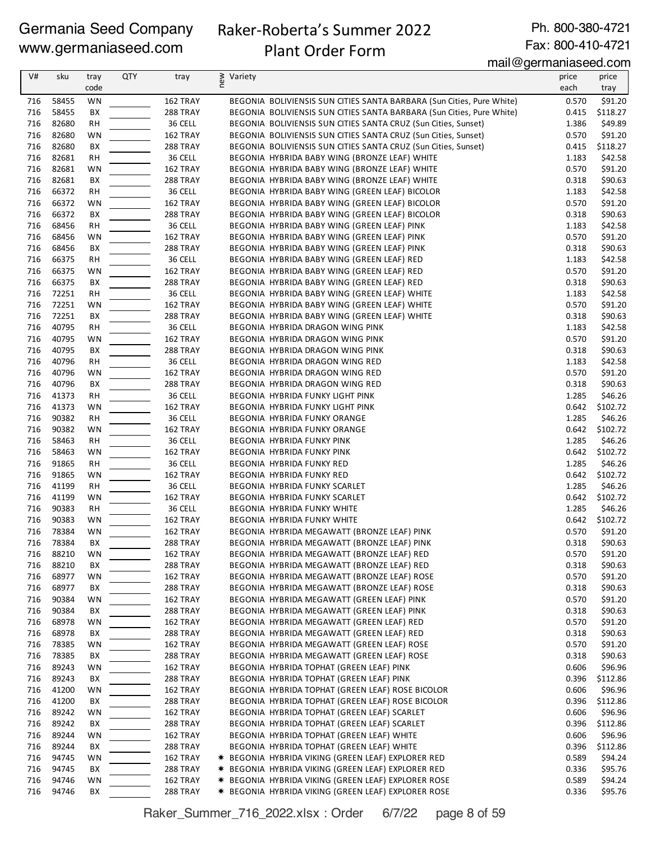# Raker-Roberta's Summer 2022

Ph. 800-380-4721 Fax: 800-410-4721

# Plant Order Form

mail@germaniaseed.com

| V#         | sku            | tray<br>code    | <b>QTY</b> | tray                 | ≷ Variety<br>E |                                                                                                  | price<br>each  | price<br>tray       |
|------------|----------------|-----------------|------------|----------------------|----------------|--------------------------------------------------------------------------------------------------|----------------|---------------------|
| 716        | 58455          | WN              |            | 162 TRAY             |                | BEGONIA BOLIVIENSIS SUN CITIES SANTA BARBARA (Sun Cities, Pure White)                            | 0.570          | \$91.20             |
| 716        | 58455          | BХ              |            | 288 TRAY             |                | BEGONIA BOLIVIENSIS SUN CITIES SANTA BARBARA (Sun Cities, Pure White)                            | 0.415          | \$118.27            |
| 716        | 82680          | <b>RH</b>       |            | 36 CELL              |                | BEGONIA BOLIVIENSIS SUN CITIES SANTA CRUZ (Sun Cities, Sunset)                                   | 1.386          | \$49.89             |
| 716        | 82680          | WN              |            | 162 TRAY             |                | BEGONIA BOLIVIENSIS SUN CITIES SANTA CRUZ (Sun Cities, Sunset)                                   | 0.570          | \$91.20             |
| 716        | 82680          | BX              |            | 288 TRAY             |                | BEGONIA BOLIVIENSIS SUN CITIES SANTA CRUZ (Sun Cities, Sunset)                                   | 0.415          | \$118.27            |
| 716        | 82681          | <b>RH</b>       |            | 36 CELL              |                | BEGONIA HYBRIDA BABY WING (BRONZE LEAF) WHITE                                                    | 1.183          | \$42.58             |
| 716        | 82681          | WN              |            | 162 TRAY             |                | BEGONIA HYBRIDA BABY WING (BRONZE LEAF) WHITE                                                    | 0.570          | \$91.20             |
| 716        | 82681          | BX              |            | <b>288 TRAY</b>      |                | BEGONIA HYBRIDA BABY WING (BRONZE LEAF) WHITE                                                    | 0.318          | \$90.63<br>\$42.58  |
| 716<br>716 | 66372<br>66372 | RH<br>WN        |            | 36 CELL<br>162 TRAY  |                | BEGONIA HYBRIDA BABY WING (GREEN LEAF) BICOLOR<br>BEGONIA HYBRIDA BABY WING (GREEN LEAF) BICOLOR | 1.183<br>0.570 | \$91.20             |
| 716        | 66372          | BХ              |            | <b>288 TRAY</b>      |                | BEGONIA HYBRIDA BABY WING (GREEN LEAF) BICOLOR                                                   | 0.318          | \$90.63             |
| 716        | 68456          | <b>RH</b>       |            | 36 CELL              |                | BEGONIA HYBRIDA BABY WING (GREEN LEAF) PINK                                                      | 1.183          | \$42.58             |
| 716        | 68456          | WN              |            | 162 TRAY             |                | BEGONIA HYBRIDA BABY WING (GREEN LEAF) PINK                                                      | 0.570          | \$91.20             |
| 716        | 68456          | ВX              |            | <b>288 TRAY</b>      |                | BEGONIA HYBRIDA BABY WING (GREEN LEAF) PINK                                                      | 0.318          | \$90.63             |
| 716        | 66375          | <b>RH</b>       |            | 36 CELL              |                | BEGONIA HYBRIDA BABY WING (GREEN LEAF) RED                                                       | 1.183          | \$42.58             |
| 716        | 66375          | WN              |            | 162 TRAY             |                | BEGONIA HYBRIDA BABY WING (GREEN LEAF) RED                                                       | 0.570          | \$91.20             |
| 716        | 66375          | BX              |            | <b>288 TRAY</b>      |                | BEGONIA HYBRIDA BABY WING (GREEN LEAF) RED                                                       | 0.318          | \$90.63             |
| 716        | 72251          | RH              |            | 36 CELL              |                | BEGONIA HYBRIDA BABY WING (GREEN LEAF) WHITE                                                     | 1.183          | \$42.58             |
| 716        | 72251          | WN              |            | 162 TRAY             |                | BEGONIA HYBRIDA BABY WING (GREEN LEAF) WHITE                                                     | 0.570          | \$91.20             |
| 716        | 72251          | BХ              |            | <b>288 TRAY</b>      |                | BEGONIA HYBRIDA BABY WING (GREEN LEAF) WHITE                                                     | 0.318          | \$90.63             |
| 716        | 40795          | <b>RH</b>       |            | 36 CELL              |                | BEGONIA HYBRIDA DRAGON WING PINK                                                                 | 1.183          | \$42.58             |
| 716        | 40795          | WN              |            | 162 TRAY             |                | BEGONIA HYBRIDA DRAGON WING PINK                                                                 | 0.570          | \$91.20             |
| 716<br>716 | 40795<br>40796 | BX              |            | 288 TRAY             |                | BEGONIA HYBRIDA DRAGON WING PINK<br>BEGONIA HYBRIDA DRAGON WING RED                              | 0.318<br>1.183 | \$90.63             |
| 716        | 40796          | <b>RH</b><br>WN |            | 36 CELL<br>162 TRAY  |                | BEGONIA HYBRIDA DRAGON WING RED                                                                  | 0.570          | \$42.58<br>\$91.20  |
| 716        | 40796          | ВX              |            | <b>288 TRAY</b>      |                | BEGONIA HYBRIDA DRAGON WING RED                                                                  | 0.318          | \$90.63             |
| 716        | 41373          | RH              |            | 36 CELL              |                | BEGONIA HYBRIDA FUNKY LIGHT PINK                                                                 | 1.285          | \$46.26             |
| 716        | 41373          | WN              |            | 162 TRAY             |                | BEGONIA HYBRIDA FUNKY LIGHT PINK                                                                 | 0.642          | \$102.72            |
| 716        | 90382          | <b>RH</b>       |            | 36 CELL              |                | BEGONIA HYBRIDA FUNKY ORANGE                                                                     | 1.285          | \$46.26             |
| 716        | 90382          | WN              |            | 162 TRAY             |                | BEGONIA HYBRIDA FUNKY ORANGE                                                                     | 0.642          | \$102.72            |
| 716        | 58463          | RH              |            | 36 CELL              |                | BEGONIA HYBRIDA FUNKY PINK                                                                       | 1.285          | \$46.26             |
| 716        | 58463          | WN              |            | 162 TRAY             |                | BEGONIA HYBRIDA FUNKY PINK                                                                       | 0.642          | \$102.72            |
| 716        | 91865          | <b>RH</b>       |            | 36 CELL              |                | BEGONIA HYBRIDA FUNKY RED                                                                        | 1.285          | \$46.26             |
| 716        | 91865          | WN              |            | 162 TRAY             |                | BEGONIA HYBRIDA FUNKY RED                                                                        | 0.642          | \$102.72            |
| 716        | 41199          | RH              |            | 36 CELL              |                | BEGONIA HYBRIDA FUNKY SCARLET                                                                    | 1.285          | \$46.26             |
| 716        | 41199          | WN              |            | 162 TRAY             |                | BEGONIA HYBRIDA FUNKY SCARLET                                                                    | 0.642          | \$102.72            |
| 716        | 90383          | RH              |            | 36 CELL              |                | BEGONIA HYBRIDA FUNKY WHITE                                                                      | 1.285          | \$46.26             |
| 716<br>716 | 90383<br>78384 | <b>WN</b><br>WN |            | 162 TRAY             |                | <b>BEGONIA HYBRIDA FUNKY WHITE</b>                                                               | 0.642<br>0.570 | \$102.72<br>\$91.20 |
| 716        | 78384          | BΧ              |            | 162 TRAY<br>288 TRAY |                | BEGONIA HYBRIDA MEGAWATT (BRONZE LEAF) PINK<br>BEGONIA HYBRIDA MEGAWATT (BRONZE LEAF) PINK       | 0.318          | \$90.63             |
| 716        | 88210          | WN              |            | 162 TRAY             |                | BEGONIA HYBRIDA MEGAWATT (BRONZE LEAF) RED                                                       | 0.570          | \$91.20             |
| 716        | 88210          | BX              |            | 288 TRAY             |                | BEGONIA HYBRIDA MEGAWATT (BRONZE LEAF) RED                                                       | 0.318          | \$90.63             |
| 716        | 68977          | WN              |            | 162 TRAY             |                | BEGONIA HYBRIDA MEGAWATT (BRONZE LEAF) ROSE                                                      | 0.570          | \$91.20             |
| 716        | 68977          | BХ              |            | 288 TRAY             |                | BEGONIA HYBRIDA MEGAWATT (BRONZE LEAF) ROSE                                                      | 0.318          | \$90.63             |
| 716        | 90384          | WN              |            | 162 TRAY             |                | BEGONIA HYBRIDA MEGAWATT (GREEN LEAF) PINK                                                       | 0.570          | \$91.20             |
| 716        | 90384          | BХ              |            | 288 TRAY             |                | BEGONIA HYBRIDA MEGAWATT (GREEN LEAF) PINK                                                       | 0.318          | \$90.63             |
| 716        | 68978          | WN              |            | 162 TRAY             |                | BEGONIA HYBRIDA MEGAWATT (GREEN LEAF) RED                                                        | 0.570          | \$91.20             |
| 716        | 68978          | BХ              |            | 288 TRAY             |                | BEGONIA HYBRIDA MEGAWATT (GREEN LEAF) RED                                                        | 0.318          | \$90.63             |
| 716        | 78385          | WN              |            | 162 TRAY             |                | BEGONIA  HYBRIDA MEGAWATT (GREEN LEAF) ROSE                                                      | 0.570          | \$91.20             |
| 716        | 78385          | BХ              |            | <b>288 TRAY</b>      |                | BEGONIA HYBRIDA MEGAWATT (GREEN LEAF) ROSE                                                       | 0.318          | \$90.63             |
| 716        | 89243          | WN              |            | 162 TRAY             |                | BEGONIA HYBRIDA TOPHAT (GREEN LEAF) PINK                                                         | 0.606          | \$96.96             |
| 716        | 89243          | BX              |            | <b>288 TRAY</b>      |                | BEGONIA HYBRIDA TOPHAT (GREEN LEAF) PINK                                                         | 0.396          | \$112.86            |
| 716        | 41200          | WN              |            | 162 TRAY             |                | BEGONIA HYBRIDA TOPHAT (GREEN LEAF) ROSE BICOLOR                                                 | 0.606          | \$96.96             |
| 716<br>716 | 41200<br>89242 | BХ<br>WN        |            | 288 TRAY<br>162 TRAY |                | BEGONIA HYBRIDA TOPHAT (GREEN LEAF) ROSE BICOLOR<br>BEGONIA HYBRIDA TOPHAT (GREEN LEAF) SCARLET  | 0.396<br>0.606 | \$112.86<br>\$96.96 |
| 716        | 89242          | BХ              |            | 288 TRAY             |                | BEGONIA HYBRIDA TOPHAT (GREEN LEAF) SCARLET                                                      | 0.396          | \$112.86            |
| 716        | 89244          | WN              |            | 162 TRAY             |                | BEGONIA HYBRIDA TOPHAT (GREEN LEAF) WHITE                                                        | 0.606          | \$96.96             |
| 716        | 89244          | BХ              |            | <b>288 TRAY</b>      |                | BEGONIA HYBRIDA TOPHAT (GREEN LEAF) WHITE                                                        | 0.396          | \$112.86            |
| 716        | 94745          | WN              |            | 162 TRAY             |                | * BEGONIA HYBRIDA VIKING (GREEN LEAF) EXPLORER RED                                               | 0.589          | \$94.24             |
| 716        | 94745          | BХ              |            | <b>288 TRAY</b>      |                | * BEGONIA HYBRIDA VIKING (GREEN LEAF) EXPLORER RED                                               | 0.336          | \$95.76             |
| 716        | 94746          | WN              |            | 162 TRAY             |                | * BEGONIA HYBRIDA VIKING (GREEN LEAF) EXPLORER ROSE                                              | 0.589          | \$94.24             |
| 716        | 94746          | BХ              |            | 288 TRAY             |                | * BEGONIA HYBRIDA VIKING (GREEN LEAF) EXPLORER ROSE                                              | 0.336          | \$95.76             |

Raker\_Summer\_716\_2022.xlsx : Order 6/7/22 page 8 of 59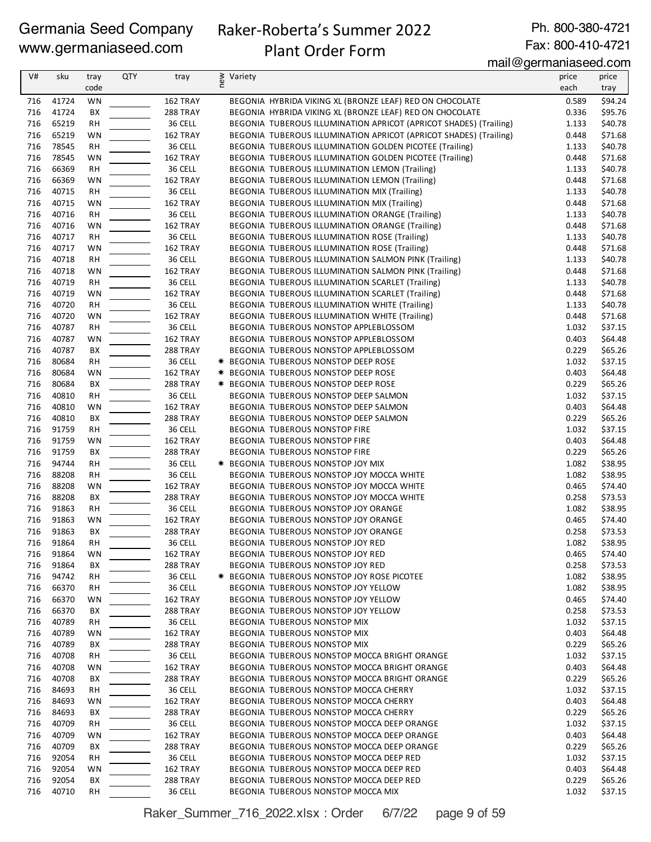# Raker-Roberta's Summer 2022

Ph. 800-380-4721 Fax: 800-410-4721

# Plant Order Form

mail@germaniaseed.com

| V#         | sku            | tray      | <b>QTY</b> | tray            | Variety |                                                                                                                               | price | price   |
|------------|----------------|-----------|------------|-----------------|---------|-------------------------------------------------------------------------------------------------------------------------------|-------|---------|
|            |                | code      |            |                 | new     |                                                                                                                               | each  | tray    |
|            |                |           |            |                 |         |                                                                                                                               |       |         |
| 716        | 41724          | WN        |            | 162 TRAY        |         | BEGONIA HYBRIDA VIKING XL (BRONZE LEAF) RED ON CHOCOLATE                                                                      | 0.589 | \$94.24 |
| 716<br>716 | 41724<br>65219 | BX        |            | 288 TRAY        |         | BEGONIA HYBRIDA VIKING XL (BRONZE LEAF) RED ON CHOCOLATE<br>BEGONIA TUBEROUS ILLUMINATION APRICOT (APRICOT SHADES) (Trailing) | 0.336 | \$95.76 |
|            |                | <b>RH</b> |            | 36 CELL         |         |                                                                                                                               | 1.133 | \$40.78 |
| 716        | 65219          | WN        |            | 162 TRAY        |         | BEGONIA TUBEROUS ILLUMINATION APRICOT (APRICOT SHADES) (Trailing)                                                             | 0.448 | \$71.68 |
| 716        | 78545          | <b>RH</b> |            | 36 CELL         |         | BEGONIA TUBEROUS ILLUMINATION GOLDEN PICOTEE (Trailing)                                                                       | 1.133 | \$40.78 |
| 716        | 78545          | WN        |            | 162 TRAY        |         | BEGONIA TUBEROUS ILLUMINATION GOLDEN PICOTEE (Trailing)                                                                       | 0.448 | \$71.68 |
| 716        | 66369          | <b>RH</b> |            | 36 CELL         |         | BEGONIA TUBEROUS ILLUMINATION LEMON (Trailing)                                                                                | 1.133 | \$40.78 |
| 716        | 66369          | WN        |            | 162 TRAY        |         | <b>BEGONIA TUBEROUS ILLUMINATION LEMON (Trailing)</b>                                                                         | 0.448 | \$71.68 |
| 716        | 40715          | RH        |            | 36 CELL         |         | BEGONIA TUBEROUS ILLUMINATION MIX (Trailing)                                                                                  | 1.133 | \$40.78 |
| 716        | 40715          | WN        |            | 162 TRAY        |         | BEGONIA TUBEROUS ILLUMINATION MIX (Trailing)                                                                                  | 0.448 | \$71.68 |
| 716        | 40716          | <b>RH</b> |            | 36 CELL         |         | BEGONIA TUBEROUS ILLUMINATION ORANGE (Trailing)                                                                               | 1.133 | \$40.78 |
| 716        | 40716          | WN        |            | 162 TRAY        |         | BEGONIA TUBEROUS ILLUMINATION ORANGE (Trailing)                                                                               | 0.448 | \$71.68 |
| 716        | 40717          | <b>RH</b> |            | 36 CELL         |         | BEGONIA TUBEROUS ILLUMINATION ROSE (Trailing)                                                                                 | 1.133 | \$40.78 |
| 716        | 40717          | WN        |            | 162 TRAY        |         | BEGONIA TUBEROUS ILLUMINATION ROSE (Trailing)                                                                                 | 0.448 | \$71.68 |
| 716        | 40718          | RH        |            | 36 CELL         |         | BEGONIA TUBEROUS ILLUMINATION SALMON PINK (Trailing)                                                                          | 1.133 | \$40.78 |
| 716        | 40718          | WN        |            | 162 TRAY        |         | BEGONIA TUBEROUS ILLUMINATION SALMON PINK (Trailing)                                                                          | 0.448 | \$71.68 |
| 716        | 40719          | <b>RH</b> |            | 36 CELL         |         | BEGONIA TUBEROUS ILLUMINATION SCARLET (Trailing)                                                                              | 1.133 | \$40.78 |
| 716        | 40719          | WN        |            | 162 TRAY        |         | BEGONIA TUBEROUS ILLUMINATION SCARLET (Trailing)                                                                              | 0.448 | \$71.68 |
| 716        | 40720          | RH        |            | 36 CELL         |         | BEGONIA TUBEROUS ILLUMINATION WHITE (Trailing)                                                                                | 1.133 | \$40.78 |
| 716        | 40720          | WN        |            | 162 TRAY        |         | BEGONIA TUBEROUS ILLUMINATION WHITE (Trailing)                                                                                | 0.448 | \$71.68 |
| 716        | 40787          | <b>RH</b> |            | 36 CELL         |         | BEGONIA TUBEROUS NONSTOP APPLEBLOSSOM                                                                                         | 1.032 | \$37.15 |
| 716        | 40787          | WN        |            | 162 TRAY        |         | BEGONIA TUBEROUS NONSTOP APPLEBLOSSOM                                                                                         | 0.403 | \$64.48 |
| 716        | 40787          | BX        |            | 288 TRAY        |         | BEGONIA TUBEROUS NONSTOP APPLEBLOSSOM                                                                                         | 0.229 | \$65.26 |
| 716        | 80684          | <b>RH</b> |            | 36 CELL         |         | * BEGONIA TUBEROUS NONSTOP DEEP ROSE                                                                                          | 1.032 | \$37.15 |
| 716        | 80684          | WN        |            | 162 TRAY        |         | <b>* BEGONIA TUBEROUS NONSTOP DEEP ROSE</b>                                                                                   | 0.403 | \$64.48 |
| 716        | 80684          | BX        |            | 288 TRAY        |         | <b>* BEGONIA TUBEROUS NONSTOP DEEP ROSE</b>                                                                                   | 0.229 | \$65.26 |
| 716        | 40810          | <b>RH</b> |            | 36 CELL         |         | BEGONIA TUBEROUS NONSTOP DEEP SALMON                                                                                          | 1.032 | \$37.15 |
| 716        | 40810          | WN        |            | 162 TRAY        |         | BEGONIA TUBEROUS NONSTOP DEEP SALMON                                                                                          | 0.403 | \$64.48 |
| 716        | 40810          | BX        |            | <b>288 TRAY</b> |         | BEGONIA TUBEROUS NONSTOP DEEP SALMON                                                                                          | 0.229 | \$65.26 |
| 716        | 91759          | <b>RH</b> |            | 36 CELL         |         | BEGONIA TUBEROUS NONSTOP FIRE                                                                                                 | 1.032 | \$37.15 |
| 716        | 91759          | WN        |            | 162 TRAY        |         | BEGONIA TUBEROUS NONSTOP FIRE                                                                                                 | 0.403 | \$64.48 |
| 716        | 91759          | BX        |            | 288 TRAY        |         | BEGONIA TUBEROUS NONSTOP FIRE                                                                                                 | 0.229 | \$65.26 |
| 716        | 94744          | <b>RH</b> |            | 36 CELL         |         | <b>* BEGONIA TUBEROUS NONSTOP JOY MIX</b>                                                                                     | 1.082 | \$38.95 |
| 716        | 88208          | <b>RH</b> |            | 36 CELL         |         | BEGONIA TUBEROUS NONSTOP JOY MOCCA WHITE                                                                                      | 1.082 | \$38.95 |
| 716        | 88208          | <b>WN</b> |            | 162 TRAY        |         | BEGONIA TUBEROUS NONSTOP JOY MOCCA WHITE                                                                                      | 0.465 | \$74.40 |
| 716        | 88208          | ВX        |            | 288 TRAY        |         | BEGONIA TUBEROUS NONSTOP JOY MOCCA WHITE                                                                                      | 0.258 | \$73.53 |
| 716        | 91863          | RH        |            | 36 CELL         |         | BEGONIA TUBEROUS NONSTOP JOY ORANGE                                                                                           | 1.082 | \$38.95 |
| 716        | 91863          | WN        |            | 162 TRAY        |         | BEGONIA TUBEROUS NONSTOP JOY ORANGE                                                                                           | 0.465 | \$74.40 |
| 716        | 91863          | ВX        |            | 288 TRAY        |         | BEGONIA TUBEROUS NONSTOP JOY ORANGE                                                                                           | 0.258 | \$73.53 |
| 716        | 91864          | <b>RH</b> |            | 36 CELL         |         | BEGONIA TUBEROUS NONSTOP JOY RED                                                                                              | 1.082 | \$38.95 |
| 716        | 91864          | WN        |            | 162 TRAY        |         | BEGONIA TUBEROUS NONSTOP JOY RED                                                                                              | 0.465 | \$74.40 |
| 716        | 91864          | BХ        |            | <b>288 TRAY</b> |         | BEGONIA TUBEROUS NONSTOP JOY RED                                                                                              | 0.258 | \$73.53 |
| 716        | 94742          | RH        |            | 36 CELL         |         | * BEGONIA TUBEROUS NONSTOP JOY ROSE PICOTEE                                                                                   | 1.082 | \$38.95 |
| 716        | 66370          | RH        |            | 36 CELL         |         | BEGONIA TUBEROUS NONSTOP JOY YELLOW                                                                                           | 1.082 | \$38.95 |
| 716        | 66370          | WN        |            | 162 TRAY        |         | BEGONIA TUBEROUS NONSTOP JOY YELLOW                                                                                           | 0.465 | \$74.40 |
| 716        | 66370          | BХ        |            | <b>288 TRAY</b> |         | BEGONIA TUBEROUS NONSTOP JOY YELLOW                                                                                           | 0.258 | \$73.53 |
| 716        | 40789          | RH        |            | 36 CELL         |         | BEGONIA TUBEROUS NONSTOP MIX                                                                                                  | 1.032 | \$37.15 |
| 716        | 40789          | WN        |            | 162 TRAY        |         | BEGONIA TUBEROUS NONSTOP MIX                                                                                                  | 0.403 | \$64.48 |
| 716        | 40789          | BХ        |            | <b>288 TRAY</b> |         | BEGONIA TUBEROUS NONSTOP MIX                                                                                                  | 0.229 | \$65.26 |
|            |                |           |            |                 |         | BEGONIA TUBEROUS NONSTOP MOCCA BRIGHT ORANGE                                                                                  | 1.032 |         |
| 716<br>716 | 40708<br>40708 | RH        |            | 36 CELL         |         |                                                                                                                               | 0.403 | \$37.15 |
|            |                | WN        |            | 162 TRAY        |         | BEGONIA TUBEROUS NONSTOP MOCCA BRIGHT ORANGE                                                                                  |       | \$64.48 |
| 716        | 40708          | BХ        |            | 288 TRAY        |         | BEGONIA TUBEROUS NONSTOP MOCCA BRIGHT ORANGE                                                                                  | 0.229 | \$65.26 |
| 716        | 84693          | RH        |            | 36 CELL         |         | BEGONIA TUBEROUS NONSTOP MOCCA CHERRY                                                                                         | 1.032 | \$37.15 |
| 716        | 84693          | WN        |            | 162 TRAY        |         | BEGONIA TUBEROUS NONSTOP MOCCA CHERRY                                                                                         | 0.403 | \$64.48 |
| 716        | 84693          | BХ        |            | <b>288 TRAY</b> |         | BEGONIA TUBEROUS NONSTOP MOCCA CHERRY                                                                                         | 0.229 | \$65.26 |
| 716        | 40709          | RH        |            | 36 CELL         |         | BEGONIA TUBEROUS NONSTOP MOCCA DEEP ORANGE                                                                                    | 1.032 | \$37.15 |
| 716        | 40709          | WN        |            | 162 TRAY        |         | BEGONIA TUBEROUS NONSTOP MOCCA DEEP ORANGE                                                                                    | 0.403 | \$64.48 |
| 716        | 40709          | BХ        |            | <b>288 TRAY</b> |         | BEGONIA TUBEROUS NONSTOP MOCCA DEEP ORANGE                                                                                    | 0.229 | \$65.26 |
| 716        | 92054          | RH        |            | 36 CELL         |         | BEGONIA TUBEROUS NONSTOP MOCCA DEEP RED                                                                                       | 1.032 | \$37.15 |
| 716        | 92054          | WN        |            | 162 TRAY        |         | BEGONIA TUBEROUS NONSTOP MOCCA DEEP RED                                                                                       | 0.403 | \$64.48 |
| 716        | 92054          | BХ        |            | <b>288 TRAY</b> |         | BEGONIA TUBEROUS NONSTOP MOCCA DEEP RED                                                                                       | 0.229 | \$65.26 |
| 716        | 40710          | RH        |            | 36 CELL         |         | BEGONIA TUBEROUS NONSTOP MOCCA MIX                                                                                            | 1.032 | \$37.15 |

Raker\_Summer\_716\_2022.xlsx : Order 6/7/22 page 9 of 59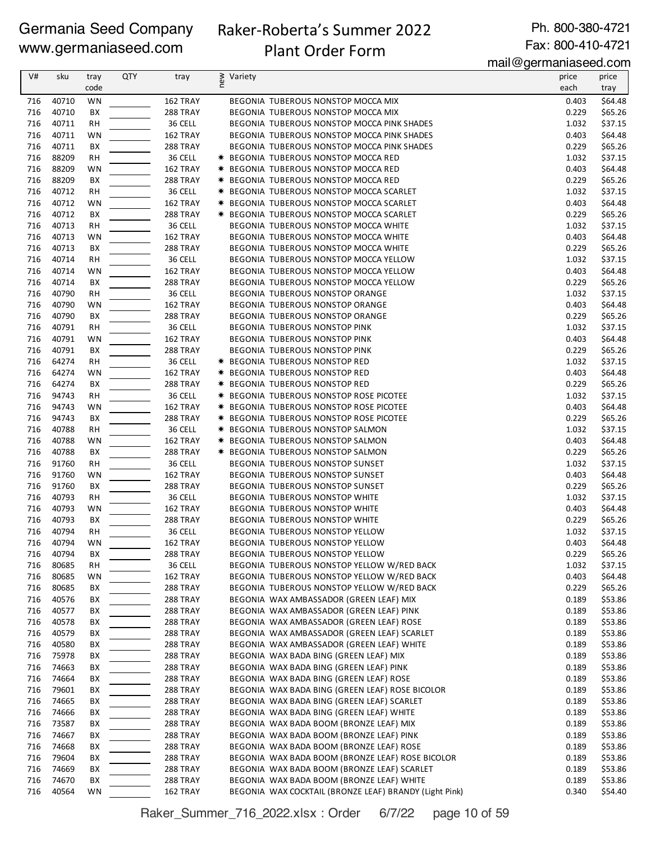# Raker-Roberta's Summer 2022

Ph. 800-380-4721 Fax: 800-410-4721

# Plant Order Form

mail@germaniaseed.com

| V#  | sku   | tray      | <b>QTY</b> | tray            | ≷ Variety<br>E |                                                        | price | price   |
|-----|-------|-----------|------------|-----------------|----------------|--------------------------------------------------------|-------|---------|
|     |       | code      |            |                 |                |                                                        | each  | tray    |
|     |       |           |            |                 |                |                                                        |       |         |
| 716 | 40710 | WN        |            | 162 TRAY        |                | <b>BEGONIA TUBEROUS NONSTOP MOCCA MIX</b>              | 0.403 | \$64.48 |
| 716 | 40710 | BX        |            | 288 TRAY        |                | BEGONIA TUBEROUS NONSTOP MOCCA MIX                     | 0.229 | \$65.26 |
| 716 | 40711 | <b>RH</b> |            | 36 CELL         |                | BEGONIA TUBEROUS NONSTOP MOCCA PINK SHADES             | 1.032 | \$37.15 |
| 716 | 40711 | WN        |            | 162 TRAY        |                | BEGONIA TUBEROUS NONSTOP MOCCA PINK SHADES             | 0.403 | \$64.48 |
| 716 | 40711 | BХ        |            | <b>288 TRAY</b> |                | BEGONIA TUBEROUS NONSTOP MOCCA PINK SHADES             | 0.229 | \$65.26 |
| 716 | 88209 |           |            |                 |                |                                                        | 1.032 | \$37.15 |
|     |       | RH        |            | 36 CELL         |                | * BEGONIA TUBEROUS NONSTOP MOCCA RED                   |       |         |
| 716 | 88209 | WN        |            | 162 TRAY        |                | * BEGONIA TUBEROUS NONSTOP MOCCA RED                   | 0.403 | \$64.48 |
| 716 | 88209 | ВX        |            | <b>288 TRAY</b> |                | * BEGONIA TUBEROUS NONSTOP MOCCA RED                   | 0.229 | \$65.26 |
| 716 | 40712 | <b>RH</b> |            | 36 CELL         |                | * BEGONIA TUBEROUS NONSTOP MOCCA SCARLET               | 1.032 | \$37.15 |
| 716 | 40712 | WN        |            | 162 TRAY        |                | * BEGONIA TUBEROUS NONSTOP MOCCA SCARLET               | 0.403 | \$64.48 |
| 716 | 40712 | BХ        |            | 288 TRAY        |                | * BEGONIA TUBEROUS NONSTOP MOCCA SCARLET               | 0.229 | \$65.26 |
|     |       |           |            |                 |                |                                                        |       |         |
| 716 | 40713 | <b>RH</b> |            | 36 CELL         |                | BEGONIA TUBEROUS NONSTOP MOCCA WHITE                   | 1.032 | \$37.15 |
| 716 | 40713 | WN        |            | 162 TRAY        |                | BEGONIA TUBEROUS NONSTOP MOCCA WHITE                   | 0.403 | \$64.48 |
| 716 | 40713 | BХ        |            | 288 TRAY        |                | BEGONIA TUBEROUS NONSTOP MOCCA WHITE                   | 0.229 | \$65.26 |
| 716 | 40714 | RH        |            | 36 CELL         |                | BEGONIA TUBEROUS NONSTOP MOCCA YELLOW                  | 1.032 | \$37.15 |
| 716 | 40714 | WN        |            | 162 TRAY        |                | BEGONIA TUBEROUS NONSTOP MOCCA YELLOW                  | 0.403 | \$64.48 |
| 716 | 40714 | BХ        |            | 288 TRAY        |                | BEGONIA TUBEROUS NONSTOP MOCCA YELLOW                  | 0.229 | \$65.26 |
|     |       |           |            |                 |                |                                                        |       |         |
| 716 | 40790 | <b>RH</b> |            | 36 CELL         |                | <b>BEGONIA TUBEROUS NONSTOP ORANGE</b>                 | 1.032 | \$37.15 |
| 716 | 40790 | WN        |            | 162 TRAY        |                | BEGONIA TUBEROUS NONSTOP ORANGE                        | 0.403 | \$64.48 |
| 716 | 40790 | ВX        |            | 288 TRAY        |                | BEGONIA TUBEROUS NONSTOP ORANGE                        | 0.229 | \$65.26 |
| 716 | 40791 | <b>RH</b> |            | 36 CELL         |                | <b>BEGONIA TUBEROUS NONSTOP PINK</b>                   | 1.032 | \$37.15 |
| 716 | 40791 | WN        |            | 162 TRAY        |                | BEGONIA TUBEROUS NONSTOP PINK                          | 0.403 | \$64.48 |
| 716 | 40791 | BХ        |            | <b>288 TRAY</b> |                | BEGONIA TUBEROUS NONSTOP PINK                          | 0.229 | \$65.26 |
|     |       |           |            |                 |                |                                                        |       |         |
| 716 | 64274 | <b>RH</b> |            | 36 CELL         |                | * BEGONIA TUBEROUS NONSTOP RED                         | 1.032 | \$37.15 |
| 716 | 64274 | WN        |            | 162 TRAY        |                | * BEGONIA TUBEROUS NONSTOP RED                         | 0.403 | \$64.48 |
| 716 | 64274 | BХ        |            | <b>288 TRAY</b> |                | * BEGONIA TUBEROUS NONSTOP RED                         | 0.229 | \$65.26 |
| 716 | 94743 | <b>RH</b> |            | 36 CELL         |                | * BEGONIA TUBEROUS NONSTOP ROSE PICOTEE                | 1.032 | \$37.15 |
| 716 | 94743 | WN        |            | 162 TRAY        |                | <b>* BEGONIA TUBEROUS NONSTOP ROSE PICOTEE</b>         | 0.403 | \$64.48 |
| 716 |       |           |            |                 |                |                                                        |       |         |
|     | 94743 | BХ        |            | <b>288 TRAY</b> |                | * BEGONIA TUBEROUS NONSTOP ROSE PICOTEE                | 0.229 | \$65.26 |
| 716 | 40788 | <b>RH</b> |            | 36 CELL         |                | * BEGONIA TUBEROUS NONSTOP SALMON                      | 1.032 | \$37.15 |
| 716 | 40788 | WN        |            | 162 TRAY        |                | * BEGONIA TUBEROUS NONSTOP SALMON                      | 0.403 | \$64.48 |
| 716 | 40788 | ВX        |            | <b>288 TRAY</b> |                | * BEGONIA TUBEROUS NONSTOP SALMON                      | 0.229 | \$65.26 |
| 716 | 91760 | <b>RH</b> |            | 36 CELL         |                | BEGONIA TUBEROUS NONSTOP SUNSET                        | 1.032 | \$37.15 |
| 716 | 91760 | WN        |            | 162 TRAY        |                | BEGONIA TUBEROUS NONSTOP SUNSET                        | 0.403 | \$64.48 |
|     |       |           |            |                 |                |                                                        |       |         |
| 716 | 91760 | BX        |            | <b>288 TRAY</b> |                | <b>BEGONIA TUBEROUS NONSTOP SUNSET</b>                 | 0.229 | \$65.26 |
| 716 | 40793 | RH        |            | 36 CELL         |                | BEGONIA TUBEROUS NONSTOP WHITE                         | 1.032 | \$37.15 |
| 716 | 40793 | WN        |            | 162 TRAY        |                | <b>BEGONIA TUBEROUS NONSTOP WHITE</b>                  | 0.403 | \$64.48 |
| 716 | 40793 | BХ        |            | <b>288 TRAY</b> |                | <b>BEGONIA TUBEROUS NONSTOP WHITE</b>                  | 0.229 | \$65.26 |
| 716 | 40794 | <b>RH</b> |            | 36 CELL         |                | BEGONIA TUBEROUS NONSTOP YELLOW                        | 1.032 | \$37.15 |
| 716 | 40794 | WN        |            | 162 TRAY        |                | BEGONIA TUBEROUS NONSTOP YELLOW                        | 0.403 | \$64.48 |
|     |       |           |            | 288 TRAY        |                |                                                        |       |         |
| 716 | 40794 | BХ        |            |                 |                | BEGONIA TUBEROUS NONSTOP YELLOW                        | 0.229 | \$65.26 |
| 716 | 80685 | RH        |            | 36 CELL         |                | BEGONIA TUBEROUS NONSTOP YELLOW W/RED BACK             | 1.032 | \$37.15 |
| 716 | 80685 | WN        |            | 162 TRAY        |                | BEGONIA TUBEROUS NONSTOP YELLOW W/RED BACK             | 0.403 | \$64.48 |
| 716 | 80685 | BХ        |            | 288 TRAY        |                | BEGONIA TUBEROUS NONSTOP YELLOW W/RED BACK             | 0.229 | \$65.26 |
| 716 | 40576 | BХ        |            | <b>288 TRAY</b> |                | BEGONIA WAX AMBASSADOR (GREEN LEAF) MIX                | 0.189 | \$53.86 |
| 716 | 40577 | BХ        |            | <b>288 TRAY</b> |                | BEGONIA WAX AMBASSADOR (GREEN LEAF) PINK               | 0.189 | \$53.86 |
| 716 | 40578 | BХ        |            | <b>288 TRAY</b> |                | BEGONIA WAX AMBASSADOR (GREEN LEAF) ROSE               | 0.189 | \$53.86 |
|     |       |           |            |                 |                |                                                        |       |         |
| 716 | 40579 | BХ        |            | <b>288 TRAY</b> |                | BEGONIA WAX AMBASSADOR (GREEN LEAF) SCARLET            | 0.189 | \$53.86 |
| 716 | 40580 | BХ        |            | 288 TRAY        |                | BEGONIA WAX AMBASSADOR (GREEN LEAF) WHITE              | 0.189 | \$53.86 |
| 716 | 75978 | BХ        |            | <b>288 TRAY</b> |                | BEGONIA WAX BADA BING (GREEN LEAF) MIX                 | 0.189 | \$53.86 |
| 716 | 74663 | BХ        |            | 288 TRAY        |                | BEGONIA WAX BADA BING (GREEN LEAF) PINK                | 0.189 | \$53.86 |
| 716 | 74664 | BХ        |            | 288 TRAY        |                | BEGONIA WAX BADA BING (GREEN LEAF) ROSE                | 0.189 | \$53.86 |
| 716 | 79601 | BХ        |            | 288 TRAY        |                | BEGONIA WAX BADA BING (GREEN LEAF) ROSE BICOLOR        | 0.189 | \$53.86 |
|     |       |           |            |                 |                |                                                        |       |         |
| 716 | 74665 | BХ        |            | <b>288 TRAY</b> |                | BEGONIA WAX BADA BING (GREEN LEAF) SCARLET             | 0.189 | \$53.86 |
| 716 | 74666 | BХ        |            | <b>288 TRAY</b> |                | BEGONIA WAX BADA BING (GREEN LEAF) WHITE               | 0.189 | \$53.86 |
| 716 | 73587 | BХ        |            | 288 TRAY        |                | BEGONIA WAX BADA BOOM (BRONZE LEAF) MIX                | 0.189 | \$53.86 |
| 716 | 74667 | BХ        |            | <b>288 TRAY</b> |                | BEGONIA WAX BADA BOOM (BRONZE LEAF) PINK               | 0.189 | \$53.86 |
| 716 | 74668 | BХ        |            | <b>288 TRAY</b> |                | BEGONIA WAX BADA BOOM (BRONZE LEAF) ROSE               | 0.189 | \$53.86 |
|     |       |           |            |                 |                |                                                        |       |         |
| 716 | 79604 | BХ        |            | <b>288 TRAY</b> |                | BEGONIA WAX BADA BOOM (BRONZE LEAF) ROSE BICOLOR       | 0.189 | \$53.86 |
| 716 | 74669 | BХ        |            | 288 TRAY        |                | BEGONIA WAX BADA BOOM (BRONZE LEAF) SCARLET            | 0.189 | \$53.86 |
| 716 | 74670 | BХ        |            | <b>288 TRAY</b> |                | BEGONIA WAX BADA BOOM (BRONZE LEAF) WHITE              | 0.189 | \$53.86 |
| 716 | 40564 | <b>WN</b> |            | 162 TRAY        |                | BEGONIA WAX COCKTAIL (BRONZE LEAF) BRANDY (Light Pink) | 0.340 | \$54.40 |

Raker\_Summer\_716\_2022.xlsx : Order 6/7/22 page 10 of 59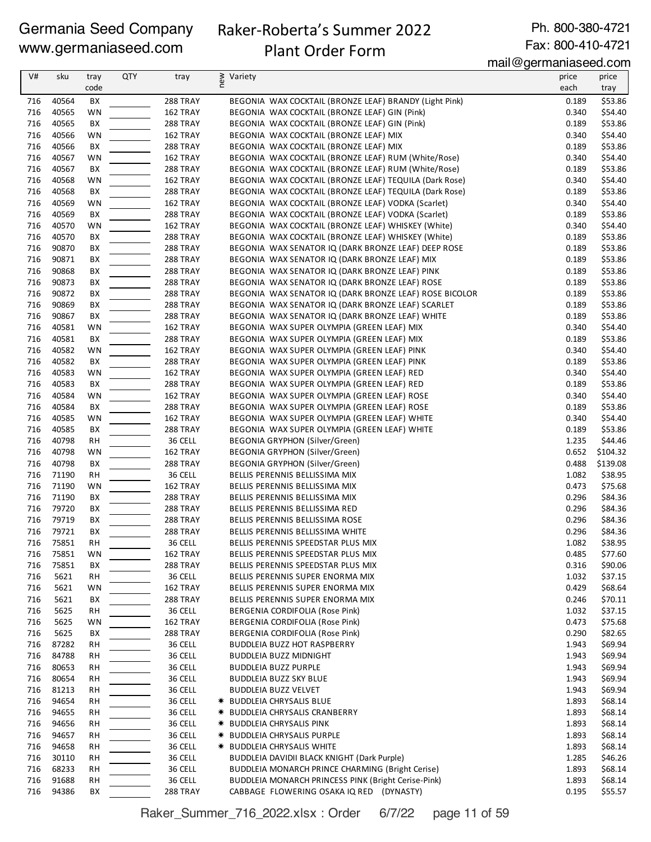# Raker-Roberta's Summer 2022

Ph. 800-380-4721 Fax: 800-410-4721

# Plant Order Form

mail@germaniaseed.com

| V#  | sku   | tray      | QTY | tray            | ≷ Variety<br>E                                         | price | price    |
|-----|-------|-----------|-----|-----------------|--------------------------------------------------------|-------|----------|
|     |       | code      |     |                 |                                                        | each  | tray     |
| 716 | 40564 | BХ        |     | <b>288 TRAY</b> | BEGONIA WAX COCKTAIL (BRONZE LEAF) BRANDY (Light Pink) | 0.189 | \$53.86  |
| 716 | 40565 | WN        |     | 162 TRAY        | BEGONIA WAX COCKTAIL (BRONZE LEAF) GIN (Pink)          | 0.340 | \$54.40  |
| 716 | 40565 | ВX        |     | 288 TRAY        | BEGONIA WAX COCKTAIL (BRONZE LEAF) GIN (Pink)          | 0.189 | \$53.86  |
| 716 | 40566 |           |     |                 |                                                        | 0.340 | \$54.40  |
|     |       | WN        |     | 162 TRAY        | BEGONIA WAX COCKTAIL (BRONZE LEAF) MIX                 |       |          |
| 716 | 40566 | BХ        |     | <b>288 TRAY</b> | BEGONIA WAX COCKTAIL (BRONZE LEAF) MIX                 | 0.189 | \$53.86  |
| 716 | 40567 | WN        |     | 162 TRAY        | BEGONIA WAX COCKTAIL (BRONZE LEAF) RUM (White/Rose)    | 0.340 | \$54.40  |
| 716 | 40567 | BХ        |     | <b>288 TRAY</b> | BEGONIA WAX COCKTAIL (BRONZE LEAF) RUM (White/Rose)    | 0.189 | \$53.86  |
| 716 | 40568 | WN        |     | 162 TRAY        | BEGONIA WAX COCKTAIL (BRONZE LEAF) TEQUILA (Dark Rose) | 0.340 | \$54.40  |
| 716 | 40568 | BХ        |     | 288 TRAY        | BEGONIA WAX COCKTAIL (BRONZE LEAF) TEQUILA (Dark Rose) | 0.189 | \$53.86  |
| 716 | 40569 | WN        |     | 162 TRAY        | BEGONIA WAX COCKTAIL (BRONZE LEAF) VODKA (Scarlet)     | 0.340 | \$54.40  |
| 716 | 40569 | BX        |     | <b>288 TRAY</b> | BEGONIA WAX COCKTAIL (BRONZE LEAF) VODKA (Scarlet)     | 0.189 | \$53.86  |
| 716 | 40570 | WN        |     | 162 TRAY        | BEGONIA WAX COCKTAIL (BRONZE LEAF) WHISKEY (White)     | 0.340 | \$54.40  |
| 716 | 40570 | ВX        |     | <b>288 TRAY</b> | BEGONIA WAX COCKTAIL (BRONZE LEAF) WHISKEY (White)     | 0.189 | \$53.86  |
| 716 | 90870 | BХ        |     | <b>288 TRAY</b> | BEGONIA WAX SENATOR IQ (DARK BRONZE LEAF) DEEP ROSE    | 0.189 | \$53.86  |
| 716 | 90871 | BХ        |     | <b>288 TRAY</b> | BEGONIA WAX SENATOR IQ (DARK BRONZE LEAF) MIX          | 0.189 | \$53.86  |
| 716 | 90868 | BХ        |     | <b>288 TRAY</b> | BEGONIA WAX SENATOR IQ (DARK BRONZE LEAF) PINK         | 0.189 | \$53.86  |
| 716 | 90873 | BХ        |     | <b>288 TRAY</b> | BEGONIA WAX SENATOR IQ (DARK BRONZE LEAF) ROSE         | 0.189 | \$53.86  |
| 716 | 90872 | BХ        |     | <b>288 TRAY</b> | BEGONIA WAX SENATOR IQ (DARK BRONZE LEAF) ROSE BICOLOR | 0.189 | \$53.86  |
| 716 | 90869 | BХ        |     | <b>288 TRAY</b> | BEGONIA WAX SENATOR IQ (DARK BRONZE LEAF) SCARLET      | 0.189 | \$53.86  |
| 716 | 90867 | BX        |     | <b>288 TRAY</b> | BEGONIA WAX SENATOR IQ (DARK BRONZE LEAF) WHITE        | 0.189 | \$53.86  |
| 716 | 40581 | WN        |     | 162 TRAY        | BEGONIA WAX SUPER OLYMPIA (GREEN LEAF) MIX             | 0.340 | \$54.40  |
| 716 | 40581 | BX        |     | 288 TRAY        | BEGONIA WAX SUPER OLYMPIA (GREEN LEAF) MIX             | 0.189 | \$53.86  |
| 716 | 40582 | WN        |     | 162 TRAY        | BEGONIA WAX SUPER OLYMPIA (GREEN LEAF) PINK            | 0.340 | \$54.40  |
| 716 | 40582 | BХ        |     | 288 TRAY        | BEGONIA WAX SUPER OLYMPIA (GREEN LEAF) PINK            | 0.189 | \$53.86  |
| 716 | 40583 | WN        |     | 162 TRAY        | BEGONIA WAX SUPER OLYMPIA (GREEN LEAF) RED             | 0.340 | \$54.40  |
| 716 | 40583 | BХ        |     | <b>288 TRAY</b> | BEGONIA WAX SUPER OLYMPIA (GREEN LEAF) RED             | 0.189 | \$53.86  |
| 716 | 40584 | WN        |     | 162 TRAY        | BEGONIA WAX SUPER OLYMPIA (GREEN LEAF) ROSE            | 0.340 | \$54.40  |
| 716 | 40584 |           |     |                 |                                                        | 0.189 | \$53.86  |
|     |       | BХ        |     | <b>288 TRAY</b> | BEGONIA WAX SUPER OLYMPIA (GREEN LEAF) ROSE            |       |          |
| 716 | 40585 | WN        |     | 162 TRAY        | BEGONIA WAX SUPER OLYMPIA (GREEN LEAF) WHITE           | 0.340 | \$54.40  |
| 716 | 40585 | BX        |     | <b>288 TRAY</b> | BEGONIA WAX SUPER OLYMPIA (GREEN LEAF) WHITE           | 0.189 | \$53.86  |
| 716 | 40798 | <b>RH</b> |     | 36 CELL         | <b>BEGONIA GRYPHON (Silver/Green)</b>                  | 1.235 | \$44.46  |
| 716 | 40798 | WN        |     | 162 TRAY        | <b>BEGONIA GRYPHON (Silver/Green)</b>                  | 0.652 | \$104.32 |
| 716 | 40798 | BX        |     | <b>288 TRAY</b> | <b>BEGONIA GRYPHON (Silver/Green)</b>                  | 0.488 | \$139.08 |
| 716 | 71190 | <b>RH</b> |     | 36 CELL         | BELLIS PERENNIS BELLISSIMA MIX                         | 1.082 | \$38.95  |
| 716 | 71190 | WN        |     | 162 TRAY        | BELLIS PERENNIS BELLISSIMA MIX                         | 0.473 | \$75.68  |
| 716 | 71190 | BХ        |     | <b>288 TRAY</b> | BELLIS PERENNIS BELLISSIMA MIX                         | 0.296 | \$84.36  |
| 716 | 79720 | BХ        |     | <b>288 TRAY</b> | BELLIS PERENNIS BELLISSIMA RED                         | 0.296 | \$84.36  |
| 716 | 79719 | BХ        |     | <b>288 TRAY</b> | BELLIS PERENNIS BELLISSIMA ROSE                        | 0.296 | \$84.36  |
| 716 | 79721 | ВX        |     | <b>288 TRAY</b> | BELLIS PERENNIS BELLISSIMA WHITE                       | 0.296 | \$84.36  |
| 716 | 75851 | <b>RH</b> |     | 36 CELL         | BELLIS PERENNIS SPEEDSTAR PLUS MIX                     | 1.082 | \$38.95  |
| 716 | 75851 | WN        |     | 162 TRAY        | BELLIS PERENNIS SPEEDSTAR PLUS MIX                     | 0.485 | \$77.60  |
| 716 | 75851 | ВX        |     | 288 TRAY        | BELLIS PERENNIS SPEEDSTAR PLUS MIX                     | 0.316 | \$90.06  |
| 716 | 5621  | <b>RH</b> |     | 36 CELL         | BELLIS PERENNIS SUPER ENORMA MIX                       | 1.032 | \$37.15  |
| 716 | 5621  | WN        |     | 162 TRAY        | BELLIS PERENNIS SUPER ENORMA MIX                       | 0.429 | \$68.64  |
| 716 | 5621  | BХ        |     | <b>288 TRAY</b> | BELLIS PERENNIS SUPER ENORMA MIX                       | 0.246 | \$70.11  |
| 716 | 5625  | RH        |     | 36 CELL         | BERGENIA CORDIFOLIA (Rose Pink)                        | 1.032 | \$37.15  |
| 716 | 5625  | WN        |     | 162 TRAY        | BERGENIA CORDIFOLIA (Rose Pink)                        | 0.473 | \$75.68  |
| 716 | 5625  | BХ        |     | <b>288 TRAY</b> | BERGENIA CORDIFOLIA (Rose Pink)                        | 0.290 | \$82.65  |
| 716 | 87282 | RH        |     | 36 CELL         | <b>BUDDLEIA BUZZ HOT RASPBERRY</b>                     | 1.943 | \$69.94  |
| 716 | 84788 | RH        |     | 36 CELL         | <b>BUDDLEIA BUZZ MIDNIGHT</b>                          | 1.943 | \$69.94  |
| 716 | 80653 | RH        |     | 36 CELL         | <b>BUDDLEIA BUZZ PURPLE</b>                            | 1.943 | \$69.94  |
| 716 | 80654 | <b>RH</b> |     | 36 CELL         | <b>BUDDLEIA BUZZ SKY BLUE</b>                          | 1.943 | \$69.94  |
| 716 | 81213 | RH        |     | 36 CELL         | BUDDLEIA BUZZ VELVET                                   | 1.943 | \$69.94  |
| 716 | 94654 | RH        |     | 36 CELL         | <b>* BUDDLEIA CHRYSALIS BLUE</b>                       | 1.893 | \$68.14  |
| 716 | 94655 | RH        |     | 36 CELL         | * BUDDLEIA CHRYSALIS CRANBERRY                         | 1.893 | \$68.14  |
| 716 | 94656 |           |     | 36 CELL         | <b>* BUDDLEIA CHRYSALIS PINK</b>                       | 1.893 | \$68.14  |
|     | 94657 | RH        |     | 36 CELL         |                                                        |       | \$68.14  |
| 716 |       | RH        |     |                 | <b>* BUDDLEIA CHRYSALIS PURPLE</b>                     | 1.893 |          |
| 716 | 94658 | RH        |     | 36 CELL         | <b>* BUDDLEIA CHRYSALIS WHITE</b>                      | 1.893 | \$68.14  |
| 716 | 30110 | RH        |     | 36 CELL         | BUDDLEIA DAVIDII BLACK KNIGHT (Dark Purple)            | 1.285 | \$46.26  |
| 716 | 68233 | RH        |     | 36 CELL         | BUDDLEIA MONARCH PRINCE CHARMING (Bright Cerise)       | 1.893 | \$68.14  |
| 716 | 91688 | RH        |     | 36 CELL         | BUDDLEIA MONARCH PRINCESS PINK (Bright Cerise-Pink)    | 1.893 | \$68.14  |
| 716 | 94386 | ВX        |     | 288 TRAY        | CABBAGE FLOWERING OSAKA IQ RED (DYNASTY)               | 0.195 | \$55.57  |

Raker\_Summer\_716\_2022.xlsx : Order 6/7/22 page 11 of 59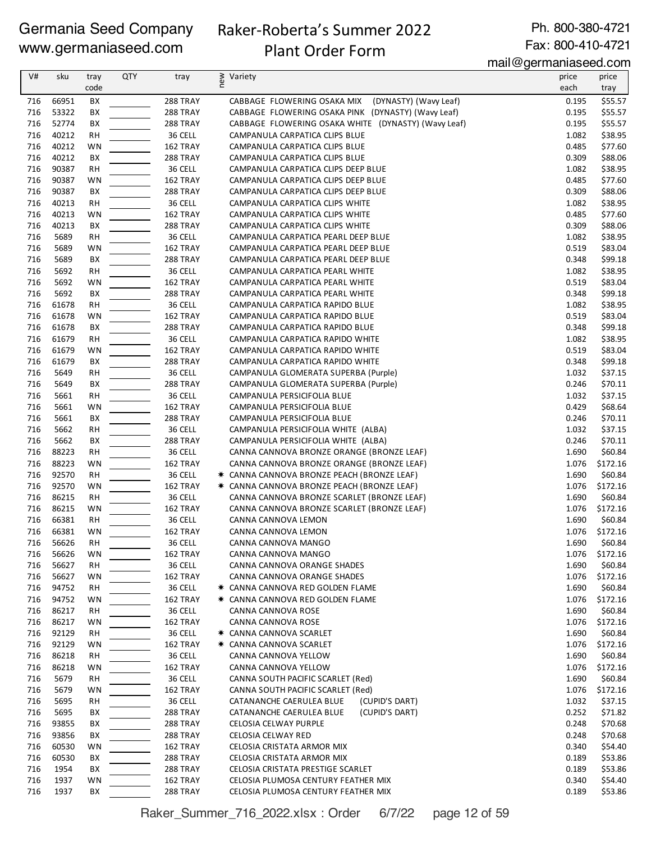# Raker-Roberta's Summer 2022

Ph. 800-380-4721 Fax: 800-410-4721

# Plant Order Form

mail@germaniaseed.com

|     |       |           |            |                 |                                                     | $m\alpha n \approx q\beta n\alpha n\alpha n\alpha\beta \cos\alpha\beta$ |               |
|-----|-------|-----------|------------|-----------------|-----------------------------------------------------|-------------------------------------------------------------------------|---------------|
| V#  | sku   | tray      | <b>QTY</b> | tray            | ≥ Variety<br>E                                      | price                                                                   | price         |
|     |       | code      |            |                 |                                                     | each                                                                    | tray          |
| 716 | 66951 | BX        |            | 288 TRAY        | CABBAGE FLOWERING OSAKA MIX (DYNASTY) (Wavy Leaf)   | 0.195                                                                   | \$55.57       |
| 716 | 53322 | ВX        |            | <b>288 TRAY</b> | CABBAGE FLOWERING OSAKA PINK (DYNASTY) (Wavy Leaf)  | 0.195                                                                   | \$55.57       |
| 716 | 52774 | ВX        |            | 288 TRAY        | CABBAGE FLOWERING OSAKA WHITE (DYNASTY) (Wavy Leaf) | 0.195                                                                   | \$55.57       |
| 716 | 40212 | RH        |            | 36 CELL         | CAMPANULA CARPATICA CLIPS BLUE                      | 1.082                                                                   | \$38.95       |
| 716 | 40212 | WN        |            | 162 TRAY        | CAMPANULA CARPATICA CLIPS BLUE                      | 0.485                                                                   | \$77.60       |
| 716 | 40212 | BХ        |            | 288 TRAY        | CAMPANULA CARPATICA CLIPS BLUE                      | 0.309                                                                   | \$88.06       |
| 716 | 90387 | RH        |            | 36 CELL         | CAMPANULA CARPATICA CLIPS DEEP BLUE                 | 1.082                                                                   | \$38.95       |
| 716 | 90387 | WN        |            | 162 TRAY        | CAMPANULA CARPATICA CLIPS DEEP BLUE                 | 0.485                                                                   | \$77.60       |
| 716 | 90387 | BX        |            | <b>288 TRAY</b> | CAMPANULA CARPATICA CLIPS DEEP BLUE                 | 0.309                                                                   | \$88.06       |
| 716 | 40213 | <b>RH</b> |            | 36 CELL         | CAMPANULA CARPATICA CLIPS WHITE                     | 1.082                                                                   | \$38.95       |
| 716 | 40213 | WN        |            | 162 TRAY        | CAMPANULA CARPATICA CLIPS WHITE                     | 0.485                                                                   | \$77.60       |
| 716 | 40213 | ВX        |            | 288 TRAY        | CAMPANULA CARPATICA CLIPS WHITE                     | 0.309                                                                   | \$88.06       |
| 716 | 5689  | RH        |            | 36 CELL         | CAMPANULA CARPATICA PEARL DEEP BLUE                 | 1.082                                                                   | \$38.95       |
| 716 | 5689  | WN        |            | 162 TRAY        | CAMPANULA CARPATICA PEARL DEEP BLUE                 | 0.519                                                                   | \$83.04       |
| 716 | 5689  | BX        |            | 288 TRAY        | CAMPANULA CARPATICA PEARL DEEP BLUE                 | 0.348                                                                   | \$99.18       |
| 716 | 5692  | <b>RH</b> |            | 36 CELL         | CAMPANULA CARPATICA PEARL WHITE                     | 1.082                                                                   | \$38.95       |
| 716 | 5692  | WN        |            | 162 TRAY        | CAMPANULA CARPATICA PEARL WHITE                     | 0.519                                                                   | \$83.04       |
| 716 | 5692  | BX        |            | 288 TRAY        | CAMPANULA CARPATICA PEARL WHITE                     | 0.348                                                                   | \$99.18       |
| 716 | 61678 | RH        |            | 36 CELL         | CAMPANULA CARPATICA RAPIDO BLUE                     | 1.082                                                                   | \$38.95       |
| 716 | 61678 | WN        |            | 162 TRAY        | CAMPANULA CARPATICA RAPIDO BLUE                     | 0.519                                                                   | \$83.04       |
| 716 | 61678 | BX        |            | 288 TRAY        | CAMPANULA CARPATICA RAPIDO BLUE                     | 0.348                                                                   | \$99.18       |
| 716 | 61679 | <b>RH</b> |            | 36 CELL         | CAMPANULA CARPATICA RAPIDO WHITE                    | 1.082                                                                   | \$38.95       |
| 716 | 61679 | WN        |            | 162 TRAY        | CAMPANULA CARPATICA RAPIDO WHITE                    | 0.519                                                                   | \$83.04       |
| 716 | 61679 | BX        |            | 288 TRAY        | CAMPANULA CARPATICA RAPIDO WHITE                    | 0.348                                                                   | \$99.18       |
| 716 | 5649  | RН        |            | 36 CELL         | CAMPANULA GLOMERATA SUPERBA (Purple)                | 1.032                                                                   | \$37.15       |
| 716 | 5649  | BX        |            | 288 TRAY        | CAMPANULA GLOMERATA SUPERBA (Purple)                | 0.246                                                                   | \$70.11       |
| 716 | 5661  | RH        |            | 36 CELL         | CAMPANULA PERSICIFOLIA BLUE                         | 1.032                                                                   | \$37.15       |
| 716 | 5661  | WN        |            | 162 TRAY        | CAMPANULA PERSICIFOLIA BLUE                         | 0.429                                                                   | \$68.64       |
| 716 | 5661  | BХ        |            | <b>288 TRAY</b> | CAMPANULA PERSICIFOLIA BLUE                         | 0.246                                                                   | \$70.11       |
| 716 | 5662  | <b>RH</b> |            | 36 CELL         | CAMPANULA PERSICIFOLIA WHITE (ALBA)                 | 1.032                                                                   | \$37.15       |
| 716 | 5662  | BX        |            | 288 TRAY        | CAMPANULA PERSICIFOLIA WHITE (ALBA)                 | 0.246                                                                   | \$70.11       |
| 716 | 88223 | <b>RH</b> |            | 36 CELL         | CANNA CANNOVA BRONZE ORANGE (BRONZE LEAF)           | 1.690                                                                   | \$60.84       |
| 716 | 88223 | WN        |            | 162 TRAY        | CANNA CANNOVA BRONZE ORANGE (BRONZE LEAF)           | 1.076                                                                   | \$172.16      |
| 716 | 92570 | <b>RH</b> |            | 36 CELL         | * CANNA CANNOVA BRONZE PEACH (BRONZE LEAF)          | 1.690                                                                   | \$60.84       |
| 716 | 92570 | WN        |            | 162 TRAY        | * CANNA CANNOVA BRONZE PEACH (BRONZE LEAF)          | 1.076                                                                   | \$172.16      |
| 716 | 86215 | RH        |            | 36 CELL         | CANNA CANNOVA BRONZE SCARLET (BRONZE LEAF)          | 1.690                                                                   | \$60.84       |
| 716 | 86215 | <b>WN</b> |            | 162 TRAY        | CANNA CANNOVA BRONZE SCARLET (BRONZE LEAF)          | 1.076                                                                   | \$172.16      |
| 716 | 66381 | RH        |            | 36 CELL         | CANNA CANNOVA LEMON                                 | 1.690                                                                   | \$60.84       |
| 716 | 66381 | WN        |            | 162 TRAY        | CANNA CANNOVA LEMON                                 | 1.076                                                                   | \$172.16      |
| 716 | 56626 | <b>RH</b> |            | 36 CELL         | CANNA CANNOVA MANGO                                 |                                                                         | 1.690 \$60.84 |
| 716 | 56626 | WN        |            | 162 TRAY        | CANNA CANNOVA MANGO                                 | 1.076                                                                   | \$172.16      |
| 716 | 56627 | RH        |            | 36 CELL         | CANNA CANNOVA ORANGE SHADES                         | 1.690                                                                   | \$60.84       |
| 716 | 56627 | WN        |            | 162 TRAY        | CANNA CANNOVA ORANGE SHADES                         | 1.076                                                                   | \$172.16      |
| 716 | 94752 | <b>RH</b> |            | 36 CELL         | <b>★ CANNA CANNOVA RED GOLDEN FLAME</b>             | 1.690                                                                   | \$60.84       |
| 716 | 94752 | WN        |            | 162 TRAY        | * CANNA CANNOVA RED GOLDEN FLAME                    | 1.076                                                                   | \$172.16      |
| 716 | 86217 | RH        |            | 36 CELL         | CANNA CANNOVA ROSE                                  | 1.690                                                                   | \$60.84       |
| 716 | 86217 | WN        |            | 162 TRAY        | CANNA CANNOVA ROSE                                  | 1.076                                                                   | \$172.16      |
| 716 | 92129 | <b>RH</b> |            | 36 CELL         | * CANNA CANNOVA SCARLET                             | 1.690                                                                   | \$60.84       |
| 716 | 92129 | WN        |            | 162 TRAY        | * CANNA CANNOVA SCARLET                             | 1.076                                                                   | \$172.16      |
| 716 | 86218 | RH        |            | 36 CELL         | CANNA CANNOVA YELLOW                                | 1.690                                                                   | \$60.84       |
| 716 | 86218 | WN        |            | 162 TRAY        | CANNA CANNOVA YELLOW                                | 1.076                                                                   | \$172.16      |
| 716 | 5679  | RН        |            | 36 CELL         | CANNA SOUTH PACIFIC SCARLET (Red)                   | 1.690                                                                   | \$60.84       |
| 716 | 5679  | WN        |            | 162 TRAY        | CANNA SOUTH PACIFIC SCARLET (Red)                   | 1.076                                                                   | \$172.16      |
| 716 | 5695  | RН        |            | 36 CELL         | (CUPID'S DART)<br>CATANANCHE CAERULEA BLUE          | 1.032                                                                   | \$37.15       |
| 716 | 5695  | BХ        |            | <b>288 TRAY</b> | (CUPID'S DART)<br>CATANANCHE CAERULEA BLUE          | 0.252                                                                   | \$71.82       |
| 716 | 93855 | BХ        |            | 288 TRAY        | CELOSIA CELWAY PURPLE                               | 0.248                                                                   | \$70.68       |
| 716 | 93856 | BХ        |            | <b>288 TRAY</b> | CELOSIA CELWAY RED                                  | 0.248                                                                   | \$70.68       |
| 716 | 60530 | WN        |            | 162 TRAY        | CELOSIA CRISTATA ARMOR MIX                          | 0.340                                                                   | \$54.40       |
| 716 | 60530 | BХ        |            | <b>288 TRAY</b> | CELOSIA CRISTATA ARMOR MIX                          | 0.189                                                                   | \$53.86       |
| 716 | 1954  | BХ        |            | <b>288 TRAY</b> | CELOSIA CRISTATA PRESTIGE SCARLET                   | 0.189                                                                   | \$53.86       |
| 716 | 1937  | WN        |            | 162 TRAY        | CELOSIA PLUMOSA CENTURY FEATHER MIX                 | 0.340                                                                   | \$54.40       |
| 716 | 1937  | ВX        |            | 288 TRAY        | CELOSIA PLUMOSA CENTURY FEATHER MIX                 | 0.189                                                                   | \$53.86       |

Raker\_Summer\_716\_2022.xlsx : Order 6/7/22 page 12 of 59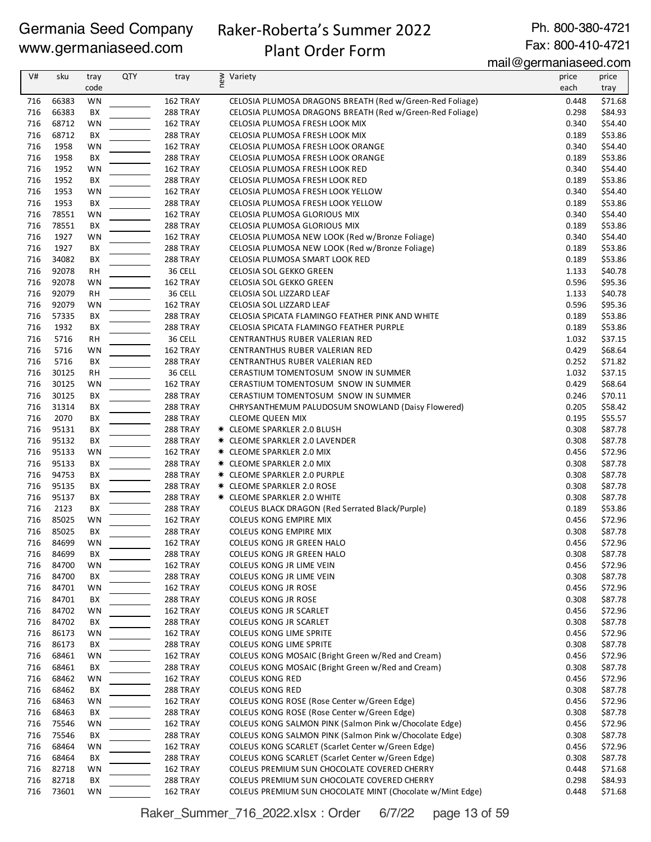# Raker-Roberta's Summer 2022

Ph. 800-380-4721 Fax: 800-410-4721

# Plant Order Form

mail@germaniaseed.com

| V#         | sku            | tray      | <b>QTY</b> | tray                 | new<br>Variety                                                                                   | price | price              |
|------------|----------------|-----------|------------|----------------------|--------------------------------------------------------------------------------------------------|-------|--------------------|
|            |                | code      |            |                      |                                                                                                  | each  | tray               |
| 716        | 66383          | WN        |            | 162 TRAY             | CELOSIA PLUMOSA DRAGONS BREATH (Red w/Green-Red Foliage)                                         | 0.448 | \$71.68            |
| 716        | 66383          | BX        |            | 288 TRAY             | CELOSIA PLUMOSA DRAGONS BREATH (Red w/Green-Red Foliage)                                         | 0.298 | \$84.93            |
| 716        | 68712          | WN        |            | 162 TRAY             | CELOSIA PLUMOSA FRESH LOOK MIX                                                                   | 0.340 | \$54.40            |
| 716        | 68712          | BX        |            | 288 TRAY             | CELOSIA PLUMOSA FRESH LOOK MIX                                                                   | 0.189 | \$53.86            |
| 716        | 1958           | WN        |            | 162 TRAY             | CELOSIA PLUMOSA FRESH LOOK ORANGE                                                                | 0.340 | \$54.40            |
| 716        | 1958           | ВX        |            | 288 TRAY             | CELOSIA PLUMOSA FRESH LOOK ORANGE                                                                | 0.189 | \$53.86            |
| 716        | 1952           | WN        |            | 162 TRAY             | CELOSIA PLUMOSA FRESH LOOK RED                                                                   | 0.340 | \$54.40            |
| 716        | 1952           | BX        |            | 288 TRAY             | CELOSIA PLUMOSA FRESH LOOK RED                                                                   | 0.189 | \$53.86            |
| 716        | 1953           | WN        |            | 162 TRAY             | CELOSIA PLUMOSA FRESH LOOK YELLOW                                                                | 0.340 | \$54.40            |
| 716        | 1953           | BX        |            | 288 TRAY             | CELOSIA PLUMOSA FRESH LOOK YELLOW                                                                | 0.189 | \$53.86            |
| 716        | 78551          | WN        |            | 162 TRAY             | CELOSIA PLUMOSA GLORIOUS MIX                                                                     | 0.340 | \$54.40            |
| 716        | 78551          | BX        |            | 288 TRAY             | CELOSIA PLUMOSA GLORIOUS MIX                                                                     | 0.189 | \$53.86            |
| 716        | 1927           | WN        |            | 162 TRAY             | CELOSIA PLUMOSA NEW LOOK (Red w/Bronze Foliage)                                                  | 0.340 | \$54.40            |
| 716        | 1927           | ВX        |            | 288 TRAY             | CELOSIA PLUMOSA NEW LOOK (Red w/Bronze Foliage)                                                  | 0.189 | \$53.86            |
| 716        | 34082          | BХ        |            | 288 TRAY             | CELOSIA PLUMOSA SMART LOOK RED                                                                   | 0.189 | \$53.86            |
| 716        | 92078          | <b>RH</b> |            | 36 CELL              | CELOSIA SOL GEKKO GREEN                                                                          | 1.133 | \$40.78            |
| 716        | 92078          | WN        |            | 162 TRAY             | CELOSIA SOL GEKKO GREEN                                                                          | 0.596 | \$95.36            |
| 716        | 92079          | <b>RH</b> |            | 36 CELL              | CELOSIA SOL LIZZARD LEAF                                                                         | 1.133 | \$40.78            |
| 716        | 92079          | WN        |            | 162 TRAY             | CELOSIA SOL LIZZARD LEAF                                                                         | 0.596 | \$95.36            |
| 716        | 57335          | BX        |            | 288 TRAY             | CELOSIA SPICATA FLAMINGO FEATHER PINK AND WHITE                                                  | 0.189 | \$53.86            |
| 716        | 1932           | BX        |            | 288 TRAY             | CELOSIA SPICATA FLAMINGO FEATHER PURPLE                                                          | 0.189 | \$53.86            |
| 716        | 5716           | <b>RH</b> |            | 36 CELL              | CENTRANTHUS RUBER VALERIAN RED                                                                   | 1.032 | \$37.15            |
| 716        | 5716           | WN        |            | 162 TRAY             | CENTRANTHUS RUBER VALERIAN RED                                                                   | 0.429 | \$68.64            |
| 716        | 5716           | ВX        |            | 288 TRAY             | CENTRANTHUS RUBER VALERIAN RED                                                                   | 0.252 | \$71.82            |
| 716        | 30125          | RH        |            | 36 CELL              | CERASTIUM TOMENTOSUM SNOW IN SUMMER                                                              | 1.032 | \$37.15            |
| 716        | 30125          | <b>WN</b> |            | 162 TRAY             | CERASTIUM TOMENTOSUM SNOW IN SUMMER                                                              | 0.429 | \$68.64            |
| 716        | 30125          | BХ        |            | 288 TRAY             | CERASTIUM TOMENTOSUM SNOW IN SUMMER                                                              | 0.246 | \$70.11            |
| 716        | 31314          | BX        |            | 288 TRAY             | CHRYSANTHEMUM PALUDOSUM SNOWLAND (Daisy Flowered)                                                | 0.205 | \$58.42            |
| 716        | 2070           | BX        |            | 288 TRAY             | <b>CLEOME QUEEN MIX</b>                                                                          | 0.195 | \$55.57            |
| 716        | 95131          | BX        |            | 288 TRAY             | * CLEOME SPARKLER 2.0 BLUSH                                                                      | 0.308 | \$87.78            |
| 716        | 95132          | BX        |            | 288 TRAY             | <b>* CLEOME SPARKLER 2.0 LAVENDER</b>                                                            | 0.308 | \$87.78            |
| 716        | 95133          | WN        |            | 162 TRAY             | * CLEOME SPARKLER 2.0 MIX                                                                        | 0.456 | \$72.96            |
| 716        | 95133          | BХ        |            | 288 TRAY             | * CLEOME SPARKLER 2.0 MIX                                                                        | 0.308 | \$87.78            |
| 716        | 94753          | BХ        |            | 288 TRAY             | <b>* CLEOME SPARKLER 2.0 PURPLE</b>                                                              | 0.308 | \$87.78            |
| 716        | 95135          | BХ        |            | <b>288 TRAY</b>      | <b>* CLEOME SPARKLER 2.0 ROSE</b>                                                                | 0.308 | \$87.78            |
| 716        | 95137          | BХ        |            | 288 TRAY             | <b>* CLEOME SPARKLER 2.0 WHITE</b>                                                               | 0.308 | \$87.78            |
| 716        | 2123           | BХ        |            | 288 TRAY             | COLEUS BLACK DRAGON (Red Serrated Black/Purple)                                                  | 0.189 | \$53.86            |
| 716        | 85025          | WN        |            | 162 TRAY             | COLEUS KONG EMPIRE MIX                                                                           | 0.456 | \$72.96            |
| 716        | 85025          | BX        |            | 288 TRAY             | COLEUS KONG EMPIRE MIX                                                                           | 0.308 | \$87.78            |
| 716        | 84699          | WN        |            | 162 TRAY             | COLEUS KONG JR GREEN HALO                                                                        | 0.456 | \$72.96            |
| 716        | 84699          | BХ        |            | <b>288 TRAY</b>      | COLEUS KONG JR GREEN HALO                                                                        | 0.308 | \$87.78            |
| 716        | 84700          | WN        |            | 162 TRAY             | COLEUS KONG JR LIME VEIN                                                                         | 0.456 | \$72.96            |
| 716        | 84700          | BХ        |            | 288 TRAY             | COLEUS KONG JR LIME VEIN                                                                         | 0.308 | \$87.78            |
| 716        | 84701          | <b>WN</b> |            | 162 TRAY             | COLEUS KONG JR ROSE                                                                              | 0.456 | \$72.96            |
| 716        | 84701          | BХ        |            | 288 TRAY             | <b>COLEUS KONG JR ROSE</b>                                                                       | 0.308 | \$87.78            |
| 716        | 84702          | WN        |            | 162 TRAY             | COLEUS KONG JR SCARLET                                                                           | 0.456 | \$72.96            |
| 716        | 84702          | BХ        |            | 288 TRAY             | COLEUS KONG JR SCARLET                                                                           | 0.308 | \$87.78            |
| 716        | 86173          | WN        |            | 162 TRAY             | COLEUS KONG LIME SPRITE                                                                          | 0.456 | \$72.96            |
| 716        | 86173          | BХ        |            | 288 TRAY             | COLEUS KONG LIME SPRITE                                                                          | 0.308 | \$87.78            |
| 716        | 68461          | WN        |            | 162 TRAY             | COLEUS KONG MOSAIC (Bright Green w/Red and Cream)                                                | 0.456 | \$72.96            |
| 716        | 68461          | BХ        |            | 288 TRAY             | COLEUS KONG MOSAIC (Bright Green w/Red and Cream)                                                | 0.308 | \$87.78            |
| 716        | 68462          |           |            | 162 TRAY             | <b>COLEUS KONG RED</b>                                                                           | 0.456 | \$72.96            |
| 716        | 68462          | WN<br>BХ  |            | 288 TRAY             | <b>COLEUS KONG RED</b>                                                                           | 0.308 | \$87.78            |
| 716        | 68463          |           |            | 162 TRAY             | COLEUS KONG ROSE (Rose Center w/Green Edge)                                                      | 0.456 | \$72.96            |
|            |                | WN        |            |                      | COLEUS KONG ROSE (Rose Center w/Green Edge)                                                      | 0.308 |                    |
| 716<br>716 | 68463<br>75546 | BХ<br>WN  |            | 288 TRAY<br>162 TRAY | COLEUS KONG SALMON PINK (Salmon Pink w/Chocolate Edge)                                           | 0.456 | \$87.78<br>\$72.96 |
| 716        | 75546          | BX        |            | 288 TRAY             | COLEUS KONG SALMON PINK (Salmon Pink w/Chocolate Edge)                                           | 0.308 |                    |
| 716        | 68464          |           |            |                      |                                                                                                  | 0.456 | \$87.78<br>\$72.96 |
|            |                | WN        |            | 162 TRAY             | COLEUS KONG SCARLET (Scarlet Center w/Green Edge)                                                | 0.308 |                    |
| 716<br>716 | 68464          | BХ        |            | 288 TRAY             | COLEUS KONG SCARLET (Scarlet Center w/Green Edge)<br>COLEUS PREMIUM SUN CHOCOLATE COVERED CHERRY | 0.448 | \$87.78            |
| 716        | 82718<br>82718 | WN<br>BX  |            | 162 TRAY             | COLEUS PREMIUM SUN CHOCOLATE COVERED CHERRY                                                      | 0.298 | \$71.68            |
|            |                |           |            | 288 TRAY             |                                                                                                  |       | \$84.93<br>\$71.68 |
| 716        | 73601          | WN        |            | 162 TRAY             | COLEUS PREMIUM SUN CHOCOLATE MINT (Chocolate w/Mint Edge)                                        | 0.448 |                    |

Raker\_Summer\_716\_2022.xlsx : Order 6/7/22 page 13 of 59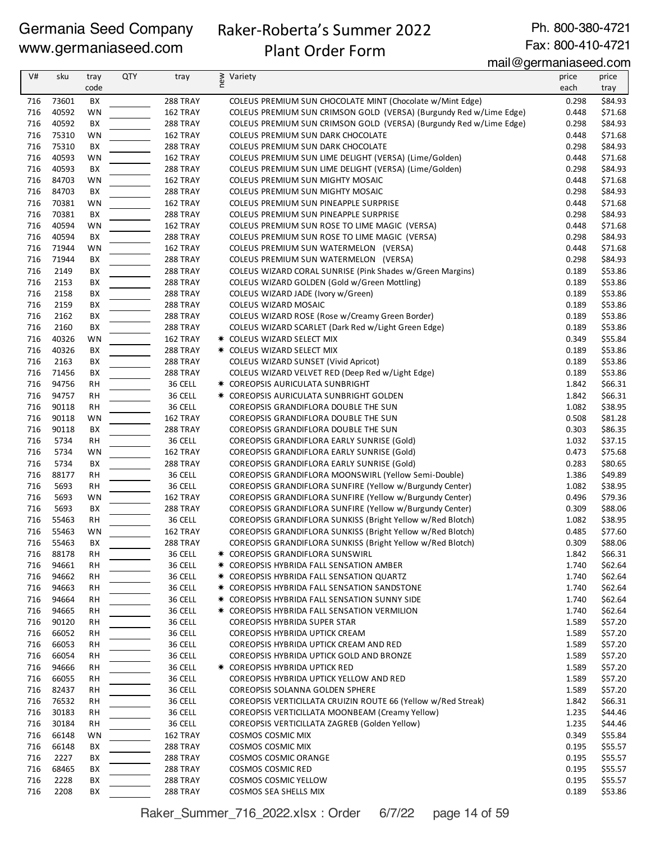# Raker-Roberta's Summer 2022

Ph. 800-380-4721 Fax: 800-410-4721

# Plant Order Form

mail@germaniaseed.com

| V#         | sku            | tray      | <b>QTY</b> | tray                 | § Variety<br>E                                                                                                       | price          | price              |
|------------|----------------|-----------|------------|----------------------|----------------------------------------------------------------------------------------------------------------------|----------------|--------------------|
|            |                | code      |            |                      |                                                                                                                      | each           | tray               |
| 716        | 73601          | BХ        |            | 288 TRAY             | COLEUS PREMIUM SUN CHOCOLATE MINT (Chocolate w/Mint Edge)                                                            | 0.298          | \$84.93            |
| 716        | 40592          | WN        |            | 162 TRAY             | COLEUS PREMIUM SUN CRIMSON GOLD (VERSA) (Burgundy Red w/Lime Edge)                                                   | 0.448          | \$71.68            |
| 716        | 40592          | BX        |            | 288 TRAY             | COLEUS PREMIUM SUN CRIMSON GOLD (VERSA) (Burgundy Red w/Lime Edge)                                                   | 0.298          | \$84.93            |
| 716        | 75310          | WN        |            | 162 TRAY             | COLEUS PREMIUM SUN DARK CHOCOLATE                                                                                    | 0.448          | \$71.68            |
| 716<br>716 | 75310          | BX        |            | 288 TRAY             | COLEUS PREMIUM SUN DARK CHOCOLATE                                                                                    | 0.298          | \$84.93            |
| 716        | 40593<br>40593 | WN<br>BX  |            | 162 TRAY<br>288 TRAY | COLEUS PREMIUM SUN LIME DELIGHT (VERSA) (Lime/Golden)<br>COLEUS PREMIUM SUN LIME DELIGHT (VERSA) (Lime/Golden)       | 0.448<br>0.298 | \$71.68<br>\$84.93 |
| 716        | 84703          | WN        |            | 162 TRAY             | COLEUS PREMIUM SUN MIGHTY MOSAIC                                                                                     | 0.448          | \$71.68            |
| 716        | 84703          | BX        |            | 288 TRAY             | COLEUS PREMIUM SUN MIGHTY MOSAIC                                                                                     | 0.298          | \$84.93            |
| 716        | 70381          | WN        |            | 162 TRAY             | COLEUS PREMIUM SUN PINEAPPLE SURPRISE                                                                                | 0.448          | \$71.68            |
| 716        | 70381          | BX        |            | 288 TRAY             | COLEUS PREMIUM SUN PINEAPPLE SURPRISE                                                                                | 0.298          | \$84.93            |
| 716        | 40594          | WN        |            | 162 TRAY             | COLEUS PREMIUM SUN ROSE TO LIME MAGIC (VERSA)                                                                        | 0.448          | \$71.68            |
| 716        | 40594          | BХ        |            | 288 TRAY             | COLEUS PREMIUM SUN ROSE TO LIME MAGIC (VERSA)                                                                        | 0.298          | \$84.93            |
| 716        | 71944          | WN        |            | 162 TRAY             | COLEUS PREMIUM SUN WATERMELON (VERSA)                                                                                | 0.448          | \$71.68            |
| 716        | 71944          | BX        |            | 288 TRAY             | COLEUS PREMIUM SUN WATERMELON (VERSA)                                                                                | 0.298          | \$84.93            |
| 716        | 2149           | BX        |            | 288 TRAY             | COLEUS WIZARD CORAL SUNRISE (Pink Shades w/Green Margins)                                                            | 0.189          | \$53.86            |
| 716        | 2153           | BX        |            | 288 TRAY             | COLEUS WIZARD GOLDEN (Gold w/Green Mottling)                                                                         | 0.189          | \$53.86            |
| 716        | 2158           | BX        |            | 288 TRAY             | COLEUS WIZARD JADE (Ivory w/Green)                                                                                   | 0.189          | \$53.86            |
| 716        | 2159           | BX        |            | 288 TRAY             | COLEUS WIZARD MOSAIC                                                                                                 | 0.189          | \$53.86            |
| 716        | 2162           | BX        |            | 288 TRAY             | COLEUS WIZARD ROSE (Rose w/Creamy Green Border)                                                                      | 0.189          | \$53.86<br>\$53.86 |
| 716<br>716 | 2160<br>40326  | BX<br>WN  |            | 288 TRAY<br>162 TRAY | COLEUS WIZARD SCARLET (Dark Red w/Light Green Edge)<br>* COLEUS WIZARD SELECT MIX                                    | 0.189<br>0.349 | \$55.84            |
| 716        | 40326          | BХ        |            | 288 TRAY             | * COLEUS WIZARD SELECT MIX                                                                                           | 0.189          | \$53.86            |
| 716        | 2163           | ВX        |            | 288 TRAY             | COLEUS WIZARD SUNSET (Vivid Apricot)                                                                                 | 0.189          | \$53.86            |
| 716        | 71456          | BX        |            | 288 TRAY             | COLEUS WIZARD VELVET RED (Deep Red w/Light Edge)                                                                     | 0.189          | \$53.86            |
| 716        | 94756          | <b>RH</b> |            | 36 CELL              | * COREOPSIS AURICULATA SUNBRIGHT                                                                                     | 1.842          | \$66.31            |
| 716        | 94757          | <b>RH</b> |            | 36 CELL              | * COREOPSIS AURICULATA SUNBRIGHT GOLDEN                                                                              | 1.842          | \$66.31            |
| 716        | 90118          | RH        |            | 36 CELL              | COREOPSIS GRANDIFLORA DOUBLE THE SUN                                                                                 | 1.082          | \$38.95            |
| 716        | 90118          | WN        |            | 162 TRAY             | COREOPSIS GRANDIFLORA DOUBLE THE SUN                                                                                 | 0.508          | \$81.28            |
| 716        | 90118          | BX        |            | 288 TRAY             | COREOPSIS GRANDIFLORA DOUBLE THE SUN                                                                                 | 0.303          | \$86.35            |
| 716        | 5734           | RН        |            | 36 CELL              | COREOPSIS GRANDIFLORA EARLY SUNRISE (Gold)                                                                           | 1.032          | \$37.15            |
| 716        | 5734           | WN        |            | 162 TRAY             | COREOPSIS GRANDIFLORA EARLY SUNRISE (Gold)                                                                           | 0.473          | \$75.68            |
| 716        | 5734           | ВX        |            | 288 TRAY             | COREOPSIS GRANDIFLORA EARLY SUNRISE (Gold)                                                                           | 0.283          | \$80.65            |
| 716        | 88177          | RН        |            | 36 CELL              | COREOPSIS GRANDIFLORA MOONSWIRL (Yellow Semi-Double)                                                                 | 1.386          | \$49.89            |
| 716        | 5693           | RH        |            | 36 CELL              | COREOPSIS GRANDIFLORA SUNFIRE (Yellow w/Burgundy Center)                                                             | 1.082          | \$38.95            |
| 716<br>716 | 5693<br>5693   | WN<br>BX  |            | 162 TRAY<br>288 TRAY | COREOPSIS GRANDIFLORA SUNFIRE (Yellow w/Burgundy Center)<br>COREOPSIS GRANDIFLORA SUNFIRE (Yellow w/Burgundy Center) | 0.496<br>0.309 | \$79.36<br>\$88.06 |
| 716        | 55463          | <b>RH</b> |            | 36 CELL              | COREOPSIS GRANDIFLORA SUNKISS (Bright Yellow w/Red Blotch)                                                           | 1.082          | \$38.95            |
| 716        | 55463          | WN        |            | 162 TRAY             | COREOPSIS GRANDIFLORA SUNKISS (Bright Yellow w/Red Blotch)                                                           | 0.485          | \$77.60            |
| 716        | 55463          | BX        |            | <b>288 TRAY</b>      | COREOPSIS GRANDIFLORA SUNKISS (Bright Yellow w/Red Blotch)                                                           | 0.309          | \$88.06            |
| 716        | 88178          | RН        |            | 36 CELL              | * COREOPSIS GRANDIFLORA SUNSWIRL                                                                                     | 1.842          | \$66.31            |
| 716        | 94661          | RH        |            | 36 CELL              | * COREOPSIS HYBRIDA FALL SENSATION AMBER                                                                             | 1.740          | \$62.64            |
| 716        | 94662          | RH        |            | 36 CELL              | * COREOPSIS HYBRIDA FALL SENSATION QUARTZ                                                                            | 1.740          | \$62.64            |
| 716        | 94663          | RH        |            | 36 CELL              | * COREOPSIS HYBRIDA FALL SENSATION SANDSTONE                                                                         | 1.740          | \$62.64            |
| 716        | 94664          | RН        |            | 36 CELL              | * COREOPSIS HYBRIDA FALL SENSATION SUNNY SIDE                                                                        | 1.740          | \$62.64            |
| 716        | 94665          | RH        |            | 36 CELL              | * COREOPSIS HYBRIDA FALL SENSATION VERMILION                                                                         | 1.740          | \$62.64            |
| 716        | 90120          | RН        |            | 36 CELL              | COREOPSIS HYBRIDA SUPER STAR                                                                                         | 1.589          | \$57.20            |
| 716        | 66052          | RН        |            | 36 CELL              | COREOPSIS HYBRIDA UPTICK CREAM                                                                                       | 1.589          | \$57.20            |
| 716        | 66053          | RН        |            | 36 CELL              | COREOPSIS HYBRIDA UPTICK CREAM AND RED                                                                               | 1.589          | \$57.20            |
| 716        | 66054          | RН        |            | 36 CELL              | COREOPSIS HYBRIDA UPTICK GOLD AND BRONZE                                                                             | 1.589          | \$57.20            |
| 716        | 94666<br>66055 | RH        |            | 36 CELL<br>36 CELL   | * COREOPSIS HYBRIDA UPTICK RED                                                                                       | 1.589<br>1.589 | \$57.20            |
| 716<br>716 | 82437          | RH<br>RH  |            | 36 CELL              | COREOPSIS HYBRIDA UPTICK YELLOW AND RED<br>COREOPSIS SOLANNA GOLDEN SPHERE                                           | 1.589          | \$57.20<br>\$57.20 |
| 716        | 76532          | RН        |            | 36 CELL              | COREOPSIS VERTICILLATA CRUIZIN ROUTE 66 (Yellow w/Red Streak)                                                        | 1.842          | \$66.31            |
| 716        | 30183          | RН        |            | 36 CELL              | COREOPSIS VERTICILLATA MOONBEAM (Creamy Yellow)                                                                      | 1.235          | \$44.46            |
| 716        | 30184          | RH        |            | 36 CELL              | COREOPSIS VERTICILLATA ZAGREB (Golden Yellow)                                                                        | 1.235          | \$44.46            |
| 716        | 66148          | WN        |            | 162 TRAY             | COSMOS COSMIC MIX                                                                                                    | 0.349          | \$55.84            |
| 716        | 66148          | BХ        |            | 288 TRAY             | COSMOS COSMIC MIX                                                                                                    | 0.195          | \$55.57            |
| 716        | 2227           | BХ        |            | 288 TRAY             | COSMOS COSMIC ORANGE                                                                                                 | 0.195          | \$55.57            |
| 716        | 68465          | BХ        |            | 288 TRAY             | COSMOS COSMIC RED                                                                                                    | 0.195          | \$55.57            |
| 716        | 2228           | BХ        |            | 288 TRAY             | COSMOS COSMIC YELLOW                                                                                                 | 0.195          | \$55.57            |
| 716        | 2208           | BX        |            | 288 TRAY             | COSMOS SEA SHELLS MIX                                                                                                | 0.189          | \$53.86            |

Raker\_Summer\_716\_2022.xlsx : Order 6/7/22 page 14 of 59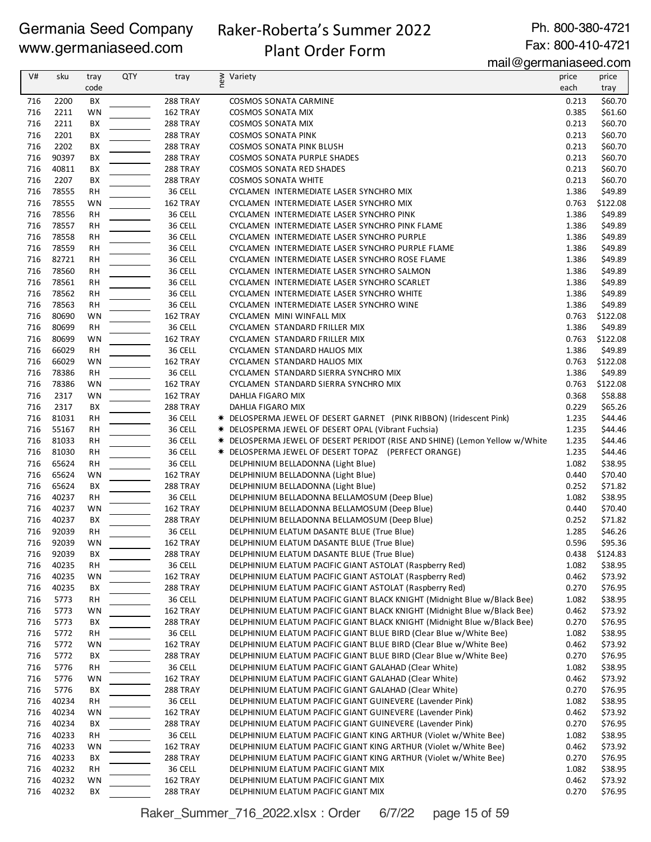### Raker-Roberta's Summer 2022 Plant Order Form

Ph. 800-380-4721 Fax: 800-410-4721

mail@germaniaseed.com

| V#  | sku   | tray      | <b>QTY</b> | tray            | Variety                                                                     | price | price    |
|-----|-------|-----------|------------|-----------------|-----------------------------------------------------------------------------|-------|----------|
|     |       |           |            |                 | new                                                                         |       |          |
|     |       | code      |            |                 |                                                                             | each  | tray     |
| 716 | 2200  | BX        |            | 288 TRAY        | COSMOS SONATA CARMINE                                                       | 0.213 | \$60.70  |
| 716 | 2211  | WN        |            | 162 TRAY        | <b>COSMOS SONATA MIX</b>                                                    | 0.385 | \$61.60  |
| 716 | 2211  | BX        |            | <b>288 TRAY</b> | <b>COSMOS SONATA MIX</b>                                                    | 0.213 | \$60.70  |
| 716 | 2201  | BX        |            | <b>288 TRAY</b> | <b>COSMOS SONATA PINK</b>                                                   | 0.213 | \$60.70  |
| 716 | 2202  | ВX        |            | 288 TRAY        | COSMOS SONATA PINK BLUSH                                                    | 0.213 | \$60.70  |
| 716 | 90397 | ВX        |            | <b>288 TRAY</b> | COSMOS SONATA PURPLE SHADES                                                 | 0.213 | \$60.70  |
| 716 | 40811 | ВX        |            | 288 TRAY        | <b>COSMOS SONATA RED SHADES</b>                                             | 0.213 | \$60.70  |
| 716 | 2207  | ВX        |            | 288 TRAY        | <b>COSMOS SONATA WHITE</b>                                                  | 0.213 | \$60.70  |
| 716 | 78555 | RH        |            | 36 CELL         | CYCLAMEN INTERMEDIATE LASER SYNCHRO MIX                                     | 1.386 | \$49.89  |
| 716 | 78555 | WN        |            | 162 TRAY        | CYCLAMEN INTERMEDIATE LASER SYNCHRO MIX                                     | 0.763 | \$122.08 |
| 716 | 78556 | <b>RH</b> |            | 36 CELL         | CYCLAMEN INTERMEDIATE LASER SYNCHRO PINK                                    | 1.386 | \$49.89  |
| 716 | 78557 | <b>RH</b> |            | 36 CELL         | CYCLAMEN INTERMEDIATE LASER SYNCHRO PINK FLAME                              | 1.386 | \$49.89  |
| 716 | 78558 | RH        |            | 36 CELL         | CYCLAMEN INTERMEDIATE LASER SYNCHRO PURPLE                                  | 1.386 | \$49.89  |
| 716 | 78559 | RH        |            | 36 CELL         | CYCLAMEN INTERMEDIATE LASER SYNCHRO PURPLE FLAME                            | 1.386 | \$49.89  |
| 716 | 82721 | RH        |            | 36 CELL         | CYCLAMEN INTERMEDIATE LASER SYNCHRO ROSE FLAME                              | 1.386 | \$49.89  |
| 716 | 78560 | RH        |            | 36 CELL         | CYCLAMEN INTERMEDIATE LASER SYNCHRO SALMON                                  | 1.386 | \$49.89  |
| 716 | 78561 | <b>RH</b> |            | 36 CELL         | CYCLAMEN INTERMEDIATE LASER SYNCHRO SCARLET                                 | 1.386 | \$49.89  |
| 716 | 78562 | RH        |            | 36 CELL         | CYCLAMEN INTERMEDIATE LASER SYNCHRO WHITE                                   | 1.386 | \$49.89  |
| 716 | 78563 | RH        |            | 36 CELL         | CYCLAMEN INTERMEDIATE LASER SYNCHRO WINE                                    | 1.386 | \$49.89  |
| 716 | 80690 | WN        |            | 162 TRAY        | CYCLAMEN MINI WINFALL MIX                                                   | 0.763 | \$122.08 |
| 716 | 80699 | <b>RH</b> |            | 36 CELL         | CYCLAMEN STANDARD FRILLER MIX                                               | 1.386 | \$49.89  |
| 716 | 80699 | WN        |            | 162 TRAY        | CYCLAMEN STANDARD FRILLER MIX                                               | 0.763 | \$122.08 |
| 716 | 66029 | RH        |            | 36 CELL         | CYCLAMEN STANDARD HALIOS MIX                                                | 1.386 | \$49.89  |
| 716 | 66029 | WN        |            | 162 TRAY        | CYCLAMEN STANDARD HALIOS MIX                                                | 0.763 | \$122.08 |
|     |       |           |            |                 |                                                                             |       |          |
| 716 | 78386 | <b>RH</b> |            | 36 CELL         | CYCLAMEN STANDARD SIERRA SYNCHRO MIX                                        | 1.386 | \$49.89  |
| 716 | 78386 | <b>WN</b> |            | 162 TRAY        | CYCLAMEN STANDARD SIERRA SYNCHRO MIX                                        | 0.763 | \$122.08 |
| 716 | 2317  | WN        |            | 162 TRAY        | DAHLIA FIGARO MIX                                                           | 0.368 | \$58.88  |
| 716 | 2317  | BХ        |            | 288 TRAY        | DAHLIA FIGARO MIX                                                           | 0.229 | \$65.26  |
| 716 | 81031 | <b>RH</b> |            | 36 CELL         | * DELOSPERMA JEWEL OF DESERT GARNET (PINK RIBBON) (Iridescent Pink)         | 1.235 | \$44.46  |
| 716 | 55167 | <b>RH</b> |            | 36 CELL         | * DELOSPERMA JEWEL OF DESERT OPAL (Vibrant Fuchsia)                         | 1.235 | \$44.46  |
| 716 | 81033 | <b>RH</b> |            | 36 CELL         | * DELOSPERMA JEWEL OF DESERT PERIDOT (RISE AND SHINE) (Lemon Yellow w/White | 1.235 | \$44.46  |
| 716 | 81030 | RH        |            | 36 CELL         | * DELOSPERMA JEWEL OF DESERT TOPAZ (PERFECT ORANGE)                         | 1.235 | \$44.46  |
| 716 | 65624 | RH        |            | 36 CELL         | DELPHINIUM BELLADONNA (Light Blue)                                          | 1.082 | \$38.95  |
| 716 | 65624 | WN        |            | 162 TRAY        | DELPHINIUM BELLADONNA (Light Blue)                                          | 0.440 | \$70.40  |
| 716 | 65624 | BХ        |            | <b>288 TRAY</b> | DELPHINIUM BELLADONNA (Light Blue)                                          | 0.252 | \$71.82  |
| 716 | 40237 | RH        |            | 36 CELL         | DELPHINIUM BELLADONNA BELLAMOSUM (Deep Blue)                                | 1.082 | \$38.95  |
| 716 | 40237 | WN        |            | 162 TRAY        | DELPHINIUM BELLADONNA BELLAMOSUM (Deep Blue)                                | 0.440 | \$70.40  |
| 716 | 40237 | ВX        |            | 288 TRAY        | DELPHINIUM BELLADONNA BELLAMOSUM (Deep Blue)                                | 0.252 | \$71.82  |
| 716 | 92039 | <b>RH</b> |            | 36 CELL         | DELPHINIUM ELATUM DASANTE BLUE (True Blue)                                  | 1.285 | \$46.26  |
| 716 | 92039 | WN        |            | 162 TRAY        | DELPHINIUM ELATUM DASANTE BLUE (True Blue)                                  | 0.596 | \$95.36  |
| 716 | 92039 | ВX        |            | <b>288 TRAY</b> | DELPHINIUM ELATUM DASANTE BLUE (True Blue)                                  | 0.438 | \$124.83 |
| 716 | 40235 | RH        |            | 36 CELL         | DELPHINIUM ELATUM PACIFIC GIANT ASTOLAT (Raspberry Red)                     | 1.082 | \$38.95  |
| 716 | 40235 | WN        |            | 162 TRAY        | DELPHINIUM ELATUM PACIFIC GIANT ASTOLAT (Raspberry Red)                     | 0.462 | \$73.92  |
| 716 | 40235 | BХ        |            | <b>288 TRAY</b> | DELPHINIUM ELATUM PACIFIC GIANT ASTOLAT (Raspberry Red)                     | 0.270 | \$76.95  |
| 716 | 5773  | RH        |            | 36 CELL         | DELPHINIUM ELATUM PACIFIC GIANT BLACK KNIGHT (Midnight Blue w/Black Bee)    | 1.082 | \$38.95  |
| 716 | 5773  | WN        |            | 162 TRAY        | DELPHINIUM ELATUM PACIFIC GIANT BLACK KNIGHT (Midnight Blue w/Black Bee)    | 0.462 | \$73.92  |
| 716 | 5773  | ВX        |            | <b>288 TRAY</b> | DELPHINIUM ELATUM PACIFIC GIANT BLACK KNIGHT (Midnight Blue w/Black Bee)    | 0.270 | \$76.95  |
| 716 | 5772  | RH        |            | 36 CELL         | DELPHINIUM ELATUM PACIFIC GIANT BLUE BIRD (Clear Blue w/White Bee)          | 1.082 | \$38.95  |
| 716 | 5772  | WN        |            | 162 TRAY        | DELPHINIUM ELATUM PACIFIC GIANT BLUE BIRD (Clear Blue w/White Bee)          | 0.462 | \$73.92  |
| 716 | 5772  | ВX        |            | <b>288 TRAY</b> | DELPHINIUM ELATUM PACIFIC GIANT BLUE BIRD (Clear Blue w/White Bee)          | 0.270 | \$76.95  |
| 716 | 5776  | RH        |            | 36 CELL         | DELPHINIUM ELATUM PACIFIC GIANT GALAHAD (Clear White)                       | 1.082 | \$38.95  |
| 716 | 5776  | WN        |            | 162 TRAY        | DELPHINIUM ELATUM PACIFIC GIANT GALAHAD (Clear White)                       | 0.462 | \$73.92  |
| 716 | 5776  | ВX        |            | <b>288 TRAY</b> | DELPHINIUM ELATUM PACIFIC GIANT GALAHAD (Clear White)                       | 0.270 | \$76.95  |
| 716 | 40234 | RH        |            | 36 CELL         | DELPHINIUM ELATUM PACIFIC GIANT GUINEVERE (Lavender Pink)                   | 1.082 | \$38.95  |
| 716 | 40234 | WN        |            | 162 TRAY        | DELPHINIUM ELATUM PACIFIC GIANT GUINEVERE (Lavender Pink)                   | 0.462 | \$73.92  |
| 716 | 40234 | BХ        |            | 288 TRAY        | DELPHINIUM ELATUM PACIFIC GIANT GUINEVERE (Lavender Pink)                   | 0.270 | \$76.95  |
| 716 | 40233 | RH        |            | 36 CELL         | DELPHINIUM ELATUM PACIFIC GIANT KING ARTHUR (Violet w/White Bee)            | 1.082 | \$38.95  |
| 716 | 40233 | WN        |            | 162 TRAY        | DELPHINIUM ELATUM PACIFIC GIANT KING ARTHUR (Violet w/White Bee)            | 0.462 | \$73.92  |
| 716 | 40233 | BХ        |            | <b>288 TRAY</b> | DELPHINIUM ELATUM PACIFIC GIANT KING ARTHUR (Violet w/White Bee)            | 0.270 | \$76.95  |
| 716 | 40232 | RH        |            | 36 CELL         | DELPHINIUM ELATUM PACIFIC GIANT MIX                                         | 1.082 | \$38.95  |
| 716 | 40232 | WN        |            | 162 TRAY        | DELPHINIUM ELATUM PACIFIC GIANT MIX                                         | 0.462 | \$73.92  |
| 716 | 40232 | BХ        |            | <b>288 TRAY</b> | DELPHINIUM ELATUM PACIFIC GIANT MIX                                         | 0.270 | \$76.95  |
|     |       |           |            |                 |                                                                             |       |          |

Raker\_Summer\_716\_2022.xlsx : Order 6/7/22 page 15 of 59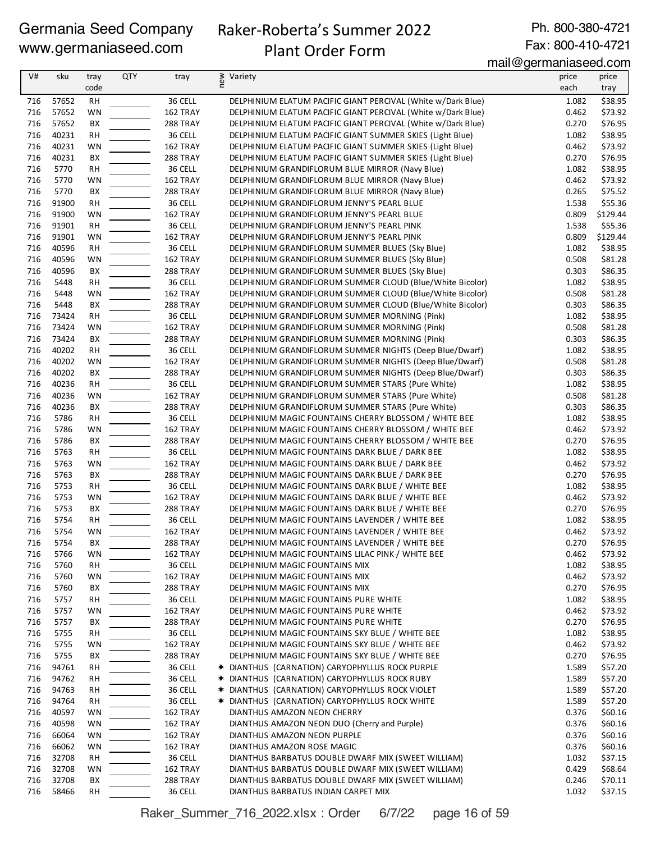# Raker-Roberta's Summer 2022 Plant Order Form

Ph. 800-380-4721 Fax: 800-410-4721

mail@germaniaseed.com

| V#         | sku            | tray<br>code | <b>QTY</b> | tray                        | ≥ Variety<br>E                                                                                                            | price<br>each  | price              |
|------------|----------------|--------------|------------|-----------------------------|---------------------------------------------------------------------------------------------------------------------------|----------------|--------------------|
|            |                |              |            |                             |                                                                                                                           |                | tray               |
| 716        | 57652          | RH           |            | 36 CELL                     | DELPHINIUM ELATUM PACIFIC GIANT PERCIVAL (White w/Dark Blue)                                                              | 1.082          | \$38.95            |
| 716<br>716 | 57652<br>57652 | WN<br>BX     |            | 162 TRAY                    | DELPHINIUM ELATUM PACIFIC GIANT PERCIVAL (White w/Dark Blue)                                                              | 0.462<br>0.270 | \$73.92<br>\$76.95 |
| 716        | 40231          | RH           |            | <b>288 TRAY</b><br>36 CELL  | DELPHINIUM ELATUM PACIFIC GIANT PERCIVAL (White w/Dark Blue)<br>DELPHINIUM ELATUM PACIFIC GIANT SUMMER SKIES (Light Blue) | 1.082          | \$38.95            |
| 716        | 40231          | WN           |            | 162 TRAY                    | DELPHINIUM ELATUM PACIFIC GIANT SUMMER SKIES (Light Blue)                                                                 | 0.462          | \$73.92            |
| 716        | 40231          | BX           |            | 288 TRAY                    | DELPHINIUM ELATUM PACIFIC GIANT SUMMER SKIES (Light Blue)                                                                 | 0.270          | \$76.95            |
| 716        | 5770           | <b>RH</b>    |            | 36 CELL                     | DELPHINIUM GRANDIFLORUM BLUE MIRROR (Navy Blue)                                                                           | 1.082          | \$38.95            |
| 716        | 5770           | WN           |            | 162 TRAY                    | DELPHINIUM GRANDIFLORUM BLUE MIRROR (Navy Blue)                                                                           | 0.462          | \$73.92            |
| 716        | 5770           | BX           |            | 288 TRAY                    | DELPHINIUM GRANDIFLORUM BLUE MIRROR (Navy Blue)                                                                           | 0.265          | \$75.52            |
| 716        | 91900          | <b>RH</b>    |            | 36 CELL                     | DELPHINIUM GRANDIFLORUM JENNY'S PEARL BLUE                                                                                | 1.538          | \$55.36            |
| 716        | 91900          | WN           |            | 162 TRAY                    | DELPHINIUM GRANDIFLORUM JENNY'S PEARL BLUE                                                                                | 0.809          | \$129.44           |
| 716        | 91901          | <b>RH</b>    |            | 36 CELL                     | DELPHINIUM GRANDIFLORUM JENNY'S PEARL PINK                                                                                | 1.538          | \$55.36            |
| 716        | 91901          | WN           |            | 162 TRAY                    | DELPHINIUM GRANDIFLORUM JENNY'S PEARL PINK                                                                                | 0.809          | \$129.44           |
| 716        | 40596          | <b>RH</b>    |            | 36 CELL                     | DELPHINIUM GRANDIFLORUM SUMMER BLUES (Sky Blue)                                                                           | 1.082          | \$38.95            |
| 716        | 40596          | WN           |            | 162 TRAY                    | DELPHINIUM GRANDIFLORUM SUMMER BLUES (Sky Blue)                                                                           | 0.508          | \$81.28            |
| 716        | 40596          | BX           |            | <b>288 TRAY</b>             | DELPHINIUM GRANDIFLORUM SUMMER BLUES (Sky Blue)                                                                           | 0.303          | \$86.35            |
| 716        | 5448           | <b>RH</b>    |            | 36 CELL                     | DELPHINIUM GRANDIFLORUM SUMMER CLOUD (Blue/White Bicolor)                                                                 | 1.082          | \$38.95            |
| 716<br>716 | 5448<br>5448   | WN<br>BX     |            | 162 TRAY<br>288 TRAY        | DELPHINIUM GRANDIFLORUM SUMMER CLOUD (Blue/White Bicolor)                                                                 | 0.508<br>0.303 | \$81.28            |
| 716        | 73424          | <b>RH</b>    |            | 36 CELL                     | DELPHINIUM GRANDIFLORUM SUMMER CLOUD (Blue/White Bicolor)<br>DELPHINIUM GRANDIFLORUM SUMMER MORNING (Pink)                | 1.082          | \$86.35<br>\$38.95 |
| 716        | 73424          | WN           |            | 162 TRAY                    | DELPHINIUM GRANDIFLORUM SUMMER MORNING (Pink)                                                                             | 0.508          | \$81.28            |
| 716        | 73424          | BX           |            | 288 TRAY                    | DELPHINIUM GRANDIFLORUM SUMMER MORNING (Pink)                                                                             | 0.303          | \$86.35            |
| 716        | 40202          | RH           |            | 36 CELL                     | DELPHINIUM GRANDIFLORUM SUMMER NIGHTS (Deep Blue/Dwarf)                                                                   | 1.082          | \$38.95            |
| 716        | 40202          | WN           |            | 162 TRAY                    | DELPHINIUM GRANDIFLORUM SUMMER NIGHTS (Deep Blue/Dwarf)                                                                   | 0.508          | \$81.28            |
| 716        | 40202          | ВX           |            | <b>288 TRAY</b>             | DELPHINIUM GRANDIFLORUM SUMMER NIGHTS (Deep Blue/Dwarf)                                                                   | 0.303          | \$86.35            |
| 716        | 40236          | <b>RH</b>    |            | 36 CELL                     | DELPHINIUM GRANDIFLORUM SUMMER STARS (Pure White)                                                                         | 1.082          | \$38.95            |
| 716        | 40236          | WN           |            | 162 TRAY                    | DELPHINIUM GRANDIFLORUM SUMMER STARS (Pure White)                                                                         | 0.508          | \$81.28            |
| 716        | 40236          | BX           |            | 288 TRAY                    | DELPHINIUM GRANDIFLORUM SUMMER STARS (Pure White)                                                                         | 0.303          | \$86.35            |
| 716        | 5786           | <b>RH</b>    |            | 36 CELL                     | DELPHINIUM MAGIC FOUNTAINS CHERRY BLOSSOM / WHITE BEE                                                                     | 1.082          | \$38.95            |
| 716        | 5786           | WN           |            | 162 TRAY                    | DELPHINIUM MAGIC FOUNTAINS CHERRY BLOSSOM / WHITE BEE                                                                     | 0.462          | \$73.92            |
| 716        | 5786           | BX           |            | 288 TRAY                    | DELPHINIUM MAGIC FOUNTAINS CHERRY BLOSSOM / WHITE BEE                                                                     | 0.270          | \$76.95            |
| 716        | 5763           | RH           |            | 36 CELL                     | DELPHINIUM MAGIC FOUNTAINS DARK BLUE / DARK BEE                                                                           | 1.082          | \$38.95            |
| 716<br>716 | 5763<br>5763   | WN<br>BX     |            | 162 TRAY<br><b>288 TRAY</b> | DELPHINIUM MAGIC FOUNTAINS DARK BLUE / DARK BEE<br>DELPHINIUM MAGIC FOUNTAINS DARK BLUE / DARK BEE                        | 0.462<br>0.270 | \$73.92<br>\$76.95 |
| 716        | 5753           | RH           |            | 36 CELL                     | DELPHINIUM MAGIC FOUNTAINS DARK BLUE / WHITE BEE                                                                          | 1.082          | \$38.95            |
| 716        | 5753           | WN           |            | 162 TRAY                    | DELPHINIUM MAGIC FOUNTAINS DARK BLUE / WHITE BEE                                                                          | 0.462          | \$73.92            |
| 716        | 5753           | BX           |            | 288 TRAY                    | DELPHINIUM MAGIC FOUNTAINS DARK BLUE / WHITE BEE                                                                          | 0.270          | \$76.95            |
| 716        | 5754           | <b>RH</b>    |            | 36 CELL                     | DELPHINIUM MAGIC FOUNTAINS LAVENDER / WHITE BEE                                                                           | 1.082          | \$38.95            |
| 716        | 5754           | WN           |            | 162 TRAY                    | DELPHINIUM MAGIC FOUNTAINS LAVENDER / WHITE BEE                                                                           | 0.462          | \$73.92            |
| 716        | 5754           | BХ           |            | 288 TRAY                    | DELPHINIUM MAGIC FOUNTAINS LAVENDER / WHITE BEE                                                                           | 0.270          | \$76.95            |
| 716        | 5766           | WN           |            | 162 TRAY                    | DELPHINIUM MAGIC FOUNTAINS LILAC PINK / WHITE BEE                                                                         | 0.462          | \$73.92            |
| 716        | 5760           | RH           |            | 36 CELL                     | DELPHINIUM MAGIC FOUNTAINS MIX                                                                                            | 1.082          | \$38.95            |
| 716        | 5760           | WN           |            | 162 TRAY                    | DELPHINIUM MAGIC FOUNTAINS MIX                                                                                            | 0.462          | \$73.92            |
| 716        | 5760           | ВX           |            | 288 TRAY                    | DELPHINIUM MAGIC FOUNTAINS MIX                                                                                            | 0.270          | \$76.95            |
| 716<br>716 | 5757           | RH           |            | 36 CELL                     | DELPHINIUM MAGIC FOUNTAINS PURE WHITE                                                                                     | 1.082<br>0.462 | \$38.95            |
| 716        | 5757<br>5757   | WN<br>ВX     |            | 162 TRAY<br><b>288 TRAY</b> | DELPHINIUM MAGIC FOUNTAINS PURE WHITE<br>DELPHINIUM MAGIC FOUNTAINS PURE WHITE                                            | 0.270          | \$73.92<br>\$76.95 |
| 716        | 5755           | <b>RH</b>    |            | 36 CELL                     | DELPHINIUM MAGIC FOUNTAINS SKY BLUE / WHITE BEE                                                                           | 1.082          | \$38.95            |
| 716        | 5755           | WN           |            | 162 TRAY                    | DELPHINIUM MAGIC FOUNTAINS SKY BLUE / WHITE BEE                                                                           | 0.462          | \$73.92            |
| 716        | 5755           | BХ           |            | 288 TRAY                    | DELPHINIUM MAGIC FOUNTAINS SKY BLUE / WHITE BEE                                                                           | 0.270          | \$76.95            |
| 716        | 94761          | RH           |            | 36 CELL                     | * DIANTHUS (CARNATION) CARYOPHYLLUS ROCK PURPLE                                                                           | 1.589          | \$57.20            |
| 716        | 94762          | RH           |            | 36 CELL                     | * DIANTHUS (CARNATION) CARYOPHYLLUS ROCK RUBY                                                                             | 1.589          | \$57.20            |
| 716        | 94763          | RH           |            | 36 CELL                     | * DIANTHUS (CARNATION) CARYOPHYLLUS ROCK VIOLET                                                                           | 1.589          | \$57.20            |
| 716        | 94764          | RH           |            | 36 CELL                     | * DIANTHUS (CARNATION) CARYOPHYLLUS ROCK WHITE                                                                            | 1.589          | \$57.20            |
| 716        | 40597          | WN           |            | 162 TRAY                    | DIANTHUS AMAZON NEON CHERRY                                                                                               | 0.376          | \$60.16            |
| 716        | 40598          | WN           |            | 162 TRAY                    | DIANTHUS AMAZON NEON DUO (Cherry and Purple)                                                                              | 0.376          | \$60.16            |
| 716        | 66064          | WN           |            | 162 TRAY                    | DIANTHUS AMAZON NEON PURPLE                                                                                               | 0.376          | \$60.16            |
| 716        | 66062          | WN           |            | 162 TRAY                    | DIANTHUS AMAZON ROSE MAGIC                                                                                                | 0.376          | \$60.16            |
| 716        | 32708          | RH           |            | 36 CELL                     | DIANTHUS BARBATUS DOUBLE DWARF MIX (SWEET WILLIAM)                                                                        | 1.032          | \$37.15            |
| 716<br>716 | 32708<br>32708 | WN<br>ВX     |            | 162 TRAY<br>288 TRAY        | DIANTHUS BARBATUS DOUBLE DWARF MIX (SWEET WILLIAM)<br>DIANTHUS BARBATUS DOUBLE DWARF MIX (SWEET WILLIAM)                  | 0.429<br>0.246 | \$68.64<br>\$70.11 |
| 716        | 58466          | RH           |            | 36 CELL                     | DIANTHUS BARBATUS INDIAN CARPET MIX                                                                                       | 1.032          | \$37.15            |
|            |                |              |            |                             |                                                                                                                           |                |                    |

Raker\_Summer\_716\_2022.xlsx : Order 6/7/22 page 16 of 59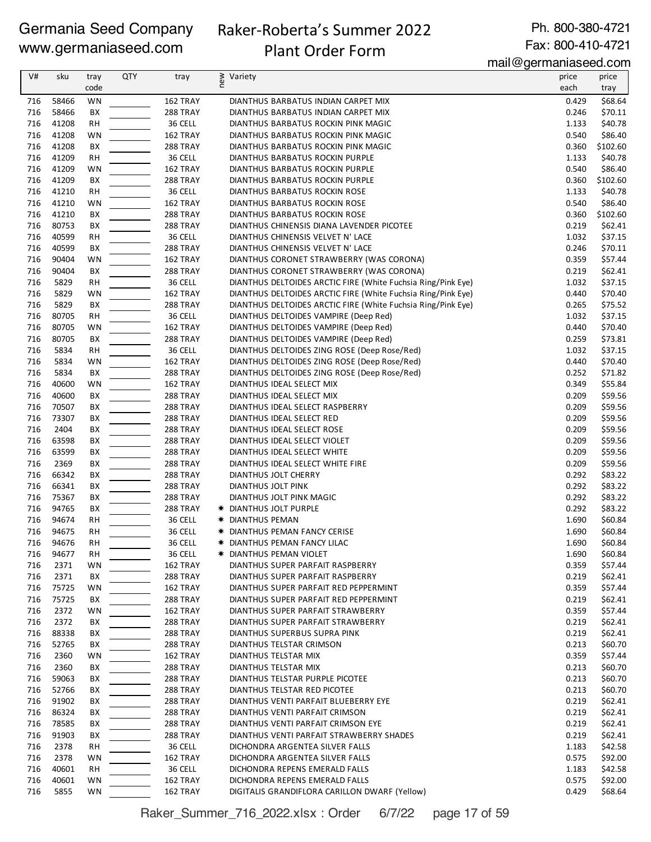# Raker-Roberta's Summer 2022

Plant Order Form

Ph. 800-380-4721 Fax: 800-410-4721

mail@germaniaseed.com

| V#         | sku            | tray      | QTY | tray                        | new<br>Variety                                                         | price          | price              |
|------------|----------------|-----------|-----|-----------------------------|------------------------------------------------------------------------|----------------|--------------------|
|            |                | code      |     |                             |                                                                        | each           | tray               |
| 716        | 58466          | WN        |     | 162 TRAY                    | DIANTHUS BARBATUS INDIAN CARPET MIX                                    | 0.429          | \$68.64            |
| 716        | 58466          | BX        |     | 288 TRAY                    | DIANTHUS BARBATUS INDIAN CARPET MIX                                    | 0.246          | \$70.11            |
| 716        | 41208          | RH        |     | 36 CELL                     | DIANTHUS BARBATUS ROCKIN PINK MAGIC                                    | 1.133          | \$40.78            |
| 716        | 41208          | WN        |     | 162 TRAY                    | DIANTHUS BARBATUS ROCKIN PINK MAGIC                                    | 0.540          | \$86.40            |
| 716        | 41208          | BX        |     | 288 TRAY                    | DIANTHUS BARBATUS ROCKIN PINK MAGIC                                    | 0.360          | \$102.60           |
| 716        | 41209          | RH        |     | 36 CELL                     | DIANTHUS BARBATUS ROCKIN PURPLE                                        | 1.133          | \$40.78            |
| 716        | 41209          | WN        |     | 162 TRAY                    | DIANTHUS BARBATUS ROCKIN PURPLE                                        | 0.540          | \$86.40            |
| 716        | 41209          | ВX        |     | 288 TRAY                    | DIANTHUS BARBATUS ROCKIN PURPLE                                        | 0.360          | \$102.60           |
| 716        | 41210          | <b>RH</b> |     | 36 CELL                     | DIANTHUS BARBATUS ROCKIN ROSE                                          | 1.133          | \$40.78            |
| 716        | 41210          | WN        |     | 162 TRAY                    | DIANTHUS BARBATUS ROCKIN ROSE                                          | 0.540          | \$86.40            |
| 716        | 41210          | BX        |     | <b>288 TRAY</b>             | DIANTHUS BARBATUS ROCKIN ROSE                                          | 0.360          | \$102.60           |
| 716        | 80753          | BX        |     | 288 TRAY                    | DIANTHUS CHINENSIS DIANA LAVENDER PICOTEE                              | 0.219          | \$62.41            |
| 716        | 40599          | RН        |     | 36 CELL                     | DIANTHUS CHINENSIS VELVET N' LACE                                      | 1.032          | \$37.15            |
| 716        | 40599          | BX        |     | 288 TRAY                    | DIANTHUS CHINENSIS VELVET N' LACE                                      | 0.246          | \$70.11            |
| 716        | 90404          | WN        |     | 162 TRAY                    | DIANTHUS CORONET STRAWBERRY (WAS CORONA)                               | 0.359          | \$57.44            |
| 716        | 90404          | BX        |     | 288 TRAY                    | DIANTHUS CORONET STRAWBERRY (WAS CORONA)                               | 0.219          | \$62.41            |
| 716        | 5829           | RH        |     | 36 CELL                     | DIANTHUS DELTOIDES ARCTIC FIRE (White Fuchsia Ring/Pink Eye)           | 1.032          | \$37.15            |
| 716        | 5829           | WN        |     | 162 TRAY                    | DIANTHUS DELTOIDES ARCTIC FIRE (White Fuchsia Ring/Pink Eye)           | 0.440          | \$70.40            |
| 716        | 5829           | BX        |     | <b>288 TRAY</b>             | DIANTHUS DELTOIDES ARCTIC FIRE (White Fuchsia Ring/Pink Eye)           | 0.265          | \$75.52            |
| 716        | 80705          | RH        |     | 36 CELL                     | DIANTHUS DELTOIDES VAMPIRE (Deep Red)                                  | 1.032          | \$37.15            |
| 716        | 80705          | WN        |     | 162 TRAY                    | DIANTHUS DELTOIDES VAMPIRE (Deep Red)                                  | 0.440          | \$70.40            |
| 716        | 80705          | BX        |     | 288 TRAY                    | DIANTHUS DELTOIDES VAMPIRE (Deep Red)                                  | 0.259          | \$73.81            |
| 716        | 5834           | <b>RH</b> |     | 36 CELL                     | DIANTHUS DELTOIDES ZING ROSE (Deep Rose/Red)                           | 1.032          | \$37.15            |
| 716        | 5834           | WN        |     | 162 TRAY                    | DIANTHUS DELTOIDES ZING ROSE (Deep Rose/Red)                           | 0.440          | \$70.40            |
| 716        | 5834           | BX        |     | 288 TRAY                    | DIANTHUS DELTOIDES ZING ROSE (Deep Rose/Red)                           | 0.252          | \$71.82            |
| 716        | 40600          | WN        |     | 162 TRAY                    | DIANTHUS IDEAL SELECT MIX                                              | 0.349          | \$55.84            |
| 716        | 40600          | BX        |     | <b>288 TRAY</b>             | DIANTHUS IDEAL SELECT MIX                                              | 0.209          | \$59.56            |
| 716        | 70507          | BX        |     | <b>288 TRAY</b>             | DIANTHUS IDEAL SELECT RASPBERRY                                        | 0.209          | \$59.56            |
| 716        | 73307          | BX        |     | <b>288 TRAY</b>             | DIANTHUS IDEAL SELECT RED                                              | 0.209          | \$59.56            |
| 716        | 2404           | BX        |     | 288 TRAY                    | DIANTHUS IDEAL SELECT ROSE                                             | 0.209          | \$59.56            |
| 716        | 63598          | BХ        |     | <b>288 TRAY</b>             | DIANTHUS IDEAL SELECT VIOLET                                           | 0.209          | \$59.56            |
| 716        | 63599          | BX        |     | 288 TRAY                    | DIANTHUS IDEAL SELECT WHITE                                            | 0.209          | \$59.56            |
| 716        | 2369           | BX        |     | 288 TRAY                    | DIANTHUS IDEAL SELECT WHITE FIRE                                       | 0.209          | \$59.56            |
| 716        | 66342          | BX        |     | 288 TRAY                    | DIANTHUS JOLT CHERRY                                                   | 0.292          | \$83.22            |
| 716        | 66341          | BX        |     | 288 TRAY                    | DIANTHUS JOLT PINK                                                     | 0.292          | \$83.22            |
| 716        | 75367          | BX        |     | <b>288 TRAY</b>             | DIANTHUS JOLT PINK MAGIC                                               | 0.292          | \$83.22            |
| 716        | 94765          | BХ        |     | 288 TRAY                    | * DIANTHUS JOLT PURPLE                                                 | 0.292          | \$83.22            |
| 716        | 94674          | RH        |     | 36 CELL                     | * DIANTHUS PEMAN                                                       | 1.690          | \$60.84            |
| 716        | 94675          | RH        |     | 36 CELL                     | * DIANTHUS PEMAN FANCY CERISE                                          | 1.690          | \$60.84            |
| 716        | 94676          | RH        |     | 36 CELL                     | * DIANTHUS PEMAN FANCY LILAC                                           | 1.690          | \$60.84            |
| 716        | 94677          | RH        |     | 36 CELL                     | * DIANTHUS PEMAN VIOLET                                                | 1.690          | \$60.84            |
| 716        | 2371           | WN        |     | 162 TRAY                    | DIANTHUS SUPER PARFAIT RASPBERRY                                       | 0.359          | \$57.44            |
| 716        | 2371           | ВX        |     | <b>288 TRAY</b>             | DIANTHUS SUPER PARFAIT RASPBERRY                                       | 0.219          | \$62.41            |
| 716        | 75725          | WN        |     | 162 TRAY                    | DIANTHUS SUPER PARFAIT RED PEPPERMINT                                  | 0.359          | \$57.44            |
| 716        | 75725          | ВX        |     | 288 TRAY                    | DIANTHUS SUPER PARFAIT RED PEPPERMINT                                  | 0.219          | \$62.41            |
| 716        | 2372           | WN        |     | 162 TRAY                    | DIANTHUS SUPER PARFAIT STRAWBERRY                                      | 0.359          | \$57.44            |
| 716        | 2372           | ВX        |     | <b>288 TRAY</b>             | DIANTHUS SUPER PARFAIT STRAWBERRY                                      | 0.219          | \$62.41            |
| 716        | 88338          | BХ        |     | <b>288 TRAY</b>             | DIANTHUS SUPERBUS SUPRA PINK                                           | 0.219          | \$62.41            |
| 716        | 52765          | BХ        |     | 288 TRAY                    | DIANTHUS TELSTAR CRIMSON                                               | 0.213          | \$60.70            |
| 716        | 2360           | WN        |     | 162 TRAY                    | DIANTHUS TELSTAR MIX                                                   | 0.359          | \$57.44            |
| 716        | 2360           | BХ        |     | <b>288 TRAY</b>             | DIANTHUS TELSTAR MIX                                                   | 0.213          | \$60.70            |
| 716        | 59063          | BХ        |     | <b>288 TRAY</b>             | DIANTHUS TELSTAR PURPLE PICOTEE                                        | 0.213          | \$60.70            |
| 716<br>716 | 52766<br>91902 | ВX        |     | <b>288 TRAY</b>             | DIANTHUS TELSTAR RED PICOTEE                                           | 0.213<br>0.219 | \$60.70            |
|            | 86324          | ВX<br>BХ  |     | 288 TRAY                    | DIANTHUS VENTI PARFAIT BLUEBERRY EYE<br>DIANTHUS VENTI PARFAIT CRIMSON | 0.219          | \$62.41<br>\$62.41 |
| 716<br>716 | 78585          | ВX        |     | <b>288 TRAY</b><br>288 TRAY | DIANTHUS VENTI PARFAIT CRIMSON EYE                                     | 0.219          | \$62.41            |
| 716        | 91903          | BХ        |     | <b>288 TRAY</b>             | DIANTHUS VENTI PARFAIT STRAWBERRY SHADES                               | 0.219          | \$62.41            |
| 716        | 2378           | RН        |     | 36 CELL                     | DICHONDRA ARGENTEA SILVER FALLS                                        | 1.183          | \$42.58            |
| 716        | 2378           | WN        |     | 162 TRAY                    | DICHONDRA ARGENTEA SILVER FALLS                                        | 0.575          | \$92.00            |
| 716        | 40601          | RH        |     | 36 CELL                     | DICHONDRA REPENS EMERALD FALLS                                         | 1.183          | \$42.58            |
| 716        | 40601          | WN        |     | 162 TRAY                    | DICHONDRA REPENS EMERALD FALLS                                         | 0.575          | \$92.00            |
| 716        | 5855           | WN        |     | 162 TRAY                    | DIGITALIS GRANDIFLORA CARILLON DWARF (Yellow)                          | 0.429          | \$68.64            |
|            |                |           |     |                             |                                                                        |                |                    |

Raker\_Summer\_716\_2022.xlsx : Order 6/7/22 page 17 of 59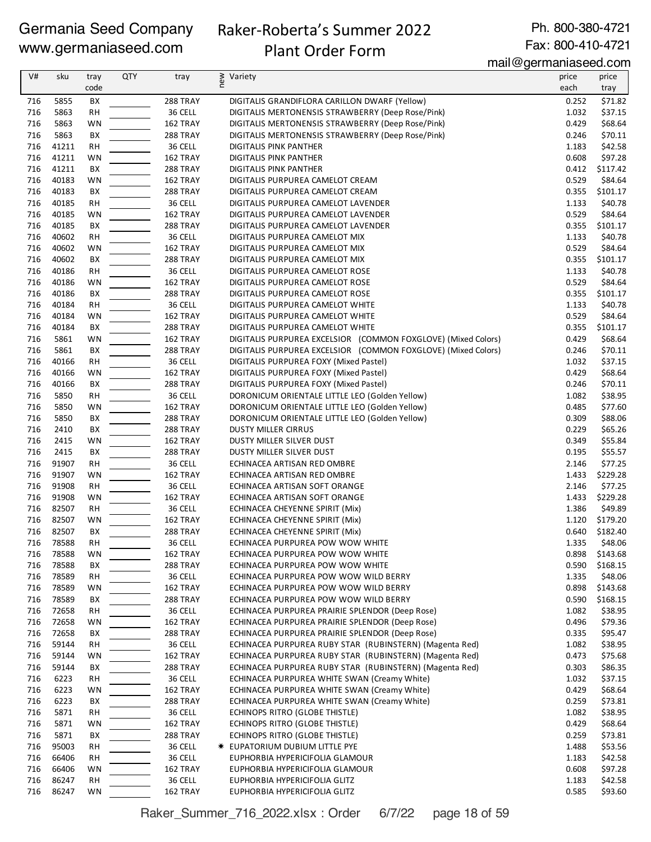# Raker-Roberta's Summer 2022

Ph. 800-380-4721 Fax: 800-410-4721

# Plant Order Form

mail@germaniaseed.com

|     |           |           |            |                      | $\overline{11}$ idi e yomana nasoo $\overline{0}$ .com        |       |               |
|-----|-----------|-----------|------------|----------------------|---------------------------------------------------------------|-------|---------------|
| V#  | sku       | tray      | <b>QTY</b> | tray                 | ≥ Variety<br>E                                                | price | price         |
|     |           | code      |            |                      |                                                               | each  | tray          |
| 716 | 5855      | BХ        |            | 288 TRAY             | DIGITALIS GRANDIFLORA CARILLON DWARF (Yellow)                 | 0.252 | \$71.82       |
| 716 | 5863      | <b>RH</b> |            | 36 CELL              | DIGITALIS MERTONENSIS STRAWBERRY (Deep Rose/Pink)             | 1.032 | \$37.15       |
| 716 | 5863      | WN        |            | 162 TRAY             | DIGITALIS MERTONENSIS STRAWBERRY (Deep Rose/Pink)             | 0.429 | \$68.64       |
| 716 | 5863      | BX        |            | 288 TRAY             | DIGITALIS MERTONENSIS STRAWBERRY (Deep Rose/Pink)             | 0.246 | \$70.11       |
| 716 | 41211     | <b>RH</b> |            | 36 CELL              | DIGITALIS PINK PANTHER                                        | 1.183 | \$42.58       |
| 716 | 41211     | WN        |            | 162 TRAY             | DIGITALIS PINK PANTHER                                        | 0.608 | \$97.28       |
| 716 | 41211     | ВX        |            | 288 TRAY             | DIGITALIS PINK PANTHER                                        | 0.412 | \$117.42      |
| 716 | 40183     | WN        |            | 162 TRAY             | DIGITALIS PURPUREA CAMELOT CREAM                              | 0.529 | \$84.64       |
| 716 | 40183     | BX        |            | 288 TRAY             | DIGITALIS PURPUREA CAMELOT CREAM                              | 0.355 | \$101.17      |
| 716 | 40185     | <b>RH</b> |            | 36 CELL              | DIGITALIS PURPUREA CAMELOT LAVENDER                           | 1.133 | \$40.78       |
| 716 | 40185     | WN        |            | 162 TRAY             | DIGITALIS PURPUREA CAMELOT LAVENDER                           | 0.529 | \$84.64       |
| 716 | 40185     | BХ        |            | 288 TRAY             | DIGITALIS PURPUREA CAMELOT LAVENDER                           | 0.355 | \$101.17      |
| 716 | 40602     | <b>RH</b> |            | 36 CELL              | DIGITALIS PURPUREA CAMELOT MIX                                | 1.133 | \$40.78       |
| 716 | 40602     | WN        |            | 162 TRAY             | DIGITALIS PURPUREA CAMELOT MIX                                | 0.529 | \$84.64       |
| 716 | 40602     | BX        |            | 288 TRAY             | DIGITALIS PURPUREA CAMELOT MIX                                | 0.355 | \$101.17      |
| 716 | 40186     | RH        |            | 36 CELL              | DIGITALIS PURPUREA CAMELOT ROSE                               | 1.133 | \$40.78       |
| 716 | 40186     | WN        |            | 162 TRAY             | DIGITALIS PURPUREA CAMELOT ROSE                               | 0.529 | \$84.64       |
| 716 | 40186     | BX        |            | 288 TRAY             | DIGITALIS PURPUREA CAMELOT ROSE                               | 0.355 | \$101.17      |
| 716 | 40184     | <b>RH</b> |            | 36 CELL              | DIGITALIS PURPUREA CAMELOT WHITE                              | 1.133 | \$40.78       |
| 716 | 40184     | WN        |            | 162 TRAY             | DIGITALIS PURPUREA CAMELOT WHITE                              | 0.529 | \$84.64       |
| 716 | 40184     | BХ        |            | 288 TRAY             | DIGITALIS PURPUREA CAMELOT WHITE                              | 0.355 | \$101.17      |
| 716 | 5861      | WN        |            | 162 TRAY             | DIGITALIS PURPUREA EXCELSIOR (COMMON FOXGLOVE) (Mixed Colors) | 0.429 | \$68.64       |
| 716 | 5861      | BX        |            | <b>288 TRAY</b>      | DIGITALIS PURPUREA EXCELSIOR (COMMON FOXGLOVE) (Mixed Colors) | 0.246 | \$70.11       |
| 716 | 40166     | RH        |            | 36 CELL              | DIGITALIS PURPUREA FOXY (Mixed Pastel)                        | 1.032 | \$37.15       |
| 716 | 40166     |           |            |                      | DIGITALIS PURPUREA FOXY (Mixed Pastel)                        | 0.429 | \$68.64       |
| 716 | 40166     | WN<br>BX  |            | 162 TRAY<br>288 TRAY | DIGITALIS PURPUREA FOXY (Mixed Pastel)                        | 0.246 | \$70.11       |
| 716 | 5850      | <b>RH</b> |            | 36 CELL              | DORONICUM ORIENTALE LITTLE LEO (Golden Yellow)                | 1.082 | \$38.95       |
|     |           |           |            |                      |                                                               |       |               |
| 716 | 5850      | WN        |            | 162 TRAY             | DORONICUM ORIENTALE LITTLE LEO (Golden Yellow)                | 0.485 | \$77.60       |
| 716 | 5850      | BX        |            | 288 TRAY             | DORONICUM ORIENTALE LITTLE LEO (Golden Yellow)                | 0.309 | \$88.06       |
| 716 | 2410      | BX        |            | 288 TRAY             | <b>DUSTY MILLER CIRRUS</b>                                    | 0.229 | \$65.26       |
| 716 | 2415      | WN        |            | 162 TRAY             | DUSTY MILLER SILVER DUST                                      | 0.349 | \$55.84       |
| 716 | 2415      | BX        |            | 288 TRAY             | DUSTY MILLER SILVER DUST                                      | 0.195 | \$55.57       |
| 716 | 91907     | RН        |            | 36 CELL              | ECHINACEA ARTISAN RED OMBRE                                   | 2.146 | \$77.25       |
| 716 | 91907     | WN        |            | 162 TRAY             | ECHINACEA ARTISAN RED OMBRE                                   | 1.433 | \$229.28      |
| 716 | 91908     | <b>RH</b> |            | 36 CELL              | ECHINACEA ARTISAN SOFT ORANGE                                 | 2.146 | \$77.25       |
| 716 | 91908     | WN        |            | 162 TRAY             | ECHINACEA ARTISAN SOFT ORANGE                                 | 1.433 | \$229.28      |
| 716 | 82507     | <b>RH</b> |            | 36 CELL              | ECHINACEA CHEYENNE SPIRIT (Mix)                               | 1.386 | \$49.89       |
| 716 | 82507     | WN        |            | 162 TRAY             | ECHINACEA CHEYENNE SPIRIT (Mix)                               | 1.120 | \$179.20      |
| 716 | 82507     | ВX        |            | 288 TRAY             | ECHINACEA CHEYENNE SPIRIT (Mix)                               | 0.640 | \$182.40      |
|     | 716 78588 | RH        |            | 36 CELL              | ECHINACEA PURPUREA POW WOW WHITE                              |       | 1.335 \$48.06 |
| 716 | 78588     | WN        |            | 162 TRAY             | ECHINACEA PURPUREA POW WOW WHITE                              | 0.898 | \$143.68      |
| 716 | 78588     | BХ        |            | 288 TRAY             | ECHINACEA PURPUREA POW WOW WHITE                              | 0.590 | \$168.15      |
| 716 | 78589     | RН        |            | 36 CELL              | ECHINACEA PURPUREA POW WOW WILD BERRY                         | 1.335 | \$48.06       |
| 716 | 78589     | WN        |            | 162 TRAY             | ECHINACEA PURPUREA POW WOW WILD BERRY                         | 0.898 | \$143.68      |
| 716 | 78589     | BX        |            | <b>288 TRAY</b>      | ECHINACEA PURPUREA POW WOW WILD BERRY                         | 0.590 | \$168.15      |
| 716 | 72658     | RH        |            | 36 CELL              | ECHINACEA PURPUREA PRAIRIE SPLENDOR (Deep Rose)               | 1.082 | \$38.95       |
| 716 | 72658     | WN        |            | 162 TRAY             | ECHINACEA PURPUREA PRAIRIE SPLENDOR (Deep Rose)               | 0.496 | \$79.36       |
| 716 | 72658     | BХ        |            | 288 TRAY             | ECHINACEA PURPUREA PRAIRIE SPLENDOR (Deep Rose)               | 0.335 | \$95.47       |
| 716 | 59144     | RН        |            | 36 CELL              | ECHINACEA PURPUREA RUBY STAR (RUBINSTERN) (Magenta Red)       | 1.082 | \$38.95       |
| 716 | 59144     | WN        |            | 162 TRAY             | ECHINACEA PURPUREA RUBY STAR (RUBINSTERN) (Magenta Red)       | 0.473 | \$75.68       |
| 716 | 59144     | BХ        |            | <b>288 TRAY</b>      | ECHINACEA PURPUREA RUBY STAR (RUBINSTERN) (Magenta Red)       | 0.303 | \$86.35       |
| 716 | 6223      | RН        |            | 36 CELL              | ECHINACEA PURPUREA WHITE SWAN (Creamy White)                  | 1.032 | \$37.15       |
| 716 | 6223      | WN        |            | 162 TRAY             | ECHINACEA PURPUREA WHITE SWAN (Creamy White)                  | 0.429 | \$68.64       |
| 716 | 6223      | BХ        |            | <b>288 TRAY</b>      | ECHINACEA PURPUREA WHITE SWAN (Creamy White)                  | 0.259 | \$73.81       |
| 716 | 5871      | RН        |            | 36 CELL              | ECHINOPS RITRO (GLOBE THISTLE)                                | 1.082 | \$38.95       |
| 716 | 5871      | WN        |            | 162 TRAY             | ECHINOPS RITRO (GLOBE THISTLE)                                | 0.429 | \$68.64       |
| 716 | 5871      | BХ        |            | <b>288 TRAY</b>      | ECHINOPS RITRO (GLOBE THISTLE)                                | 0.259 | \$73.81       |
| 716 | 95003     | RН        |            | 36 CELL              | <b>* EUPATORIUM DUBIUM LITTLE PYE</b>                         | 1.488 | \$53.56       |
| 716 | 66406     | RH        |            | 36 CELL              | EUPHORBIA HYPERICIFOLIA GLAMOUR                               | 1.183 | \$42.58       |
| 716 | 66406     | WN        |            | 162 TRAY             | EUPHORBIA HYPERICIFOLIA GLAMOUR                               | 0.608 | \$97.28       |
| 716 | 86247     | RН        |            | 36 CELL              | EUPHORBIA HYPERICIFOLIA GLITZ                                 | 1.183 | \$42.58       |
| 716 | 86247     | WN        |            | 162 TRAY             | EUPHORBIA HYPERICIFOLIA GLITZ                                 | 0.585 | \$93.60       |

Raker\_Summer\_716\_2022.xlsx : Order 6/7/22 page 18 of 59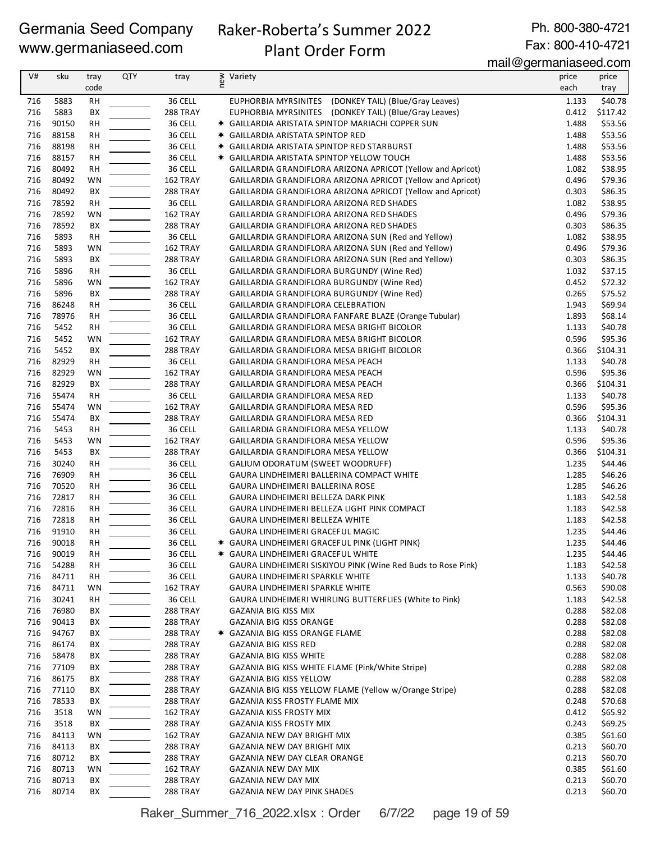# Raker-Roberta's Summer 2022

Ph. 800-380-4721 Fax: 800-410-4721

# Plant Order Form

mail@germaniaseed.com

| V#  | sku   | tray      | QTY | tray            | ≥ Variety<br>E                                               | price | price    |
|-----|-------|-----------|-----|-----------------|--------------------------------------------------------------|-------|----------|
|     |       | code      |     |                 |                                                              | each  | tray     |
| 716 | 5883  | <b>RH</b> |     | 36 CELL         | EUPHORBIA MYRSINITES (DONKEY TAIL) (Blue/Gray Leaves)        | 1.133 | \$40.78  |
| 716 | 5883  | BX        |     | <b>288 TRAY</b> | EUPHORBIA MYRSINITES (DONKEY TAIL) (Blue/Gray Leaves)        | 0.412 | \$117.42 |
| 716 | 90150 | RH        |     | 36 CELL         | * GAILLARDIA ARISTATA SPINTOP MARIACHI COPPER SUN            | 1.488 | \$53.56  |
| 716 | 88158 | <b>RH</b> |     | 36 CELL         | <b>* GAILLARDIA ARISTATA SPINTOP RED</b>                     | 1.488 | \$53.56  |
| 716 | 88198 | <b>RH</b> |     | 36 CELL         | <b>* GAILLARDIA ARISTATA SPINTOP RED STARBURST</b>           | 1.488 | \$53.56  |
| 716 | 88157 | <b>RH</b> |     | 36 CELL         | * GAILLARDIA ARISTATA SPINTOP YELLOW TOUCH                   | 1.488 | \$53.56  |
| 716 | 80492 | RH        |     | 36 CELL         | GAILLARDIA GRANDIFLORA ARIZONA APRICOT (Yellow and Apricot)  | 1.082 | \$38.95  |
| 716 | 80492 | WN        |     | 162 TRAY        | GAILLARDIA GRANDIFLORA ARIZONA APRICOT (Yellow and Apricot)  | 0.496 | \$79.36  |
| 716 | 80492 | BX        |     | <b>288 TRAY</b> | GAILLARDIA GRANDIFLORA ARIZONA APRICOT (Yellow and Apricot)  | 0.303 | \$86.35  |
| 716 | 78592 | <b>RH</b> |     | 36 CELL         | GAILLARDIA GRANDIFLORA ARIZONA RED SHADES                    | 1.082 | \$38.95  |
| 716 | 78592 | WN        |     | 162 TRAY        | GAILLARDIA GRANDIFLORA ARIZONA RED SHADES                    | 0.496 | \$79.36  |
| 716 | 78592 | BX        |     | <b>288 TRAY</b> | GAILLARDIA GRANDIFLORA ARIZONA RED SHADES                    | 0.303 | \$86.35  |
| 716 | 5893  | <b>RH</b> |     | 36 CELL         | GAILLARDIA GRANDIFLORA ARIZONA SUN (Red and Yellow)          | 1.082 | \$38.95  |
| 716 | 5893  | WN        |     | 162 TRAY        | GAILLARDIA GRANDIFLORA ARIZONA SUN (Red and Yellow)          | 0.496 | \$79.36  |
| 716 | 5893  | BX        |     | 288 TRAY        | GAILLARDIA GRANDIFLORA ARIZONA SUN (Red and Yellow)          | 0.303 | \$86.35  |
| 716 | 5896  | <b>RH</b> |     | 36 CELL         | GAILLARDIA GRANDIFLORA BURGUNDY (Wine Red)                   | 1.032 | \$37.15  |
| 716 | 5896  | WN        |     | 162 TRAY        | GAILLARDIA GRANDIFLORA BURGUNDY (Wine Red)                   | 0.452 | \$72.32  |
| 716 | 5896  | BX        |     | <b>288 TRAY</b> | GAILLARDIA GRANDIFLORA BURGUNDY (Wine Red)                   | 0.265 | \$75.52  |
| 716 | 86248 | RH        |     | 36 CELL         | GAILLARDIA GRANDIFLORA CELEBRATION                           | 1.943 | \$69.94  |
| 716 | 78976 | <b>RH</b> |     | 36 CELL         | GAILLARDIA GRANDIFLORA FANFARE BLAZE (Orange Tubular)        | 1.893 | \$68.14  |
| 716 | 5452  | RH        |     | 36 CELL         | GAILLARDIA GRANDIFLORA MESA BRIGHT BICOLOR                   | 1.133 | \$40.78  |
| 716 | 5452  | WN        |     | 162 TRAY        | GAILLARDIA GRANDIFLORA MESA BRIGHT BICOLOR                   | 0.596 | \$95.36  |
| 716 | 5452  | BX        |     | <b>288 TRAY</b> | GAILLARDIA GRANDIFLORA MESA BRIGHT BICOLOR                   | 0.366 | \$104.31 |
| 716 | 82929 | <b>RH</b> |     | 36 CELL         | GAILLARDIA GRANDIFLORA MESA PEACH                            | 1.133 | \$40.78  |
| 716 | 82929 | WN        |     | 162 TRAY        | GAILLARDIA GRANDIFLORA MESA PEACH                            | 0.596 | \$95.36  |
| 716 | 82929 | BX        |     | 288 TRAY        | GAILLARDIA GRANDIFLORA MESA PEACH                            | 0.366 | \$104.31 |
| 716 | 55474 | <b>RH</b> |     | 36 CELL         | GAILLARDIA GRANDIFLORA MESA RED                              | 1.133 | \$40.78  |
| 716 | 55474 | WN        |     | 162 TRAY        | GAILLARDIA GRANDIFLORA MESA RED                              | 0.596 | \$95.36  |
| 716 | 55474 | BX        |     | 288 TRAY        | GAILLARDIA GRANDIFLORA MESA RED                              | 0.366 | \$104.31 |
| 716 | 5453  | <b>RH</b> |     | 36 CELL         | GAILLARDIA GRANDIFLORA MESA YELLOW                           | 1.133 | \$40.78  |
| 716 | 5453  | WN        |     | 162 TRAY        | GAILLARDIA GRANDIFLORA MESA YELLOW                           | 0.596 | \$95.36  |
| 716 | 5453  | BX        |     | <b>288 TRAY</b> | GAILLARDIA GRANDIFLORA MESA YELLOW                           | 0.366 | \$104.31 |
| 716 | 30240 | RH        |     | 36 CELL         | GALIUM ODORATUM (SWEET WOODRUFF)                             | 1.235 | \$44.46  |
| 716 | 76909 | RH        |     | 36 CELL         | GAURA LINDHEIMERI BALLERINA COMPACT WHITE                    | 1.285 | \$46.26  |
| 716 | 70520 | <b>RH</b> |     | 36 CELL         | GAURA LINDHEIMERI BALLERINA ROSE                             | 1.285 | \$46.26  |
| 716 | 72817 | <b>RH</b> |     | 36 CELL         | GAURA LINDHEIMERI BELLEZA DARK PINK                          | 1.183 | \$42.58  |
| 716 | 72816 | RH        |     | 36 CELL         | GAURA LINDHEIMERI BELLEZA LIGHT PINK COMPACT                 | 1.183 | \$42.58  |
| 716 | 72818 | RH        |     | 36 CELL         | GAURA LINDHEIMERI BELLEZA WHITE                              | 1.183 | \$42.58  |
| 716 | 91910 | <b>RH</b> |     | 36 CELL         | GAURA LINDHEIMERI GRACEFUL MAGIC                             | 1.235 | \$44.46  |
| 716 | 90018 | <b>RH</b> |     | 36 CELL         | * GAURA LINDHEIMERI GRACEFUL PINK (LIGHT PINK)               | 1.235 | \$44.46  |
| 716 | 90019 | RH        |     | 36 CELL         | * GAURA LINDHEIMERI GRACEFUL WHITE                           | 1.235 | \$44.46  |
| 716 | 54288 | <b>RH</b> |     | 36 CELL         | GAURA LINDHEIMERI SISKIYOU PINK (Wine Red Buds to Rose Pink) | 1.183 | \$42.58  |
| 716 | 84711 | RH        |     | 36 CELL         | GAURA LINDHEIMERI SPARKLE WHITE                              | 1.133 | \$40.78  |
| 716 | 84711 | WN        |     | 162 TRAY        | GAURA LINDHEIMERI SPARKLE WHITE                              | 0.563 | \$90.08  |
| 716 | 30241 | RH        |     | 36 CELL         | GAURA LINDHEIMERI WHIRLING BUTTERFLIES (White to Pink)       | 1.183 | \$42.58  |
| 716 | 76980 | BХ        |     | 288 TRAY        | GAZANIA BIG KISS MIX                                         | 0.288 | \$82.08  |
| 716 | 90413 | BХ        |     | <b>288 TRAY</b> | GAZANIA BIG KISS ORANGE                                      | 0.288 | \$82.08  |
| 716 | 94767 | BХ        |     | 288 TRAY        | * GAZANIA BIG KISS ORANGE FLAME                              | 0.288 | \$82.08  |
| 716 | 86174 | BХ        |     | 288 TRAY        | GAZANIA BIG KISS RED                                         | 0.288 | \$82.08  |
| 716 | 58478 | BХ        |     | <b>288 TRAY</b> | <b>GAZANIA BIG KISS WHITE</b>                                | 0.288 | \$82.08  |
| 716 | 77109 | BХ        |     | <b>288 TRAY</b> | GAZANIA BIG KISS WHITE FLAME (Pink/White Stripe)             | 0.288 | \$82.08  |
| 716 | 86175 | BХ        |     | 288 TRAY        | <b>GAZANIA BIG KISS YELLOW</b>                               | 0.288 | \$82.08  |
| 716 | 77110 | BХ        |     | 288 TRAY        | GAZANIA BIG KISS YELLOW FLAME (Yellow w/Orange Stripe)       | 0.288 | \$82.08  |
| 716 | 78533 | BХ        |     | 288 TRAY        | GAZANIA KISS FROSTY FLAME MIX                                | 0.248 | \$70.68  |
| 716 | 3518  | WN        |     | 162 TRAY        | GAZANIA KISS FROSTY MIX                                      | 0.412 | \$65.92  |
| 716 | 3518  | BХ        |     | 288 TRAY        | <b>GAZANIA KISS FROSTY MIX</b>                               | 0.243 | \$69.25  |
| 716 | 84113 | WN        |     | 162 TRAY        | GAZANIA NEW DAY BRIGHT MIX                                   | 0.385 | \$61.60  |
| 716 | 84113 | BХ        |     | 288 TRAY        | GAZANIA NEW DAY BRIGHT MIX                                   | 0.213 | \$60.70  |
| 716 | 80712 | BХ        |     | 288 TRAY        | GAZANIA NEW DAY CLEAR ORANGE                                 | 0.213 | \$60.70  |
| 716 | 80713 | WN        |     | 162 TRAY        | GAZANIA NEW DAY MIX                                          | 0.385 | \$61.60  |
| 716 | 80713 | BХ        |     | 288 TRAY        | GAZANIA NEW DAY MIX                                          | 0.213 | \$60.70  |
| 716 | 80714 | BX        |     | 288 TRAY        | GAZANIA NEW DAY PINK SHADES                                  | 0.213 | \$60.70  |

Raker\_Summer\_716\_2022.xlsx : Order 6/7/22 page 19 of 59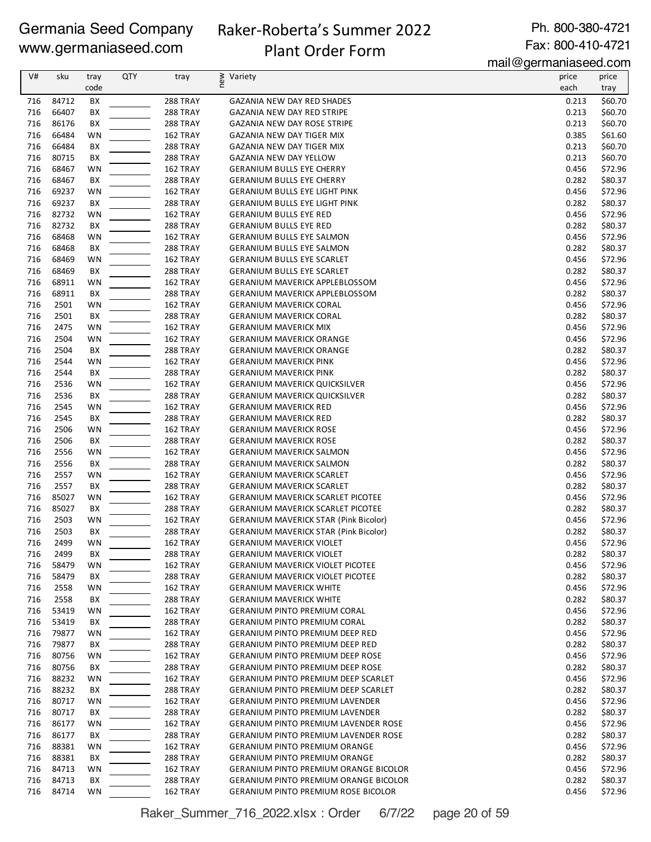### Raker-Roberta's Summer 2022 Plant Order Form

Ph. 800-380-4721 Fax: 800-410-4721

mail@germaniaseed.com

| V#  | sku   | tray | QTY | tray            | new<br>Variety                               | price | price   |
|-----|-------|------|-----|-----------------|----------------------------------------------|-------|---------|
|     |       | code |     |                 |                                              | each  | tray    |
| 716 | 84712 | BX   |     | 288 TRAY        | <b>GAZANIA NEW DAY RED SHADES</b>            | 0.213 | \$60.70 |
| 716 | 66407 | BX   |     | 288 TRAY        | <b>GAZANIA NEW DAY RED STRIPE</b>            | 0.213 | \$60.70 |
| 716 | 86176 | BX   |     | 288 TRAY        | <b>GAZANIA NEW DAY ROSE STRIPE</b>           | 0.213 | \$60.70 |
| 716 | 66484 | WN   |     | 162 TRAY        | GAZANIA NEW DAY TIGER MIX                    | 0.385 | \$61.60 |
| 716 | 66484 | BX   |     | <b>288 TRAY</b> | <b>GAZANIA NEW DAY TIGER MIX</b>             | 0.213 | \$60.70 |
| 716 | 80715 | BX   |     | 288 TRAY        | <b>GAZANIA NEW DAY YELLOW</b>                | 0.213 | \$60.70 |
| 716 | 68467 | WN   |     | 162 TRAY        | <b>GERANIUM BULLS EYE CHERRY</b>             | 0.456 | \$72.96 |
| 716 | 68467 | BX   |     | 288 TRAY        | <b>GERANIUM BULLS EYE CHERRY</b>             | 0.282 | \$80.37 |
| 716 | 69237 | WN   |     | 162 TRAY        | <b>GERANIUM BULLS EYE LIGHT PINK</b>         | 0.456 | \$72.96 |
| 716 | 69237 | BX   |     | 288 TRAY        | <b>GERANIUM BULLS EYE LIGHT PINK</b>         | 0.282 | \$80.37 |
| 716 | 82732 | WN   |     | 162 TRAY        | <b>GERANIUM BULLS EYE RED</b>                | 0.456 | \$72.96 |
| 716 | 82732 | BX   |     | 288 TRAY        | <b>GERANIUM BULLS EYE RED</b>                | 0.282 | \$80.37 |
| 716 | 68468 | WN   |     | 162 TRAY        | <b>GERANIUM BULLS EYE SALMON</b>             | 0.456 | \$72.96 |
| 716 | 68468 | BX   |     | <b>288 TRAY</b> | <b>GERANIUM BULLS EYE SALMON</b>             | 0.282 | \$80.37 |
| 716 | 68469 | WN   |     | 162 TRAY        | <b>GERANIUM BULLS EYE SCARLET</b>            | 0.456 | \$72.96 |
| 716 | 68469 | BX   |     | <b>288 TRAY</b> | <b>GERANIUM BULLS EYE SCARLET</b>            | 0.282 | \$80.37 |
| 716 | 68911 | WN   |     | 162 TRAY        | <b>GERANIUM MAVERICK APPLEBLOSSOM</b>        | 0.456 | \$72.96 |
| 716 | 68911 | BX   |     | 288 TRAY        | <b>GERANIUM MAVERICK APPLEBLOSSOM</b>        | 0.282 | \$80.37 |
| 716 | 2501  | WN   |     | 162 TRAY        | <b>GERANIUM MAVERICK CORAL</b>               | 0.456 | \$72.96 |
| 716 | 2501  | BX   |     | 288 TRAY        | <b>GERANIUM MAVERICK CORAL</b>               | 0.282 | \$80.37 |
| 716 | 2475  | WN   |     | 162 TRAY        | <b>GERANIUM MAVERICK MIX</b>                 | 0.456 | \$72.96 |
| 716 | 2504  | WN   |     | 162 TRAY        | <b>GERANIUM MAVERICK ORANGE</b>              | 0.456 | \$72.96 |
| 716 | 2504  | BX   |     | 288 TRAY        | <b>GERANIUM MAVERICK ORANGE</b>              | 0.282 | \$80.37 |
| 716 | 2544  | WN   |     | 162 TRAY        | <b>GERANIUM MAVERICK PINK</b>                | 0.456 | \$72.96 |
| 716 | 2544  | BX   |     | 288 TRAY        | <b>GERANIUM MAVERICK PINK</b>                | 0.282 | \$80.37 |
| 716 | 2536  | WN   |     | 162 TRAY        | <b>GERANIUM MAVERICK QUICKSILVER</b>         | 0.456 | \$72.96 |
| 716 | 2536  | BX   |     | 288 TRAY        | <b>GERANIUM MAVERICK QUICKSILVER</b>         | 0.282 | \$80.37 |
| 716 | 2545  | WN   |     | 162 TRAY        | <b>GERANIUM MAVERICK RED</b>                 | 0.456 | \$72.96 |
| 716 | 2545  | BX   |     | <b>288 TRAY</b> | <b>GERANIUM MAVERICK RED</b>                 | 0.282 | \$80.37 |
| 716 | 2506  | WN   |     | 162 TRAY        | <b>GERANIUM MAVERICK ROSE</b>                | 0.456 | \$72.96 |
| 716 | 2506  | BX   |     | <b>288 TRAY</b> | <b>GERANIUM MAVERICK ROSE</b>                | 0.282 | \$80.37 |
| 716 | 2556  | WN   |     | 162 TRAY        | <b>GERANIUM MAVERICK SALMON</b>              | 0.456 | \$72.96 |
| 716 | 2556  | BX   |     | 288 TRAY        | <b>GERANIUM MAVERICK SALMON</b>              | 0.282 | \$80.37 |
| 716 | 2557  | WN   |     | 162 TRAY        | <b>GERANIUM MAVERICK SCARLET</b>             | 0.456 | \$72.96 |
| 716 | 2557  | BX   |     | <b>288 TRAY</b> | <b>GERANIUM MAVERICK SCARLET</b>             | 0.282 | \$80.37 |
| 716 | 85027 | WN   |     | 162 TRAY        | <b>GERANIUM MAVERICK SCARLET PICOTEE</b>     | 0.456 | \$72.96 |
| 716 | 85027 | BX   |     | <b>288 TRAY</b> | <b>GERANIUM MAVERICK SCARLET PICOTEE</b>     | 0.282 | \$80.37 |
| 716 | 2503  | WN   |     | 162 TRAY        | <b>GERANIUM MAVERICK STAR (Pink Bicolor)</b> | 0.456 | \$72.96 |
| 716 | 2503  | BX   |     | <b>288 TRAY</b> | <b>GERANIUM MAVERICK STAR (Pink Bicolor)</b> | 0.282 | \$80.37 |
| 716 | 2499  | WN   |     | 162 TRAY        | GERANIUM MAVERICK VIOLET                     | 0.456 | \$72.96 |
| 716 | 2499  | BХ   |     | 288 TRAY        | <b>GERANIUM MAVERICK VIOLET</b>              | 0.282 | \$80.37 |
| 716 | 58479 | WN   |     | 162 TRAY        | <b>GERANIUM MAVERICK VIOLET PICOTEE</b>      | 0.456 | \$72.96 |
| 716 | 58479 | BХ   |     | <b>288 TRAY</b> | <b>GERANIUM MAVERICK VIOLET PICOTEE</b>      | 0.282 | \$80.37 |
| 716 | 2558  | WN   |     | 162 TRAY        | <b>GERANIUM MAVERICK WHITE</b>               | 0.456 | \$72.96 |
| 716 | 2558  | BХ   |     | 288 TRAY        | <b>GERANIUM MAVERICK WHITE</b>               | 0.282 | \$80.37 |
| 716 | 53419 | WN   |     | 162 TRAY        | <b>GERANIUM PINTO PREMIUM CORAL</b>          | 0.456 | \$72.96 |
| 716 | 53419 | BХ   |     | <b>288 TRAY</b> | <b>GERANIUM PINTO PREMIUM CORAL</b>          | 0.282 | \$80.37 |
| 716 | 79877 | WN   |     | 162 TRAY        | <b>GERANIUM PINTO PREMIUM DEEP RED</b>       | 0.456 | \$72.96 |
| 716 | 79877 | BХ   |     | 288 TRAY        | <b>GERANIUM PINTO PREMIUM DEEP RED</b>       | 0.282 | \$80.37 |
| 716 | 80756 | WN   |     | 162 TRAY        | <b>GERANIUM PINTO PREMIUM DEEP ROSE</b>      | 0.456 | \$72.96 |
| 716 | 80756 | BХ   |     | 288 TRAY        | <b>GERANIUM PINTO PREMIUM DEEP ROSE</b>      | 0.282 | \$80.37 |
| 716 | 88232 | WN   |     | 162 TRAY        | <b>GERANIUM PINTO PREMIUM DEEP SCARLET</b>   | 0.456 | \$72.96 |
| 716 | 88232 | BХ   |     | <b>288 TRAY</b> | <b>GERANIUM PINTO PREMIUM DEEP SCARLET</b>   | 0.282 | \$80.37 |
| 716 | 80717 | WN   |     | 162 TRAY        | <b>GERANIUM PINTO PREMIUM LAVENDER</b>       | 0.456 | \$72.96 |
| 716 | 80717 | BХ   |     | 288 TRAY        | <b>GERANIUM PINTO PREMIUM LAVENDER</b>       | 0.282 | \$80.37 |
| 716 | 86177 | WN   |     | 162 TRAY        | <b>GERANIUM PINTO PREMIUM LAVENDER ROSE</b>  | 0.456 | \$72.96 |
| 716 | 86177 | BХ   |     | <b>288 TRAY</b> | <b>GERANIUM PINTO PREMIUM LAVENDER ROSE</b>  | 0.282 | \$80.37 |
| 716 | 88381 | WN   |     | 162 TRAY        | <b>GERANIUM PINTO PREMIUM ORANGE</b>         | 0.456 | \$72.96 |
| 716 | 88381 | BX   |     | <b>288 TRAY</b> | <b>GERANIUM PINTO PREMIUM ORANGE</b>         | 0.282 | \$80.37 |
| 716 | 84713 | WN   |     | 162 TRAY        | <b>GERANIUM PINTO PREMIUM ORANGE BICOLOR</b> | 0.456 | \$72.96 |
| 716 | 84713 | BХ   |     | <b>288 TRAY</b> | <b>GERANIUM PINTO PREMIUM ORANGE BICOLOR</b> | 0.282 | \$80.37 |
| 716 | 84714 | WN   |     | 162 TRAY        | GERANIUM PINTO PREMIUM ROSE BICOLOR          | 0.456 | \$72.96 |

Raker\_Summer\_716\_2022.xlsx : Order 6/7/22 page 20 of 59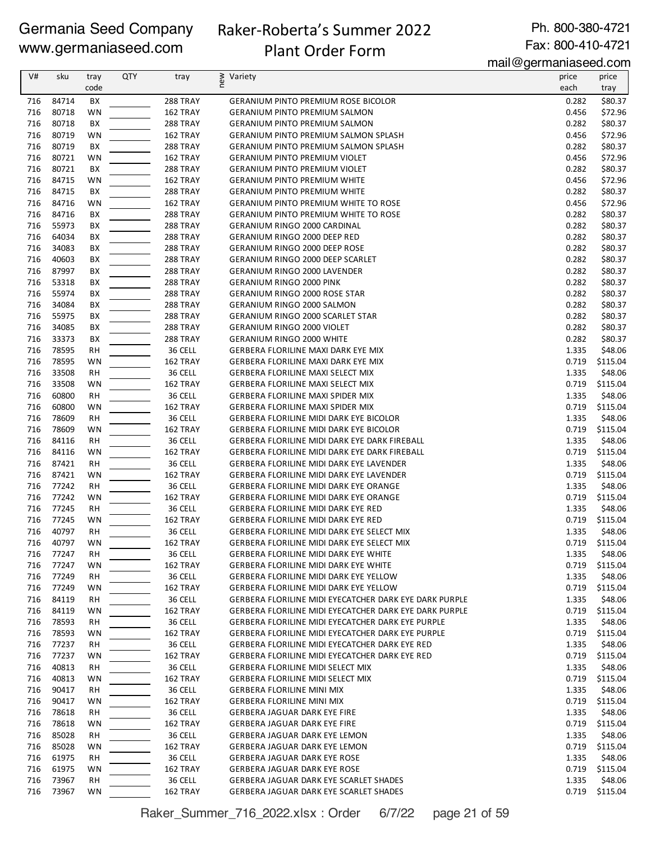# Raker-Roberta's Summer 2022

Plant Order Form

Ph. 800-380-4721 Fax: 800-410-4721

mail@germaniaseed.com

| V#         | sku            | tray            | <b>QTY</b> | tray                               | new<br>Variety                                                                               | price          | price               |
|------------|----------------|-----------------|------------|------------------------------------|----------------------------------------------------------------------------------------------|----------------|---------------------|
|            |                | code            |            |                                    |                                                                                              | each           | tray                |
| 716        | 84714          | BX              |            | 288 TRAY                           | <b>GERANIUM PINTO PREMIUM ROSE BICOLOR</b>                                                   | 0.282          | \$80.37             |
| 716        | 80718          | WN              |            | 162 TRAY                           | <b>GERANIUM PINTO PREMIUM SALMON</b>                                                         | 0.456          | \$72.96             |
| 716        | 80718          | BX              |            | 288 TRAY                           | <b>GERANIUM PINTO PREMIUM SALMON</b>                                                         | 0.282          | \$80.37             |
| 716        | 80719          | WN              |            | 162 TRAY                           | <b>GERANIUM PINTO PREMIUM SALMON SPLASH</b>                                                  | 0.456          | \$72.96             |
| 716        | 80719          | BХ              |            | <b>288 TRAY</b>                    | <b>GERANIUM PINTO PREMIUM SALMON SPLASH</b>                                                  | 0.282          | \$80.37             |
| 716        | 80721          | WN              |            | 162 TRAY                           | <b>GERANIUM PINTO PREMIUM VIOLET</b>                                                         | 0.456          | \$72.96             |
| 716        | 80721          | BX              |            | <b>288 TRAY</b>                    | <b>GERANIUM PINTO PREMIUM VIOLET</b>                                                         | 0.282          | \$80.37             |
| 716        | 84715          | WN              |            | 162 TRAY                           | <b>GERANIUM PINTO PREMIUM WHITE</b>                                                          | 0.456          | \$72.96             |
| 716        | 84715          | BХ              |            | <b>288 TRAY</b>                    | <b>GERANIUM PINTO PREMIUM WHITE</b>                                                          | 0.282          | \$80.37             |
| 716        | 84716          | WN              |            | 162 TRAY                           | <b>GERANIUM PINTO PREMIUM WHITE TO ROSE</b>                                                  | 0.456          | \$72.96             |
| 716        | 84716          | BX              |            | <b>288 TRAY</b>                    | <b>GERANIUM PINTO PREMIUM WHITE TO ROSE</b>                                                  | 0.282          | \$80.37             |
| 716        | 55973          | BX              |            | 288 TRAY                           | <b>GERANIUM RINGO 2000 CARDINAL</b>                                                          | 0.282          | \$80.37             |
| 716        | 64034          | BX              |            | 288 TRAY                           | GERANIUM RINGO 2000 DEEP RED                                                                 | 0.282          | \$80.37             |
| 716        | 34083          | BX              |            | <b>288 TRAY</b>                    | <b>GERANIUM RINGO 2000 DEEP ROSE</b>                                                         | 0.282          | \$80.37             |
| 716<br>716 | 40603<br>87997 | BХ<br>BX        |            | <b>288 TRAY</b>                    | GERANIUM RINGO 2000 DEEP SCARLET                                                             | 0.282<br>0.282 | \$80.37<br>\$80.37  |
| 716        | 53318          | BХ              |            | <b>288 TRAY</b><br><b>288 TRAY</b> | <b>GERANIUM RINGO 2000 LAVENDER</b><br><b>GERANIUM RINGO 2000 PINK</b>                       | 0.282          | \$80.37             |
| 716        | 55974          | BХ              |            | <b>288 TRAY</b>                    | <b>GERANIUM RINGO 2000 ROSE STAR</b>                                                         | 0.282          | \$80.37             |
| 716        | 34084          | ВX              |            | <b>288 TRAY</b>                    | <b>GERANIUM RINGO 2000 SALMON</b>                                                            | 0.282          | \$80.37             |
| 716        | 55975          | BX              |            | <b>288 TRAY</b>                    | <b>GERANIUM RINGO 2000 SCARLET STAR</b>                                                      | 0.282          | \$80.37             |
| 716        | 34085          | ВX              |            | <b>288 TRAY</b>                    | <b>GERANIUM RINGO 2000 VIOLET</b>                                                            | 0.282          | \$80.37             |
| 716        | 33373          | BX              |            | <b>288 TRAY</b>                    | <b>GERANIUM RINGO 2000 WHITE</b>                                                             | 0.282          | \$80.37             |
| 716        | 78595          | RН              |            | 36 CELL                            | GERBERA FLORILINE MAXI DARK EYE MIX                                                          | 1.335          | \$48.06             |
| 716        | 78595          | WN              |            | 162 TRAY                           | <b>GERBERA FLORILINE MAXI DARK EYE MIX</b>                                                   | 0.719          | \$115.04            |
| 716        | 33508          | RH              |            | 36 CELL                            | <b>GERBERA FLORILINE MAXI SELECT MIX</b>                                                     | 1.335          | \$48.06             |
| 716        | 33508          | WN              |            | 162 TRAY                           | <b>GERBERA FLORILINE MAXI SELECT MIX</b>                                                     | 0.719          | \$115.04            |
| 716        | 60800          | RH              |            | 36 CELL                            | <b>GERBERA FLORILINE MAXI SPIDER MIX</b>                                                     | 1.335          | \$48.06             |
| 716        | 60800          | WN              |            | 162 TRAY                           | <b>GERBERA FLORILINE MAXI SPIDER MIX</b>                                                     | 0.719          | \$115.04            |
| 716        | 78609          | <b>RH</b>       |            | 36 CELL                            | GERBERA FLORILINE MIDI DARK EYE BICOLOR                                                      | 1.335          | \$48.06             |
| 716        | 78609          | WN              |            | 162 TRAY                           | <b>GERBERA FLORILINE MIDI DARK EYE BICOLOR</b>                                               | 0.719          | \$115.04            |
| 716        | 84116          | RH              |            | 36 CELL                            | GERBERA FLORILINE MIDI DARK EYE DARK FIREBALL                                                | 1.335          | \$48.06             |
| 716        | 84116          | WN              |            | 162 TRAY                           | GERBERA FLORILINE MIDI DARK EYE DARK FIREBALL                                                | 0.719          | \$115.04            |
| 716        | 87421          | <b>RH</b>       |            | 36 CELL                            | GERBERA FLORILINE MIDI DARK EYE LAVENDER                                                     | 1.335          | \$48.06             |
| 716        | 87421          | WN              |            | 162 TRAY                           | GERBERA FLORILINE MIDI DARK EYE LAVENDER                                                     | 0.719          | \$115.04            |
| 716        | 77242          | RH              |            | 36 CELL                            | <b>GERBERA FLORILINE MIDI DARK EYE ORANGE</b>                                                | 1.335          | \$48.06             |
| 716        | 77242          | WN              |            | 162 TRAY                           | <b>GERBERA FLORILINE MIDI DARK EYE ORANGE</b>                                                | 0.719          | \$115.04            |
| 716        | 77245          | <b>RH</b>       |            | 36 CELL                            | <b>GERBERA FLORILINE MIDI DARK EYE RED</b>                                                   | 1.335          | \$48.06             |
| 716        | 77245          | WN              |            | 162 TRAY                           | <b>GERBERA FLORILINE MIDI DARK EYE RED</b>                                                   | 0.719          | \$115.04            |
| 716        | 40797          | RH              |            | 36 CELL                            | GERBERA FLORILINE MIDI DARK EYE SELECT MIX                                                   | 1.335          | \$48.06             |
| 716        | 40797          | WN              |            | 162 TRAY                           | GERBERA FLORILINE MIDI DARK EYE SELECT MIX                                                   | 0.719          | \$115.04<br>\$48.06 |
| 716<br>716 | 77247<br>77247 | <b>RH</b><br>WN |            | 36 CELL<br>162 TRAY                | <b>GERBERA FLORILINE MIDI DARK EYE WHITE</b><br><b>GERBERA FLORILINE MIDI DARK EYE WHITE</b> | 1.335<br>0.719 | \$115.04            |
| 716        | 77249          | RH              |            | 36 CELL                            | <b>GERBERA FLORILINE MIDI DARK EYE YELLOW</b>                                                | 1.335          | \$48.06             |
| 716        | 77249          | WN              |            | 162 TRAY                           | <b>GERBERA FLORILINE MIDI DARK EYE YELLOW</b>                                                | 0.719          | \$115.04            |
| 716        | 84119          | RH              |            | 36 CELL                            | GERBERA FLORILINE MIDI EYECATCHER DARK EYE DARK PURPLE                                       | 1.335          | \$48.06             |
| 716        | 84119          | WN              |            | 162 TRAY                           | GERBERA FLORILINE MIDI EYECATCHER DARK EYE DARK PURPLE                                       | 0.719          | \$115.04            |
| 716        | 78593          | RH              |            | 36 CELL                            | GERBERA FLORILINE MIDI EYECATCHER DARK EYE PURPLE                                            | 1.335          | \$48.06             |
| 716        | 78593          | WN              |            | 162 TRAY                           | GERBERA FLORILINE MIDI EYECATCHER DARK EYE PURPLE                                            | 0.719          | \$115.04            |
| 716        | 77237          | RH              |            | 36 CELL                            | GERBERA FLORILINE MIDI EYECATCHER DARK EYE RED                                               | 1.335          | \$48.06             |
| 716        | 77237          | WN              |            | 162 TRAY                           | GERBERA FLORILINE MIDI EYECATCHER DARK EYE RED                                               | 0.719          | \$115.04            |
| 716        | 40813          | RH              |            | 36 CELL                            | <b>GERBERA FLORILINE MIDI SELECT MIX</b>                                                     | 1.335          | \$48.06             |
| 716        | 40813          | WN              |            | 162 TRAY                           | <b>GERBERA FLORILINE MIDI SELECT MIX</b>                                                     | 0.719          | \$115.04            |
| 716        | 90417          | RH              |            | 36 CELL                            | <b>GERBERA FLORILINE MINI MIX</b>                                                            | 1.335          | \$48.06             |
| 716        | 90417          | WN              |            | 162 TRAY                           | <b>GERBERA FLORILINE MINI MIX</b>                                                            | 0.719          | \$115.04            |
| 716        | 78618          | <b>RH</b>       |            | 36 CELL                            | GERBERA JAGUAR DARK EYE FIRE                                                                 | 1.335          | \$48.06             |
| 716        | 78618          | WN              |            | 162 TRAY                           | GERBERA JAGUAR DARK EYE FIRE                                                                 | 0.719          | \$115.04            |
| 716        | 85028          | RH              |            | 36 CELL                            | GERBERA JAGUAR DARK EYE LEMON                                                                | 1.335          | \$48.06             |
| 716        | 85028          | WN              |            | 162 TRAY                           | GERBERA JAGUAR DARK EYE LEMON                                                                | 0.719          | \$115.04            |
| 716        | 61975          | <b>RH</b>       |            | 36 CELL                            | GERBERA JAGUAR DARK EYE ROSE                                                                 | 1.335          | \$48.06             |
| 716        | 61975          | <b>WN</b>       |            | 162 TRAY                           | GERBERA JAGUAR DARK EYE ROSE                                                                 | 0.719          | \$115.04            |
| 716        | 73967          | <b>RH</b>       |            | 36 CELL                            | GERBERA JAGUAR DARK EYE SCARLET SHADES                                                       | 1.335          | \$48.06             |
| 716        | 73967          | WN              |            | 162 TRAY                           | GERBERA JAGUAR DARK EYE SCARLET SHADES                                                       | 0.719          | \$115.04            |

Raker\_Summer\_716\_2022.xlsx : Order 6/7/22 page 21 of 59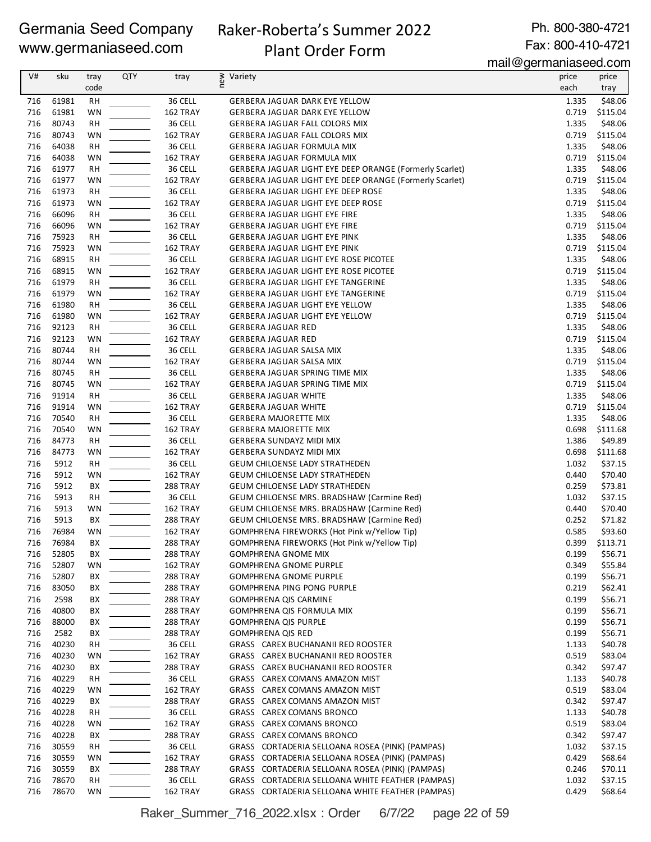# Raker-Roberta's Summer 2022

Ph. 800-380-4721 Fax: 800-410-4721

# Plant Order Form

mail@germaniaseed.com

| V#         | sku   | tray      | <b>QTY</b> |                      | Variety                                                                         | <br>price | price              |
|------------|-------|-----------|------------|----------------------|---------------------------------------------------------------------------------|-----------|--------------------|
|            |       | code      |            | tray                 | new                                                                             | each      |                    |
|            |       |           |            |                      |                                                                                 |           | tray               |
| 716        | 61981 | RH        |            | 36 CELL              | GERBERA JAGUAR DARK EYE YELLOW                                                  | 1.335     | \$48.06            |
| 716        | 61981 | WN        |            | 162 TRAY             | GERBERA JAGUAR DARK EYE YELLOW                                                  | 0.719     | \$115.04           |
| 716        | 80743 | <b>RH</b> |            | 36 CELL              | GERBERA JAGUAR FALL COLORS MIX                                                  | 1.335     | \$48.06            |
| 716        | 80743 | WN        |            | 162 TRAY             | GERBERA JAGUAR FALL COLORS MIX                                                  | 0.719     | \$115.04           |
| 716        | 64038 | RH        |            | 36 CELL              | GERBERA JAGUAR FORMULA MIX                                                      | 1.335     | \$48.06            |
| 716        | 64038 | WN        |            | 162 TRAY             | GERBERA JAGUAR FORMULA MIX                                                      | 0.719     | \$115.04           |
| 716        | 61977 | <b>RH</b> |            | 36 CELL              | GERBERA JAGUAR LIGHT EYE DEEP ORANGE (Formerly Scarlet)                         | 1.335     | \$48.06            |
| 716        | 61977 | WN        |            | 162 TRAY             | GERBERA JAGUAR LIGHT EYE DEEP ORANGE (Formerly Scarlet)                         | 0.719     | \$115.04           |
| 716        | 61973 | RH        |            | 36 CELL              | <b>GERBERA JAGUAR LIGHT EYE DEEP ROSE</b>                                       | 1.335     | \$48.06            |
| 716        | 61973 | WN        |            | 162 TRAY             | GERBERA JAGUAR LIGHT EYE DEEP ROSE                                              | 0.719     | \$115.04           |
| 716        | 66096 | <b>RH</b> |            | 36 CELL              | GERBERA JAGUAR LIGHT EYE FIRE                                                   | 1.335     | \$48.06            |
| 716        | 66096 | WN        |            | 162 TRAY             | GERBERA JAGUAR LIGHT EYE FIRE                                                   | 0.719     | \$115.04           |
| 716        | 75923 | <b>RH</b> |            | 36 CELL              | GERBERA JAGUAR LIGHT EYE PINK                                                   | 1.335     | \$48.06            |
| 716        | 75923 | WN        |            | 162 TRAY             | GERBERA JAGUAR LIGHT EYE PINK                                                   | 0.719     | \$115.04           |
| 716        | 68915 | RH        |            | 36 CELL              | GERBERA JAGUAR LIGHT EYE ROSE PICOTEE                                           | 1.335     | \$48.06            |
| 716        | 68915 | WN        |            | 162 TRAY             | GERBERA JAGUAR LIGHT EYE ROSE PICOTEE                                           | 0.719     | \$115.04           |
| 716        | 61979 | <b>RH</b> |            | 36 CELL              |                                                                                 | 1.335     | \$48.06            |
| 716        | 61979 | WN        |            | 162 TRAY             | GERBERA JAGUAR LIGHT EYE TANGERINE<br><b>GERBERA JAGUAR LIGHT EYE TANGERINE</b> | 0.719     | \$115.04           |
|            |       |           |            |                      |                                                                                 |           |                    |
| 716        | 61980 | RH        |            | 36 CELL              | <b>GERBERA JAGUAR LIGHT EYE YELLOW</b>                                          | 1.335     | \$48.06            |
| 716        | 61980 | WN        |            | 162 TRAY             | <b>GERBERA JAGUAR LIGHT EYE YELLOW</b>                                          | 0.719     | \$115.04           |
| 716        | 92123 | <b>RH</b> |            | 36 CELL              | <b>GERBERA JAGUAR RED</b>                                                       | 1.335     | \$48.06            |
| 716        | 92123 | WN        |            | 162 TRAY             | <b>GERBERA JAGUAR RED</b>                                                       | 0.719     | \$115.04           |
| 716        | 80744 | RH        |            | 36 CELL              | GERBERA JAGUAR SALSA MIX                                                        | 1.335     | \$48.06            |
| 716        | 80744 | WN        |            | 162 TRAY             | GERBERA JAGUAR SALSA MIX                                                        | 0.719     | \$115.04           |
| 716        | 80745 | RH        |            | 36 CELL              | GERBERA JAGUAR SPRING TIME MIX                                                  | 1.335     | \$48.06            |
| 716        | 80745 | WN        |            | 162 TRAY             | GERBERA JAGUAR SPRING TIME MIX                                                  | 0.719     | \$115.04           |
| 716        | 91914 | RH        |            | 36 CELL              | <b>GERBERA JAGUAR WHITE</b>                                                     | 1.335     | \$48.06            |
| 716        | 91914 | WN        |            | 162 TRAY             | <b>GERBERA JAGUAR WHITE</b>                                                     | 0.719     | \$115.04           |
| 716        | 70540 | <b>RH</b> |            | 36 CELL              | <b>GERBERA MAJORETTE MIX</b>                                                    | 1.335     | \$48.06            |
| 716        | 70540 | WN        |            | 162 TRAY             | <b>GERBERA MAJORETTE MIX</b>                                                    | 0.698     | \$111.68           |
| 716        | 84773 | RH        |            | 36 CELL              | <b>GERBERA SUNDAYZ MIDI MIX</b>                                                 | 1.386     | \$49.89            |
| 716        | 84773 | WN        |            | 162 TRAY             | <b>GERBERA SUNDAYZ MIDI MIX</b>                                                 | 0.698     | \$111.68           |
| 716        | 5912  | RH        |            | 36 CELL              | <b>GEUM CHILOENSE LADY STRATHEDEN</b>                                           | 1.032     | \$37.15            |
| 716        | 5912  | WN        |            | 162 TRAY             | <b>GEUM CHILOENSE LADY STRATHEDEN</b>                                           | 0.440     | \$70.40            |
| 716        | 5912  | BX        |            | <b>288 TRAY</b>      | <b>GEUM CHILOENSE LADY STRATHEDEN</b>                                           | 0.259     | \$73.81            |
| 716        | 5913  | RH        |            | 36 CELL              | <b>GEUM CHILOENSE MRS. BRADSHAW (Carmine Red)</b>                               | 1.032     | \$37.15            |
| 716        | 5913  | WN        |            | 162 TRAY             | <b>GEUM CHILOENSE MRS. BRADSHAW (Carmine Red)</b>                               | 0.440     | \$70.40            |
| 716        | 5913  | BX        |            | 288 TRAY             | GEUM CHILOENSE MRS. BRADSHAW (Carmine Red)                                      | 0.252     | \$71.82            |
| 716        | 76984 | WN        |            | 162 TRAY             | GOMPHRENA FIREWORKS (Hot Pink w/Yellow Tip)                                     | 0.585     | \$93.60            |
| 716        | 76984 | ВX        |            | 288 TRAY             | GOMPHRENA FIREWORKS (Hot Pink w/Yellow Tip)                                     | 0.399     | \$113.71           |
| 716        | 52805 | BХ        |            | 288 TRAY             | <b>GOMPHRENA GNOME MIX</b>                                                      | 0.199     | \$56.71            |
| 716        | 52807 |           |            | 162 TRAY             | <b>GOMPHRENA GNOME PURPLE</b>                                                   | 0.349     | \$55.84            |
|            | 52807 | WN        |            |                      |                                                                                 | 0.199     |                    |
| 716<br>716 | 83050 | BХ<br>BХ  |            | 288 TRAY<br>288 TRAY | <b>GOMPHRENA GNOME PURPLE</b><br><b>GOMPHRENA PING PONG PURPLE</b>              | 0.219     | \$56.71<br>\$62.41 |
|            |       |           |            |                      |                                                                                 |           |                    |
| 716        | 2598  | BX        |            | <b>288 TRAY</b>      | <b>GOMPHRENA QIS CARMINE</b>                                                    | 0.199     | \$56.71            |
| 716        | 40800 | BХ        |            | <b>288 TRAY</b>      | GOMPHRENA QIS FORMULA MIX                                                       | 0.199     | \$56.71            |
| 716        | 88000 | BХ        |            | <b>288 TRAY</b>      | <b>GOMPHRENA QIS PURPLE</b>                                                     | 0.199     | \$56.71            |
| 716        | 2582  | BХ        |            | <b>288 TRAY</b>      | <b>GOMPHRENA QIS RED</b>                                                        | 0.199     | \$56.71            |
| 716        | 40230 | RH        |            | 36 CELL              | GRASS CAREX BUCHANANII RED ROOSTER                                              | 1.133     | \$40.78            |
| 716        | 40230 | WN        |            | 162 TRAY             | GRASS CAREX BUCHANANII RED ROOSTER                                              | 0.519     | \$83.04            |
| 716        | 40230 | BХ        |            | 288 TRAY             | GRASS CAREX BUCHANANII RED ROOSTER                                              | 0.342     | \$97.47            |
| 716        | 40229 | RH        |            | 36 CELL              | GRASS CAREX COMANS AMAZON MIST                                                  | 1.133     | \$40.78            |
| 716        | 40229 | WN        |            | 162 TRAY             | GRASS CAREX COMANS AMAZON MIST                                                  | 0.519     | \$83.04            |
| 716        | 40229 | BХ        |            | <b>288 TRAY</b>      | GRASS CAREX COMANS AMAZON MIST                                                  | 0.342     | \$97.47            |
| 716        | 40228 | RН        |            | 36 CELL              | GRASS CAREX COMANS BRONCO                                                       | 1.133     | \$40.78            |
| 716        | 40228 | WN        |            | 162 TRAY             | GRASS CAREX COMANS BRONCO                                                       | 0.519     | \$83.04            |
| 716        | 40228 | BХ        |            | 288 TRAY             | GRASS CAREX COMANS BRONCO                                                       | 0.342     | \$97.47            |
| 716        | 30559 | RН        |            | 36 CELL              | GRASS CORTADERIA SELLOANA ROSEA (PINK) (PAMPAS)                                 | 1.032     | \$37.15            |
| 716        | 30559 | WN        |            | 162 TRAY             | GRASS CORTADERIA SELLOANA ROSEA (PINK) (PAMPAS)                                 | 0.429     | \$68.64            |
| 716        | 30559 | BХ        |            | <b>288 TRAY</b>      | GRASS CORTADERIA SELLOANA ROSEA (PINK) (PAMPAS)                                 | 0.246     | \$70.11            |
| 716        | 78670 | RН        |            | 36 CELL              | GRASS CORTADERIA SELLOANA WHITE FEATHER (PAMPAS)                                | 1.032     | \$37.15            |
| 716        | 78670 | WN        |            | 162 TRAY             | GRASS CORTADERIA SELLOANA WHITE FEATHER (PAMPAS)                                | 0.429     | \$68.64            |

Raker\_Summer\_716\_2022.xlsx : Order 6/7/22 page 22 of 59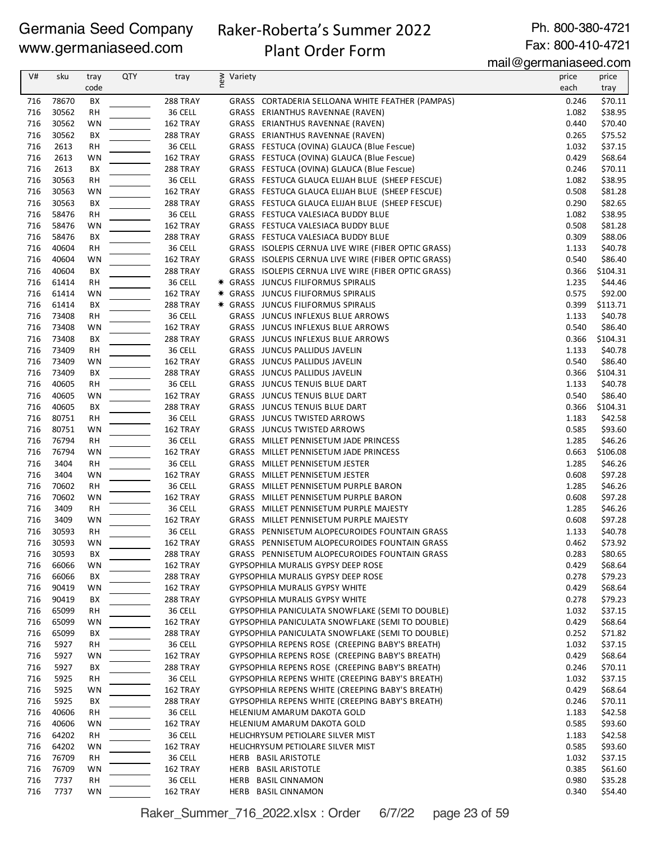# Raker-Roberta's Summer 2022

Ph. 800-380-4721 Fax: 800-410-4721

# Plant Order Form

mail@germaniaseed.com

|     |       |           |            |                 |                |                                                     | $\frac{1}{2}$ llan $\approx$ y $\approx$ llana ilas $\approx$ coll $\approx$ |          |
|-----|-------|-----------|------------|-----------------|----------------|-----------------------------------------------------|------------------------------------------------------------------------------|----------|
| V#  | sku   | tray      | <b>QTY</b> | tray            | ≥ Variety<br>E |                                                     | price                                                                        | price    |
|     |       | code      |            |                 |                |                                                     | each                                                                         | tray     |
| 716 | 78670 | BX        |            | 288 TRAY        |                | GRASS CORTADERIA SELLOANA WHITE FEATHER (PAMPAS)    | 0.246                                                                        | \$70.11  |
| 716 | 30562 | <b>RH</b> |            | 36 CELL         |                | GRASS ERIANTHUS RAVENNAE (RAVEN)                    | 1.082                                                                        | \$38.95  |
| 716 | 30562 | WN        |            | 162 TRAY        |                | GRASS ERIANTHUS RAVENNAE (RAVEN)                    | 0.440                                                                        | \$70.40  |
| 716 | 30562 | ВX        |            | 288 TRAY        |                | GRASS ERIANTHUS RAVENNAE (RAVEN)                    | 0.265                                                                        | \$75.52  |
| 716 | 2613  | <b>RH</b> |            | 36 CELL         |                | GRASS FESTUCA (OVINA) GLAUCA (Blue Fescue)          | 1.032                                                                        | \$37.15  |
| 716 | 2613  | WN        |            | 162 TRAY        |                | GRASS FESTUCA (OVINA) GLAUCA (Blue Fescue)          | 0.429                                                                        | \$68.64  |
| 716 | 2613  | BХ        |            | 288 TRAY        |                | GRASS FESTUCA (OVINA) GLAUCA (Blue Fescue)          | 0.246                                                                        | \$70.11  |
| 716 | 30563 | RH        |            | 36 CELL         |                | GRASS FESTUCA GLAUCA ELIJAH BLUE (SHEEP FESCUE)     | 1.082                                                                        | \$38.95  |
| 716 | 30563 | WN        |            | 162 TRAY        |                | GRASS FESTUCA GLAUCA ELIJAH BLUE (SHEEP FESCUE)     | 0.508                                                                        | \$81.28  |
| 716 | 30563 | ВX        |            | 288 TRAY        |                | GRASS FESTUCA GLAUCA ELIJAH BLUE (SHEEP FESCUE)     | 0.290                                                                        | \$82.65  |
| 716 | 58476 | RH        |            | 36 CELL         |                | GRASS FESTUCA VALESIACA BUDDY BLUE                  | 1.082                                                                        | \$38.95  |
| 716 | 58476 | WN        |            | 162 TRAY        |                | GRASS FESTUCA VALESIACA BUDDY BLUE                  | 0.508                                                                        | \$81.28  |
| 716 | 58476 | ВX        |            | 288 TRAY        |                | GRASS FESTUCA VALESIACA BUDDY BLUE                  | 0.309                                                                        | \$88.06  |
| 716 | 40604 | <b>RH</b> |            | 36 CELL         |                | GRASS ISOLEPIS CERNUA LIVE WIRE (FIBER OPTIC GRASS) | 1.133                                                                        | \$40.78  |
| 716 | 40604 | WN        |            | 162 TRAY        |                | GRASS ISOLEPIS CERNUA LIVE WIRE (FIBER OPTIC GRASS) | 0.540                                                                        | \$86.40  |
|     |       |           |            |                 |                |                                                     |                                                                              |          |
| 716 | 40604 | ВX        |            | 288 TRAY        |                | GRASS ISOLEPIS CERNUA LIVE WIRE (FIBER OPTIC GRASS) | 0.366                                                                        | \$104.31 |
| 716 | 61414 | RH        |            | 36 CELL         |                | * GRASS JUNCUS FILIFORMUS SPIRALIS                  | 1.235                                                                        | \$44.46  |
| 716 | 61414 | WN        |            | 162 TRAY        |                | * GRASS JUNCUS FILIFORMUS SPIRALIS                  | 0.575                                                                        | \$92.00  |
| 716 | 61414 | ВX        |            | 288 TRAY        |                | * GRASS JUNCUS FILIFORMUS SPIRALIS                  | 0.399                                                                        | \$113.71 |
| 716 | 73408 | RH        |            | 36 CELL         |                | GRASS JUNCUS INFLEXUS BLUE ARROWS                   | 1.133                                                                        | \$40.78  |
| 716 | 73408 | WN        |            | 162 TRAY        |                | GRASS JUNCUS INFLEXUS BLUE ARROWS                   | 0.540                                                                        | \$86.40  |
| 716 | 73408 | ВX        |            | 288 TRAY        |                | GRASS JUNCUS INFLEXUS BLUE ARROWS                   | 0.366                                                                        | \$104.31 |
| 716 | 73409 | <b>RH</b> |            | 36 CELL         |                | GRASS JUNCUS PALLIDUS JAVELIN                       | 1.133                                                                        | \$40.78  |
| 716 | 73409 | WN        |            | 162 TRAY        |                | GRASS JUNCUS PALLIDUS JAVELIN                       | 0.540                                                                        | \$86.40  |
| 716 | 73409 | ВX        |            | 288 TRAY        |                | GRASS JUNCUS PALLIDUS JAVELIN                       | 0.366                                                                        | \$104.31 |
| 716 | 40605 | RH        |            | 36 CELL         |                | GRASS JUNCUS TENUIS BLUE DART                       | 1.133                                                                        | \$40.78  |
| 716 | 40605 | WN        |            | 162 TRAY        |                | GRASS JUNCUS TENUIS BLUE DART                       | 0.540                                                                        | \$86.40  |
| 716 | 40605 | BХ        |            | 288 TRAY        |                | GRASS JUNCUS TENUIS BLUE DART                       | 0.366                                                                        | \$104.31 |
| 716 | 80751 | <b>RH</b> |            | 36 CELL         |                | GRASS JUNCUS TWISTED ARROWS                         | 1.183                                                                        | \$42.58  |
| 716 | 80751 | WN        |            | 162 TRAY        |                | GRASS JUNCUS TWISTED ARROWS                         | 0.585                                                                        | \$93.60  |
| 716 | 76794 | <b>RH</b> |            | 36 CELL         |                | GRASS MILLET PENNISETUM JADE PRINCESS               | 1.285                                                                        | \$46.26  |
| 716 | 76794 | WN        |            | 162 TRAY        |                | GRASS MILLET PENNISETUM JADE PRINCESS               | 0.663                                                                        | \$106.08 |
| 716 | 3404  | <b>RH</b> |            | 36 CELL         |                | GRASS MILLET PENNISETUM JESTER                      | 1.285                                                                        | \$46.26  |
| 716 | 3404  | WN        |            | 162 TRAY        |                | GRASS MILLET PENNISETUM JESTER                      | 0.608                                                                        | \$97.28  |
| 716 | 70602 | <b>RH</b> |            | 36 CELL         |                | GRASS MILLET PENNISETUM PURPLE BARON                | 1.285                                                                        | \$46.26  |
| 716 | 70602 | WN        |            | 162 TRAY        |                | GRASS MILLET PENNISETUM PURPLE BARON                | 0.608                                                                        | \$97.28  |
| 716 | 3409  | RH        |            | 36 CELL         |                | GRASS MILLET PENNISETUM PURPLE MAJESTY              | 1.285                                                                        | \$46.26  |
| 716 | 3409  | WN        |            | 162 TRAY        |                | GRASS MILLET PENNISETUM PURPLE MAJESTY              | 0.608                                                                        | \$97.28  |
| 716 | 30593 | <b>RH</b> |            | 36 CELL         |                | GRASS PENNISETUM ALOPECUROIDES FOUNTAIN GRASS       | 1.133                                                                        | \$40.78  |
| 716 | 30593 | WN        |            | 162 TRAY        |                | GRASS PENNISETUM ALOPECUROIDES FOUNTAIN GRASS       | 0.462                                                                        | \$73.92  |
| 716 | 30593 | BХ        |            | <b>288 TRAY</b> |                | GRASS PENNISETUM ALOPECUROIDES FOUNTAIN GRASS       | 0.283                                                                        | \$80.65  |
| 716 | 66066 | WN        |            | 162 TRAY        |                | <b>GYPSOPHILA MURALIS GYPSY DEEP ROSE</b>           | 0.429                                                                        | \$68.64  |
| 716 | 66066 | BХ        |            | <b>288 TRAY</b> |                | GYPSOPHILA MURALIS GYPSY DEEP ROSE                  | 0.278                                                                        | \$79.23  |
| 716 | 90419 | WN        |            | 162 TRAY        |                | GYPSOPHILA MURALIS GYPSY WHITE                      | 0.429                                                                        | \$68.64  |
| 716 | 90419 | ВX        |            | 288 TRAY        |                | GYPSOPHILA MURALIS GYPSY WHITE                      | 0.278                                                                        | \$79.23  |
| 716 | 65099 | RH        |            | 36 CELL         |                | GYPSOPHILA PANICULATA SNOWFLAKE (SEMI TO DOUBLE)    | 1.032                                                                        | \$37.15  |
|     |       |           |            |                 |                | GYPSOPHILA PANICULATA SNOWFLAKE (SEMI TO DOUBLE)    | 0.429                                                                        | \$68.64  |
| 716 | 65099 | WN        |            | 162 TRAY        |                | GYPSOPHILA PANICULATA SNOWFLAKE (SEMI TO DOUBLE)    | 0.252                                                                        |          |
| 716 | 65099 | BХ        |            | <b>288 TRAY</b> |                |                                                     |                                                                              | \$71.82  |
| 716 | 5927  | RH        |            | 36 CELL         |                | GYPSOPHILA REPENS ROSE (CREEPING BABY'S BREATH)     | 1.032                                                                        | \$37.15  |
| 716 | 5927  | WN        |            | 162 TRAY        |                | GYPSOPHILA REPENS ROSE (CREEPING BABY'S BREATH)     | 0.429                                                                        | \$68.64  |
| 716 | 5927  | BХ        |            | <b>288 TRAY</b> |                | GYPSOPHILA REPENS ROSE (CREEPING BABY'S BREATH)     | 0.246                                                                        | \$70.11  |
| 716 | 5925  | RH        |            | 36 CELL         |                | GYPSOPHILA REPENS WHITE (CREEPING BABY'S BREATH)    | 1.032                                                                        | \$37.15  |
| 716 | 5925  | WN        |            | 162 TRAY        |                | GYPSOPHILA REPENS WHITE (CREEPING BABY'S BREATH)    | 0.429                                                                        | \$68.64  |
| 716 | 5925  | BХ        |            | 288 TRAY        |                | GYPSOPHILA REPENS WHITE (CREEPING BABY'S BREATH)    | 0.246                                                                        | \$70.11  |
| 716 | 40606 | RH        |            | 36 CELL         |                | HELENIUM AMARUM DAKOTA GOLD                         | 1.183                                                                        | \$42.58  |
| 716 | 40606 | WN        |            | 162 TRAY        |                | HELENIUM AMARUM DAKOTA GOLD                         | 0.585                                                                        | \$93.60  |
| 716 | 64202 | RH        |            | 36 CELL         |                | HELICHRYSUM PETIOLARE SILVER MIST                   | 1.183                                                                        | \$42.58  |
| 716 | 64202 | WN        |            | 162 TRAY        |                | HELICHRYSUM PETIOLARE SILVER MIST                   | 0.585                                                                        | \$93.60  |
| 716 | 76709 | RH        |            | 36 CELL         |                | HERB BASIL ARISTOTLE                                | 1.032                                                                        | \$37.15  |
| 716 | 76709 | WN        |            | 162 TRAY        |                | HERB BASIL ARISTOTLE                                | 0.385                                                                        | \$61.60  |
| 716 | 7737  | RH        |            | 36 CELL         | HERB           | <b>BASIL CINNAMON</b>                               | 0.980                                                                        | \$35.28  |
| 716 | 7737  | WN        |            | 162 TRAY        |                | HERB BASIL CINNAMON                                 | 0.340                                                                        | \$54.40  |

Raker\_Summer\_716\_2022.xlsx : Order 6/7/22 page 23 of 59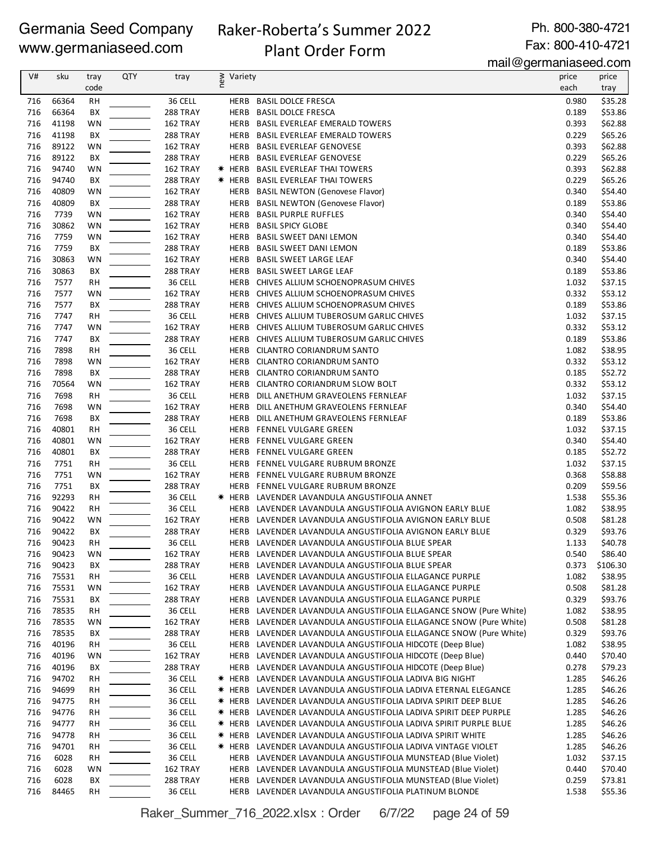# Raker-Roberta's Summer 2022

Ph. 800-380-4721 Fax: 800-410-4721

# Plant Order Form

mail@germaniaseed.com

|     |       |           |     |                 |     |         | $m$ an $\infty$ germanaseed.com                                  |       |          |
|-----|-------|-----------|-----|-----------------|-----|---------|------------------------------------------------------------------|-------|----------|
| V#  | sku   | tray      | QTY | tray            | new | Variety |                                                                  | price | price    |
|     |       | code      |     |                 |     |         |                                                                  | each  | tray     |
| 716 | 66364 | <b>RH</b> |     | 36 CELL         |     |         | HERB BASIL DOLCE FRESCA                                          | 0.980 | \$35.28  |
| 716 | 66364 | BX        |     | 288 TRAY        |     | HERB    | <b>BASIL DOLCE FRESCA</b>                                        | 0.189 | \$53.86  |
| 716 | 41198 | WN        |     | 162 TRAY        |     | HERB    | <b>BASIL EVERLEAF EMERALD TOWERS</b>                             | 0.393 | \$62.88  |
| 716 | 41198 | BX        |     | 288 TRAY        |     |         | HERB BASIL EVERLEAF EMERALD TOWERS                               | 0.229 | \$65.26  |
| 716 | 89122 | WN        |     | 162 TRAY        |     |         | HERB BASIL EVERLEAF GENOVESE                                     | 0.393 | \$62.88  |
| 716 | 89122 | BX        |     | 288 TRAY        |     |         | HERB BASIL EVERLEAF GENOVESE                                     | 0.229 | \$65.26  |
| 716 | 94740 | WN        |     | 162 TRAY        |     |         | * HERB BASIL EVERLEAF THAI TOWERS                                | 0.393 | \$62.88  |
| 716 | 94740 | BX        |     | 288 TRAY        |     |         | * HERB BASIL EVERLEAF THAI TOWERS                                | 0.229 | \$65.26  |
| 716 | 40809 | WN        |     | 162 TRAY        |     |         | HERB BASIL NEWTON (Genovese Flavor)                              | 0.340 | \$54.40  |
| 716 | 40809 | BX        |     | 288 TRAY        |     |         | HERB BASIL NEWTON (Genovese Flavor)                              | 0.189 | \$53.86  |
| 716 | 7739  | WN        |     |                 |     |         | HERB BASIL PURPLE RUFFLES                                        | 0.340 | \$54.40  |
|     |       |           |     | 162 TRAY        |     |         |                                                                  |       |          |
| 716 | 30862 | WN        |     | 162 TRAY        |     | HERB    | <b>BASIL SPICY GLOBE</b>                                         | 0.340 | \$54.40  |
| 716 | 7759  | <b>WN</b> |     | 162 TRAY        |     |         | HERB BASIL SWEET DANI LEMON                                      | 0.340 | \$54.40  |
| 716 | 7759  | BX        |     | 288 TRAY        |     |         | HERB BASIL SWEET DANI LEMON                                      | 0.189 | \$53.86  |
| 716 | 30863 | WN        |     | 162 TRAY        |     |         | HERB BASIL SWEET LARGE LEAF                                      | 0.340 | \$54.40  |
| 716 | 30863 | BX        |     | 288 TRAY        |     |         | HERB BASIL SWEET LARGE LEAF                                      | 0.189 | \$53.86  |
| 716 | 7577  | <b>RH</b> |     | 36 CELL         |     | HERB    | CHIVES ALLIUM SCHOENOPRASUM CHIVES                               | 1.032 | \$37.15  |
| 716 | 7577  | WN        |     | 162 TRAY        |     |         | HERB CHIVES ALLIUM SCHOENOPRASUM CHIVES                          | 0.332 | \$53.12  |
| 716 | 7577  | BX        |     | 288 TRAY        |     |         | HERB CHIVES ALLIUM SCHOENOPRASUM CHIVES                          | 0.189 | \$53.86  |
| 716 | 7747  | <b>RH</b> |     | 36 CELL         |     |         | HERB CHIVES ALLIUM TUBEROSUM GARLIC CHIVES                       | 1.032 | \$37.15  |
| 716 | 7747  | WN        |     | 162 TRAY        |     |         | HERB CHIVES ALLIUM TUBEROSUM GARLIC CHIVES                       | 0.332 | \$53.12  |
| 716 | 7747  | BX        |     | 288 TRAY        |     | HERB    | CHIVES ALLIUM TUBEROSUM GARLIC CHIVES                            | 0.189 | \$53.86  |
| 716 | 7898  | <b>RH</b> |     | 36 CELL         |     |         | HERB CILANTRO CORIANDRUM SANTO                                   | 1.082 | \$38.95  |
| 716 | 7898  | <b>WN</b> |     | 162 TRAY        |     |         | HERB CILANTRO CORIANDRUM SANTO                                   | 0.332 | \$53.12  |
| 716 | 7898  | BX        |     | 288 TRAY        |     | HERB    | CILANTRO CORIANDRUM SANTO                                        | 0.185 | \$52.72  |
| 716 | 70564 | WN        |     | 162 TRAY        |     | HERB    | CILANTRO CORIANDRUM SLOW BOLT                                    | 0.332 | \$53.12  |
| 716 | 7698  | <b>RH</b> |     | 36 CELL         |     | HERB    | DILL ANETHUM GRAVEOLENS FERNLEAF                                 | 1.032 | \$37.15  |
| 716 | 7698  | WN        |     | 162 TRAY        |     |         | HERB DILL ANETHUM GRAVEOLENS FERNLEAF                            | 0.340 | \$54.40  |
| 716 | 7698  | BX        |     | 288 TRAY        |     | HERB    | DILL ANETHUM GRAVEOLENS FERNLEAF                                 | 0.189 | \$53.86  |
| 716 | 40801 | RH        |     | 36 CELL         |     |         | HERB FENNEL VULGARE GREEN                                        | 1.032 | \$37.15  |
|     |       |           |     |                 |     |         |                                                                  |       |          |
| 716 | 40801 | WN        |     | 162 TRAY        |     |         | HERB FENNEL VULGARE GREEN                                        | 0.340 | \$54.40  |
| 716 | 40801 | BX        |     | 288 TRAY        |     |         | HERB FENNEL VULGARE GREEN                                        | 0.185 | \$52.72  |
| 716 | 7751  | <b>RH</b> |     | 36 CELL         |     |         | HERB FENNEL VULGARE RUBRUM BRONZE                                | 1.032 | \$37.15  |
| 716 | 7751  | WN        |     | 162 TRAY        |     |         | HERB FENNEL VULGARE RUBRUM BRONZE                                | 0.368 | \$58.88  |
| 716 | 7751  | BX        |     | 288 TRAY        |     |         | HERB FENNEL VULGARE RUBRUM BRONZE                                | 0.209 | \$59.56  |
| 716 | 92293 | <b>RH</b> |     | 36 CELL         |     |         | <b>* HERB LAVENDER LAVANDULA ANGUSTIFOLIA ANNET</b>              | 1.538 | \$55.36  |
| 716 | 90422 | <b>RH</b> |     | 36 CELL         |     |         | HERB LAVENDER LAVANDULA ANGUSTIFOLIA AVIGNON EARLY BLUE          | 1.082 | \$38.95  |
| 716 | 90422 | WN        |     | 162 TRAY        |     |         | HERB LAVENDER LAVANDULA ANGUSTIFOLIA AVIGNON EARLY BLUE          | 0.508 | \$81.28  |
| 716 | 90422 | BX        |     | <b>288 TRAY</b> |     |         | HERB LAVENDER LAVANDULA ANGUSTIFOLIA AVIGNON EARLY BLUE          | 0.329 | \$93.76  |
| 716 | 90423 | <b>RH</b> |     | 36 CELL         |     | HERB    | LAVENDER LAVANDULA ANGUSTIFOLIA BLUE SPEAR                       | 1.133 | \$40.78  |
| 716 | 90423 | WN        |     | 162 TRAY        |     |         | HERB LAVENDER LAVANDULA ANGUSTIFOLIA BLUE SPEAR                  | 0.540 | \$86.40  |
| 716 | 90423 | BХ        |     | 288 TRAY        |     |         | HERB LAVENDER LAVANDULA ANGUSTIFOLIA BLUE SPEAR                  | 0.373 | \$106.30 |
| 716 | 75531 | RH        |     | 36 CELL         |     |         | HERB LAVENDER LAVANDULA ANGUSTIFOLIA ELLAGANCE PURPLE            | 1.082 | \$38.95  |
| 716 | 75531 | WN        |     | 162 TRAY        |     |         | HERB LAVENDER LAVANDULA ANGUSTIFOLIA ELLAGANCE PURPLE            | 0.508 | \$81.28  |
| 716 | 75531 | ВX        |     | 288 TRAY        |     |         | HERB LAVENDER LAVANDULA ANGUSTIFOLIA ELLAGANCE PURPLE            | 0.329 | \$93.76  |
| 716 | 78535 | RH        |     | 36 CELL         |     |         | HERB LAVENDER LAVANDULA ANGUSTIFOLIA ELLAGANCE SNOW (Pure White) | 1.082 | \$38.95  |
| 716 | 78535 | WN        |     | 162 TRAY        |     |         | HERB LAVENDER LAVANDULA ANGUSTIFOLIA ELLAGANCE SNOW (Pure White) | 0.508 | \$81.28  |
| 716 | 78535 | BХ        |     | <b>288 TRAY</b> |     |         | HERB LAVENDER LAVANDULA ANGUSTIFOLIA ELLAGANCE SNOW (Pure White) | 0.329 | \$93.76  |
| 716 | 40196 | <b>RH</b> |     | 36 CELL         |     |         | HERB LAVENDER LAVANDULA ANGUSTIFOLIA HIDCOTE (Deep Blue)         | 1.082 | \$38.95  |
| 716 | 40196 | WN        |     | 162 TRAY        |     |         | HERB LAVENDER LAVANDULA ANGUSTIFOLIA HIDCOTE (Deep Blue)         | 0.440 | \$70.40  |
| 716 | 40196 |           |     | 288 TRAY        |     |         | HERB LAVENDER LAVANDULA ANGUSTIFOLIA HIDCOTE (Deep Blue)         | 0.278 | \$79.23  |
|     |       | BХ        |     |                 |     |         |                                                                  |       |          |
| 716 | 94702 | RH        |     | 36 CELL         |     |         | <b>* HERB LAVENDER LAVANDULA ANGUSTIFOLIA LADIVA BIG NIGHT</b>   | 1.285 | \$46.26  |
| 716 | 94699 | RH        |     | 36 CELL         |     |         | * HERB LAVENDER LAVANDULA ANGUSTIFOLIA LADIVA ETERNAL ELEGANCE   | 1.285 | \$46.26  |
| 716 | 94775 | RH        |     | 36 CELL         |     |         | * HERB LAVENDER LAVANDULA ANGUSTIFOLIA LADIVA SPIRIT DEEP BLUE   | 1.285 | \$46.26  |
| 716 | 94776 | RH        |     | 36 CELL         |     |         | * HERB LAVENDER LAVANDULA ANGUSTIFOLIA LADIVA SPIRIT DEEP PURPLE | 1.285 | \$46.26  |
| 716 | 94777 | RH        |     | 36 CELL         |     |         | * HERB LAVENDER LAVANDULA ANGUSTIFOLIA LADIVA SPIRIT PURPLE BLUE | 1.285 | \$46.26  |
| 716 | 94778 | RH        |     | 36 CELL         |     | * HERB  | LAVENDER LAVANDULA ANGUSTIFOLIA LADIVA SPIRIT WHITE              | 1.285 | \$46.26  |
| 716 | 94701 | <b>RH</b> |     | 36 CELL         |     |         | * HERB LAVENDER LAVANDULA ANGUSTIFOLIA LADIVA VINTAGE VIOLET     | 1.285 | \$46.26  |
| 716 | 6028  | RH        |     | 36 CELL         |     |         | HERB LAVENDER LAVANDULA ANGUSTIFOLIA MUNSTEAD (Blue Violet)      | 1.032 | \$37.15  |
| 716 | 6028  | WN        |     | 162 TRAY        |     |         | HERB LAVENDER LAVANDULA ANGUSTIFOLIA MUNSTEAD (Blue Violet)      | 0.440 | \$70.40  |
| 716 | 6028  | BХ        |     | <b>288 TRAY</b> |     |         | HERB LAVENDER LAVANDULA ANGUSTIFOLIA MUNSTEAD (Blue Violet)      | 0.259 | \$73.81  |
| 716 | 84465 | RH        |     | 36 CELL         |     |         | HERB LAVENDER LAVANDULA ANGUSTIFOLIA PLATINUM BLONDE             | 1.538 | \$55.36  |

Raker\_Summer\_716\_2022.xlsx : Order 6/7/22 page 24 of 59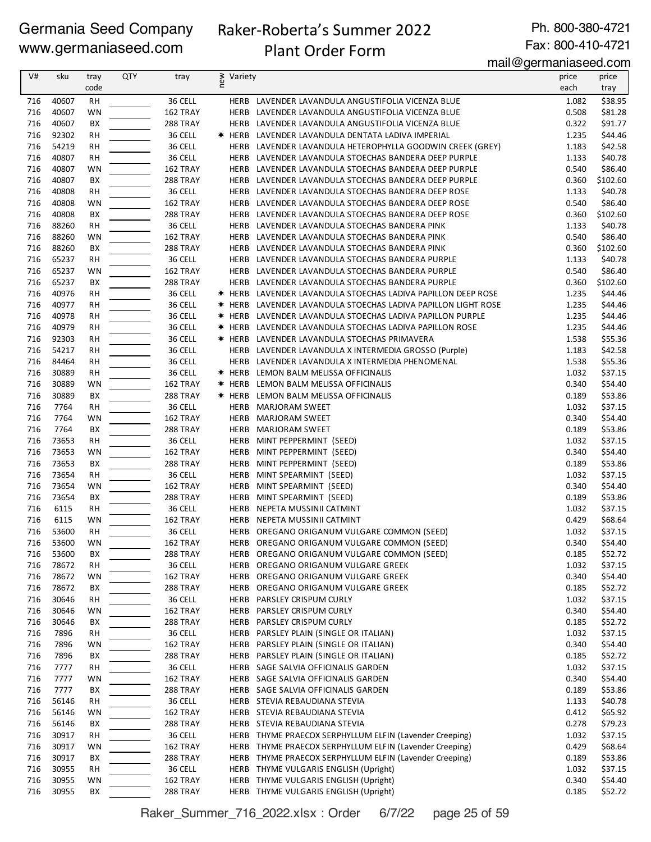# Raker-Roberta's Summer 2022

Ph. 800-380-4721 Fax: 800-410-4721

## Plant Order Form

mail@germaniaseed.com

| V#         | sku            | tray      | <b>QTY</b> | tray                 | Variety      |                                                                                                          | .<br>price     | price               |
|------------|----------------|-----------|------------|----------------------|--------------|----------------------------------------------------------------------------------------------------------|----------------|---------------------|
|            |                | code      |            |                      | new          |                                                                                                          | each           | tray                |
|            |                |           |            |                      |              |                                                                                                          |                |                     |
| 716        | 40607          | <b>RH</b> |            | 36 CELL              |              | HERB LAVENDER LAVANDULA ANGUSTIFOLIA VICENZA BLUE                                                        | 1.082          | \$38.95             |
| 716<br>716 | 40607<br>40607 | WN<br>BX  |            | 162 TRAY             | <b>HERB</b>  | LAVENDER LAVANDULA ANGUSTIFOLIA VICENZA BLUE                                                             | 0.508<br>0.322 | \$81.28<br>\$91.77  |
| 716        | 92302          |           |            | 288 TRAY<br>36 CELL  |              | HERB LAVENDER LAVANDULA ANGUSTIFOLIA VICENZA BLUE<br>* HERB LAVENDER LAVANDULA DENTATA LADIVA IMPERIAL   | 1.235          | \$44.46             |
|            |                | <b>RH</b> |            |                      |              |                                                                                                          |                |                     |
| 716<br>716 | 54219<br>40807 | <b>RH</b> |            | 36 CELL<br>36 CELL   | HERB         | LAVENDER LAVANDULA HETEROPHYLLA GOODWIN CREEK (GREY)                                                     | 1.183          | \$42.58<br>\$40.78  |
| 716        |                | <b>RH</b> |            |                      | HERB         | LAVENDER LAVANDULA STOECHAS BANDERA DEEP PURPLE                                                          | 1.133          |                     |
| 716        | 40807<br>40807 | WN<br>BX  |            | 162 TRAY<br>288 TRAY | HERB<br>HERB | LAVENDER LAVANDULA STOECHAS BANDERA DEEP PURPLE<br>LAVENDER LAVANDULA STOECHAS BANDERA DEEP PURPLE       | 0.540<br>0.360 | \$86.40<br>\$102.60 |
| 716        | 40808          | <b>RH</b> |            | 36 CELL              | HERB         | LAVENDER LAVANDULA STOECHAS BANDERA DEEP ROSE                                                            | 1.133          | \$40.78             |
| 716        | 40808          | WN        |            | 162 TRAY             |              |                                                                                                          | 0.540          | \$86.40             |
| 716        | 40808          | BX        |            | 288 TRAY             |              | HERB LAVENDER LAVANDULA STOECHAS BANDERA DEEP ROSE<br>HERB LAVENDER LAVANDULA STOECHAS BANDERA DEEP ROSE | 0.360          | \$102.60            |
| 716        | 88260          | <b>RH</b> |            | 36 CELL              |              | HERB LAVENDER LAVANDULA STOECHAS BANDERA PINK                                                            | 1.133          | \$40.78             |
| 716        | 88260          | <b>WN</b> |            | 162 TRAY             | HERB         | LAVENDER LAVANDULA STOECHAS BANDERA PINK                                                                 | 0.540          | \$86.40             |
| 716        | 88260          | ВX        |            | 288 TRAY             | HERB         | LAVENDER LAVANDULA STOECHAS BANDERA PINK                                                                 | 0.360          | \$102.60            |
| 716        | 65237          | RH        |            | 36 CELL              | HERB         | LAVENDER LAVANDULA STOECHAS BANDERA PURPLE                                                               | 1.133          | \$40.78             |
| 716        | 65237          | WN        |            | 162 TRAY             |              | HERB LAVENDER LAVANDULA STOECHAS BANDERA PURPLE                                                          | 0.540          | \$86.40             |
| 716        | 65237          | BX        |            | 288 TRAY             |              | HERB LAVENDER LAVANDULA STOECHAS BANDERA PURPLE                                                          | 0.360          | \$102.60            |
| 716        | 40976          | <b>RH</b> |            | 36 CELL              |              | * HERB LAVENDER LAVANDULA STOECHAS LADIVA PAPILLON DEEP ROSE                                             | 1.235          | \$44.46             |
| 716        | 40977          | RH        |            | 36 CELL              |              | <b>* HERB LAVENDER LAVANDULA STOECHAS LADIVA PAPILLON LIGHT ROSE</b>                                     | 1.235          | \$44.46             |
| 716        | 40978          | <b>RH</b> |            | 36 CELL              |              | * HERB LAVENDER LAVANDULA STOECHAS LADIVA PAPILLON PURPLE                                                | 1.235          | \$44.46             |
| 716        | 40979          | <b>RH</b> |            | 36 CELL              |              | <b>* HERB LAVENDER LAVANDULA STOECHAS LADIVA PAPILLON ROSE</b>                                           | 1.235          | \$44.46             |
| 716        | 92303          | <b>RH</b> |            | 36 CELL              |              | <b>* HERB LAVENDER LAVANDULA STOECHAS PRIMAVERA</b>                                                      | 1.538          | \$55.36             |
| 716        | 54217          | <b>RH</b> |            | 36 CELL              |              | HERB LAVENDER LAVANDULA X INTERMEDIA GROSSO (Purple)                                                     | 1.183          | \$42.58             |
| 716        | 84464          | <b>RH</b> |            | 36 CELL              | HERB         | LAVENDER LAVANDULA X INTERMEDIA PHENOMENAL                                                               | 1.538          | \$55.36             |
| 716        | 30889          | <b>RH</b> |            | 36 CELL              | * HERB       | LEMON BALM MELISSA OFFICINALIS                                                                           | 1.032          | \$37.15             |
| 716        | 30889          | <b>WN</b> |            | 162 TRAY             | * HERB       | LEMON BALM MELISSA OFFICINALIS                                                                           | 0.340          | \$54.40             |
| 716        | 30889          | BX        |            | 288 TRAY             | * HERB       | LEMON BALM MELISSA OFFICINALIS                                                                           | 0.189          | \$53.86             |
| 716        | 7764           | RH        |            | 36 CELL              | HERB         | <b>MARJORAM SWEET</b>                                                                                    | 1.032          | \$37.15             |
| 716        | 7764           | WN        |            | 162 TRAY             | <b>HERB</b>  | MARJORAM SWEET                                                                                           | 0.340          | \$54.40             |
| 716        | 7764           | ВX        |            | 288 TRAY             | HERB         | <b>MARJORAM SWEET</b>                                                                                    | 0.189          | \$53.86             |
| 716        | 73653          | <b>RH</b> |            | 36 CELL              | HERB         | MINT PEPPERMINT (SEED)                                                                                   | 1.032          | \$37.15             |
| 716        | 73653          | WN        |            | 162 TRAY             | HERB         | MINT PEPPERMINT (SEED)                                                                                   | 0.340          | \$54.40             |
| 716        | 73653          | BХ        |            | 288 TRAY             | HERB         | MINT PEPPERMINT (SEED)                                                                                   | 0.189          | \$53.86             |
| 716        | 73654          | <b>RH</b> |            | 36 CELL              | HERB         | MINT SPEARMINT (SEED)                                                                                    | 1.032          | \$37.15             |
| 716        | 73654          | <b>WN</b> |            | 162 TRAY             | HERB         | MINT SPEARMINT (SEED)                                                                                    | 0.340          | \$54.40             |
| 716        | 73654          | ВX        |            | 288 TRAY             | HERB         | MINT SPEARMINT (SEED)                                                                                    | 0.189          | \$53.86             |
| 716        | 6115           | RH        |            | 36 CELL              | HERB         | NEPETA MUSSINII CATMINT                                                                                  | 1.032          | \$37.15             |
| 716        | 6115           | WN        |            | 162 TRAY             | HERB         | NEPETA MUSSINII CATMINT                                                                                  | 0.429          | \$68.64             |
| 716        | 53600          | <b>RH</b> |            | 36 CELL              |              | HERB OREGANO ORIGANUM VULGARE COMMON (SEED)                                                              | 1.032          | \$37.15             |
| 716        | 53600          | WN        |            | 162 TRAY             |              | HERB OREGANO ORIGANUM VULGARE COMMON (SEED)                                                              | 0.340          | \$54.40             |
| 716        | 53600          | BХ        |            | 288 TRAY             |              | HERB OREGANO ORIGANUM VULGARE COMMON (SEED)                                                              | 0.185          | \$52.72             |
| 716        | 78672          | RH        |            | 36 CELL              | HERB         | OREGANO ORIGANUM VULGARE GREEK                                                                           | 1.032          | \$37.15             |
| 716        | 78672          | WN        |            | 162 TRAY             | HERB         | OREGANO ORIGANUM VULGARE GREEK                                                                           | 0.340          | \$54.40             |
| 716        | 78672          | BХ        |            | 288 TRAY             | HERB         | OREGANO ORIGANUM VULGARE GREEK                                                                           | 0.185          | \$52.72             |
| 716        | 30646          | RH        |            | 36 CELL              | HERB         | PARSLEY CRISPUM CURLY                                                                                    | 1.032          | \$37.15             |
| 716        | 30646          | WN        |            | 162 TRAY             | HERB         | PARSLEY CRISPUM CURLY                                                                                    | 0.340          | \$54.40             |
| 716        | 30646          | BХ        |            | 288 TRAY             | HERB         | PARSLEY CRISPUM CURLY                                                                                    | 0.185          | \$52.72             |
| 716        | 7896           | RH        |            | 36 CELL              | HERB         | PARSLEY PLAIN (SINGLE OR ITALIAN)                                                                        | 1.032          | \$37.15             |
| 716        | 7896           | WN        |            | 162 TRAY             | HERB         | PARSLEY PLAIN (SINGLE OR ITALIAN)                                                                        | 0.340          | \$54.40             |
| 716        | 7896           | BХ        |            | 288 TRAY             |              | HERB PARSLEY PLAIN (SINGLE OR ITALIAN)                                                                   | 0.185          | \$52.72             |
| 716        | 7777           | <b>RH</b> |            | 36 CELL              |              | HERB SAGE SALVIA OFFICINALIS GARDEN                                                                      | 1.032          | \$37.15             |
| 716        | 7777           | WN        |            | 162 TRAY             |              | HERB SAGE SALVIA OFFICINALIS GARDEN                                                                      | 0.340          | \$54.40             |
| 716        | 7777           | BХ        |            | 288 TRAY             |              | HERB SAGE SALVIA OFFICINALIS GARDEN                                                                      | 0.189          | \$53.86             |
| 716        | 56146          | RH        |            | 36 CELL              |              | HERB STEVIA REBAUDIANA STEVIA                                                                            | 1.133          | \$40.78             |
| 716        | 56146          | WN        |            | 162 TRAY             | HERB         | STEVIA REBAUDIANA STEVIA                                                                                 | 0.412          | \$65.92             |
| 716        | 56146          | BХ        |            | 288 TRAY             |              | HERB STEVIA REBAUDIANA STEVIA                                                                            | 0.278          | \$79.23             |
| 716        | 30917          | <b>RH</b> |            | 36 CELL              |              | HERB THYME PRAECOX SERPHYLLUM ELFIN (Lavender Creeping)                                                  | 1.032          | \$37.15             |
| 716        | 30917          | WN        |            | 162 TRAY             |              | HERB THYME PRAECOX SERPHYLLUM ELFIN (Lavender Creeping)                                                  | 0.429          | \$68.64             |
| 716        | 30917          | BХ        |            | 288 TRAY             |              | HERB THYME PRAECOX SERPHYLLUM ELFIN (Lavender Creeping)                                                  | 0.189          | \$53.86             |
| 716        | 30955          | <b>RH</b> |            | 36 CELL              |              | HERB THYME VULGARIS ENGLISH (Upright)                                                                    | 1.032          | \$37.15             |
| 716        | 30955          | WN        |            | 162 TRAY             |              | HERB THYME VULGARIS ENGLISH (Upright)                                                                    | 0.340          | \$54.40             |
| 716        | 30955          | BХ        |            | <b>288 TRAY</b>      |              | HERB THYME VULGARIS ENGLISH (Upright)                                                                    | 0.185          | \$52.72             |

Raker\_Summer\_716\_2022.xlsx : Order 6/7/22 page 25 of 59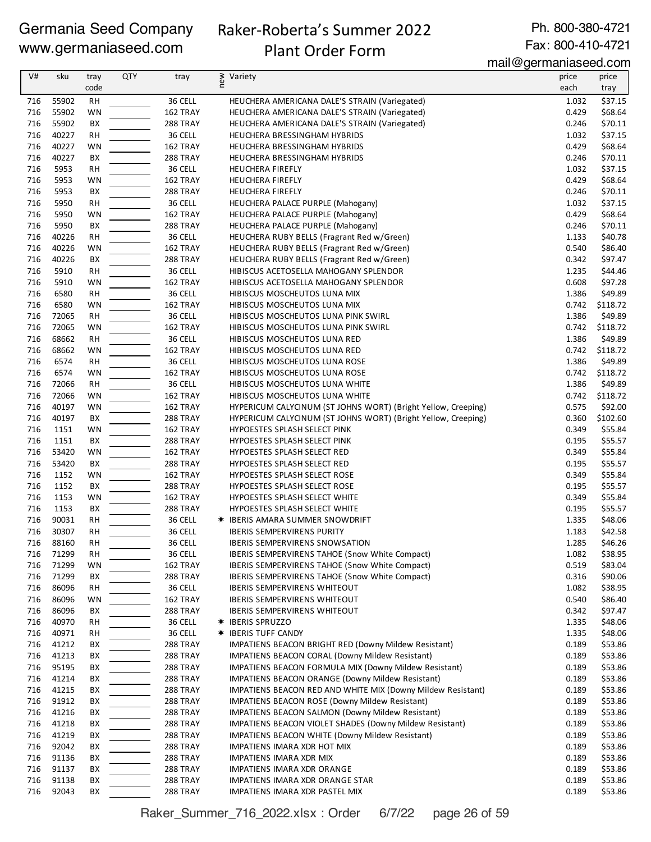# Raker-Roberta's Summer 2022

Ph. 800-380-4721 Fax: 800-410-4721

# Plant Order Form

mail@germaniaseed.com

| V#         | sku            | tray<br>code    | <b>QTY</b> | tray                 | ≷ Variety                                                                  | price<br>each  | price<br>tray       |
|------------|----------------|-----------------|------------|----------------------|----------------------------------------------------------------------------|----------------|---------------------|
| 716        | 55902          | RH              |            | 36 CELL              | HEUCHERA AMERICANA DALE'S STRAIN (Variegated)                              | 1.032          | \$37.15             |
| 716        | 55902          | WN              |            | 162 TRAY             | HEUCHERA AMERICANA DALE'S STRAIN (Variegated)                              | 0.429          | \$68.64             |
| 716        | 55902          | BX              |            | 288 TRAY             | HEUCHERA AMERICANA DALE'S STRAIN (Variegated)                              | 0.246          | \$70.11             |
| 716        | 40227          | <b>RH</b>       |            | 36 CELL              | HEUCHERA BRESSINGHAM HYBRIDS                                               | 1.032          | \$37.15             |
| 716        | 40227          | WN              |            | 162 TRAY             | HEUCHERA BRESSINGHAM HYBRIDS                                               | 0.429          | \$68.64             |
| 716        | 40227          | BX              |            | <b>288 TRAY</b>      | HEUCHERA BRESSINGHAM HYBRIDS                                               | 0.246          | \$70.11             |
| 716        | 5953           | <b>RH</b>       |            | 36 CELL              | <b>HEUCHERA FIREFLY</b>                                                    | 1.032          | \$37.15             |
| 716        | 5953           | WN              |            | 162 TRAY             | <b>HEUCHERA FIREFLY</b>                                                    | 0.429          | \$68.64             |
| 716        | 5953           | BХ              |            | <b>288 TRAY</b>      | <b>HEUCHERA FIREFLY</b>                                                    | 0.246          | \$70.11             |
| 716        | 5950           | RH              |            | 36 CELL              | HEUCHERA PALACE PURPLE (Mahogany)                                          | 1.032          | \$37.15             |
| 716        | 5950           | WN              |            | 162 TRAY             | HEUCHERA PALACE PURPLE (Mahogany)                                          | 0.429          | \$68.64             |
| 716        | 5950           | BX              |            | 288 TRAY             | HEUCHERA PALACE PURPLE (Mahogany)                                          | 0.246          | \$70.11             |
| 716        | 40226          | <b>RH</b>       |            | 36 CELL              | HEUCHERA RUBY BELLS (Fragrant Red w/Green)                                 | 1.133          | \$40.78             |
| 716        | 40226          | WN              |            | 162 TRAY             | HEUCHERA RUBY BELLS (Fragrant Red w/Green)                                 | 0.540          | \$86.40             |
| 716        | 40226          | BX              |            | <b>288 TRAY</b>      | HEUCHERA RUBY BELLS (Fragrant Red w/Green)                                 | 0.342          | \$97.47             |
| 716        | 5910           | <b>RH</b>       |            | 36 CELL              | HIBISCUS ACETOSELLA MAHOGANY SPLENDOR                                      | 1.235          | \$44.46             |
| 716        | 5910           | WN              |            | 162 TRAY             | HIBISCUS ACETOSELLA MAHOGANY SPLENDOR                                      | 0.608          | \$97.28             |
| 716<br>716 | 6580<br>6580   | RH              |            | 36 CELL              | HIBISCUS MOSCHEUTOS LUNA MIX                                               | 1.386<br>0.742 | \$49.89<br>\$118.72 |
| 716        | 72065          | WN<br><b>RH</b> |            | 162 TRAY<br>36 CELL  | HIBISCUS MOSCHEUTOS LUNA MIX<br>HIBISCUS MOSCHEUTOS LUNA PINK SWIRL        | 1.386          | \$49.89             |
| 716        | 72065          | WN              |            | 162 TRAY             | HIBISCUS MOSCHEUTOS LUNA PINK SWIRL                                        | 0.742          | \$118.72            |
| 716        | 68662          | <b>RH</b>       |            | 36 CELL              | HIBISCUS MOSCHEUTOS LUNA RED                                               | 1.386          | \$49.89             |
| 716        | 68662          | WN              |            | 162 TRAY             | HIBISCUS MOSCHEUTOS LUNA RED                                               | 0.742          | \$118.72            |
| 716        | 6574           | <b>RH</b>       |            | 36 CELL              | HIBISCUS MOSCHEUTOS LUNA ROSE                                              | 1.386          | \$49.89             |
| 716        | 6574           | WN              |            | 162 TRAY             | HIBISCUS MOSCHEUTOS LUNA ROSE                                              | 0.742          | \$118.72            |
| 716        | 72066          | <b>RH</b>       |            | 36 CELL              | HIBISCUS MOSCHEUTOS LUNA WHITE                                             | 1.386          | \$49.89             |
| 716        | 72066          | WN              |            | 162 TRAY             | HIBISCUS MOSCHEUTOS LUNA WHITE                                             | 0.742          | \$118.72            |
| 716        | 40197          | WN              |            | 162 TRAY             | HYPERICUM CALYCINUM (ST JOHNS WORT) (Bright Yellow, Creeping)              | 0.575          | \$92.00             |
| 716        | 40197          | BX              |            | <b>288 TRAY</b>      | HYPERICUM CALYCINUM (ST JOHNS WORT) (Bright Yellow, Creeping)              | 0.360          | \$102.60            |
| 716        | 1151           | WN              |            | 162 TRAY             | HYPOESTES SPLASH SELECT PINK                                               | 0.349          | \$55.84             |
| 716        | 1151           | BХ              |            | <b>288 TRAY</b>      | HYPOESTES SPLASH SELECT PINK                                               | 0.195          | \$55.57             |
| 716        | 53420          | WN              |            | 162 TRAY             | HYPOESTES SPLASH SELECT RED                                                | 0.349          | \$55.84             |
| 716        | 53420          | BX              |            | <b>288 TRAY</b>      | HYPOESTES SPLASH SELECT RED                                                | 0.195          | \$55.57             |
| 716        | 1152           | WN              |            | 162 TRAY             | HYPOESTES SPLASH SELECT ROSE                                               | 0.349          | \$55.84             |
| 716        | 1152           | BХ              |            | <b>288 TRAY</b>      | HYPOESTES SPLASH SELECT ROSE                                               | 0.195          | \$55.57             |
| 716        | 1153           | WN              |            | 162 TRAY             | HYPOESTES SPLASH SELECT WHITE                                              | 0.349          | \$55.84             |
| 716        | 1153           | BХ              |            | <b>288 TRAY</b>      | HYPOESTES SPLASH SELECT WHITE                                              | 0.195          | \$55.57             |
| 716        | 90031          | <b>RH</b>       |            | 36 CELL              | * IBERIS AMARA SUMMER SNOWDRIFT                                            | 1.335          | \$48.06             |
| 716        | 30307          | <b>RH</b>       |            | 36 CELL              | <b>IBERIS SEMPERVIRENS PURITY</b>                                          | 1.183          | \$42.58             |
| 716        | 88160          | <b>RH</b>       |            | 36 CELL              | <b>IBERIS SEMPERVIRENS SNOWSATION</b>                                      | 1.285          | \$46.26             |
| 716        | 71299          | RH              |            | 36 CELL              | IBERIS SEMPERVIRENS TAHOE (Snow White Compact)                             | 1.082          | \$38.95             |
| 716        | 71299          | WN              |            | 162 TRAY             | IBERIS SEMPERVIRENS TAHOE (Snow White Compact)                             | 0.519          | \$83.04             |
| 716        | 71299          | BХ              |            | <b>288 TRAY</b>      | <b>IBERIS SEMPERVIRENS TAHOE (Snow White Compact)</b>                      | 0.316          | \$90.06             |
| 716        | 86096<br>86096 | <b>RH</b>       |            | 36 CELL              | <b>IBERIS SEMPERVIRENS WHITEOUT</b>                                        | 1.082<br>0.540 | \$38.95<br>\$86.40  |
| 716<br>716 | 86096          | WN<br>BХ        |            | 162 TRAY<br>288 TRAY | <b>IBERIS SEMPERVIRENS WHITEOUT</b><br><b>IBERIS SEMPERVIRENS WHITEOUT</b> | 0.342          | \$97.47             |
| 716        | 40970          | RH              |            | 36 CELL              | * IBERIS SPRUZZO                                                           | 1.335          | \$48.06             |
| 716        | 40971          | RH              |            | 36 CELL              | <b>★ IBERIS TUFF CANDY</b>                                                 | 1.335          | \$48.06             |
| 716        | 41212          | BХ              |            | <b>288 TRAY</b>      | IMPATIENS BEACON BRIGHT RED (Downy Mildew Resistant)                       | 0.189          | \$53.86             |
| 716        | 41213          | BХ              |            | <b>288 TRAY</b>      | <b>IMPATIENS BEACON CORAL (Downy Mildew Resistant)</b>                     | 0.189          | \$53.86             |
| 716        | 95195          | ВX              |            | 288 TRAY             | IMPATIENS BEACON FORMULA MIX (Downy Mildew Resistant)                      | 0.189          | \$53.86             |
| 716        | 41214          | BХ              |            | <b>288 TRAY</b>      | IMPATIENS BEACON ORANGE (Downy Mildew Resistant)                           | 0.189          | \$53.86             |
| 716        | 41215          | BХ              |            | 288 TRAY             | IMPATIENS BEACON RED AND WHITE MIX (Downy Mildew Resistant)                | 0.189          | \$53.86             |
| 716        | 91912          | BХ              |            | 288 TRAY             | IMPATIENS BEACON ROSE (Downy Mildew Resistant)                             | 0.189          | \$53.86             |
| 716        | 41216          | BХ              |            | 288 TRAY             | IMPATIENS BEACON SALMON (Downy Mildew Resistant)                           | 0.189          | \$53.86             |
| 716        | 41218          | ВX              |            | 288 TRAY             | IMPATIENS BEACON VIOLET SHADES (Downy Mildew Resistant)                    | 0.189          | \$53.86             |
| 716        | 41219          | BХ              |            | 288 TRAY             | <b>IMPATIENS BEACON WHITE (Downy Mildew Resistant)</b>                     | 0.189          | \$53.86             |
| 716        | 92042          | BХ              |            | <b>288 TRAY</b>      | IMPATIENS IMARA XDR HOT MIX                                                | 0.189          | \$53.86             |
| 716        | 91136          | BХ              |            | <b>288 TRAY</b>      | IMPATIENS IMARA XDR MIX                                                    | 0.189          | \$53.86             |
| 716        | 91137          | BХ              |            | <b>288 TRAY</b>      | <b>IMPATIENS IMARA XDR ORANGE</b>                                          | 0.189          | \$53.86             |
| 716        | 91138          | BХ              |            | <b>288 TRAY</b>      | IMPATIENS IMARA XDR ORANGE STAR                                            | 0.189          | \$53.86             |
| 716        | 92043          | BХ              |            | 288 TRAY             | IMPATIENS IMARA XDR PASTEL MIX                                             | 0.189          | \$53.86             |

Raker\_Summer\_716\_2022.xlsx : Order 6/7/22 page 26 of 59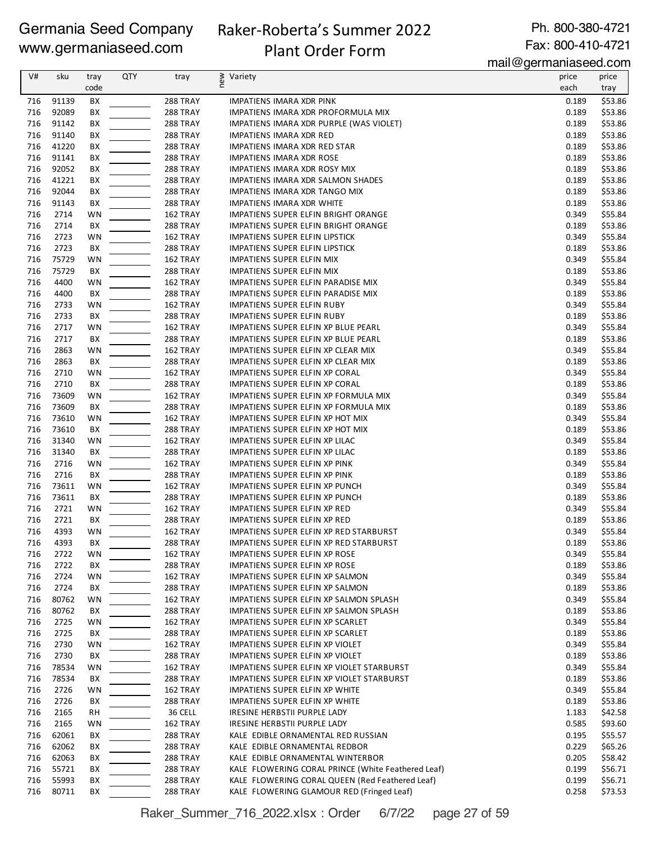# Raker-Roberta's Summer 2022

Plant Order Form

Ph. 800-380-4721 Fax: 800-410-4721

mail@germaniaseed.com

| V#  | sku   | tray | <b>QTY</b> | tray            | new<br>Variety                                     | price | price   |
|-----|-------|------|------------|-----------------|----------------------------------------------------|-------|---------|
|     |       | code |            |                 |                                                    | each  | tray    |
| 716 | 91139 | BX   |            | 288 TRAY        | IMPATIENS IMARA XDR PINK                           | 0.189 | \$53.86 |
| 716 | 92089 | BX   |            | 288 TRAY        | IMPATIENS IMARA XDR PROFORMULA MIX                 | 0.189 | \$53.86 |
| 716 | 91142 | BX   |            | <b>288 TRAY</b> | IMPATIENS IMARA XDR PURPLE (WAS VIOLET)            | 0.189 | \$53.86 |
| 716 | 91140 | BX   |            | <b>288 TRAY</b> | <b>IMPATIENS IMARA XDR RED</b>                     | 0.189 | \$53.86 |
| 716 | 41220 | BX   |            | <b>288 TRAY</b> | IMPATIENS IMARA XDR RED STAR                       | 0.189 | \$53.86 |
| 716 | 91141 | BX   |            | <b>288 TRAY</b> | <b>IMPATIENS IMARA XDR ROSE</b>                    | 0.189 | \$53.86 |
| 716 | 92052 | BХ   |            | <b>288 TRAY</b> | IMPATIENS IMARA XDR ROSY MIX                       | 0.189 | \$53.86 |
| 716 | 41221 | BХ   |            | <b>288 TRAY</b> | IMPATIENS IMARA XDR SALMON SHADES                  | 0.189 | \$53.86 |
| 716 | 92044 | BХ   |            | <b>288 TRAY</b> | IMPATIENS IMARA XDR TANGO MIX                      | 0.189 | \$53.86 |
| 716 | 91143 | BX   |            | <b>288 TRAY</b> | <b>IMPATIENS IMARA XDR WHITE</b>                   | 0.189 | \$53.86 |
| 716 | 2714  | WN   |            | 162 TRAY        | IMPATIENS SUPER ELFIN BRIGHT ORANGE                | 0.349 | \$55.84 |
| 716 | 2714  | BХ   |            | 288 TRAY        | IMPATIENS SUPER ELFIN BRIGHT ORANGE                | 0.189 | \$53.86 |
| 716 | 2723  | WN   |            | 162 TRAY        | IMPATIENS SUPER ELFIN LIPSTICK                     | 0.349 | \$55.84 |
| 716 | 2723  | BX   |            | <b>288 TRAY</b> | IMPATIENS SUPER ELFIN LIPSTICK                     | 0.189 | \$53.86 |
| 716 | 75729 | WN   |            | 162 TRAY        | IMPATIENS SUPER ELFIN MIX                          | 0.349 | \$55.84 |
| 716 | 75729 | BX   |            | <b>288 TRAY</b> | IMPATIENS SUPER ELFIN MIX                          | 0.189 | \$53.86 |
| 716 | 4400  | WN   |            | 162 TRAY        | IMPATIENS SUPER ELFIN PARADISE MIX                 | 0.349 | \$55.84 |
| 716 | 4400  | BХ   |            | <b>288 TRAY</b> | IMPATIENS SUPER ELFIN PARADISE MIX                 | 0.189 | \$53.86 |
| 716 | 2733  | WN   |            | 162 TRAY        | IMPATIENS SUPER ELFIN RUBY                         | 0.349 | \$55.84 |
| 716 | 2733  | BX   |            | <b>288 TRAY</b> | IMPATIENS SUPER ELFIN RUBY                         | 0.189 | \$53.86 |
| 716 | 2717  | WN   |            | 162 TRAY        | IMPATIENS SUPER ELFIN XP BLUE PEARL                | 0.349 | \$55.84 |
| 716 | 2717  | BХ   |            | 288 TRAY        | IMPATIENS SUPER ELFIN XP BLUE PEARL                | 0.189 | \$53.86 |
| 716 | 2863  | WN   |            | 162 TRAY        | IMPATIENS SUPER ELFIN XP CLEAR MIX                 | 0.349 | \$55.84 |
| 716 | 2863  | BX   |            | <b>288 TRAY</b> | IMPATIENS SUPER ELFIN XP CLEAR MIX                 | 0.189 | \$53.86 |
| 716 | 2710  | WN   |            | 162 TRAY        | IMPATIENS SUPER ELFIN XP CORAL                     | 0.349 | \$55.84 |
| 716 | 2710  | BX   |            | <b>288 TRAY</b> | IMPATIENS SUPER ELFIN XP CORAL                     | 0.189 | \$53.86 |
| 716 | 73609 | WN   |            | 162 TRAY        | IMPATIENS SUPER ELFIN XP FORMULA MIX               | 0.349 | \$55.84 |
| 716 | 73609 | BX   |            | <b>288 TRAY</b> | IMPATIENS SUPER ELFIN XP FORMULA MIX               | 0.189 | \$53.86 |
| 716 | 73610 | WN   |            | 162 TRAY        | IMPATIENS SUPER ELFIN XP HOT MIX                   | 0.349 | \$55.84 |
| 716 | 73610 | BХ   |            | <b>288 TRAY</b> | IMPATIENS SUPER ELFIN XP HOT MIX                   | 0.189 | \$53.86 |
| 716 | 31340 | WN   |            | 162 TRAY        | IMPATIENS SUPER ELFIN XP LILAC                     | 0.349 | \$55.84 |
| 716 | 31340 | BX   |            | <b>288 TRAY</b> | IMPATIENS SUPER ELFIN XP LILAC                     | 0.189 | \$53.86 |
| 716 | 2716  | WN   |            | 162 TRAY        | IMPATIENS SUPER ELFIN XP PINK                      | 0.349 | \$55.84 |
| 716 | 2716  | BХ   |            | <b>288 TRAY</b> | IMPATIENS SUPER ELFIN XP PINK                      | 0.189 | \$53.86 |
| 716 | 73611 | WN   |            | 162 TRAY        | IMPATIENS SUPER ELFIN XP PUNCH                     | 0.349 | \$55.84 |
| 716 | 73611 | BХ   |            | <b>288 TRAY</b> | IMPATIENS SUPER ELFIN XP PUNCH                     | 0.189 | \$53.86 |
| 716 | 2721  | WN   |            | 162 TRAY        | IMPATIENS SUPER ELFIN XP RED                       | 0.349 | \$55.84 |
| 716 | 2721  | BХ   |            | <b>288 TRAY</b> | IMPATIENS SUPER ELFIN XP RED                       | 0.189 | \$53.86 |
| 716 | 4393  | WN   |            | 162 TRAY        | IMPATIENS SUPER ELFIN XP RED STARBURST             | 0.349 | \$55.84 |
| 716 | 4393  | BX   |            | 288 TRAY        | IMPATIENS SUPER ELFIN XP RED STARBURST             | 0.189 | \$53.86 |
| 716 | 2722  | WN   |            | 162 TRAY        | IMPATIENS SUPER ELFIN XP ROSE                      | 0.349 | \$55.84 |
| 716 | 2722  | ВX   |            | 288 TRAY        | IMPATIENS SUPER ELFIN XP ROSE                      | 0.189 | \$53.86 |
| 716 | 2724  | WN   |            | 162 TRAY        | IMPATIENS SUPER ELFIN XP SALMON                    | 0.349 | \$55.84 |
| 716 | 2724  | BХ   |            | 288 TRAY        | IMPATIENS SUPER ELFIN XP SALMON                    | 0.189 | \$53.86 |
| 716 | 80762 | WN   |            | 162 TRAY        | IMPATIENS SUPER ELFIN XP SALMON SPLASH             | 0.349 | \$55.84 |
| 716 | 80762 | BX   |            | 288 TRAY        | IMPATIENS SUPER ELFIN XP SALMON SPLASH             | 0.189 | \$53.86 |
| 716 | 2725  | WN   |            | 162 TRAY        | IMPATIENS SUPER ELFIN XP SCARLET                   | 0.349 | \$55.84 |
| 716 | 2725  | BХ   |            | <b>288 TRAY</b> | IMPATIENS SUPER ELFIN XP SCARLET                   | 0.189 | \$53.86 |
| 716 | 2730  | WN   |            | 162 TRAY        | IMPATIENS SUPER ELFIN XP VIOLET                    | 0.349 | \$55.84 |
| 716 | 2730  | BX   |            | 288 TRAY        | IMPATIENS SUPER ELFIN XP VIOLET                    | 0.189 | \$53.86 |
| 716 | 78534 | WN   |            | 162 TRAY        | IMPATIENS SUPER ELFIN XP VIOLET STARBURST          | 0.349 | \$55.84 |
| 716 | 78534 | ВX   |            | 288 TRAY        | <b>IMPATIENS SUPER ELFIN XP VIOLET STARBURST</b>   | 0.189 | \$53.86 |
| 716 | 2726  | WN   |            | 162 TRAY        | IMPATIENS SUPER ELFIN XP WHITE                     | 0.349 | \$55.84 |
| 716 | 2726  | BХ   |            | 288 TRAY        | IMPATIENS SUPER ELFIN XP WHITE                     | 0.189 | \$53.86 |
| 716 | 2165  | RH   |            | 36 CELL         | IRESINE HERBSTII PURPLE LADY                       | 1.183 | \$42.58 |
| 716 | 2165  | WN   |            | 162 TRAY        | IRESINE HERBSTII PURPLE LADY                       | 0.585 | \$93.60 |
| 716 | 62061 | BХ   |            | <b>288 TRAY</b> | KALE EDIBLE ORNAMENTAL RED RUSSIAN                 | 0.195 | \$55.57 |
| 716 | 62062 | BХ   |            | 288 TRAY        | KALE EDIBLE ORNAMENTAL REDBOR                      | 0.229 | \$65.26 |
| 716 | 62063 | BХ   |            | 288 TRAY        | KALE EDIBLE ORNAMENTAL WINTERBOR                   | 0.205 | \$58.42 |
| 716 | 55721 | BХ   |            | <b>288 TRAY</b> | KALE FLOWERING CORAL PRINCE (White Feathered Leaf) | 0.199 | \$56.71 |
| 716 | 55993 | BХ   |            | <b>288 TRAY</b> | KALE FLOWERING CORAL QUEEN (Red Feathered Leaf)    | 0.199 | \$56.71 |
| 716 | 80711 | ВX   |            | 288 TRAY        | KALE FLOWERING GLAMOUR RED (Fringed Leaf)          | 0.258 | \$73.53 |

Raker\_Summer\_716\_2022.xlsx : Order 6/7/22 page 27 of 59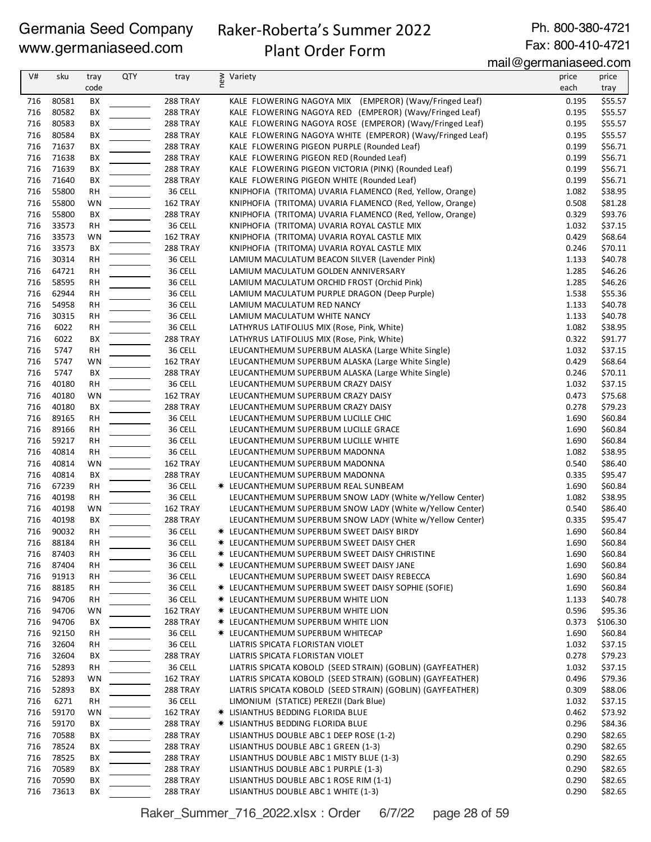# Raker-Roberta's Summer 2022

Ph. 800-380-4721 Fax: 800-410-4721

# Plant Order Form

mail@germaniaseed.com

|     |       |           |            |          |                                                            | $111$ an $\sim$ gormaniao oo a.oom |          |
|-----|-------|-----------|------------|----------|------------------------------------------------------------|------------------------------------|----------|
| V#  | sku   | tray      | <b>QTY</b> | tray     | ≥ Variety<br>E                                             | price                              | price    |
|     |       | code      |            |          |                                                            | each                               | tray     |
| 716 | 80581 | BХ        |            | 288 TRAY | KALE FLOWERING NAGOYA MIX (EMPEROR) (Wavy/Fringed Leaf)    | 0.195                              | \$55.57  |
| 716 | 80582 | BX        |            | 288 TRAY | KALE FLOWERING NAGOYA RED (EMPEROR) (Wavy/Fringed Leaf)    | 0.195                              | \$55.57  |
| 716 | 80583 | BX        |            | 288 TRAY | KALE FLOWERING NAGOYA ROSE (EMPEROR) (Wavy/Fringed Leaf)   | 0.195                              | \$55.57  |
| 716 | 80584 | BX        |            | 288 TRAY | KALE FLOWERING NAGOYA WHITE (EMPEROR) (Wavy/Fringed Leaf)  | 0.195                              | \$55.57  |
| 716 |       |           |            |          |                                                            | 0.199                              |          |
|     | 71637 | BX        |            | 288 TRAY | KALE FLOWERING PIGEON PURPLE (Rounded Leaf)                |                                    | \$56.71  |
| 716 | 71638 | BХ        |            | 288 TRAY | KALE FLOWERING PIGEON RED (Rounded Leaf)                   | 0.199                              | \$56.71  |
| 716 | 71639 | BХ        |            | 288 TRAY | KALE FLOWERING PIGEON VICTORIA (PINK) (Rounded Leaf)       | 0.199                              | \$56.71  |
| 716 | 71640 | BX        |            | 288 TRAY | KALE FLOWERING PIGEON WHITE (Rounded Leaf)                 | 0.199                              | \$56.71  |
| 716 | 55800 | <b>RH</b> |            | 36 CELL  | KNIPHOFIA (TRITOMA) UVARIA FLAMENCO (Red, Yellow, Orange)  | 1.082                              | \$38.95  |
| 716 | 55800 | WN        |            | 162 TRAY | KNIPHOFIA (TRITOMA) UVARIA FLAMENCO (Red, Yellow, Orange)  | 0.508                              | \$81.28  |
| 716 | 55800 | BХ        |            | 288 TRAY | KNIPHOFIA (TRITOMA) UVARIA FLAMENCO (Red, Yellow, Orange)  | 0.329                              | \$93.76  |
| 716 | 33573 | <b>RH</b> |            | 36 CELL  | KNIPHOFIA (TRITOMA) UVARIA ROYAL CASTLE MIX                | 1.032                              | \$37.15  |
| 716 | 33573 | WN        |            | 162 TRAY | KNIPHOFIA (TRITOMA) UVARIA ROYAL CASTLE MIX                | 0.429                              | \$68.64  |
| 716 | 33573 | BХ        |            | 288 TRAY | KNIPHOFIA (TRITOMA) UVARIA ROYAL CASTLE MIX                | 0.246                              | \$70.11  |
| 716 | 30314 | <b>RH</b> |            | 36 CELL  | LAMIUM MACULATUM BEACON SILVER (Lavender Pink)             | 1.133                              | \$40.78  |
| 716 | 64721 | <b>RH</b> |            | 36 CELL  | LAMIUM MACULATUM GOLDEN ANNIVERSARY                        | 1.285                              | \$46.26  |
| 716 | 58595 | <b>RH</b> |            | 36 CELL  | LAMIUM MACULATUM ORCHID FROST (Orchid Pink)                | 1.285                              | \$46.26  |
| 716 | 62944 | RH        |            | 36 CELL  | LAMIUM MACULATUM PURPLE DRAGON (Deep Purple)               | 1.538                              | \$55.36  |
|     |       |           |            |          |                                                            |                                    |          |
| 716 | 54958 | <b>RH</b> |            | 36 CELL  | LAMIUM MACULATUM RED NANCY                                 | 1.133                              | \$40.78  |
| 716 | 30315 | <b>RH</b> |            | 36 CELL  | LAMIUM MACULATUM WHITE NANCY                               | 1.133                              | \$40.78  |
| 716 | 6022  | <b>RH</b> |            | 36 CELL  | LATHYRUS LATIFOLIUS MIX (Rose, Pink, White)                | 1.082                              | \$38.95  |
| 716 | 6022  | BX        |            | 288 TRAY | LATHYRUS LATIFOLIUS MIX (Rose, Pink, White)                | 0.322                              | \$91.77  |
| 716 | 5747  | <b>RH</b> |            | 36 CELL  | LEUCANTHEMUM SUPERBUM ALASKA (Large White Single)          | 1.032                              | \$37.15  |
| 716 | 5747  | WN        |            | 162 TRAY | LEUCANTHEMUM SUPERBUM ALASKA (Large White Single)          | 0.429                              | \$68.64  |
| 716 | 5747  | BX        |            | 288 TRAY | LEUCANTHEMUM SUPERBUM ALASKA (Large White Single)          | 0.246                              | \$70.11  |
| 716 | 40180 | <b>RH</b> |            | 36 CELL  | LEUCANTHEMUM SUPERBUM CRAZY DAISY                          | 1.032                              | \$37.15  |
| 716 | 40180 | WN        |            | 162 TRAY | LEUCANTHEMUM SUPERBUM CRAZY DAISY                          | 0.473                              | \$75.68  |
| 716 | 40180 | BХ        |            | 288 TRAY | LEUCANTHEMUM SUPERBUM CRAZY DAISY                          | 0.278                              | \$79.23  |
| 716 | 89165 | RH        |            | 36 CELL  | LEUCANTHEMUM SUPERBUM LUCILLE CHIC                         | 1.690                              | \$60.84  |
| 716 | 89166 | <b>RH</b> |            | 36 CELL  | LEUCANTHEMUM SUPERBUM LUCILLE GRACE                        | 1.690                              | \$60.84  |
| 716 | 59217 | <b>RH</b> |            | 36 CELL  | LEUCANTHEMUM SUPERBUM LUCILLE WHITE                        | 1.690                              | \$60.84  |
| 716 |       |           |            |          |                                                            |                                    |          |
|     | 40814 | <b>RH</b> |            | 36 CELL  | LEUCANTHEMUM SUPERBUM MADONNA                              | 1.082                              | \$38.95  |
| 716 | 40814 | WN        |            | 162 TRAY | LEUCANTHEMUM SUPERBUM MADONNA                              | 0.540                              | \$86.40  |
| 716 | 40814 | BX        |            | 288 TRAY | LEUCANTHEMUM SUPERBUM MADONNA                              | 0.335                              | \$95.47  |
| 716 | 67239 | <b>RH</b> |            | 36 CELL  | <b>★ LEUCANTHEMUM SUPERBUM REAL SUNBEAM</b>                | 1.690                              | \$60.84  |
| 716 | 40198 | <b>RH</b> |            | 36 CELL  | LEUCANTHEMUM SUPERBUM SNOW LADY (White w/Yellow Center)    | 1.082                              | \$38.95  |
| 716 | 40198 | WN        |            | 162 TRAY | LEUCANTHEMUM SUPERBUM SNOW LADY (White w/Yellow Center)    | 0.540                              | \$86.40  |
| 716 | 40198 | BX        |            | 288 TRAY | LEUCANTHEMUM SUPERBUM SNOW LADY (White w/Yellow Center)    | 0.335                              | \$95.47  |
| 716 | 90032 | <b>RH</b> |            | 36 CELL  | * LEUCANTHEMUM SUPERBUM SWEET DAISY BIRDY                  | 1.690                              | \$60.84  |
| 716 | 88184 | <b>RH</b> |            | 36 CELL  | * LEUCANTHEMUM SUPERBUM SWEET DAISY CHER                   | 1.690                              | \$60.84  |
| 716 | 87403 | <b>RH</b> |            | 36 CELL  | * LEUCANTHEMUM SUPERBUM SWEET DAISY CHRISTINE              | 1.690                              | \$60.84  |
| 716 | 87404 | RH        |            | 36 CELL  | <b>* LEUCANTHEMUM SUPERBUM SWEET DAISY JANE</b>            | 1.690                              | \$60.84  |
| 716 | 91913 | <b>RH</b> |            | 36 CELL  | LEUCANTHEMUM SUPERBUM SWEET DAISY REBECCA                  | 1.690                              | \$60.84  |
| 716 | 88185 | RH        |            | 36 CELL  | <b>* LEUCANTHEMUM SUPERBUM SWEET DAISY SOPHIE (SOFIE)</b>  | 1.690                              | \$60.84  |
| 716 | 94706 | RH        |            | 36 CELL  | <b>* LEUCANTHEMUM SUPERBUM WHITE LION</b>                  | 1.133                              | \$40.78  |
| 716 | 94706 | WN        |            | 162 TRAY | <b>* LEUCANTHEMUM SUPERBUM WHITE LION</b>                  | 0.596                              | \$95.36  |
| 716 | 94706 | BХ        |            | 288 TRAY | <b>* LEUCANTHEMUM SUPERBUM WHITE LION</b>                  | 0.373                              | \$106.30 |
| 716 | 92150 | RH        |            | 36 CELL  | * LEUCANTHEMUM SUPERBUM WHITECAP                           | 1.690                              | \$60.84  |
|     |       |           |            |          |                                                            |                                    |          |
| 716 | 32604 | RH        |            | 36 CELL  | LIATRIS SPICATA FLORISTAN VIOLET                           | 1.032                              | \$37.15  |
| 716 | 32604 | BХ        |            | 288 TRAY | LIATRIS SPICATA FLORISTAN VIOLET                           | 0.278                              | \$79.23  |
| 716 | 52893 | RH        |            | 36 CELL  | LIATRIS SPICATA KOBOLD (SEED STRAIN) (GOBLIN) (GAYFEATHER) | 1.032                              | \$37.15  |
| 716 | 52893 | WN        |            | 162 TRAY | LIATRIS SPICATA KOBOLD (SEED STRAIN) (GOBLIN) (GAYFEATHER) | 0.496                              | \$79.36  |
| 716 | 52893 | BХ        |            | 288 TRAY | LIATRIS SPICATA KOBOLD (SEED STRAIN) (GOBLIN) (GAYFEATHER) | 0.309                              | \$88.06  |
| 716 | 6271  | RH        |            | 36 CELL  | LIMONIUM (STATICE) PEREZII (Dark Blue)                     | 1.032                              | \$37.15  |
| 716 | 59170 | WN        |            | 162 TRAY | * LISIANTHUS BEDDING FLORIDA BLUE                          | 0.462                              | \$73.92  |
| 716 | 59170 | BХ        |            | 288 TRAY | * LISIANTHUS BEDDING FLORIDA BLUE                          | 0.296                              | \$84.36  |
| 716 | 70588 | BХ        |            | 288 TRAY | LISIANTHUS DOUBLE ABC 1 DEEP ROSE (1-2)                    | 0.290                              | \$82.65  |
| 716 | 78524 | BХ        |            | 288 TRAY | LISIANTHUS DOUBLE ABC 1 GREEN (1-3)                        | 0.290                              | \$82.65  |
| 716 | 78525 | BХ        |            | 288 TRAY | LISIANTHUS DOUBLE ABC 1 MISTY BLUE (1-3)                   | 0.290                              | \$82.65  |
| 716 | 70589 | BХ        |            | 288 TRAY | LISIANTHUS DOUBLE ABC 1 PURPLE (1-3)                       | 0.290                              | \$82.65  |
| 716 | 70590 | BХ        |            | 288 TRAY | LISIANTHUS DOUBLE ABC 1 ROSE RIM (1-1)                     | 0.290                              | \$82.65  |
| 716 | 73613 | ВX        |            | 288 TRAY | LISIANTHUS DOUBLE ABC 1 WHITE (1-3)                        | 0.290                              | \$82.65  |
|     |       |           |            |          |                                                            |                                    |          |

Raker\_Summer\_716\_2022.xlsx : Order 6/7/22 page 28 of 59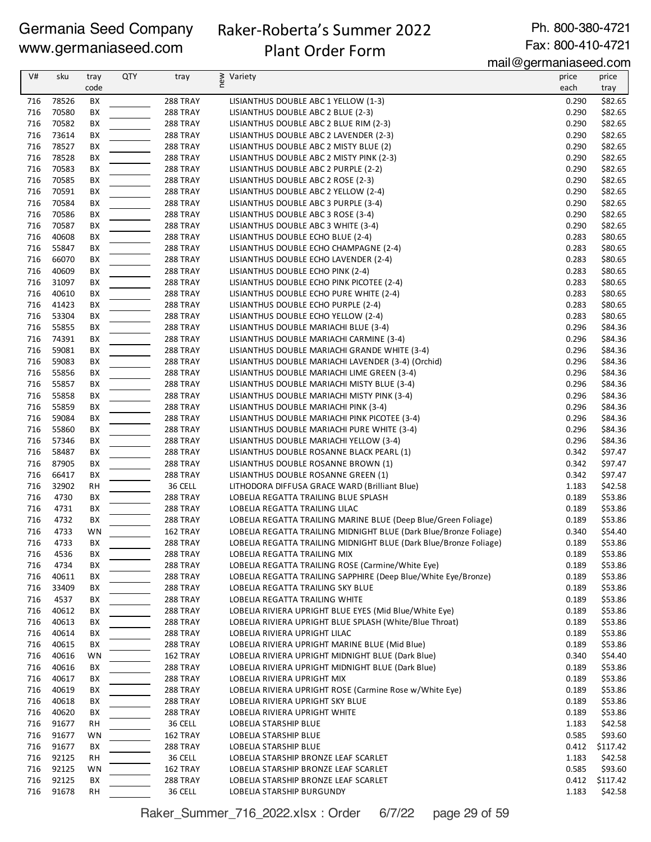# Raker-Roberta's Summer 2022

Plant Order Form

Ph. 800-380-4721 Fax: 800-410-4721

mail@germaniaseed.com

| V#         | sku            | tray<br>code | <b>QTY</b> | tray                 | ≷ Variety                                                                         | price<br>each  | price<br>tray       |
|------------|----------------|--------------|------------|----------------------|-----------------------------------------------------------------------------------|----------------|---------------------|
|            |                |              |            |                      |                                                                                   |                |                     |
| 716<br>716 | 78526<br>70580 | ВX<br>BX     |            | 288 TRAY<br>288 TRAY | LISIANTHUS DOUBLE ABC 1 YELLOW (1-3)                                              | 0.290<br>0.290 | \$82.65<br>\$82.65  |
| 716        | 70582          | BX           |            | 288 TRAY             | LISIANTHUS DOUBLE ABC 2 BLUE (2-3)<br>LISIANTHUS DOUBLE ABC 2 BLUE RIM (2-3)      | 0.290          | \$82.65             |
| 716        | 73614          | ВX           |            | 288 TRAY             | LISIANTHUS DOUBLE ABC 2 LAVENDER (2-3)                                            | 0.290          | \$82.65             |
| 716        | 78527          | BХ           |            | 288 TRAY             | LISIANTHUS DOUBLE ABC 2 MISTY BLUE (2)                                            | 0.290          | \$82.65             |
| 716        | 78528          | BХ           |            | 288 TRAY             | LISIANTHUS DOUBLE ABC 2 MISTY PINK (2-3)                                          | 0.290          | \$82.65             |
| 716        | 70583          | BX           |            | 288 TRAY             | LISIANTHUS DOUBLE ABC 2 PURPLE (2-2)                                              | 0.290          | \$82.65             |
| 716        | 70585          | BX           |            | 288 TRAY             | LISIANTHUS DOUBLE ABC 2 ROSE (2-3)                                                | 0.290          | \$82.65             |
| 716        | 70591          | BХ           |            | 288 TRAY             | LISIANTHUS DOUBLE ABC 2 YELLOW (2-4)                                              | 0.290          | \$82.65             |
| 716        | 70584          | BX           |            | 288 TRAY             | LISIANTHUS DOUBLE ABC 3 PURPLE (3-4)                                              | 0.290          | \$82.65             |
| 716        | 70586          | ВX           |            | 288 TRAY             | LISIANTHUS DOUBLE ABC 3 ROSE (3-4)                                                | 0.290          | \$82.65             |
| 716        | 70587          | BX           |            | 288 TRAY             | LISIANTHUS DOUBLE ABC 3 WHITE (3-4)                                               | 0.290          | \$82.65             |
| 716        | 40608          | BХ           |            | 288 TRAY             | LISIANTHUS DOUBLE ECHO BLUE (2-4)                                                 | 0.283          | \$80.65             |
| 716        | 55847          | BХ           |            | 288 TRAY             | LISIANTHUS DOUBLE ECHO CHAMPAGNE (2-4)                                            | 0.283          | \$80.65             |
| 716        | 66070          | BХ           |            | <b>288 TRAY</b>      | LISIANTHUS DOUBLE ECHO LAVENDER (2-4)                                             | 0.283          | \$80.65             |
| 716        | 40609          | BХ           |            | 288 TRAY             | LISIANTHUS DOUBLE ECHO PINK (2-4)                                                 | 0.283          | \$80.65             |
| 716        | 31097          | BX           |            | 288 TRAY             | LISIANTHUS DOUBLE ECHO PINK PICOTEE (2-4)                                         | 0.283          | \$80.65             |
| 716        | 40610          | BX           |            | 288 TRAY             | LISIANTHUS DOUBLE ECHO PURE WHITE (2-4)                                           | 0.283          | \$80.65             |
| 716        | 41423          | BX           |            | 288 TRAY             | LISIANTHUS DOUBLE ECHO PURPLE (2-4)                                               | 0.283          | \$80.65             |
| 716        | 53304          | BX           |            | 288 TRAY             | LISIANTHUS DOUBLE ECHO YELLOW (2-4)                                               | 0.283          | \$80.65             |
| 716<br>716 | 55855<br>74391 | BX           |            | 288 TRAY<br>288 TRAY | LISIANTHUS DOUBLE MARIACHI BLUE (3-4)<br>LISIANTHUS DOUBLE MARIACHI CARMINE (3-4) | 0.296<br>0.296 | \$84.36<br>\$84.36  |
| 716        | 59081          | ВX<br>BХ     |            | 288 TRAY             | LISIANTHUS DOUBLE MARIACHI GRANDE WHITE (3-4)                                     | 0.296          | \$84.36             |
| 716        | 59083          | BХ           |            | 288 TRAY             | LISIANTHUS DOUBLE MARIACHI LAVENDER (3-4) (Orchid)                                | 0.296          | \$84.36             |
| 716        | 55856          | BХ           |            | <b>288 TRAY</b>      | LISIANTHUS DOUBLE MARIACHI LIME GREEN (3-4)                                       | 0.296          | \$84.36             |
| 716        | 55857          | ВX           |            | 288 TRAY             | LISIANTHUS DOUBLE MARIACHI MISTY BLUE (3-4)                                       | 0.296          | \$84.36             |
| 716        | 55858          | BX           |            | 288 TRAY             | LISIANTHUS DOUBLE MARIACHI MISTY PINK (3-4)                                       | 0.296          | \$84.36             |
| 716        | 55859          | BX           |            | 288 TRAY             | LISIANTHUS DOUBLE MARIACHI PINK (3-4)                                             | 0.296          | \$84.36             |
| 716        | 59084          | BX           |            | 288 TRAY             | LISIANTHUS DOUBLE MARIACHI PINK PICOTEE (3-4)                                     | 0.296          | \$84.36             |
| 716        | 55860          | BX           |            | 288 TRAY             | LISIANTHUS DOUBLE MARIACHI PURE WHITE (3-4)                                       | 0.296          | \$84.36             |
| 716        | 57346          | BX           |            | 288 TRAY             | LISIANTHUS DOUBLE MARIACHI YELLOW (3-4)                                           | 0.296          | \$84.36             |
| 716        | 58487          | BХ           |            | <b>288 TRAY</b>      | LISIANTHUS DOUBLE ROSANNE BLACK PEARL (1)                                         | 0.342          | \$97.47             |
| 716        | 87905          | BХ           |            | 288 TRAY             | LISIANTHUS DOUBLE ROSANNE BROWN (1)                                               | 0.342          | \$97.47             |
| 716        | 66417          | BX           |            | <b>288 TRAY</b>      | LISIANTHUS DOUBLE ROSANNE GREEN (1)                                               | 0.342          | \$97.47             |
| 716        | 32902          | RH           |            | 36 CELL              | LITHODORA DIFFUSA GRACE WARD (Brilliant Blue)                                     | 1.183          | \$42.58             |
| 716        | 4730           | BХ           |            | <b>288 TRAY</b>      | LOBELIA REGATTA TRAILING BLUE SPLASH                                              | 0.189          | \$53.86             |
| 716        | 4731           | BX           |            | 288 TRAY             | LOBELIA REGATTA TRAILING LILAC                                                    | 0.189          | \$53.86             |
| 716        | 4732           | BX           |            | <b>288 TRAY</b>      | LOBELIA REGATTA TRAILING MARINE BLUE (Deep Blue/Green Foliage)                    | 0.189          | \$53.86             |
| 716        | 4733           | WN           |            | 162 TRAY             | LOBELIA REGATTA TRAILING MIDNIGHT BLUE (Dark Blue/Bronze Foliage)                 | 0.340          | \$54.40             |
| 716        | 4733           | BХ           |            | 288 TRAY             | LOBELIA REGATTA TRAILING MIDNIGHT BLUE (Dark Blue/Bronze Foliage)                 | 0.189          | \$53.86             |
| 716<br>716 | 4536<br>4734   | BХ<br>ВX     |            | 288 TRAY<br>288 TRAY | LOBELIA REGATTA TRAILING MIX<br>LOBELIA REGATTA TRAILING ROSE (Carmine/White Eye) | 0.189<br>0.189 | \$53.86<br>\$53.86  |
| 716        | 40611          | ВX           |            | 288 TRAY             | LOBELIA REGATTA TRAILING SAPPHIRE (Deep Blue/White Eye/Bronze)                    | 0.189          | \$53.86             |
| 716        | 33409          | ВX           |            | 288 TRAY             | LOBELIA REGATTA TRAILING SKY BLUE                                                 | 0.189          | \$53.86             |
| 716        | 4537           | BХ           |            | <b>288 TRAY</b>      | LOBELIA REGATTA TRAILING WHITE                                                    | 0.189          | \$53.86             |
| 716        | 40612          | BХ           |            | 288 TRAY             | LOBELIA RIVIERA UPRIGHT BLUE EYES (Mid Blue/White Eye)                            | 0.189          | \$53.86             |
| 716        | 40613          | ВX           |            | 288 TRAY             | LOBELIA RIVIERA UPRIGHT BLUE SPLASH (White/Blue Throat)                           | 0.189          | \$53.86             |
| 716        | 40614          | ВX           |            | 288 TRAY             | LOBELIA RIVIERA UPRIGHT LILAC                                                     | 0.189          | \$53.86             |
| 716        | 40615          | ВX           |            | 288 TRAY             | LOBELIA RIVIERA UPRIGHT MARINE BLUE (Mid Blue)                                    | 0.189          | \$53.86             |
| 716        | 40616          | WN           |            | 162 TRAY             | LOBELIA RIVIERA UPRIGHT MIDNIGHT BLUE (Dark Blue)                                 | 0.340          | \$54.40             |
| 716        | 40616          | BХ           |            | 288 TRAY             | LOBELIA RIVIERA UPRIGHT MIDNIGHT BLUE (Dark Blue)                                 | 0.189          | \$53.86             |
| 716        | 40617          | ВX           |            | 288 TRAY             | LOBELIA RIVIERA UPRIGHT MIX                                                       | 0.189          | \$53.86             |
| 716        | 40619          | ВX           |            | <b>288 TRAY</b>      | LOBELIA RIVIERA UPRIGHT ROSE (Carmine Rose w/White Eye)                           | 0.189          | \$53.86             |
| 716        | 40618          | BХ           |            | 288 TRAY             | LOBELIA RIVIERA UPRIGHT SKY BLUE                                                  | 0.189          | \$53.86             |
| 716        | 40620          | BХ           |            | 288 TRAY             | LOBELIA RIVIERA UPRIGHT WHITE                                                     | 0.189          | \$53.86             |
| 716        | 91677          | RH           |            | 36 CELL              | LOBELIA STARSHIP BLUE                                                             | 1.183          | \$42.58             |
| 716        | 91677          | WN           |            | 162 TRAY             | LOBELIA STARSHIP BLUE                                                             | 0.585          | \$93.60             |
| 716        | 91677          | BХ           |            | <b>288 TRAY</b>      | LOBELIA STARSHIP BLUE                                                             | 0.412          | \$117.42            |
| 716        | 92125          | RH           |            | 36 CELL              | LOBELIA STARSHIP BRONZE LEAF SCARLET                                              | 1.183          | \$42.58             |
| 716<br>716 | 92125<br>92125 | WN           |            | 162 TRAY             | LOBELIA STARSHIP BRONZE LEAF SCARLET                                              | 0.585<br>0.412 | \$93.60             |
| 716        | 91678          | BХ<br>RH     |            | 288 TRAY<br>36 CELL  | LOBELIA STARSHIP BRONZE LEAF SCARLET<br>LOBELIA STARSHIP BURGUNDY                 | 1.183          | \$117.42<br>\$42.58 |
|            |                |              |            |                      |                                                                                   |                |                     |

Raker\_Summer\_716\_2022.xlsx : Order 6/7/22 page 29 of 59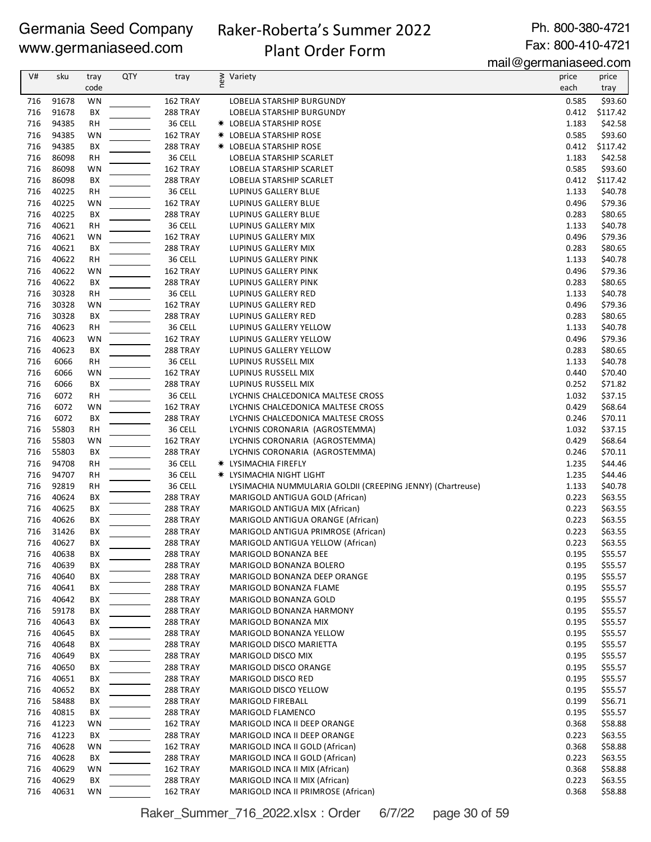# Raker-Roberta's Summer 2022 Plant Order Form

Ph. 800-380-4721 Fax: 800-410-4721

mail@germaniaseed.com

| V#  | sku   | tray      | <b>QTY</b> | tray            | new | Variety                                                    | price | price    |
|-----|-------|-----------|------------|-----------------|-----|------------------------------------------------------------|-------|----------|
|     |       | code      |            |                 |     |                                                            | each  | tray     |
| 716 | 91678 | WN        |            | 162 TRAY        |     | LOBELIA STARSHIP BURGUNDY                                  | 0.585 | \$93.60  |
| 716 | 91678 | ВX        |            | 288 TRAY        |     | <b>LOBELIA STARSHIP BURGUNDY</b>                           | 0.412 | \$117.42 |
| 716 | 94385 | <b>RH</b> |            | 36 CELL         |     | <b>* LOBELIA STARSHIP ROSE</b>                             | 1.183 | \$42.58  |
| 716 | 94385 | WN        |            | 162 TRAY        |     | <b>* LOBELIA STARSHIP ROSE</b>                             | 0.585 | \$93.60  |
| 716 | 94385 | BX        |            | 288 TRAY        |     | <b>* LOBELIA STARSHIP ROSE</b>                             | 0.412 | \$117.42 |
| 716 | 86098 | <b>RH</b> |            | 36 CELL         |     | LOBELIA STARSHIP SCARLET                                   | 1.183 | \$42.58  |
| 716 | 86098 | WN        |            | 162 TRAY        |     | LOBELIA STARSHIP SCARLET                                   | 0.585 | \$93.60  |
| 716 | 86098 | ВX        |            | 288 TRAY        |     | LOBELIA STARSHIP SCARLET                                   | 0.412 | \$117.42 |
| 716 | 40225 | RH        |            | 36 CELL         |     | LUPINUS GALLERY BLUE                                       | 1.133 | \$40.78  |
| 716 | 40225 | WN        |            | 162 TRAY        |     | LUPINUS GALLERY BLUE                                       | 0.496 | \$79.36  |
| 716 | 40225 | ВX        |            | <b>288 TRAY</b> |     | LUPINUS GALLERY BLUE                                       | 0.283 | \$80.65  |
| 716 | 40621 | <b>RH</b> |            | 36 CELL         |     | LUPINUS GALLERY MIX                                        | 1.133 | \$40.78  |
| 716 | 40621 | WN        |            | 162 TRAY        |     | LUPINUS GALLERY MIX                                        | 0.496 | \$79.36  |
| 716 | 40621 | BX        |            | 288 TRAY        |     | LUPINUS GALLERY MIX                                        | 0.283 | \$80.65  |
| 716 | 40622 | <b>RH</b> |            | 36 CELL         |     | LUPINUS GALLERY PINK                                       | 1.133 | \$40.78  |
| 716 | 40622 | WN        |            | 162 TRAY        |     | LUPINUS GALLERY PINK                                       | 0.496 | \$79.36  |
| 716 | 40622 | ВX        |            | 288 TRAY        |     | LUPINUS GALLERY PINK                                       | 0.283 | \$80.65  |
| 716 | 30328 | RH        |            | 36 CELL         |     | LUPINUS GALLERY RED                                        | 1.133 | \$40.78  |
| 716 | 30328 | WN        |            | 162 TRAY        |     | LUPINUS GALLERY RED                                        | 0.496 | \$79.36  |
| 716 | 30328 | BX        |            | <b>288 TRAY</b> |     | LUPINUS GALLERY RED                                        | 0.283 | \$80.65  |
| 716 | 40623 | <b>RH</b> |            | 36 CELL         |     | LUPINUS GALLERY YELLOW                                     | 1.133 | \$40.78  |
| 716 | 40623 | WN        |            | 162 TRAY        |     | LUPINUS GALLERY YELLOW                                     | 0.496 | \$79.36  |
| 716 | 40623 | BX        |            | 288 TRAY        |     | LUPINUS GALLERY YELLOW                                     | 0.283 | \$80.65  |
| 716 | 6066  | <b>RH</b> |            | 36 CELL         |     | LUPINUS RUSSELL MIX                                        | 1.133 | \$40.78  |
| 716 | 6066  | WN        |            | 162 TRAY        |     | LUPINUS RUSSELL MIX                                        | 0.440 | \$70.40  |
| 716 | 6066  | BX        |            | 288 TRAY        |     | LUPINUS RUSSELL MIX                                        | 0.252 | \$71.82  |
| 716 | 6072  | <b>RH</b> |            | 36 CELL         |     | LYCHNIS CHALCEDONICA MALTESE CROSS                         | 1.032 | \$37.15  |
| 716 | 6072  | WN        |            | 162 TRAY        |     | LYCHNIS CHALCEDONICA MALTESE CROSS                         | 0.429 | \$68.64  |
| 716 | 6072  | BX        |            | <b>288 TRAY</b> |     | LYCHNIS CHALCEDONICA MALTESE CROSS                         | 0.246 | \$70.11  |
| 716 | 55803 | RH        |            | 36 CELL         |     | LYCHNIS CORONARIA (AGROSTEMMA)                             | 1.032 | \$37.15  |
| 716 | 55803 | WN        |            | 162 TRAY        |     | LYCHNIS CORONARIA (AGROSTEMMA)                             | 0.429 | \$68.64  |
| 716 | 55803 | BX        |            | 288 TRAY        |     | LYCHNIS CORONARIA (AGROSTEMMA)                             | 0.246 | \$70.11  |
| 716 | 94708 | <b>RH</b> |            | 36 CELL         |     | <b>* LYSIMACHIA FIREFLY</b>                                | 1.235 | \$44.46  |
| 716 | 94707 | <b>RH</b> |            | 36 CELL         |     | * LYSIMACHIA NIGHT LIGHT                                   | 1.235 | \$44.46  |
| 716 | 92819 | RH        |            | 36 CELL         |     | LYSIMACHIA NUMMULARIA GOLDII (CREEPING JENNY) (Chartreuse) | 1.133 | \$40.78  |
| 716 | 40624 | ВX        |            | 288 TRAY        |     | MARIGOLD ANTIGUA GOLD (African)                            | 0.223 | \$63.55  |
| 716 | 40625 | ВX        |            | 288 TRAY        |     | MARIGOLD ANTIGUA MIX (African)                             | 0.223 | \$63.55  |
| 716 | 40626 | ВX        |            | <b>288 TRAY</b> |     | MARIGOLD ANTIGUA ORANGE (African)                          | 0.223 | \$63.55  |
| 716 | 31426 | ВX        |            | 288 TRAY        |     | MARIGOLD ANTIGUA PRIMROSE (African)                        | 0.223 | \$63.55  |
| 716 | 40627 | ВX        |            | 288 TRAY        |     | MARIGOLD ANTIGUA YELLOW (African)                          | 0.223 | \$63.55  |
| 716 | 40638 | ВX        |            | 288 TRAY        |     | MARIGOLD BONANZA BEE                                       | 0.195 | \$55.57  |
| 716 | 40639 | BХ        |            | 288 TRAY        |     | MARIGOLD BONANZA BOLERO                                    | 0.195 | \$55.57  |
| 716 | 40640 | ВX        |            | 288 TRAY        |     | MARIGOLD BONANZA DEEP ORANGE                               | 0.195 | \$55.57  |
| 716 | 40641 | ВX        |            | 288 TRAY        |     | MARIGOLD BONANZA FLAME                                     | 0.195 | \$55.57  |
| 716 | 40642 | ВX        |            | 288 TRAY        |     | MARIGOLD BONANZA GOLD                                      | 0.195 | \$55.57  |
| 716 | 59178 | BХ        |            | 288 TRAY        |     | MARIGOLD BONANZA HARMONY                                   | 0.195 | \$55.57  |
| 716 | 40643 | ВX        |            | 288 TRAY        |     | MARIGOLD BONANZA MIX                                       | 0.195 | \$55.57  |
| 716 | 40645 | BХ        |            | <b>288 TRAY</b> |     | MARIGOLD BONANZA YELLOW                                    | 0.195 | \$55.57  |
| 716 | 40648 | ВX        |            | 288 TRAY        |     | MARIGOLD DISCO MARIETTA                                    | 0.195 | \$55.57  |
| 716 | 40649 | ВX        |            | 288 TRAY        |     | MARIGOLD DISCO MIX                                         | 0.195 | \$55.57  |
| 716 | 40650 | ВX        |            | 288 TRAY        |     | MARIGOLD DISCO ORANGE                                      | 0.195 | \$55.57  |
| 716 | 40651 | ВX        |            | 288 TRAY        |     | MARIGOLD DISCO RED                                         | 0.195 | \$55.57  |
| 716 | 40652 | ВX        |            | <b>288 TRAY</b> |     | MARIGOLD DISCO YELLOW                                      | 0.195 | \$55.57  |
| 716 | 58488 | ВX        |            | 288 TRAY        |     | MARIGOLD FIREBALL                                          | 0.199 | \$56.71  |
| 716 | 40815 | BХ        |            | 288 TRAY        |     | MARIGOLD FLAMENCO                                          | 0.195 | \$55.57  |
| 716 | 41223 | WN        |            | 162 TRAY        |     | MARIGOLD INCA II DEEP ORANGE                               | 0.368 | \$58.88  |
| 716 | 41223 | BХ        |            | <b>288 TRAY</b> |     | MARIGOLD INCA II DEEP ORANGE                               | 0.223 | \$63.55  |
| 716 | 40628 | WN        |            | 162 TRAY        |     | MARIGOLD INCA II GOLD (African)                            | 0.368 | \$58.88  |
| 716 | 40628 | BХ        |            | 288 TRAY        |     | MARIGOLD INCA II GOLD (African)                            | 0.223 | \$63.55  |
| 716 | 40629 | WN        |            | 162 TRAY        |     | MARIGOLD INCA II MIX (African)                             | 0.368 | \$58.88  |
| 716 | 40629 | ВX        |            | <b>288 TRAY</b> |     | MARIGOLD INCA II MIX (African)                             | 0.223 | \$63.55  |
| 716 | 40631 | WN        |            | 162 TRAY        |     | MARIGOLD INCA II PRIMROSE (African)                        | 0.368 | \$58.88  |

Raker\_Summer\_716\_2022.xlsx : Order 6/7/22 page 30 of 59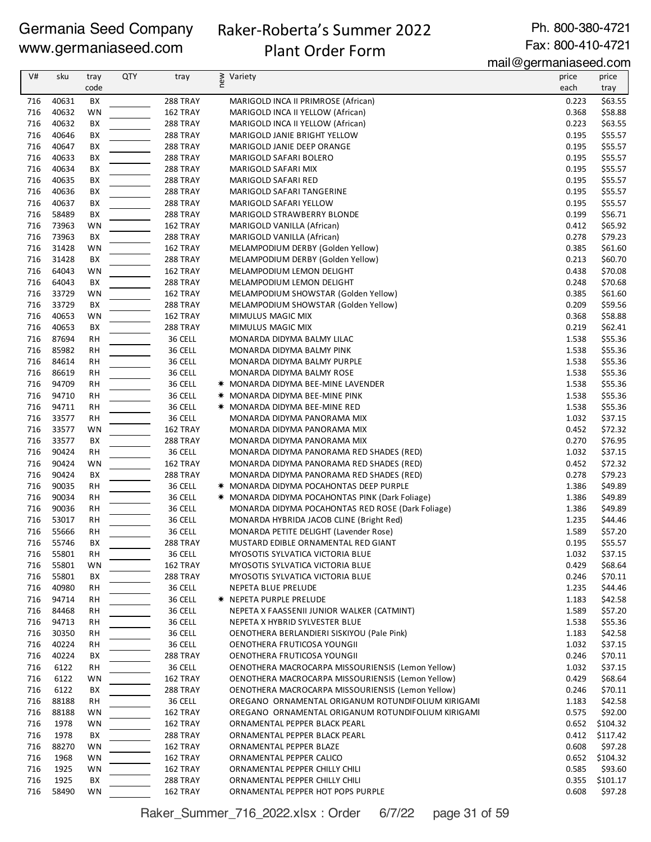# Raker-Roberta's Summer 2022 Plant Order Form

Ph. 800-380-4721 Fax: 800-410-4721

mail@germaniaseed.com

|            |                |           |            |                      |                                                                                                      | $m$ an $\approx$ yomnama $\sim$ oomn |                    |
|------------|----------------|-----------|------------|----------------------|------------------------------------------------------------------------------------------------------|--------------------------------------|--------------------|
| V#         | sku            | tray      | <b>QTY</b> | tray                 | new<br>Variety                                                                                       | price                                | price              |
|            |                | code      |            |                      |                                                                                                      | each                                 | tray               |
| 716<br>716 | 40631<br>40632 | BХ<br>WN  |            | 288 TRAY<br>162 TRAY | MARIGOLD INCA II PRIMROSE (African)                                                                  | 0.223<br>0.368                       | \$63.55<br>\$58.88 |
| 716        | 40632          | ВX        |            | 288 TRAY             | MARIGOLD INCA II YELLOW (African)<br>MARIGOLD INCA II YELLOW (African)                               | 0.223                                | \$63.55            |
| 716        | 40646          | ВX        |            | 288 TRAY             | MARIGOLD JANIE BRIGHT YELLOW                                                                         | 0.195                                | \$55.57            |
| 716        | 40647          | BХ        |            | <b>288 TRAY</b>      | MARIGOLD JANIE DEEP ORANGE                                                                           | 0.195                                | \$55.57            |
| 716        | 40633          | ВX        |            | <b>288 TRAY</b>      | MARIGOLD SAFARI BOLERO                                                                               | 0.195                                | \$55.57            |
| 716        | 40634          | ВX        |            | 288 TRAY             | MARIGOLD SAFARI MIX                                                                                  | 0.195                                | \$55.57            |
| 716        | 40635          | ВX        |            | 288 TRAY             | MARIGOLD SAFARI RED                                                                                  | 0.195                                | \$55.57            |
| 716        | 40636          | ВX        |            | 288 TRAY             | MARIGOLD SAFARI TANGERINE                                                                            | 0.195                                | \$55.57            |
| 716        | 40637          | ВX        |            | 288 TRAY             | MARIGOLD SAFARI YELLOW                                                                               | 0.195                                | \$55.57            |
| 716        | 58489          | BХ        |            | 288 TRAY             | MARIGOLD STRAWBERRY BLONDE                                                                           | 0.199                                | \$56.71            |
| 716        | 73963          | WN        |            | 162 TRAY             | MARIGOLD VANILLA (African)                                                                           | 0.412                                | \$65.92            |
| 716        | 73963          | BX        |            | 288 TRAY             | MARIGOLD VANILLA (African)                                                                           | 0.278                                | \$79.23            |
| 716        | 31428          | WN        |            | 162 TRAY             | MELAMPODIUM DERBY (Golden Yellow)                                                                    | 0.385                                | \$61.60            |
| 716        | 31428          | ВX        |            | <b>288 TRAY</b>      | MELAMPODIUM DERBY (Golden Yellow)                                                                    | 0.213                                | \$60.70            |
| 716        | 64043          | WN        |            | 162 TRAY             | MELAMPODIUM LEMON DELIGHT                                                                            | 0.438                                | \$70.08            |
| 716        | 64043          | BX        |            | 288 TRAY             | MELAMPODIUM LEMON DELIGHT                                                                            | 0.248                                | \$70.68            |
| 716        | 33729          | WN        |            | 162 TRAY             | MELAMPODIUM SHOWSTAR (Golden Yellow)                                                                 | 0.385                                | \$61.60            |
| 716        | 33729          | ВX        |            | 288 TRAY             | MELAMPODIUM SHOWSTAR (Golden Yellow)                                                                 | 0.209                                | \$59.56            |
| 716        | 40653          | WN        |            | 162 TRAY             | MIMULUS MAGIC MIX                                                                                    | 0.368                                | \$58.88            |
| 716        | 40653          | ВX        |            | 288 TRAY             | MIMULUS MAGIC MIX                                                                                    | 0.219                                | \$62.41            |
| 716        | 87694          | <b>RH</b> |            | 36 CELL              | MONARDA DIDYMA BALMY LILAC                                                                           | 1.538                                | \$55.36            |
| 716        | 85982          | RH        |            | 36 CELL              | MONARDA DIDYMA BALMY PINK                                                                            | 1.538                                | \$55.36            |
| 716        | 84614          | RH        |            | 36 CELL              | MONARDA DIDYMA BALMY PURPLE                                                                          | 1.538                                | \$55.36            |
| 716        | 86619          | <b>RH</b> |            | 36 CELL              | MONARDA DIDYMA BALMY ROSE                                                                            | 1.538                                | \$55.36            |
| 716        | 94709          | <b>RH</b> |            | 36 CELL              | <b>* MONARDA DIDYMA BEE-MINE LAVENDER</b>                                                            | 1.538                                | \$55.36            |
| 716        | 94710          | <b>RH</b> |            | 36 CELL              | <b>* MONARDA DIDYMA BEE-MINE PINK</b>                                                                | 1.538                                | \$55.36            |
| 716        | 94711          | <b>RH</b> |            | 36 CELL              | <b>* MONARDA DIDYMA BEE-MINE RED</b>                                                                 | 1.538                                | \$55.36            |
| 716        | 33577          | RH        |            | 36 CELL              | MONARDA DIDYMA PANORAMA MIX                                                                          | 1.032                                | \$37.15            |
| 716        | 33577          | WN        |            | 162 TRAY             | MONARDA DIDYMA PANORAMA MIX                                                                          | 0.452                                | \$72.32            |
| 716        | 33577          | BX        |            | 288 TRAY             | MONARDA DIDYMA PANORAMA MIX                                                                          | 0.270                                | \$76.95            |
| 716        | 90424          | <b>RH</b> |            | 36 CELL              | MONARDA DIDYMA PANORAMA RED SHADES (RED)                                                             | 1.032                                | \$37.15            |
| 716        | 90424          | WN        |            | 162 TRAY             | MONARDA DIDYMA PANORAMA RED SHADES (RED)                                                             | 0.452                                | \$72.32            |
| 716        | 90424          | ВX        |            | 288 TRAY             | MONARDA DIDYMA PANORAMA RED SHADES (RED)                                                             | 0.278                                | \$79.23            |
| 716        | 90035          | RH        |            | 36 CELL              | * MONARDA DIDYMA POCAHONTAS DEEP PURPLE                                                              | 1.386                                | \$49.89            |
| 716<br>716 | 90034<br>90036 | RH        |            | 36 CELL<br>36 CELL   | * MONARDA DIDYMA POCAHONTAS PINK (Dark Foliage)<br>MONARDA DIDYMA POCAHONTAS RED ROSE (Dark Foliage) | 1.386<br>1.386                       | \$49.89<br>\$49.89 |
| 716        | 53017          | RH<br>RH  |            | 36 CELL              | MONARDA HYBRIDA JACOB CLINE (Bright Red)                                                             | 1.235                                | \$44.46            |
| 716        | 55666          | <b>RH</b> |            | 36 CELL              | MONARDA PETITE DELIGHT (Lavender Rose)                                                               | 1.589                                | \$57.20            |
| 716        | 55746          | BX        |            | 288 TRAY             | MUSTARD EDIBLE ORNAMENTAL RED GIANT                                                                  | 0.195                                | \$55.57            |
| 716        | 55801          | <b>RH</b> |            | 36 CELL              | MYOSOTIS SYLVATICA VICTORIA BLUE                                                                     | 1.032                                | \$37.15            |
| 716        | 55801          | WN        |            | 162 TRAY             | <b>MYOSOTIS SYLVATICA VICTORIA BLUE</b>                                                              | 0.429                                | \$68.64            |
| 716        | 55801          | BХ        |            | 288 TRAY             | MYOSOTIS SYLVATICA VICTORIA BLUE                                                                     | 0.246                                | \$70.11            |
| 716        | 40980          | RH        |            | 36 CELL              | NEPETA BLUE PRELUDE                                                                                  | 1.235                                | \$44.46            |
| 716        | 94714          | RH        |            | 36 CELL              | <b>★ NEPETA PURPLE PRELUDE</b>                                                                       | 1.183                                | \$42.58            |
| 716        | 84468          | RH        |            | 36 CELL              | NEPETA X FAASSENII JUNIOR WALKER (CATMINT)                                                           | 1.589                                | \$57.20            |
| 716        | 94713          | RH        |            | 36 CELL              | NEPETA X HYBRID SYLVESTER BLUE                                                                       | 1.538                                | \$55.36            |
| 716        | 30350          | <b>RH</b> |            | 36 CELL              | OENOTHERA BERLANDIERI SISKIYOU (Pale Pink)                                                           | 1.183                                | \$42.58            |
| 716        | 40224          | RH        |            | 36 CELL              | OENOTHERA FRUTICOSA YOUNGII                                                                          | 1.032                                | \$37.15            |
| 716        | 40224          | BХ        |            | <b>288 TRAY</b>      | OENOTHERA FRUTICOSA YOUNGII                                                                          | 0.246                                | \$70.11            |
| 716        | 6122           | RH        |            | 36 CELL              | OENOTHERA MACROCARPA MISSOURIENSIS (Lemon Yellow)                                                    | 1.032                                | \$37.15            |
| 716        | 6122           | WN        |            | 162 TRAY             | OENOTHERA MACROCARPA MISSOURIENSIS (Lemon Yellow)                                                    | 0.429                                | \$68.64            |
| 716        | 6122           | BХ        |            | 288 TRAY             | OENOTHERA MACROCARPA MISSOURIENSIS (Lemon Yellow)                                                    | 0.246                                | \$70.11            |
| 716        | 88188          | RH        |            | 36 CELL              | OREGANO ORNAMENTAL ORIGANUM ROTUNDIFOLIUM KIRIGAMI                                                   | 1.183                                | \$42.58            |
| 716        | 88188          | WN        |            | 162 TRAY             | OREGANO ORNAMENTAL ORIGANUM ROTUNDIFOLIUM KIRIGAMI                                                   | 0.575                                | \$92.00            |
| 716        | 1978           | WN        |            | 162 TRAY             | ORNAMENTAL PEPPER BLACK PEARL                                                                        | 0.652                                | \$104.32           |
| 716        | 1978           | BХ        |            | 288 TRAY             | ORNAMENTAL PEPPER BLACK PEARL                                                                        | 0.412                                | \$117.42           |
| 716        | 88270          | WN        |            | 162 TRAY             | ORNAMENTAL PEPPER BLAZE                                                                              | 0.608                                | \$97.28            |
| 716        | 1968           | WN        |            | 162 TRAY             | ORNAMENTAL PEPPER CALICO                                                                             | 0.652                                | \$104.32           |
| 716        | 1925           | WN        |            | 162 TRAY             | ORNAMENTAL PEPPER CHILLY CHILI                                                                       | 0.585                                | \$93.60            |
| 716        | 1925           | BХ        |            | 288 TRAY             | ORNAMENTAL PEPPER CHILLY CHILI                                                                       | 0.355                                | \$101.17           |
| 716        | 58490          | <b>WN</b> |            | 162 TRAY             | ORNAMENTAL PEPPER HOT POPS PURPLE                                                                    | 0.608                                | \$97.28            |

Raker\_Summer\_716\_2022.xlsx : Order 6/7/22 page 31 of 59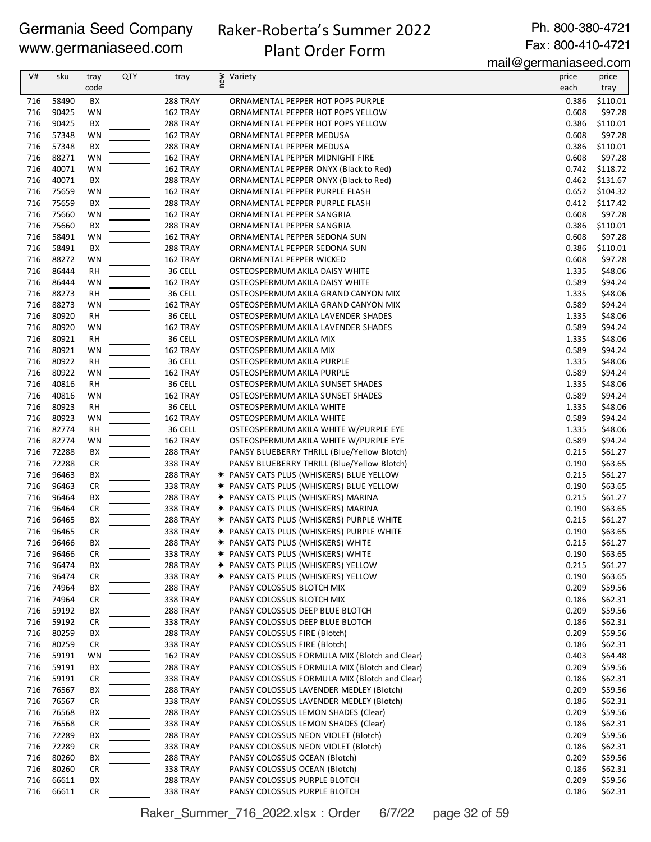# Raker-Roberta's Summer 2022

Ph. 800-380-4721 Fax: 800-410-4721

# Plant Order Form

mail@germaniaseed.com

|            |                |                 |     |                             |                                                                                  | $111$ an $\infty$ yon manasoo waxaan |                    |
|------------|----------------|-----------------|-----|-----------------------------|----------------------------------------------------------------------------------|--------------------------------------|--------------------|
| V#         | sku            | tray<br>code    | QTY | tray                        | ≥ Variety<br>E                                                                   | price<br>each                        | price<br>tray      |
| 716        | 58490          | ВX              |     | 288 TRAY                    | ORNAMENTAL PEPPER HOT POPS PURPLE                                                | 0.386                                | \$110.01           |
| 716        | 90425          | WN              |     | 162 TRAY                    | ORNAMENTAL PEPPER HOT POPS YELLOW                                                | 0.608                                | \$97.28            |
| 716        | 90425          | BХ              |     | <b>288 TRAY</b>             | ORNAMENTAL PEPPER HOT POPS YELLOW                                                | 0.386                                | \$110.01           |
| 716        | 57348          | WN              |     | 162 TRAY                    | ORNAMENTAL PEPPER MEDUSA                                                         | 0.608                                | \$97.28            |
| 716        | 57348          | BX              |     | 288 TRAY                    | ORNAMENTAL PEPPER MEDUSA                                                         | 0.386                                | \$110.01           |
| 716        | 88271          | WN              |     | 162 TRAY                    | ORNAMENTAL PEPPER MIDNIGHT FIRE                                                  | 0.608                                | \$97.28            |
| 716        | 40071          | WN              |     | 162 TRAY                    | ORNAMENTAL PEPPER ONYX (Black to Red)                                            | 0.742                                | \$118.72           |
| 716        | 40071          | BХ              |     | 288 TRAY                    | ORNAMENTAL PEPPER ONYX (Black to Red)                                            | 0.462                                | \$131.67           |
| 716        | 75659          | WN              |     | 162 TRAY                    | ORNAMENTAL PEPPER PURPLE FLASH                                                   |                                      | 0.652 \$104.32     |
| 716        | 75659          | ВX              |     | <b>288 TRAY</b>             | ORNAMENTAL PEPPER PURPLE FLASH                                                   | 0.412                                | \$117.42           |
| 716        | 75660          | WN              |     | 162 TRAY                    | ORNAMENTAL PEPPER SANGRIA                                                        | 0.608                                | \$97.28            |
| 716        | 75660          | BХ              |     | <b>288 TRAY</b>             | ORNAMENTAL PEPPER SANGRIA                                                        | 0.386                                | \$110.01           |
| 716        | 58491          | WN              |     | 162 TRAY                    | ORNAMENTAL PEPPER SEDONA SUN                                                     | 0.608                                | \$97.28            |
| 716        | 58491          | BX              |     | <b>288 TRAY</b>             | ORNAMENTAL PEPPER SEDONA SUN                                                     | 0.386                                | \$110.01           |
| 716<br>716 | 88272<br>86444 | WN              |     | 162 TRAY<br>36 CELL         | ORNAMENTAL PEPPER WICKED                                                         | 0.608<br>1.335                       | \$97.28<br>\$48.06 |
| 716        | 86444          | <b>RH</b><br>WN |     | 162 TRAY                    | OSTEOSPERMUM AKILA DAISY WHITE<br>OSTEOSPERMUM AKILA DAISY WHITE                 | 0.589                                | \$94.24            |
| 716        | 88273          | <b>RH</b>       |     | 36 CELL                     | OSTEOSPERMUM AKILA GRAND CANYON MIX                                              | 1.335                                | \$48.06            |
| 716        | 88273          | <b>WN</b>       |     | 162 TRAY                    | OSTEOSPERMUM AKILA GRAND CANYON MIX                                              | 0.589                                | \$94.24            |
| 716        | 80920          | RH              |     | 36 CELL                     | OSTEOSPERMUM AKILA LAVENDER SHADES                                               | 1.335                                | \$48.06            |
| 716        | 80920          | WN              |     | 162 TRAY                    | OSTEOSPERMUM AKILA LAVENDER SHADES                                               | 0.589                                | \$94.24            |
| 716        | 80921          | <b>RH</b>       |     | 36 CELL                     | OSTEOSPERMUM AKILA MIX                                                           | 1.335                                | \$48.06            |
| 716        | 80921          | WN              |     | 162 TRAY                    | OSTEOSPERMUM AKILA MIX                                                           | 0.589                                | \$94.24            |
| 716        | 80922          | <b>RH</b>       |     | 36 CELL                     | OSTEOSPERMUM AKILA PURPLE                                                        | 1.335                                | \$48.06            |
| 716        | 80922          | WN              |     | 162 TRAY                    | OSTEOSPERMUM AKILA PURPLE                                                        | 0.589                                | \$94.24            |
| 716        | 40816          | <b>RH</b>       |     | 36 CELL                     | OSTEOSPERMUM AKILA SUNSET SHADES                                                 | 1.335                                | \$48.06            |
| 716        | 40816          | WN              |     | 162 TRAY                    | OSTEOSPERMUM AKILA SUNSET SHADES                                                 | 0.589                                | \$94.24            |
| 716        | 80923          | RH              |     | 36 CELL                     | OSTEOSPERMUM AKILA WHITE                                                         | 1.335                                | \$48.06            |
| 716        | 80923          | WN              |     | 162 TRAY                    | OSTEOSPERMUM AKILA WHITE                                                         | 0.589                                | \$94.24            |
| 716        | 82774          | RH              |     | 36 CELL                     | OSTEOSPERMUM AKILA WHITE W/PURPLE EYE                                            | 1.335                                | \$48.06            |
| 716        | 82774          | WN              |     | 162 TRAY                    | OSTEOSPERMUM AKILA WHITE W/PURPLE EYE                                            | 0.589                                | \$94.24            |
| 716        | 72288          | BX              |     | <b>288 TRAY</b>             | PANSY BLUEBERRY THRILL (Blue/Yellow Blotch)                                      | 0.215                                | \$61.27            |
| 716        | 72288          | <b>CR</b>       |     | <b>338 TRAY</b>             | PANSY BLUEBERRY THRILL (Blue/Yellow Blotch)                                      | 0.190                                | \$63.65            |
| 716        | 96463          | BХ              |     | 288 TRAY                    | * PANSY CATS PLUS (WHISKERS) BLUE YELLOW                                         | 0.215                                | \$61.27            |
| 716        | 96463          | CR              |     | <b>338 TRAY</b>             | * PANSY CATS PLUS (WHISKERS) BLUE YELLOW                                         | 0.190                                | \$63.65            |
| 716<br>716 | 96464<br>96464 | BХ              |     | 288 TRAY                    | * PANSY CATS PLUS (WHISKERS) MARINA                                              | 0.215<br>0.190                       | \$61.27<br>\$63.65 |
| 716        | 96465          | CR<br>BХ        |     | <b>338 TRAY</b><br>288 TRAY | * PANSY CATS PLUS (WHISKERS) MARINA<br>* PANSY CATS PLUS (WHISKERS) PURPLE WHITE | 0.215                                | \$61.27            |
| 716        | 96465          | <b>CR</b>       |     | <b>338 TRAY</b>             | * PANSY CATS PLUS (WHISKERS) PURPLE WHITE                                        | 0.190                                | \$63.65            |
|            | 716 96466      | BX              |     | 288 TRAY                    | * PANSY CATS PLUS (WHISKERS) WHITE                                               | 0.215                                | \$61.27            |
| 716        | 96466          | CR              |     | 338 TRAY                    | * PANSY CATS PLUS (WHISKERS) WHITE                                               | 0.190                                | \$63.65            |
| 716        | 96474          | BХ              |     | 288 TRAY                    | * PANSY CATS PLUS (WHISKERS) YELLOW                                              | 0.215                                | \$61.27            |
| 716        | 96474          | CR              |     | <b>338 TRAY</b>             | * PANSY CATS PLUS (WHISKERS) YELLOW                                              | 0.190                                | \$63.65            |
| 716        | 74964          | BХ              |     | 288 TRAY                    | PANSY COLOSSUS BLOTCH MIX                                                        | 0.209                                | \$59.56            |
| 716        | 74964          | CR              |     | 338 TRAY                    | PANSY COLOSSUS BLOTCH MIX                                                        | 0.186                                | \$62.31            |
| 716        | 59192          | BХ              |     | 288 TRAY                    | PANSY COLOSSUS DEEP BLUE BLOTCH                                                  | 0.209                                | \$59.56            |
| 716        | 59192          | <b>CR</b>       |     | 338 TRAY                    | PANSY COLOSSUS DEEP BLUE BLOTCH                                                  | 0.186                                | \$62.31            |
| 716        | 80259          | BХ              |     | 288 TRAY                    | PANSY COLOSSUS FIRE (Blotch)                                                     | 0.209                                | \$59.56            |
| 716        | 80259          | CR              |     | 338 TRAY                    | PANSY COLOSSUS FIRE (Blotch)                                                     | 0.186                                | \$62.31            |
| 716        | 59191          | WN              |     | 162 TRAY                    | PANSY COLOSSUS FORMULA MIX (Blotch and Clear)                                    | 0.403                                | \$64.48            |
| 716        | 59191          | BХ              |     | 288 TRAY                    | PANSY COLOSSUS FORMULA MIX (Blotch and Clear)                                    | 0.209                                | \$59.56            |
| 716        | 59191          | CR              |     | <b>338 TRAY</b>             | PANSY COLOSSUS FORMULA MIX (Blotch and Clear)                                    | 0.186                                | \$62.31            |
| 716        | 76567          | BХ              |     | 288 TRAY                    | PANSY COLOSSUS LAVENDER MEDLEY (Blotch)                                          | 0.209                                | \$59.56            |
| 716        | 76567          | CR              |     | 338 TRAY                    | PANSY COLOSSUS LAVENDER MEDLEY (Blotch)                                          | 0.186                                | \$62.31            |
| 716<br>716 | 76568<br>76568 | BХ<br>CR        |     | 288 TRAY<br>338 TRAY        | PANSY COLOSSUS LEMON SHADES (Clear)<br>PANSY COLOSSUS LEMON SHADES (Clear)       | 0.209<br>0.186                       | \$59.56<br>\$62.31 |
| 716        | 72289          | BХ              |     | 288 TRAY                    | PANSY COLOSSUS NEON VIOLET (Blotch)                                              | 0.209                                | \$59.56            |
| 716        | 72289          | CR              |     | 338 TRAY                    | PANSY COLOSSUS NEON VIOLET (Blotch)                                              | 0.186                                | \$62.31            |
| 716        | 80260          | BХ              |     | 288 TRAY                    | PANSY COLOSSUS OCEAN (Blotch)                                                    | 0.209                                | \$59.56            |
| 716        | 80260          | CR              |     | <b>338 TRAY</b>             | PANSY COLOSSUS OCEAN (Blotch)                                                    | 0.186                                | \$62.31            |
| 716        | 66611          | BХ              |     | 288 TRAY                    | PANSY COLOSSUS PURPLE BLOTCH                                                     | 0.209                                | \$59.56            |
| 716        | 66611          | <b>CR</b>       |     | 338 TRAY                    | PANSY COLOSSUS PURPLE BLOTCH                                                     | 0.186                                | \$62.31            |

Raker\_Summer\_716\_2022.xlsx : Order 6/7/22 page 32 of 59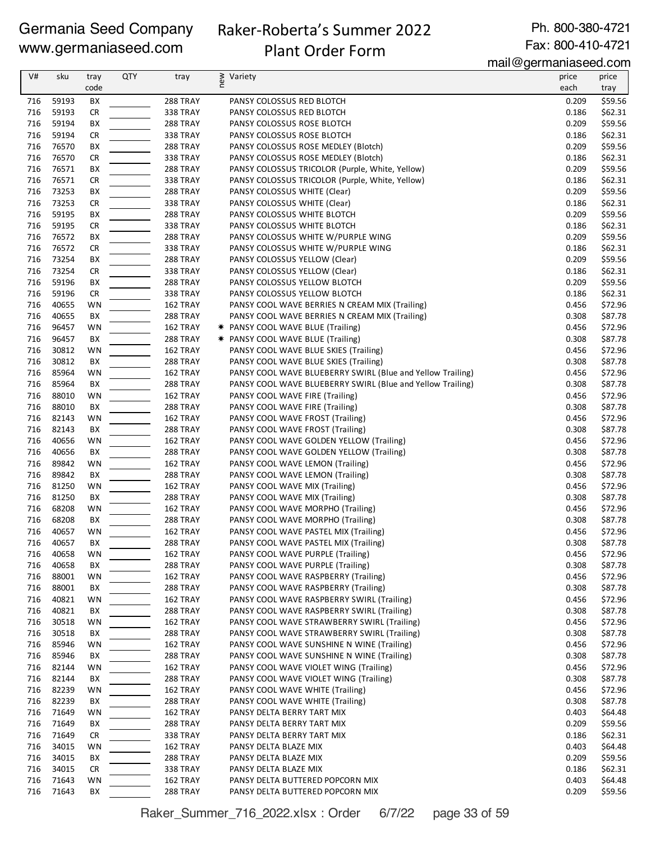# Raker-Roberta's Summer 2022

Ph. 800-380-4721 Fax: 800-410-4721

# Plant Order Form

mail@germaniaseed.com

| V#         | sku            | tray<br>code    | <b>QTY</b> | tray                 | ≥ Variety<br>E                                                         | price<br>each  | price<br>tray      |
|------------|----------------|-----------------|------------|----------------------|------------------------------------------------------------------------|----------------|--------------------|
| 716        | 59193          | BX              |            | <b>288 TRAY</b>      | PANSY COLOSSUS RED BLOTCH                                              | 0.209          | \$59.56            |
| 716        | 59193          | <b>CR</b>       |            | <b>338 TRAY</b>      | PANSY COLOSSUS RED BLOTCH                                              | 0.186          | \$62.31            |
| 716        | 59194          | BХ              |            | 288 TRAY             | PANSY COLOSSUS ROSE BLOTCH                                             | 0.209          | \$59.56            |
| 716        | 59194          | CR              |            | 338 TRAY             | PANSY COLOSSUS ROSE BLOTCH                                             | 0.186          | \$62.31            |
| 716        | 76570          | BX              |            | 288 TRAY             | PANSY COLOSSUS ROSE MEDLEY (Blotch)                                    | 0.209          | \$59.56            |
| 716        | 76570          | <b>CR</b>       |            | 338 TRAY             | PANSY COLOSSUS ROSE MEDLEY (Blotch)                                    | 0.186          | \$62.31            |
| 716        | 76571          | ВX              |            | 288 TRAY             | PANSY COLOSSUS TRICOLOR (Purple, White, Yellow)                        | 0.209          | \$59.56            |
| 716        | 76571          | <b>CR</b>       |            | 338 TRAY             | PANSY COLOSSUS TRICOLOR (Purple, White, Yellow)                        | 0.186          | \$62.31            |
| 716        | 73253          | BХ              |            | 288 TRAY             | PANSY COLOSSUS WHITE (Clear)                                           | 0.209          | \$59.56            |
| 716        | 73253          | <b>CR</b>       |            | <b>338 TRAY</b>      | PANSY COLOSSUS WHITE (Clear)                                           | 0.186          | \$62.31            |
| 716        | 59195          | BХ              |            | <b>288 TRAY</b>      | PANSY COLOSSUS WHITE BLOTCH                                            | 0.209          | \$59.56            |
| 716        | 59195          | <b>CR</b>       |            | 338 TRAY             | PANSY COLOSSUS WHITE BLOTCH                                            | 0.186          | \$62.31            |
| 716        | 76572          | BX              |            | 288 TRAY             | PANSY COLOSSUS WHITE W/PURPLE WING                                     | 0.209          | \$59.56            |
| 716        | 76572          | <b>CR</b>       |            | <b>338 TRAY</b>      | PANSY COLOSSUS WHITE W/PURPLE WING                                     | 0.186          | \$62.31            |
| 716<br>716 | 73254<br>73254 | BХ              |            | 288 TRAY<br>338 TRAY | PANSY COLOSSUS YELLOW (Clear)                                          | 0.209<br>0.186 | \$59.56            |
| 716        | 59196          | <b>CR</b><br>BХ |            | <b>288 TRAY</b>      | PANSY COLOSSUS YELLOW (Clear)<br>PANSY COLOSSUS YELLOW BLOTCH          | 0.209          | \$62.31<br>\$59.56 |
| 716        | 59196          | CR              |            | <b>338 TRAY</b>      | PANSY COLOSSUS YELLOW BLOTCH                                           | 0.186          | \$62.31            |
| 716        | 40655          | WN              |            | 162 TRAY             | PANSY COOL WAVE BERRIES N CREAM MIX (Trailing)                         | 0.456          | \$72.96            |
| 716        | 40655          | BХ              |            | <b>288 TRAY</b>      | PANSY COOL WAVE BERRIES N CREAM MIX (Trailing)                         | 0.308          | \$87.78            |
| 716        | 96457          | WN              |            | 162 TRAY             | <b>★ PANSY COOL WAVE BLUE (Trailing)</b>                               | 0.456          | \$72.96            |
| 716        | 96457          | BX              |            | 288 TRAY             | * PANSY COOL WAVE BLUE (Trailing)                                      | 0.308          | \$87.78            |
| 716        | 30812          | WN              |            | 162 TRAY             | PANSY COOL WAVE BLUE SKIES (Trailing)                                  | 0.456          | \$72.96            |
| 716        | 30812          | BХ              |            | <b>288 TRAY</b>      | PANSY COOL WAVE BLUE SKIES (Trailing)                                  | 0.308          | \$87.78            |
| 716        | 85964          | WN              |            | 162 TRAY             | PANSY COOL WAVE BLUEBERRY SWIRL (Blue and Yellow Trailing)             | 0.456          | \$72.96            |
| 716        | 85964          | BX              |            | 288 TRAY             | PANSY COOL WAVE BLUEBERRY SWIRL (Blue and Yellow Trailing)             | 0.308          | \$87.78            |
| 716        | 88010          | WN              |            | 162 TRAY             | PANSY COOL WAVE FIRE (Trailing)                                        | 0.456          | \$72.96            |
| 716        | 88010          | BХ              |            | <b>288 TRAY</b>      | PANSY COOL WAVE FIRE (Trailing)                                        | 0.308          | \$87.78            |
| 716        | 82143          | WN              |            | 162 TRAY             | PANSY COOL WAVE FROST (Trailing)                                       | 0.456          | \$72.96            |
| 716        | 82143          | BХ              |            | <b>288 TRAY</b>      | PANSY COOL WAVE FROST (Trailing)                                       | 0.308          | \$87.78            |
| 716        | 40656          | WN              |            | 162 TRAY             | PANSY COOL WAVE GOLDEN YELLOW (Trailing)                               | 0.456          | \$72.96            |
| 716        | 40656          | BX              |            | 288 TRAY             | PANSY COOL WAVE GOLDEN YELLOW (Trailing)                               | 0.308          | \$87.78            |
| 716        | 89842          | WN              |            | 162 TRAY             | PANSY COOL WAVE LEMON (Trailing)                                       | 0.456          | \$72.96            |
| 716        | 89842          | BХ              |            | <b>288 TRAY</b>      | PANSY COOL WAVE LEMON (Trailing)                                       | 0.308          | \$87.78            |
| 716        | 81250          | WN              |            | 162 TRAY             | PANSY COOL WAVE MIX (Trailing)                                         | 0.456          | \$72.96            |
| 716<br>716 | 81250<br>68208 | BX              |            | <b>288 TRAY</b>      | PANSY COOL WAVE MIX (Trailing)                                         | 0.308<br>0.456 | \$87.78<br>\$72.96 |
| 716        | 68208          | WN<br>BХ        |            | 162 TRAY<br>288 TRAY | PANSY COOL WAVE MORPHO (Trailing)<br>PANSY COOL WAVE MORPHO (Trailing) | 0.308          | \$87.78            |
| 716        | 40657          | <b>WN</b>       |            | 162 TRAY             | PANSY COOL WAVE PASTEL MIX (Trailing)                                  | 0.456          | \$72.96            |
| 716        | 40657          | BX              |            | 288 TRAY             | PANSY COOL WAVE PASTEL MIX (Trailing)                                  | 0.308          | \$87.78            |
| 716        | 40658          | WN              |            | 162 TRAY             | PANSY COOL WAVE PURPLE (Trailing)                                      | 0.456          | \$72.96            |
| 716        | 40658          | BХ              |            | 288 TRAY             | PANSY COOL WAVE PURPLE (Trailing)                                      | 0.308          | \$87.78            |
| 716        | 88001          | WN              |            | 162 TRAY             | PANSY COOL WAVE RASPBERRY (Trailing)                                   | 0.456          | \$72.96            |
| 716        | 88001          | BХ              |            | 288 TRAY             | PANSY COOL WAVE RASPBERRY (Trailing)                                   | 0.308          | \$87.78            |
| 716        | 40821          | WN              |            | 162 TRAY             | PANSY COOL WAVE RASPBERRY SWIRL (Trailing)                             | 0.456          | \$72.96            |
| 716        | 40821          | BХ              |            | 288 TRAY             | PANSY COOL WAVE RASPBERRY SWIRL (Trailing)                             | 0.308          | \$87.78            |
| 716        | 30518          | WN              |            | 162 TRAY             | PANSY COOL WAVE STRAWBERRY SWIRL (Trailing)                            | 0.456          | \$72.96            |
| 716        | 30518          | BХ              |            | 288 TRAY             | PANSY COOL WAVE STRAWBERRY SWIRL (Trailing)                            | 0.308          | \$87.78            |
| 716        | 85946          | WN              |            | 162 TRAY             | PANSY COOL WAVE SUNSHINE N WINE (Trailing)                             | 0.456          | \$72.96            |
| 716        | 85946          | BX              |            | 288 TRAY             | PANSY COOL WAVE SUNSHINE N WINE (Trailing)                             | 0.308          | \$87.78            |
| 716        | 82144          | WN              |            | 162 TRAY             | PANSY COOL WAVE VIOLET WING (Trailing)                                 | 0.456          | \$72.96            |
| 716        | 82144          | BХ              |            | 288 TRAY             | PANSY COOL WAVE VIOLET WING (Trailing)                                 | 0.308          | \$87.78            |
| 716        | 82239          | WN              |            | 162 TRAY             | PANSY COOL WAVE WHITE (Trailing)                                       | 0.456          | \$72.96            |
| 716        | 82239          | BХ              |            | 288 TRAY             | PANSY COOL WAVE WHITE (Trailing)                                       | 0.308          | \$87.78            |
| 716<br>716 | 71649<br>71649 | WN<br>BХ        |            | 162 TRAY<br>288 TRAY | PANSY DELTA BERRY TART MIX<br>PANSY DELTA BERRY TART MIX               | 0.403<br>0.209 | \$64.48<br>\$59.56 |
| 716        | 71649          | CR              |            | <b>338 TRAY</b>      | PANSY DELTA BERRY TART MIX                                             | 0.186          | \$62.31            |
| 716        | 34015          | WN              |            | 162 TRAY             | PANSY DELTA BLAZE MIX                                                  | 0.403          | \$64.48            |
| 716        | 34015          | BХ              |            | 288 TRAY             | PANSY DELTA BLAZE MIX                                                  | 0.209          | \$59.56            |
| 716        | 34015          | CR              |            | 338 TRAY             | PANSY DELTA BLAZE MIX                                                  | 0.186          | \$62.31            |
| 716        | 71643          | WN              |            | 162 TRAY             | PANSY DELTA BUTTERED POPCORN MIX                                       | 0.403          | \$64.48            |
| 716        | 71643          | BX              |            | 288 TRAY             | PANSY DELTA BUTTERED POPCORN MIX                                       | 0.209          | \$59.56            |

Raker\_Summer\_716\_2022.xlsx : Order 6/7/22 page 33 of 59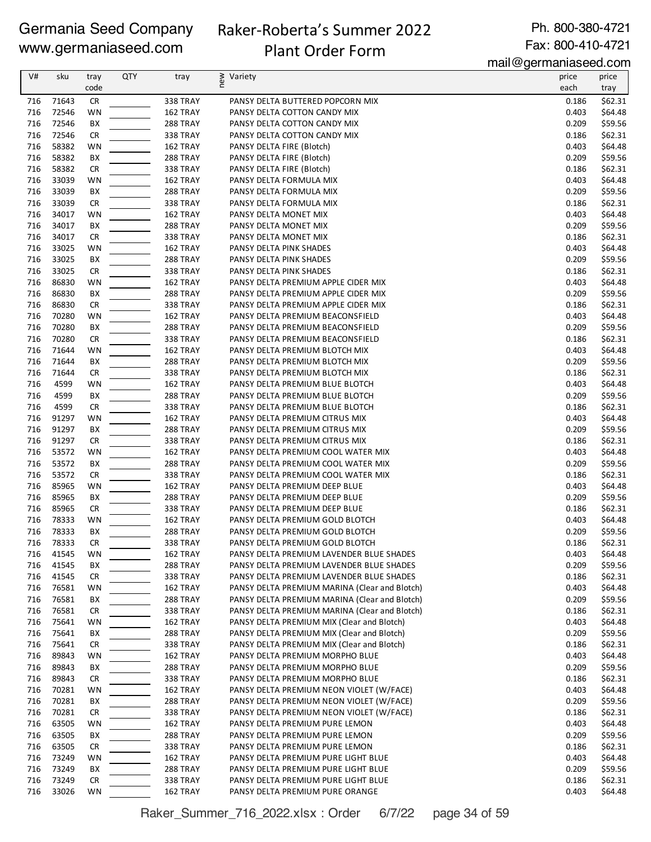# Raker-Roberta's Summer 2022 Plant Order Form

Ph. 800-380-4721 Fax: 800-410-4721

mail@germaniaseed.com

| V#  | sku   | tray      | <b>QTY</b> | tray            | new<br>Variety                                | price | price   |
|-----|-------|-----------|------------|-----------------|-----------------------------------------------|-------|---------|
|     |       | code      |            |                 |                                               | each  | tray    |
| 716 | 71643 | <b>CR</b> |            | 338 TRAY        | PANSY DELTA BUTTERED POPCORN MIX              | 0.186 | \$62.31 |
| 716 | 72546 | WN        |            | 162 TRAY        | PANSY DELTA COTTON CANDY MIX                  | 0.403 | \$64.48 |
| 716 | 72546 | BX        |            | 288 TRAY        | PANSY DELTA COTTON CANDY MIX                  | 0.209 | \$59.56 |
| 716 | 72546 | <b>CR</b> |            | <b>338 TRAY</b> | PANSY DELTA COTTON CANDY MIX                  | 0.186 | \$62.31 |
| 716 | 58382 | WN        |            | 162 TRAY        | PANSY DELTA FIRE (Blotch)                     | 0.403 | \$64.48 |
| 716 | 58382 | BX        |            | 288 TRAY        | PANSY DELTA FIRE (Blotch)                     | 0.209 | \$59.56 |
| 716 | 58382 | <b>CR</b> |            | <b>338 TRAY</b> | PANSY DELTA FIRE (Blotch)                     | 0.186 | \$62.31 |
| 716 | 33039 | WN        |            | 162 TRAY        | PANSY DELTA FORMULA MIX                       | 0.403 | \$64.48 |
| 716 | 33039 | BX        |            | 288 TRAY        | PANSY DELTA FORMULA MIX                       | 0.209 | \$59.56 |
| 716 | 33039 | <b>CR</b> |            | <b>338 TRAY</b> | PANSY DELTA FORMULA MIX                       | 0.186 | \$62.31 |
| 716 | 34017 | WN        |            | 162 TRAY        | PANSY DELTA MONET MIX                         | 0.403 | \$64.48 |
| 716 | 34017 | BX        |            | 288 TRAY        | PANSY DELTA MONET MIX                         | 0.209 | \$59.56 |
| 716 | 34017 | <b>CR</b> |            | <b>338 TRAY</b> | PANSY DELTA MONET MIX                         | 0.186 | \$62.31 |
| 716 | 33025 | WN        |            | 162 TRAY        | PANSY DELTA PINK SHADES                       | 0.403 | \$64.48 |
| 716 | 33025 | BX        |            | 288 TRAY        | PANSY DELTA PINK SHADES                       | 0.209 | \$59.56 |
| 716 | 33025 | <b>CR</b> |            | <b>338 TRAY</b> | PANSY DELTA PINK SHADES                       | 0.186 | \$62.31 |
| 716 | 86830 | WN        |            | 162 TRAY        | PANSY DELTA PREMIUM APPLE CIDER MIX           | 0.403 | \$64.48 |
| 716 | 86830 | BX        |            | 288 TRAY        | PANSY DELTA PREMIUM APPLE CIDER MIX           | 0.209 | \$59.56 |
| 716 | 86830 | <b>CR</b> |            | <b>338 TRAY</b> | PANSY DELTA PREMIUM APPLE CIDER MIX           | 0.186 | \$62.31 |
| 716 | 70280 | WN        |            | 162 TRAY        | PANSY DELTA PREMIUM BEACONSFIELD              | 0.403 | \$64.48 |
| 716 | 70280 | BX        |            | <b>288 TRAY</b> | PANSY DELTA PREMIUM BEACONSFIELD              | 0.209 | \$59.56 |
| 716 | 70280 | <b>CR</b> |            | 338 TRAY        | PANSY DELTA PREMIUM BEACONSFIELD              | 0.186 | \$62.31 |
| 716 | 71644 | WN        |            | 162 TRAY        | PANSY DELTA PREMIUM BLOTCH MIX                | 0.403 | \$64.48 |
| 716 | 71644 | BX        |            | <b>288 TRAY</b> | PANSY DELTA PREMIUM BLOTCH MIX                | 0.209 | \$59.56 |
| 716 | 71644 | <b>CR</b> |            | 338 TRAY        | PANSY DELTA PREMIUM BLOTCH MIX                | 0.186 | \$62.31 |
| 716 | 4599  | WN        |            | 162 TRAY        | PANSY DELTA PREMIUM BLUE BLOTCH               | 0.403 | \$64.48 |
| 716 | 4599  | BX        |            | 288 TRAY        | PANSY DELTA PREMIUM BLUE BLOTCH               | 0.209 | \$59.56 |
| 716 | 4599  | <b>CR</b> |            | <b>338 TRAY</b> | PANSY DELTA PREMIUM BLUE BLOTCH               | 0.186 | \$62.31 |
| 716 | 91297 | WN        |            | 162 TRAY        | PANSY DELTA PREMIUM CITRUS MIX                | 0.403 | \$64.48 |
| 716 | 91297 | BX        |            | 288 TRAY        | PANSY DELTA PREMIUM CITRUS MIX                | 0.209 | \$59.56 |
| 716 | 91297 | <b>CR</b> |            | <b>338 TRAY</b> | PANSY DELTA PREMIUM CITRUS MIX                | 0.186 | \$62.31 |
| 716 | 53572 | WN        |            | 162 TRAY        | PANSY DELTA PREMIUM COOL WATER MIX            | 0.403 | \$64.48 |
| 716 | 53572 | BX        |            | <b>288 TRAY</b> | PANSY DELTA PREMIUM COOL WATER MIX            | 0.209 | \$59.56 |
| 716 | 53572 | <b>CR</b> |            | <b>338 TRAY</b> | PANSY DELTA PREMIUM COOL WATER MIX            | 0.186 | \$62.31 |
| 716 | 85965 | WN        |            | 162 TRAY        | PANSY DELTA PREMIUM DEEP BLUE                 | 0.403 | \$64.48 |
| 716 | 85965 | BX        |            | <b>288 TRAY</b> | PANSY DELTA PREMIUM DEEP BLUE                 | 0.209 | \$59.56 |
| 716 | 85965 | <b>CR</b> |            | <b>338 TRAY</b> | PANSY DELTA PREMIUM DEEP BLUE                 | 0.186 | \$62.31 |
| 716 | 78333 | WN        |            | 162 TRAY        | PANSY DELTA PREMIUM GOLD BLOTCH               | 0.403 | \$64.48 |
| 716 | 78333 | BX        |            | <b>288 TRAY</b> | PANSY DELTA PREMIUM GOLD BLOTCH               | 0.209 | \$59.56 |
| 716 | 78333 | <b>CR</b> |            | 338 TRAY        | PANSY DELTA PREMIUM GOLD BLOTCH               | 0.186 | \$62.31 |
| 716 | 41545 | WN        |            | 162 TRAY        | PANSY DELTA PREMIUM LAVENDER BLUE SHADES      | 0.403 | \$64.48 |
| 716 | 41545 | BX        |            | 288 TRAY        | PANSY DELTA PREMIUM LAVENDER BLUE SHADES      | 0.209 | \$59.56 |
| 716 | 41545 | <b>CR</b> |            | 338 TRAY        | PANSY DELTA PREMIUM LAVENDER BLUE SHADES      | 0.186 | \$62.31 |
| 716 | 76581 | WN        |            | 162 TRAY        | PANSY DELTA PREMIUM MARINA (Clear and Blotch) | 0.403 | \$64.48 |
| 716 | 76581 | BХ        |            | <b>288 TRAY</b> | PANSY DELTA PREMIUM MARINA (Clear and Blotch) | 0.209 | \$59.56 |
| 716 | 76581 | <b>CR</b> |            | 338 TRAY        | PANSY DELTA PREMIUM MARINA (Clear and Blotch) | 0.186 | \$62.31 |
| 716 | 75641 | WN        |            | 162 TRAY        | PANSY DELTA PREMIUM MIX (Clear and Blotch)    | 0.403 | \$64.48 |
| 716 | 75641 | BХ        |            | <b>288 TRAY</b> | PANSY DELTA PREMIUM MIX (Clear and Blotch)    | 0.209 | \$59.56 |
| 716 | 75641 | <b>CR</b> |            | 338 TRAY        | PANSY DELTA PREMIUM MIX (Clear and Blotch)    | 0.186 | \$62.31 |
| 716 | 89843 | WN        |            | 162 TRAY        | PANSY DELTA PREMIUM MORPHO BLUE               | 0.403 | \$64.48 |
| 716 | 89843 | BХ        |            | <b>288 TRAY</b> | PANSY DELTA PREMIUM MORPHO BLUE               | 0.209 | \$59.56 |
| 716 | 89843 | <b>CR</b> |            | <b>338 TRAY</b> | PANSY DELTA PREMIUM MORPHO BLUE               | 0.186 | \$62.31 |
| 716 | 70281 | WN        |            | 162 TRAY        | PANSY DELTA PREMIUM NEON VIOLET (W/FACE)      | 0.403 | \$64.48 |
| 716 | 70281 | BХ        |            | 288 TRAY        | PANSY DELTA PREMIUM NEON VIOLET (W/FACE)      | 0.209 | \$59.56 |
| 716 | 70281 | <b>CR</b> |            | <b>338 TRAY</b> | PANSY DELTA PREMIUM NEON VIOLET (W/FACE)      | 0.186 | \$62.31 |
| 716 | 63505 | WN        |            | 162 TRAY        | PANSY DELTA PREMIUM PURE LEMON                | 0.403 | \$64.48 |
| 716 | 63505 | BХ        |            | <b>288 TRAY</b> | PANSY DELTA PREMIUM PURE LEMON                | 0.209 | \$59.56 |
| 716 | 63505 | <b>CR</b> |            | 338 TRAY        | PANSY DELTA PREMIUM PURE LEMON                | 0.186 | \$62.31 |
| 716 | 73249 | WN        |            | 162 TRAY        | PANSY DELTA PREMIUM PURE LIGHT BLUE           | 0.403 | \$64.48 |
| 716 | 73249 | BХ        |            | <b>288 TRAY</b> | PANSY DELTA PREMIUM PURE LIGHT BLUE           | 0.209 | \$59.56 |
| 716 | 73249 | <b>CR</b> |            | <b>338 TRAY</b> | PANSY DELTA PREMIUM PURE LIGHT BLUE           | 0.186 | \$62.31 |
| 716 | 33026 | WN        |            | 162 TRAY        | PANSY DELTA PREMIUM PURE ORANGE               | 0.403 | \$64.48 |

Raker\_Summer\_716\_2022.xlsx : Order 6/7/22 page 34 of 59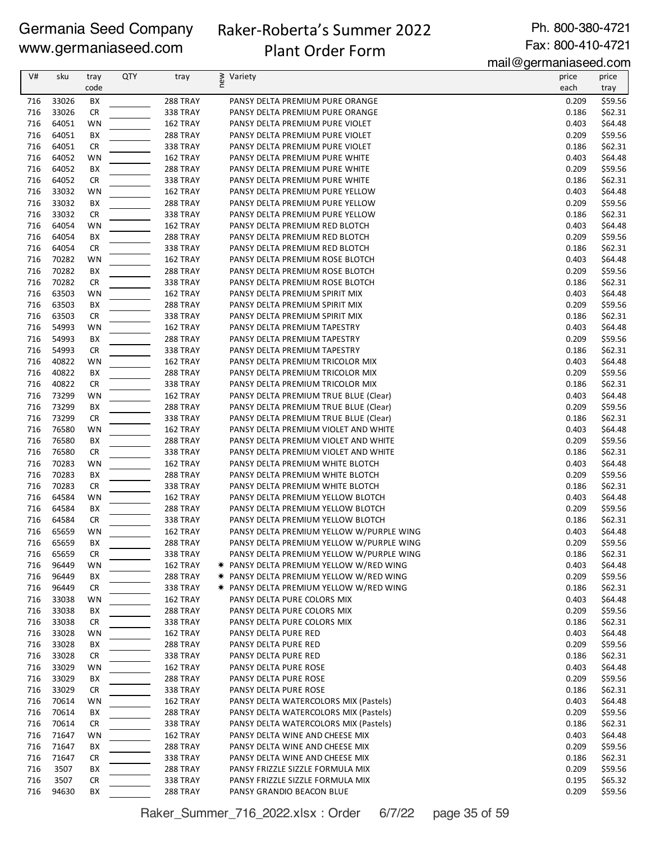# Raker-Roberta's Summer 2022 Plant Order Form

Ph. 800-380-4721 Fax: 800-410-4721

mail@germaniaseed.com

| V#         | sku            | tray      | QTY | tray            | ≷ Variety                                      | price          | price              |
|------------|----------------|-----------|-----|-----------------|------------------------------------------------|----------------|--------------------|
|            |                | code      |     |                 |                                                | each           | tray               |
| 716        | 33026          | BX        |     | 288 TRAY        | PANSY DELTA PREMIUM PURE ORANGE                | 0.209          | \$59.56            |
| 716        | 33026          | <b>CR</b> |     | 338 TRAY        | PANSY DELTA PREMIUM PURE ORANGE                | 0.186          | \$62.31            |
| 716        | 64051          | WN        |     | 162 TRAY        | PANSY DELTA PREMIUM PURE VIOLET                | 0.403          | \$64.48            |
| 716        | 64051          | ВX        |     | 288 TRAY        | PANSY DELTA PREMIUM PURE VIOLET                | 0.209          | \$59.56            |
| 716        | 64051          | <b>CR</b> |     | 338 TRAY        | PANSY DELTA PREMIUM PURE VIOLET                | 0.186          | \$62.31            |
| 716        | 64052          | WN        |     | 162 TRAY        | PANSY DELTA PREMIUM PURE WHITE                 | 0.403          | \$64.48            |
| 716        | 64052          | BX        |     | <b>288 TRAY</b> | PANSY DELTA PREMIUM PURE WHITE                 | 0.209          | \$59.56            |
| 716        | 64052          | <b>CR</b> |     | <b>338 TRAY</b> | PANSY DELTA PREMIUM PURE WHITE                 | 0.186          | \$62.31            |
| 716        | 33032          | WN        |     | 162 TRAY        | PANSY DELTA PREMIUM PURE YELLOW                | 0.403          | \$64.48            |
| 716        | 33032          | BХ        |     | 288 TRAY        | PANSY DELTA PREMIUM PURE YELLOW                | 0.209          | \$59.56            |
| 716        | 33032          | <b>CR</b> |     | 338 TRAY        | PANSY DELTA PREMIUM PURE YELLOW                | 0.186          | \$62.31            |
| 716        | 64054          | WN        |     | 162 TRAY        | PANSY DELTA PREMIUM RED BLOTCH                 | 0.403          | \$64.48            |
| 716        | 64054          | BX        |     | 288 TRAY        | PANSY DELTA PREMIUM RED BLOTCH                 | 0.209          | \$59.56            |
| 716        | 64054          | CR        |     | 338 TRAY        | PANSY DELTA PREMIUM RED BLOTCH                 | 0.186          | \$62.31            |
| 716        | 70282          | WN        |     | 162 TRAY        | PANSY DELTA PREMIUM ROSE BLOTCH                | 0.403          | \$64.48            |
| 716        | 70282          | BX        |     | <b>288 TRAY</b> | PANSY DELTA PREMIUM ROSE BLOTCH                | 0.209          | \$59.56            |
| 716        | 70282          | <b>CR</b> |     | <b>338 TRAY</b> | PANSY DELTA PREMIUM ROSE BLOTCH                | 0.186          | \$62.31            |
| 716        | 63503          | WN        |     | 162 TRAY        | PANSY DELTA PREMIUM SPIRIT MIX                 | 0.403          | \$64.48            |
| 716        | 63503          | ВX        |     | <b>288 TRAY</b> | PANSY DELTA PREMIUM SPIRIT MIX                 | 0.209          | \$59.56            |
| 716        | 63503          | <b>CR</b> |     | 338 TRAY        | PANSY DELTA PREMIUM SPIRIT MIX                 | 0.186          | \$62.31            |
| 716        | 54993          | WN        |     | 162 TRAY        | PANSY DELTA PREMIUM TAPESTRY                   | 0.403          | \$64.48            |
| 716        | 54993          | BX        |     | 288 TRAY        | PANSY DELTA PREMIUM TAPESTRY                   | 0.209          | \$59.56            |
| 716        | 54993          | <b>CR</b> |     | 338 TRAY        | PANSY DELTA PREMIUM TAPESTRY                   | 0.186          | \$62.31            |
| 716        | 40822          | WN        |     | 162 TRAY        | PANSY DELTA PREMIUM TRICOLOR MIX               | 0.403          | \$64.48            |
| 716        | 40822          | BX        |     |                 | PANSY DELTA PREMIUM TRICOLOR MIX               | 0.209          | \$59.56            |
| 716        | 40822          | <b>CR</b> |     | <b>288 TRAY</b> |                                                |                | \$62.31            |
|            |                |           |     | <b>338 TRAY</b> | PANSY DELTA PREMIUM TRICOLOR MIX               | 0.186          |                    |
| 716<br>716 | 73299<br>73299 | WN        |     | 162 TRAY        | PANSY DELTA PREMIUM TRUE BLUE (Clear)          | 0.403          | \$64.48<br>\$59.56 |
| 716        | 73299          | ВX        |     | 288 TRAY        | PANSY DELTA PREMIUM TRUE BLUE (Clear)          | 0.209<br>0.186 |                    |
|            |                | <b>CR</b> |     | 338 TRAY        | PANSY DELTA PREMIUM TRUE BLUE (Clear)          |                | \$62.31            |
| 716        | 76580          | WN        |     | 162 TRAY        | PANSY DELTA PREMIUM VIOLET AND WHITE           | 0.403          | \$64.48            |
| 716        | 76580          | ВX        |     | 288 TRAY        | PANSY DELTA PREMIUM VIOLET AND WHITE           | 0.209          | \$59.56            |
| 716        | 76580          | <b>CR</b> |     | 338 TRAY        | PANSY DELTA PREMIUM VIOLET AND WHITE           | 0.186          | \$62.31            |
| 716        | 70283          | WN        |     | 162 TRAY        | PANSY DELTA PREMIUM WHITE BLOTCH               | 0.403          | \$64.48            |
| 716        | 70283          | BX        |     | 288 TRAY        | PANSY DELTA PREMIUM WHITE BLOTCH               | 0.209          | \$59.56            |
| 716        | 70283          | <b>CR</b> |     | <b>338 TRAY</b> | PANSY DELTA PREMIUM WHITE BLOTCH               | 0.186          | \$62.31            |
| 716        | 64584          | WN        |     | 162 TRAY        | PANSY DELTA PREMIUM YELLOW BLOTCH              | 0.403          | \$64.48            |
| 716        | 64584          | BХ        |     | <b>288 TRAY</b> | PANSY DELTA PREMIUM YELLOW BLOTCH              | 0.209          | \$59.56            |
| 716        | 64584          | <b>CR</b> |     | <b>338 TRAY</b> | PANSY DELTA PREMIUM YELLOW BLOTCH              | 0.186          | \$62.31            |
| 716        | 65659          | WN        |     | 162 TRAY        | PANSY DELTA PREMIUM YELLOW W/PURPLE WING       | 0.403          | \$64.48            |
| 716        | 65659          | BX        |     | 288 TRAY        | PANSY DELTA PREMIUM YELLOW W/PURPLE WING       | 0.209          | \$59.56            |
| 716        | 65659          | CR        |     | <b>338 TRAY</b> | PANSY DELTA PREMIUM YELLOW W/PURPLE WING       | 0.186          | \$62.31            |
| 716        | 96449          | WN        |     | 162 TRAY        | * PANSY DELTA PREMIUM YELLOW W/RED WING        | 0.403          | \$64.48            |
| 716        | 96449          | BХ        |     | 288 TRAY        | <b>★ PANSY DELTA PREMIUM YELLOW W/RED WING</b> | 0.209          | \$59.56            |
| 716        | 96449          | CR        |     | 338 TRAY        | * PANSY DELTA PREMIUM YELLOW W/RED WING        | 0.186          | \$62.31            |
| 716        | 33038          | WN        |     | 162 TRAY        | PANSY DELTA PURE COLORS MIX                    | 0.403          | \$64.48            |
| 716        | 33038          | BХ        |     | 288 TRAY        | PANSY DELTA PURE COLORS MIX                    | 0.209          | \$59.56            |
| 716        | 33038          | CR        |     | <b>338 TRAY</b> | PANSY DELTA PURE COLORS MIX                    | 0.186          | \$62.31            |
| 716        | 33028          | WN        |     | 162 TRAY        | PANSY DELTA PURE RED                           | 0.403          | \$64.48            |
| 716        | 33028          | BХ        |     | <b>288 TRAY</b> | PANSY DELTA PURE RED                           | 0.209          | \$59.56            |
| 716        | 33028          | CR        |     | <b>338 TRAY</b> | PANSY DELTA PURE RED                           | 0.186          | \$62.31            |
| 716        | 33029          | WN        |     | 162 TRAY        | PANSY DELTA PURE ROSE                          | 0.403          | \$64.48            |
| 716        | 33029          | BХ        |     | 288 TRAY        | PANSY DELTA PURE ROSE                          | 0.209          | \$59.56            |
| 716        | 33029          | CR        |     | 338 TRAY        | PANSY DELTA PURE ROSE                          | 0.186          | \$62.31            |
| 716        | 70614          | WN        |     | 162 TRAY        | PANSY DELTA WATERCOLORS MIX (Pastels)          | 0.403          | \$64.48            |
| 716        | 70614          | BХ        |     | 288 TRAY        | PANSY DELTA WATERCOLORS MIX (Pastels)          | 0.209          | \$59.56            |
| 716        | 70614          | CR        |     | 338 TRAY        | PANSY DELTA WATERCOLORS MIX (Pastels)          | 0.186          | \$62.31            |
| 716        | 71647          | WN        |     | 162 TRAY        | PANSY DELTA WINE AND CHEESE MIX                | 0.403          | \$64.48            |
| 716        | 71647          | BХ        |     | <b>288 TRAY</b> | PANSY DELTA WINE AND CHEESE MIX                | 0.209          | \$59.56            |
| 716        | 71647          | CR        |     | <b>338 TRAY</b> | PANSY DELTA WINE AND CHEESE MIX                | 0.186          | \$62.31            |
| 716        | 3507           | BХ        |     | 288 TRAY        | PANSY FRIZZLE SIZZLE FORMULA MIX               | 0.209          | \$59.56            |
| 716        | 3507           | CR        |     | 338 TRAY        | PANSY FRIZZLE SIZZLE FORMULA MIX               | 0.195          | \$65.32            |
| 716        | 94630          | ВX        |     | 288 TRAY        | PANSY GRANDIO BEACON BLUE                      | 0.209          | \$59.56            |

Raker\_Summer\_716\_2022.xlsx : Order 6/7/22 page 35 of 59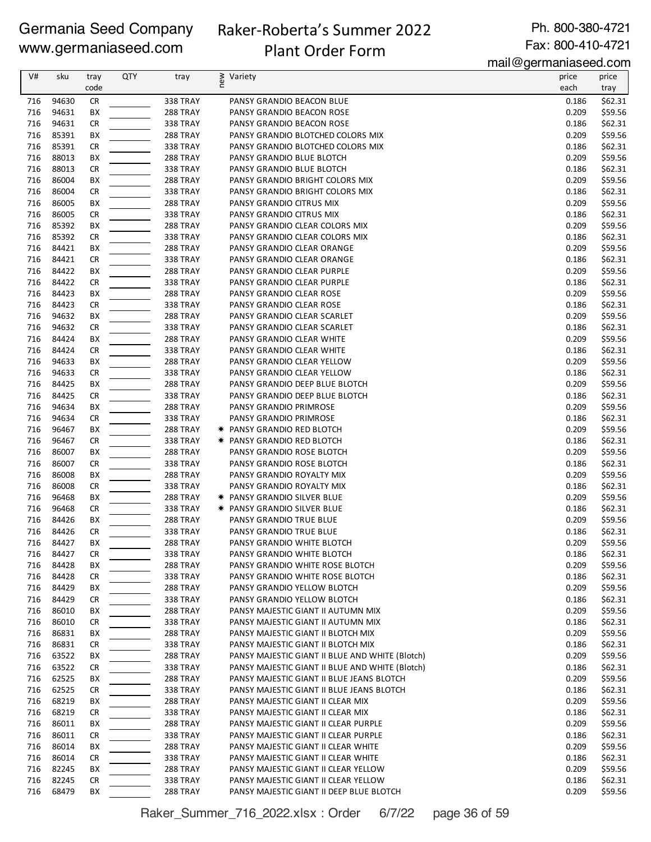### Raker-Roberta's Summer 2022 Plant Order Form

Ph. 800-380-4721 Fax: 800-410-4721

mail@germaniaseed.com

| V#         | sku            | tray<br>code    | <b>QTY</b> | tray                               | ≷ Variety<br>E                                                               | price<br>each  | price<br>tray      |
|------------|----------------|-----------------|------------|------------------------------------|------------------------------------------------------------------------------|----------------|--------------------|
| 716        | 94630          | <b>CR</b>       |            | 338 TRAY                           | PANSY GRANDIO BEACON BLUE                                                    | 0.186          | \$62.31            |
| 716        | 94631          | BX              |            | 288 TRAY                           | PANSY GRANDIO BEACON ROSE                                                    | 0.209          | \$59.56            |
| 716        | 94631          | <b>CR</b>       |            | 338 TRAY                           | PANSY GRANDIO BEACON ROSE                                                    | 0.186          | \$62.31            |
| 716        | 85391          | BX              |            | 288 TRAY                           | PANSY GRANDIO BLOTCHED COLORS MIX                                            | 0.209          | \$59.56            |
| 716        | 85391          | <b>CR</b>       |            | 338 TRAY                           | PANSY GRANDIO BLOTCHED COLORS MIX                                            | 0.186          | \$62.31            |
| 716        | 88013          | BX              |            | 288 TRAY                           | PANSY GRANDIO BLUE BLOTCH                                                    | 0.209          | \$59.56            |
| 716        | 88013          | <b>CR</b>       |            | 338 TRAY                           | PANSY GRANDIO BLUE BLOTCH                                                    | 0.186          | \$62.31            |
| 716        | 86004          | BX              |            | <b>288 TRAY</b>                    | PANSY GRANDIO BRIGHT COLORS MIX                                              | 0.209          | \$59.56            |
| 716        | 86004          | <b>CR</b>       |            | <b>338 TRAY</b>                    | PANSY GRANDIO BRIGHT COLORS MIX                                              | 0.186          | \$62.31            |
| 716        | 86005          | BX              |            | <b>288 TRAY</b>                    | PANSY GRANDIO CITRUS MIX                                                     | 0.209          | \$59.56            |
| 716        | 86005          | <b>CR</b>       |            | <b>338 TRAY</b>                    | PANSY GRANDIO CITRUS MIX                                                     | 0.186          | \$62.31            |
| 716        | 85392          | BX              |            | <b>288 TRAY</b>                    | PANSY GRANDIO CLEAR COLORS MIX                                               | 0.209          | \$59.56            |
| 716        | 85392          | <b>CR</b>       |            | 338 TRAY                           | PANSY GRANDIO CLEAR COLORS MIX                                               | 0.186          | \$62.31            |
| 716        | 84421          | BX              |            | <b>288 TRAY</b>                    | PANSY GRANDIO CLEAR ORANGE                                                   | 0.209          | \$59.56            |
| 716<br>716 | 84421<br>84422 | <b>CR</b>       |            | 338 TRAY<br>288 TRAY               | PANSY GRANDIO CLEAR ORANGE                                                   | 0.186<br>0.209 | \$62.31            |
| 716        | 84422          | BX<br><b>CR</b> |            | <b>338 TRAY</b>                    | PANSY GRANDIO CLEAR PURPLE<br>PANSY GRANDIO CLEAR PURPLE                     | 0.186          | \$59.56<br>\$62.31 |
| 716        | 84423          | BX              |            | 288 TRAY                           | PANSY GRANDIO CLEAR ROSE                                                     | 0.209          | \$59.56            |
| 716        | 84423          | <b>CR</b>       |            | <b>338 TRAY</b>                    | PANSY GRANDIO CLEAR ROSE                                                     | 0.186          | \$62.31            |
| 716        | 94632          | BX              |            | <b>288 TRAY</b>                    | PANSY GRANDIO CLEAR SCARLET                                                  | 0.209          | \$59.56            |
| 716        | 94632          | <b>CR</b>       |            | <b>338 TRAY</b>                    | PANSY GRANDIO CLEAR SCARLET                                                  | 0.186          | \$62.31            |
| 716        | 84424          | BX              |            | 288 TRAY                           | PANSY GRANDIO CLEAR WHITE                                                    | 0.209          | \$59.56            |
| 716        | 84424          | <b>CR</b>       |            | 338 TRAY                           | PANSY GRANDIO CLEAR WHITE                                                    | 0.186          | \$62.31            |
| 716        | 94633          | BX              |            | 288 TRAY                           | PANSY GRANDIO CLEAR YELLOW                                                   | 0.209          | \$59.56            |
| 716        | 94633          | <b>CR</b>       |            | 338 TRAY                           | PANSY GRANDIO CLEAR YELLOW                                                   | 0.186          | \$62.31            |
| 716        | 84425          | BX              |            | 288 TRAY                           | PANSY GRANDIO DEEP BLUE BLOTCH                                               | 0.209          | \$59.56            |
| 716        | 84425          | <b>CR</b>       |            | <b>338 TRAY</b>                    | PANSY GRANDIO DEEP BLUE BLOTCH                                               | 0.186          | \$62.31            |
| 716        | 94634          | BX              |            | 288 TRAY                           | PANSY GRANDIO PRIMROSE                                                       | 0.209          | \$59.56            |
| 716        | 94634          | <b>CR</b>       |            | <b>338 TRAY</b>                    | PANSY GRANDIO PRIMROSE                                                       | 0.186          | \$62.31            |
| 716        | 96467          | BX              |            | <b>288 TRAY</b>                    | <b>* PANSY GRANDIO RED BLOTCH</b>                                            | 0.209          | \$59.56            |
| 716        | 96467          | <b>CR</b>       |            | 338 TRAY                           | <b>★ PANSY GRANDIO RED BLOTCH</b>                                            | 0.186          | \$62.31            |
| 716        | 86007          | BX              |            | 288 TRAY                           | PANSY GRANDIO ROSE BLOTCH                                                    | 0.209          | \$59.56            |
| 716        | 86007          | <b>CR</b>       |            | 338 TRAY                           | PANSY GRANDIO ROSE BLOTCH                                                    | 0.186          | \$62.31            |
| 716        | 86008          | BX              |            | <b>288 TRAY</b>                    | PANSY GRANDIO ROYALTY MIX                                                    | 0.209          | \$59.56            |
| 716        | 86008          | <b>CR</b>       |            | <b>338 TRAY</b>                    | PANSY GRANDIO ROYALTY MIX                                                    | 0.186          | \$62.31            |
| 716        | 96468          | BX              |            | <b>288 TRAY</b>                    | <b>★ PANSY GRANDIO SILVER BLUE</b>                                           | 0.209          | \$59.56            |
| 716        | 96468          | <b>CR</b>       |            | <b>338 TRAY</b>                    | <b>★ PANSY GRANDIO SILVER BLUE</b>                                           | 0.186          | \$62.31            |
| 716<br>716 | 84426<br>84426 | BX<br><b>CR</b> |            | <b>288 TRAY</b><br><b>338 TRAY</b> | PANSY GRANDIO TRUE BLUE<br>PANSY GRANDIO TRUE BLUE                           | 0.209<br>0.186 | \$59.56<br>\$62.31 |
| 716        | 84427          | BX              |            | 288 TRAY                           | PANSY GRANDIO WHITE BLOTCH                                                   | 0.209          | \$59.56            |
| 716        | 84427          | <b>CR</b>       |            | <b>338 TRAY</b>                    | PANSY GRANDIO WHITE BLOTCH                                                   | 0.186          | \$62.31            |
| 716        | 84428          | BХ              |            | <b>288 TRAY</b>                    | PANSY GRANDIO WHITE ROSE BLOTCH                                              | 0.209          | \$59.56            |
| 716        | 84428          | <b>CR</b>       |            | 338 TRAY                           | PANSY GRANDIO WHITE ROSE BLOTCH                                              | 0.186          | \$62.31            |
| 716        | 84429          | BX              |            | 288 TRAY                           | PANSY GRANDIO YELLOW BLOTCH                                                  | 0.209          | \$59.56            |
| 716        | 84429          | <b>CR</b>       |            | <b>338 TRAY</b>                    | PANSY GRANDIO YELLOW BLOTCH                                                  | 0.186          | \$62.31            |
| 716        | 86010          | BX              |            | 288 TRAY                           | PANSY MAJESTIC GIANT II AUTUMN MIX                                           | 0.209          | \$59.56            |
| 716        | 86010          | CR              |            | <b>338 TRAY</b>                    | PANSY MAJESTIC GIANT II AUTUMN MIX                                           | 0.186          | \$62.31            |
| 716        | 86831          | BХ              |            | 288 TRAY                           | PANSY MAJESTIC GIANT II BLOTCH MIX                                           | 0.209          | \$59.56            |
| 716        | 86831          | <b>CR</b>       |            | 338 TRAY                           | PANSY MAJESTIC GIANT II BLOTCH MIX                                           | 0.186          | \$62.31            |
| 716        | 63522          | BX              |            | <b>288 TRAY</b>                    | PANSY MAJESTIC GIANT II BLUE AND WHITE (Blotch)                              | 0.209          | \$59.56            |
| 716        | 63522          | CR              |            | 338 TRAY                           | PANSY MAJESTIC GIANT II BLUE AND WHITE (Blotch)                              | 0.186          | \$62.31            |
| 716        | 62525          | BХ              |            | 288 TRAY                           | PANSY MAJESTIC GIANT II BLUE JEANS BLOTCH                                    | 0.209          | \$59.56            |
| 716        | 62525          | <b>CR</b>       |            | 338 TRAY                           | PANSY MAJESTIC GIANT II BLUE JEANS BLOTCH                                    | 0.186          | \$62.31            |
| 716        | 68219          | BX              |            | 288 TRAY                           | PANSY MAJESTIC GIANT II CLEAR MIX                                            | 0.209          | \$59.56            |
| 716        | 68219          | <b>CR</b>       |            | 338 TRAY                           | PANSY MAJESTIC GIANT II CLEAR MIX                                            | 0.186          | \$62.31            |
| 716        | 86011          | BХ              |            | 288 TRAY                           | PANSY MAJESTIC GIANT II CLEAR PURPLE                                         | 0.209          | \$59.56            |
| 716        | 86011          | CR              |            | <b>338 TRAY</b>                    | PANSY MAJESTIC GIANT II CLEAR PURPLE                                         | 0.186          | \$62.31            |
| 716        | 86014          | BХ              |            | 288 TRAY                           | PANSY MAJESTIC GIANT II CLEAR WHITE                                          | 0.209          | \$59.56            |
| 716        | 86014          | <b>CR</b>       |            | 338 TRAY                           | PANSY MAJESTIC GIANT II CLEAR WHITE                                          | 0.186          | \$62.31            |
| 716<br>716 | 82245<br>82245 | BХ<br>CR        |            | <b>288 TRAY</b><br>338 TRAY        | PANSY MAJESTIC GIANT II CLEAR YELLOW<br>PANSY MAJESTIC GIANT II CLEAR YELLOW | 0.209<br>0.186 | \$59.56<br>\$62.31 |
| 716        | 68479          | BХ              |            | 288 TRAY                           | PANSY MAJESTIC GIANT II DEEP BLUE BLOTCH                                     | 0.209          | \$59.56            |
|            |                |                 |            |                                    |                                                                              |                |                    |

Raker\_Summer\_716\_2022.xlsx : Order 6/7/22 page 36 of 59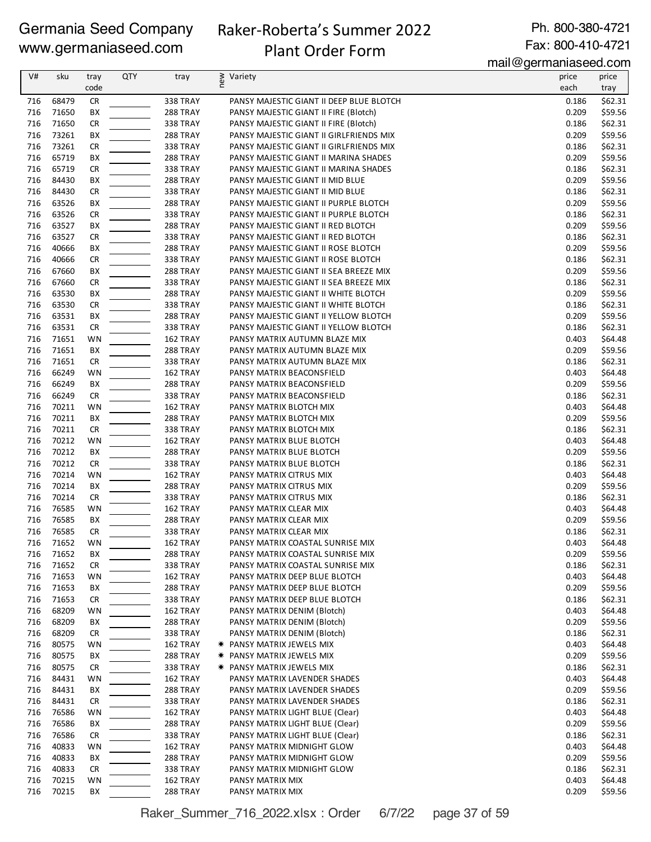# Raker-Roberta's Summer 2022

# Plant Order Form

Ph. 800-380-4721 Fax: 800-410-4721

mail@germaniaseed.com

| V#  | sku   | tray      | QTY | tray            | new<br>Variety                           | price | price   |
|-----|-------|-----------|-----|-----------------|------------------------------------------|-------|---------|
|     |       | code      |     |                 |                                          | each  | tray    |
| 716 | 68479 | <b>CR</b> |     | 338 TRAY        | PANSY MAJESTIC GIANT II DEEP BLUE BLOTCH | 0.186 | \$62.31 |
| 716 | 71650 | BX        |     | 288 TRAY        | PANSY MAJESTIC GIANT II FIRE (Blotch)    | 0.209 | \$59.56 |
| 716 | 71650 | <b>CR</b> |     | <b>338 TRAY</b> | PANSY MAJESTIC GIANT II FIRE (Blotch)    | 0.186 | \$62.31 |
| 716 | 73261 | BХ        |     | <b>288 TRAY</b> | PANSY MAJESTIC GIANT II GIRLFRIENDS MIX  | 0.209 | \$59.56 |
| 716 | 73261 | <b>CR</b> |     | <b>338 TRAY</b> | PANSY MAJESTIC GIANT II GIRLFRIENDS MIX  | 0.186 | \$62.31 |
| 716 | 65719 | BX        |     | <b>288 TRAY</b> | PANSY MAJESTIC GIANT II MARINA SHADES    | 0.209 | \$59.56 |
| 716 | 65719 | <b>CR</b> |     | <b>338 TRAY</b> | PANSY MAJESTIC GIANT II MARINA SHADES    | 0.186 | \$62.31 |
| 716 | 84430 | BX        |     | <b>288 TRAY</b> | PANSY MAJESTIC GIANT II MID BLUE         | 0.209 | \$59.56 |
| 716 | 84430 | <b>CR</b> |     | <b>338 TRAY</b> | PANSY MAJESTIC GIANT II MID BLUE         | 0.186 | \$62.31 |
| 716 | 63526 | BX        |     | 288 TRAY        | PANSY MAJESTIC GIANT II PURPLE BLOTCH    | 0.209 | \$59.56 |
| 716 | 63526 | <b>CR</b> |     | <b>338 TRAY</b> | PANSY MAJESTIC GIANT II PURPLE BLOTCH    | 0.186 | \$62.31 |
| 716 | 63527 | BХ        |     | <b>288 TRAY</b> | PANSY MAJESTIC GIANT II RED BLOTCH       | 0.209 | \$59.56 |
| 716 | 63527 | <b>CR</b> |     | <b>338 TRAY</b> | PANSY MAJESTIC GIANT II RED BLOTCH       | 0.186 | \$62.31 |
| 716 | 40666 | BХ        |     | <b>288 TRAY</b> | PANSY MAJESTIC GIANT II ROSE BLOTCH      | 0.209 | \$59.56 |
| 716 | 40666 | <b>CR</b> |     | 338 TRAY        | PANSY MAJESTIC GIANT II ROSE BLOTCH      | 0.186 | \$62.31 |
| 716 | 67660 | BХ        |     | <b>288 TRAY</b> | PANSY MAJESTIC GIANT II SEA BREEZE MIX   | 0.209 | \$59.56 |
| 716 | 67660 | <b>CR</b> |     | <b>338 TRAY</b> | PANSY MAJESTIC GIANT II SEA BREEZE MIX   | 0.186 | \$62.31 |
| 716 | 63530 | BX        |     | 288 TRAY        | PANSY MAJESTIC GIANT II WHITE BLOTCH     | 0.209 | \$59.56 |
| 716 | 63530 | <b>CR</b> |     | <b>338 TRAY</b> | PANSY MAJESTIC GIANT II WHITE BLOTCH     | 0.186 | \$62.31 |
| 716 | 63531 | BX        |     | <b>288 TRAY</b> | PANSY MAJESTIC GIANT II YELLOW BLOTCH    | 0.209 | \$59.56 |
| 716 | 63531 | <b>CR</b> |     | <b>338 TRAY</b> | PANSY MAJESTIC GIANT II YELLOW BLOTCH    | 0.186 | \$62.31 |
| 716 | 71651 | WN        |     | 162 TRAY        | PANSY MATRIX AUTUMN BLAZE MIX            | 0.403 | \$64.48 |
| 716 | 71651 | BX        |     | <b>288 TRAY</b> | PANSY MATRIX AUTUMN BLAZE MIX            | 0.209 | \$59.56 |
| 716 | 71651 | <b>CR</b> |     | <b>338 TRAY</b> | PANSY MATRIX AUTUMN BLAZE MIX            | 0.186 | \$62.31 |
| 716 | 66249 | WN        |     | 162 TRAY        | PANSY MATRIX BEACONSFIELD                | 0.403 | \$64.48 |
| 716 | 66249 | ВX        |     | <b>288 TRAY</b> | PANSY MATRIX BEACONSFIELD                | 0.209 | \$59.56 |
| 716 | 66249 | <b>CR</b> |     | 338 TRAY        | PANSY MATRIX BEACONSFIELD                | 0.186 | \$62.31 |
| 716 | 70211 | WN        |     | 162 TRAY        | PANSY MATRIX BLOTCH MIX                  | 0.403 | \$64.48 |
| 716 | 70211 | ВX        |     | <b>288 TRAY</b> | PANSY MATRIX BLOTCH MIX                  | 0.209 | \$59.56 |
| 716 | 70211 | <b>CR</b> |     | <b>338 TRAY</b> | PANSY MATRIX BLOTCH MIX                  | 0.186 | \$62.31 |
| 716 | 70212 | WN        |     | 162 TRAY        | PANSY MATRIX BLUE BLOTCH                 | 0.403 | \$64.48 |
| 716 | 70212 | BX        |     | <b>288 TRAY</b> | PANSY MATRIX BLUE BLOTCH                 | 0.209 | \$59.56 |
| 716 | 70212 | <b>CR</b> |     | <b>338 TRAY</b> | PANSY MATRIX BLUE BLOTCH                 | 0.186 | \$62.31 |
| 716 | 70214 | WN        |     | 162 TRAY        | PANSY MATRIX CITRUS MIX                  | 0.403 | \$64.48 |
| 716 | 70214 | BХ        |     | <b>288 TRAY</b> | PANSY MATRIX CITRUS MIX                  | 0.209 | \$59.56 |
| 716 | 70214 | <b>CR</b> |     | <b>338 TRAY</b> | PANSY MATRIX CITRUS MIX                  | 0.186 | \$62.31 |
| 716 | 76585 | WN        |     | 162 TRAY        | PANSY MATRIX CLEAR MIX                   | 0.403 | \$64.48 |
| 716 | 76585 | ВX        |     | <b>288 TRAY</b> | PANSY MATRIX CLEAR MIX                   | 0.209 | \$59.56 |
| 716 | 76585 | <b>CR</b> |     | <b>338 TRAY</b> | PANSY MATRIX CLEAR MIX                   | 0.186 | \$62.31 |
| 716 | 71652 | WN        |     | 162 TRAY        | PANSY MATRIX COASTAL SUNRISE MIX         | 0.403 | \$64.48 |
| 716 | 71652 | BX        |     | 288 TRAY        | PANSY MATRIX COASTAL SUNRISE MIX         | 0.209 | \$59.56 |
| 716 | 71652 | <b>CR</b> |     | 338 TRAY        | PANSY MATRIX COASTAL SUNRISE MIX         | 0.186 | \$62.31 |
| 716 | 71653 | WN        |     | 162 TRAY        | PANSY MATRIX DEEP BLUE BLOTCH            | 0.403 | \$64.48 |
| 716 | 71653 | BХ        |     | 288 TRAY        | PANSY MATRIX DEEP BLUE BLOTCH            | 0.209 | \$59.56 |
| 716 | 71653 | <b>CR</b> |     | 338 TRAY        | PANSY MATRIX DEEP BLUE BLOTCH            | 0.186 | \$62.31 |
| 716 | 68209 | WN        |     | 162 TRAY        | PANSY MATRIX DENIM (Blotch)              | 0.403 | \$64.48 |
| 716 | 68209 | ВX        |     | <b>288 TRAY</b> | PANSY MATRIX DENIM (Blotch)              | 0.209 | \$59.56 |
| 716 | 68209 | <b>CR</b> |     | 338 TRAY        | PANSY MATRIX DENIM (Blotch)              | 0.186 | \$62.31 |
| 716 | 80575 | WN        |     | 162 TRAY        | * PANSY MATRIX JEWELS MIX                | 0.403 | \$64.48 |
| 716 | 80575 | BХ        |     | 288 TRAY        | <b>* PANSY MATRIX JEWELS MIX</b>         | 0.209 | \$59.56 |
| 716 | 80575 | <b>CR</b> |     | 338 TRAY        | <b>* PANSY MATRIX JEWELS MIX</b>         | 0.186 | \$62.31 |
| 716 | 84431 | WN        |     | 162 TRAY        | PANSY MATRIX LAVENDER SHADES             | 0.403 | \$64.48 |
| 716 | 84431 | BХ        |     | 288 TRAY        | PANSY MATRIX LAVENDER SHADES             | 0.209 | \$59.56 |
| 716 | 84431 | <b>CR</b> |     | 338 TRAY        | PANSY MATRIX LAVENDER SHADES             | 0.186 | \$62.31 |
| 716 | 76586 | WN        |     | 162 TRAY        | PANSY MATRIX LIGHT BLUE (Clear)          | 0.403 | \$64.48 |
| 716 | 76586 | BХ        |     | 288 TRAY        | PANSY MATRIX LIGHT BLUE (Clear)          | 0.209 | \$59.56 |
| 716 | 76586 | <b>CR</b> |     | 338 TRAY        | PANSY MATRIX LIGHT BLUE (Clear)          | 0.186 | \$62.31 |
| 716 | 40833 | WN        |     | 162 TRAY        | PANSY MATRIX MIDNIGHT GLOW               | 0.403 | \$64.48 |
| 716 | 40833 | ВX        |     | 288 TRAY        | PANSY MATRIX MIDNIGHT GLOW               | 0.209 | \$59.56 |
| 716 | 40833 | <b>CR</b> |     | 338 TRAY        | PANSY MATRIX MIDNIGHT GLOW               | 0.186 | \$62.31 |
| 716 | 70215 | WN        |     | 162 TRAY        | PANSY MATRIX MIX                         | 0.403 | \$64.48 |
| 716 | 70215 | BХ        |     | 288 TRAY        | PANSY MATRIX MIX                         | 0.209 | \$59.56 |

Raker\_Summer\_716\_2022.xlsx : Order 6/7/22 page 37 of 59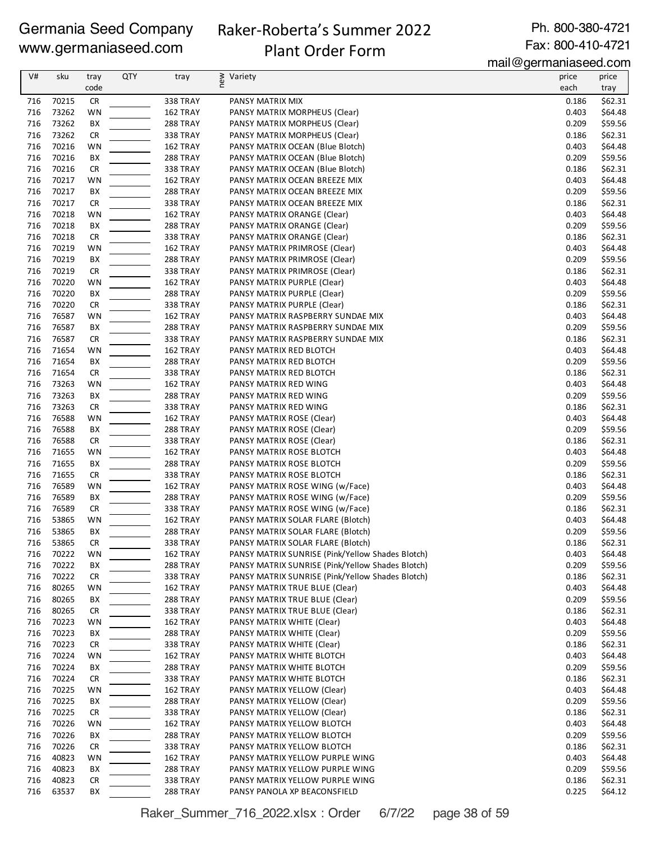# Raker-Roberta's Summer 2022 Plant Order Form

Ph. 800-380-4721 Fax: 800-410-4721

mail@germaniaseed.com

| V#         | sku            | tray            | <b>QTY</b> | tray                        | new<br>Variety                                                   | price          | price              |
|------------|----------------|-----------------|------------|-----------------------------|------------------------------------------------------------------|----------------|--------------------|
|            |                | code            |            |                             |                                                                  | each           | tray               |
| 716        | 70215          | <b>CR</b>       |            | 338 TRAY                    | PANSY MATRIX MIX                                                 | 0.186          | \$62.31            |
| 716        | 73262          | WN              |            | 162 TRAY                    | PANSY MATRIX MORPHEUS (Clear)                                    | 0.403          | \$64.48            |
| 716        | 73262          | BX              |            | <b>288 TRAY</b>             | PANSY MATRIX MORPHEUS (Clear)                                    | 0.209          | \$59.56            |
| 716        | 73262          | <b>CR</b>       |            | <b>338 TRAY</b>             | PANSY MATRIX MORPHEUS (Clear)                                    | 0.186          | \$62.31            |
| 716        | 70216          | WN              |            | 162 TRAY                    | PANSY MATRIX OCEAN (Blue Blotch)                                 | 0.403          | \$64.48            |
| 716        | 70216          | BX              |            | 288 TRAY                    | PANSY MATRIX OCEAN (Blue Blotch)                                 | 0.209          | \$59.56            |
| 716        | 70216          | <b>CR</b>       |            | <b>338 TRAY</b>             | PANSY MATRIX OCEAN (Blue Blotch)                                 | 0.186          | \$62.31            |
| 716<br>716 | 70217<br>70217 | WN              |            | 162 TRAY<br>288 TRAY        | PANSY MATRIX OCEAN BREEZE MIX                                    | 0.403<br>0.209 | \$64.48            |
| 716        | 70217          | BX<br><b>CR</b> |            | <b>338 TRAY</b>             | PANSY MATRIX OCEAN BREEZE MIX<br>PANSY MATRIX OCEAN BREEZE MIX   | 0.186          | \$59.56<br>\$62.31 |
| 716        | 70218          | WN              |            | 162 TRAY                    | PANSY MATRIX ORANGE (Clear)                                      | 0.403          | \$64.48            |
| 716        | 70218          | BX              |            | <b>288 TRAY</b>             | PANSY MATRIX ORANGE (Clear)                                      | 0.209          | \$59.56            |
| 716        | 70218          | <b>CR</b>       |            | <b>338 TRAY</b>             | PANSY MATRIX ORANGE (Clear)                                      | 0.186          | \$62.31            |
| 716        | 70219          | WN              |            | 162 TRAY                    | PANSY MATRIX PRIMROSE (Clear)                                    | 0.403          | \$64.48            |
| 716        | 70219          | BX              |            | <b>288 TRAY</b>             | PANSY MATRIX PRIMROSE (Clear)                                    | 0.209          | \$59.56            |
| 716        | 70219          | <b>CR</b>       |            | <b>338 TRAY</b>             | PANSY MATRIX PRIMROSE (Clear)                                    | 0.186          | \$62.31            |
| 716        | 70220          | WN              |            | 162 TRAY                    | PANSY MATRIX PURPLE (Clear)                                      | 0.403          | \$64.48            |
| 716        | 70220          | BX              |            | 288 TRAY                    | PANSY MATRIX PURPLE (Clear)                                      | 0.209          | \$59.56            |
| 716        | 70220          | <b>CR</b>       |            | 338 TRAY                    | PANSY MATRIX PURPLE (Clear)                                      | 0.186          | \$62.31            |
| 716        | 76587          | WN              |            | 162 TRAY                    | PANSY MATRIX RASPBERRY SUNDAE MIX                                | 0.403          | \$64.48            |
| 716        | 76587          | BX              |            | 288 TRAY                    | PANSY MATRIX RASPBERRY SUNDAE MIX                                | 0.209          | \$59.56            |
| 716        | 76587          | <b>CR</b>       |            | <b>338 TRAY</b>             | PANSY MATRIX RASPBERRY SUNDAE MIX                                | 0.186          | \$62.31            |
| 716        | 71654          | WN              |            | 162 TRAY                    | PANSY MATRIX RED BLOTCH                                          | 0.403          | \$64.48            |
| 716        | 71654          | BX              |            | 288 TRAY                    | PANSY MATRIX RED BLOTCH                                          | 0.209          | \$59.56            |
| 716        | 71654          | <b>CR</b>       |            | <b>338 TRAY</b>             | PANSY MATRIX RED BLOTCH                                          | 0.186          | \$62.31            |
| 716        | 73263          | WN              |            | 162 TRAY                    | PANSY MATRIX RED WING                                            | 0.403          | \$64.48            |
| 716<br>716 | 73263          | BX              |            | <b>288 TRAY</b>             | PANSY MATRIX RED WING                                            | 0.209          | \$59.56            |
| 716        | 73263<br>76588 | <b>CR</b><br>WN |            | 338 TRAY<br>162 TRAY        | PANSY MATRIX RED WING<br>PANSY MATRIX ROSE (Clear)               | 0.186<br>0.403 | \$62.31<br>\$64.48 |
| 716        | 76588          | BX              |            | <b>288 TRAY</b>             | PANSY MATRIX ROSE (Clear)                                        | 0.209          | \$59.56            |
| 716        | 76588          | <b>CR</b>       |            | <b>338 TRAY</b>             | PANSY MATRIX ROSE (Clear)                                        | 0.186          | \$62.31            |
| 716        | 71655          | WN              |            | 162 TRAY                    | PANSY MATRIX ROSE BLOTCH                                         | 0.403          | \$64.48            |
| 716        | 71655          | BX              |            | <b>288 TRAY</b>             | PANSY MATRIX ROSE BLOTCH                                         | 0.209          | \$59.56            |
| 716        | 71655          | <b>CR</b>       |            | <b>338 TRAY</b>             | PANSY MATRIX ROSE BLOTCH                                         | 0.186          | \$62.31            |
| 716        | 76589          | WN              |            | 162 TRAY                    | PANSY MATRIX ROSE WING (w/Face)                                  | 0.403          | \$64.48            |
| 716        | 76589          | BX              |            | <b>288 TRAY</b>             | PANSY MATRIX ROSE WING (w/Face)                                  | 0.209          | \$59.56            |
| 716        | 76589          | <b>CR</b>       |            | <b>338 TRAY</b>             | PANSY MATRIX ROSE WING (w/Face)                                  | 0.186          | \$62.31            |
| 716        | 53865          | WN              |            | 162 TRAY                    | PANSY MATRIX SOLAR FLARE (Blotch)                                | 0.403          | \$64.48            |
| 716        | 53865          | BX              |            | <b>288 TRAY</b>             | PANSY MATRIX SOLAR FLARE (Blotch)                                | 0.209          | \$59.56            |
| 716        | 53865          | <b>CR</b>       |            | 338 TRAY                    | PANSY MATRIX SOLAR FLARE (Blotch)                                | 0.186          | \$62.31            |
| 716        | 70222          | WN              |            | 162 TRAY                    | PANSY MATRIX SUNRISE (Pink/Yellow Shades Blotch)                 | 0.403          | \$64.48            |
| 716        | 70222          | BX              |            | <b>288 TRAY</b>             | PANSY MATRIX SUNRISE (Pink/Yellow Shades Blotch)                 | 0.209          | \$59.56            |
| 716        | 70222          | <b>CR</b>       |            | 338 TRAY                    | PANSY MATRIX SUNRISE (Pink/Yellow Shades Blotch)                 | 0.186          | \$62.31            |
| 716<br>716 | 80265<br>80265 | WN<br>ВX        |            | 162 TRAY<br><b>288 TRAY</b> | PANSY MATRIX TRUE BLUE (Clear)<br>PANSY MATRIX TRUE BLUE (Clear) | 0.403<br>0.209 | \$64.48<br>\$59.56 |
| 716        | 80265          | <b>CR</b>       |            | 338 TRAY                    | PANSY MATRIX TRUE BLUE (Clear)                                   | 0.186          | \$62.31            |
| 716        | 70223          | WN              |            | 162 TRAY                    | PANSY MATRIX WHITE (Clear)                                       | 0.403          | \$64.48            |
| 716        | 70223          | BХ              |            | 288 TRAY                    | PANSY MATRIX WHITE (Clear)                                       | 0.209          | \$59.56            |
| 716        | 70223          | <b>CR</b>       |            | 338 TRAY                    | PANSY MATRIX WHITE (Clear)                                       | 0.186          | \$62.31            |
| 716        | 70224          | WN              |            | 162 TRAY                    | PANSY MATRIX WHITE BLOTCH                                        | 0.403          | \$64.48            |
| 716        | 70224          | BX              |            | 288 TRAY                    | PANSY MATRIX WHITE BLOTCH                                        | 0.209          | \$59.56            |
| 716        | 70224          | <b>CR</b>       |            | 338 TRAY                    | PANSY MATRIX WHITE BLOTCH                                        | 0.186          | \$62.31            |
| 716        | 70225          | WN              |            | 162 TRAY                    | PANSY MATRIX YELLOW (Clear)                                      | 0.403          | \$64.48            |
| 716        | 70225          | BX              |            | 288 TRAY                    | PANSY MATRIX YELLOW (Clear)                                      | 0.209          | \$59.56            |
| 716        | 70225          | <b>CR</b>       |            | 338 TRAY                    | PANSY MATRIX YELLOW (Clear)                                      | 0.186          | \$62.31            |
| 716        | 70226          | WN              |            | 162 TRAY                    | PANSY MATRIX YELLOW BLOTCH                                       | 0.403          | \$64.48            |
| 716        | 70226          | BХ              |            | <b>288 TRAY</b>             | PANSY MATRIX YELLOW BLOTCH                                       | 0.209          | \$59.56            |
| 716        | 70226          | <b>CR</b>       |            | 338 TRAY                    | PANSY MATRIX YELLOW BLOTCH                                       | 0.186          | \$62.31            |
| 716        | 40823          | WN              |            | 162 TRAY                    | PANSY MATRIX YELLOW PURPLE WING                                  | 0.403          | \$64.48            |
| 716<br>716 | 40823<br>40823 | BX              |            | 288 TRAY                    | PANSY MATRIX YELLOW PURPLE WING                                  | 0.209<br>0.186 | \$59.56            |
| 716        | 63537          | <b>CR</b><br>ВX |            | 338 TRAY<br>288 TRAY        | PANSY MATRIX YELLOW PURPLE WING<br>PANSY PANOLA XP BEACONSFIELD  | 0.225          | \$62.31<br>\$64.12 |
|            |                |                 |            |                             |                                                                  |                |                    |

Raker\_Summer\_716\_2022.xlsx : Order 6/7/22 page 38 of 59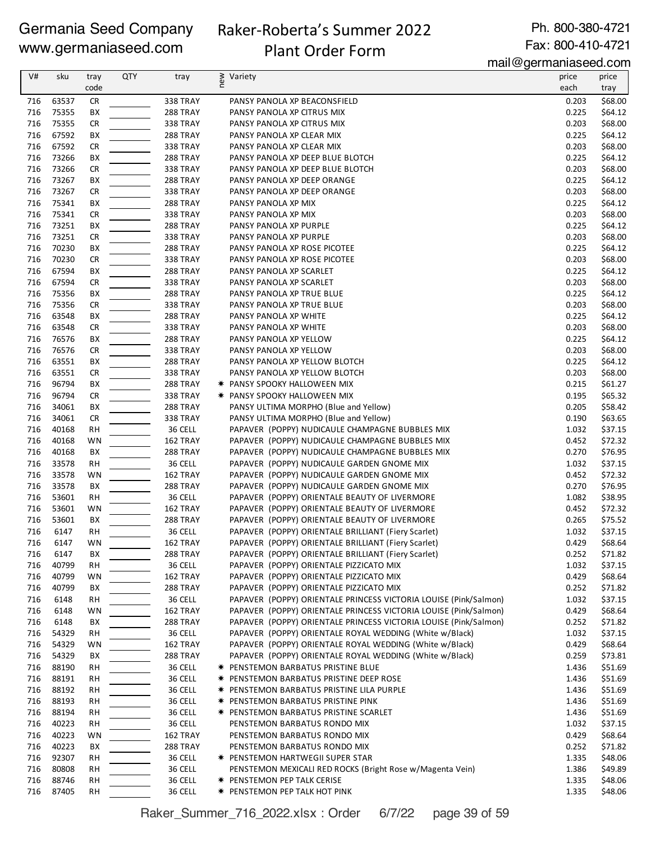# Raker-Roberta's Summer 2022 Plant Order Form

Ph. 800-380-4721 Fax: 800-410-4721

mail@germaniaseed.com

| V#         | sku            | tray            | <b>QTY</b> | tray                 | Variety                                                          | price          | price              |
|------------|----------------|-----------------|------------|----------------------|------------------------------------------------------------------|----------------|--------------------|
|            |                | code            |            |                      | new                                                              | each           | tray               |
| 716        | 63537          |                 |            | 338 TRAY             |                                                                  | 0.203          | \$68.00            |
| 716        | 75355          | <b>CR</b><br>BX |            | 288 TRAY             | PANSY PANOLA XP BEACONSFIELD                                     | 0.225          | \$64.12            |
| 716        | 75355          | <b>CR</b>       |            | 338 TRAY             | PANSY PANOLA XP CITRUS MIX<br>PANSY PANOLA XP CITRUS MIX         | 0.203          | \$68.00            |
| 716        | 67592          | BX              |            | 288 TRAY             | PANSY PANOLA XP CLEAR MIX                                        | 0.225          | \$64.12            |
| 716        | 67592          | <b>CR</b>       |            | 338 TRAY             | PANSY PANOLA XP CLEAR MIX                                        | 0.203          | \$68.00            |
| 716        | 73266          | ВX              |            | 288 TRAY             | PANSY PANOLA XP DEEP BLUE BLOTCH                                 | 0.225          | \$64.12            |
| 716        | 73266          | <b>CR</b>       |            |                      |                                                                  |                | \$68.00            |
| 716        | 73267          | ВX              |            | 338 TRAY<br>288 TRAY | PANSY PANOLA XP DEEP BLUE BLOTCH<br>PANSY PANOLA XP DEEP ORANGE  | 0.203<br>0.225 | \$64.12            |
| 716        | 73267          | <b>CR</b>       |            | <b>338 TRAY</b>      | PANSY PANOLA XP DEEP ORANGE                                      | 0.203          | \$68.00            |
|            |                |                 |            |                      |                                                                  |                |                    |
| 716<br>716 | 75341<br>75341 | ВX              |            | 288 TRAY<br>338 TRAY | PANSY PANOLA XP MIX<br>PANSY PANOLA XP MIX                       | 0.225<br>0.203 | \$64.12<br>\$68.00 |
|            |                | <b>CR</b>       |            |                      |                                                                  |                |                    |
| 716<br>716 | 73251<br>73251 | ВX<br><b>CR</b> |            | 288 TRAY<br>338 TRAY | PANSY PANOLA XP PURPLE                                           | 0.225<br>0.203 | \$64.12<br>\$68.00 |
| 716        | 70230          |                 |            |                      | PANSY PANOLA XP PURPLE                                           | 0.225          | \$64.12            |
|            |                | ВX              |            | 288 TRAY             | PANSY PANOLA XP ROSE PICOTEE                                     |                |                    |
| 716        | 70230          | <b>CR</b>       |            | 338 TRAY             | PANSY PANOLA XP ROSE PICOTEE                                     | 0.203          | \$68.00            |
| 716        | 67594          | ВX              |            | 288 TRAY             | PANSY PANOLA XP SCARLET                                          | 0.225          | \$64.12            |
| 716        | 67594          | <b>CR</b>       |            | <b>338 TRAY</b>      | PANSY PANOLA XP SCARLET                                          | 0.203          | \$68.00            |
| 716        | 75356          | BX              |            | 288 TRAY             | PANSY PANOLA XP TRUE BLUE                                        | 0.225          | \$64.12            |
| 716        | 75356          | CR              |            | <b>338 TRAY</b>      | PANSY PANOLA XP TRUE BLUE                                        | 0.203          | \$68.00            |
| 716        | 63548          | BX              |            | 288 TRAY             | PANSY PANOLA XP WHITE                                            | 0.225          | \$64.12            |
| 716        | 63548          | <b>CR</b>       |            | <b>338 TRAY</b>      | PANSY PANOLA XP WHITE                                            | 0.203          | \$68.00            |
| 716        | 76576          | BX              |            | 288 TRAY             | PANSY PANOLA XP YELLOW                                           | 0.225          | \$64.12            |
| 716        | 76576          | <b>CR</b>       |            | <b>338 TRAY</b>      | PANSY PANOLA XP YELLOW                                           | 0.203          | \$68.00            |
| 716        | 63551          | BX              |            | 288 TRAY             | PANSY PANOLA XP YELLOW BLOTCH                                    | 0.225          | \$64.12            |
| 716        | 63551          | <b>CR</b>       |            | 338 TRAY             | PANSY PANOLA XP YELLOW BLOTCH                                    | 0.203          | \$68.00            |
| 716        | 96794          | ВX              |            | 288 TRAY             | <b>* PANSY SPOOKY HALLOWEEN MIX</b>                              | 0.215          | \$61.27            |
| 716        | 96794          | <b>CR</b>       |            | <b>338 TRAY</b>      | <b>* PANSY SPOOKY HALLOWEEN MIX</b>                              | 0.195          | \$65.32            |
| 716        | 34061          | ВX              |            | 288 TRAY             | PANSY ULTIMA MORPHO (Blue and Yellow)                            | 0.205          | \$58.42            |
| 716        | 34061          | <b>CR</b>       |            | 338 TRAY             | PANSY ULTIMA MORPHO (Blue and Yellow)                            | 0.190          | \$63.65            |
| 716        | 40168          | <b>RH</b>       |            | 36 CELL              | PAPAVER (POPPY) NUDICAULE CHAMPAGNE BUBBLES MIX                  | 1.032          | \$37.15            |
| 716        | 40168          | WN              |            | 162 TRAY             | PAPAVER (POPPY) NUDICAULE CHAMPAGNE BUBBLES MIX                  | 0.452          | \$72.32            |
| 716        | 40168          | BX              |            | 288 TRAY             | PAPAVER (POPPY) NUDICAULE CHAMPAGNE BUBBLES MIX                  | 0.270          | \$76.95            |
| 716        | 33578          | <b>RH</b>       |            | 36 CELL              | PAPAVER (POPPY) NUDICAULE GARDEN GNOME MIX                       | 1.032          | \$37.15            |
| 716        | 33578          | WN              |            | 162 TRAY             | PAPAVER (POPPY) NUDICAULE GARDEN GNOME MIX                       | 0.452          | \$72.32            |
| 716        | 33578          | BX              |            | 288 TRAY             | PAPAVER (POPPY) NUDICAULE GARDEN GNOME MIX                       | 0.270          | \$76.95            |
| 716        | 53601          | <b>RH</b>       |            | 36 CELL              | PAPAVER (POPPY) ORIENTALE BEAUTY OF LIVERMORE                    | 1.082          | \$38.95            |
| 716        | 53601          | <b>WN</b>       |            | 162 TRAY             | PAPAVER (POPPY) ORIENTALE BEAUTY OF LIVERMORE                    | 0.452          | \$72.32            |
| 716        | 53601          | BX              |            | 288 TRAY             | PAPAVER (POPPY) ORIENTALE BEAUTY OF LIVERMORE                    | 0.265          | \$75.52            |
| 716        | 6147           | <b>RH</b>       |            | 36 CELL              | PAPAVER (POPPY) ORIENTALE BRILLIANT (Fiery Scarlet)              | 1.032          | \$37.15            |
| 716        | 6147           | WN              |            | 162 TRAY             | PAPAVER (POPPY) ORIENTALE BRILLIANT (Fiery Scarlet)              | 0.429          | \$68.64            |
| 716        | 6147           | ВX              |            | 288 TRAY             | PAPAVER (POPPY) ORIENTALE BRILLIANT (Fiery Scarlet)              | 0.252          | \$71.82            |
| 716        | 40799          | RH              |            | 36 CELL              | PAPAVER (POPPY) ORIENTALE PIZZICATO MIX                          | 1.032          | \$37.15            |
| 716        | 40799          | WN              |            | 162 TRAY             | PAPAVER (POPPY) ORIENTALE PIZZICATO MIX                          | 0.429          | \$68.64            |
| 716        | 40799          | BХ              |            | 288 TRAY             | PAPAVER (POPPY) ORIENTALE PIZZICATO MIX                          | 0.252          | \$71.82            |
| 716        | 6148           | RH              |            | 36 CELL              | PAPAVER (POPPY) ORIENTALE PRINCESS VICTORIA LOUISE (Pink/Salmon) | 1.032          | \$37.15            |
| 716        | 6148           | WN              |            | 162 TRAY             | PAPAVER (POPPY) ORIENTALE PRINCESS VICTORIA LOUISE (Pink/Salmon) | 0.429          | \$68.64            |
| 716        | 6148           | BХ              |            | 288 TRAY             | PAPAVER (POPPY) ORIENTALE PRINCESS VICTORIA LOUISE (Pink/Salmon) | 0.252          | \$71.82            |
| 716        | 54329          | RH              |            | 36 CELL              | PAPAVER (POPPY) ORIENTALE ROYAL WEDDING (White w/Black)          | 1.032          | \$37.15            |
| 716        | 54329          | WN              |            | 162 TRAY             | PAPAVER (POPPY) ORIENTALE ROYAL WEDDING (White w/Black)          | 0.429          | \$68.64            |
| 716        | 54329          | BХ              |            | 288 TRAY             | PAPAVER (POPPY) ORIENTALE ROYAL WEDDING (White w/Black)          | 0.259          | \$73.81            |
| 716        | 88190          | RH              |            | 36 CELL              | * PENSTEMON BARBATUS PRISTINE BLUE                               | 1.436          | \$51.69            |
| 716        | 88191          | RH              |            | 36 CELL              | * PENSTEMON BARBATUS PRISTINE DEEP ROSE                          | 1.436          | \$51.69            |
| 716        | 88192          | RH              |            | 36 CELL              | * PENSTEMON BARBATUS PRISTINE LILA PURPLE                        | 1.436          | \$51.69            |
| 716        | 88193          | RH              |            | 36 CELL              | <b>* PENSTEMON BARBATUS PRISTINE PINK</b>                        | 1.436          | \$51.69            |
| 716        | 88194          | RH              |            | 36 CELL              | <b>* PENSTEMON BARBATUS PRISTINE SCARLET</b>                     | 1.436          | \$51.69            |
| 716        | 40223          | RH              |            | 36 CELL              | PENSTEMON BARBATUS RONDO MIX                                     | 1.032          | \$37.15            |
| 716        | 40223          | WN              |            | 162 TRAY             | PENSTEMON BARBATUS RONDO MIX                                     | 0.429          | \$68.64            |
| 716        | 40223          | BХ              |            | 288 TRAY             | PENSTEMON BARBATUS RONDO MIX                                     | 0.252          | \$71.82            |
| 716        | 92307          | RH              |            | 36 CELL              | <b>★ PENSTEMON HARTWEGII SUPER STAR</b>                          | 1.335          | \$48.06            |
| 716        | 80808          | RH              |            | 36 CELL              | PENSTEMON MEXICALI RED ROCKS (Bright Rose w/Magenta Vein)        | 1.386          | \$49.89            |
| 716        | 88746          | RH              |            | 36 CELL              | * PENSTEMON PEP TALK CERISE                                      | 1.335          | \$48.06            |
| 716        | 87405          | <b>RH</b>       |            | 36 CELL              | * PENSTEMON PEP TALK HOT PINK                                    | 1.335          | \$48.06            |

Raker\_Summer\_716\_2022.xlsx : Order 6/7/22 page 39 of 59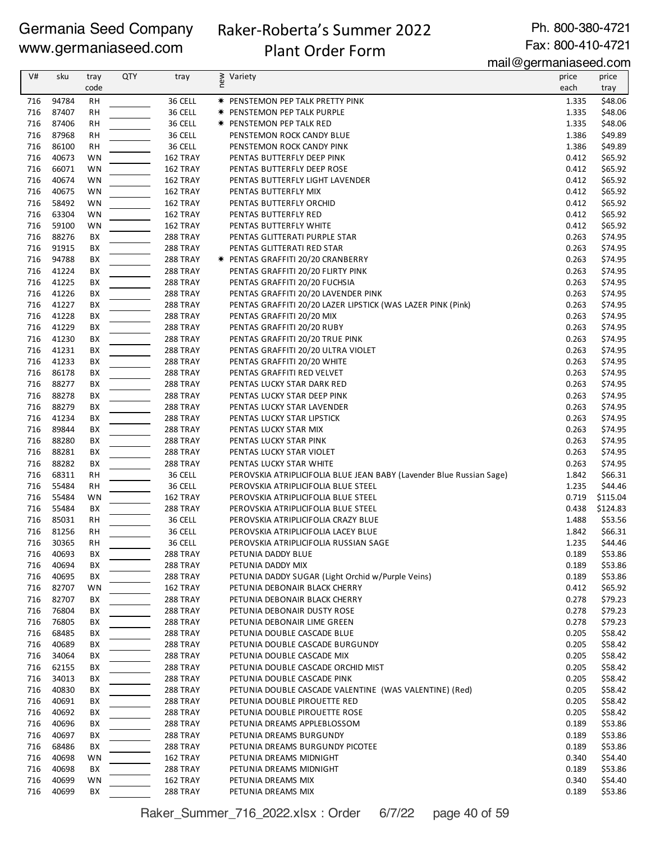# Raker-Roberta's Summer 2022

Ph. 800-380-4721 Fax: 800-410-4721

# Plant Order Form

mail@germaniaseed.com

| V#         | sku            | tray      | <b>QTY</b> | tray                        | new<br>Variety                                                       | price          | price              |
|------------|----------------|-----------|------------|-----------------------------|----------------------------------------------------------------------|----------------|--------------------|
|            |                | code      |            |                             |                                                                      | each           | tray               |
| 716        | 94784          | <b>RH</b> |            | 36 CELL                     | <b>★ PENSTEMON PEP TALK PRETTY PINK</b>                              | 1.335          | \$48.06            |
| 716        | 87407          | <b>RH</b> |            | 36 CELL                     | <b>★ PENSTEMON PEP TALK PURPLE</b>                                   | 1.335          | \$48.06            |
| 716        | 87406          | RH        |            | 36 CELL                     | <b>★ PENSTEMON PEP TALK RED</b>                                      | 1.335          | \$48.06            |
| 716        | 87968          | <b>RH</b> |            | 36 CELL                     | PENSTEMON ROCK CANDY BLUE                                            | 1.386          | \$49.89            |
| 716        | 86100          | <b>RH</b> |            | 36 CELL                     | PENSTEMON ROCK CANDY PINK                                            | 1.386          | \$49.89            |
| 716        | 40673          | WN        |            | 162 TRAY                    | PENTAS BUTTERFLY DEEP PINK                                           | 0.412          | \$65.92            |
| 716<br>716 | 66071<br>40674 | WN<br>WN  |            | 162 TRAY<br>162 TRAY        | PENTAS BUTTERFLY DEEP ROSE                                           | 0.412<br>0.412 | \$65.92<br>\$65.92 |
| 716        | 40675          | WN        |            | 162 TRAY                    | PENTAS BUTTERFLY LIGHT LAVENDER<br>PENTAS BUTTERFLY MIX              | 0.412          | \$65.92            |
| 716        | 58492          | WN        |            | 162 TRAY                    | PENTAS BUTTERFLY ORCHID                                              | 0.412          | \$65.92            |
| 716        | 63304          | <b>WN</b> |            | 162 TRAY                    | PENTAS BUTTERFLY RED                                                 | 0.412          | \$65.92            |
| 716        | 59100          | WN        |            | 162 TRAY                    | PENTAS BUTTERFLY WHITE                                               | 0.412          | \$65.92            |
| 716        | 88276          | BХ        |            | 288 TRAY                    | PENTAS GLITTERATI PURPLE STAR                                        | 0.263          | \$74.95            |
| 716        | 91915          | BХ        |            | <b>288 TRAY</b>             | PENTAS GLITTERATI RED STAR                                           | 0.263          | \$74.95            |
| 716        | 94788          | BХ        |            | <b>288 TRAY</b>             | <b>★ PENTAS GRAFFITI 20/20 CRANBERRY</b>                             | 0.263          | \$74.95            |
| 716        | 41224          | ВX        |            | 288 TRAY                    | PENTAS GRAFFITI 20/20 FLIRTY PINK                                    | 0.263          | \$74.95            |
| 716        | 41225          | BХ        |            | 288 TRAY                    | PENTAS GRAFFITI 20/20 FUCHSIA                                        | 0.263          | \$74.95            |
| 716        | 41226          | ВX        |            | 288 TRAY                    | PENTAS GRAFFITI 20/20 LAVENDER PINK                                  | 0.263          | \$74.95            |
| 716        | 41227          | BХ        |            | 288 TRAY                    | PENTAS GRAFFITI 20/20 LAZER LIPSTICK (WAS LAZER PINK (Pink)          | 0.263          | \$74.95            |
| 716        | 41228          | BX        |            | 288 TRAY                    | PENTAS GRAFFITI 20/20 MIX                                            | 0.263          | \$74.95            |
| 716        | 41229          | BX        |            | 288 TRAY                    | PENTAS GRAFFITI 20/20 RUBY                                           | 0.263          | \$74.95            |
| 716        | 41230          | BХ        |            | 288 TRAY                    | PENTAS GRAFFITI 20/20 TRUE PINK                                      | 0.263          | \$74.95            |
| 716        | 41231          | BХ        |            | <b>288 TRAY</b>             | PENTAS GRAFFITI 20/20 ULTRA VIOLET                                   | 0.263          | \$74.95            |
| 716        | 41233          | BХ        |            | <b>288 TRAY</b>             | PENTAS GRAFFITI 20/20 WHITE                                          | 0.263          | \$74.95            |
| 716        | 86178          | BХ        |            | <b>288 TRAY</b>             | PENTAS GRAFFITI RED VELVET                                           | 0.263          | \$74.95            |
| 716        | 88277          | BХ        |            | 288 TRAY                    | PENTAS LUCKY STAR DARK RED                                           | 0.263          | \$74.95            |
| 716<br>716 | 88278<br>88279 | BX<br>BX  |            | 288 TRAY<br>288 TRAY        | PENTAS LUCKY STAR DEEP PINK                                          | 0.263<br>0.263 | \$74.95<br>\$74.95 |
| 716        | 41234          | BX        |            | 288 TRAY                    | PENTAS LUCKY STAR LAVENDER<br>PENTAS LUCKY STAR LIPSTICK             | 0.263          | \$74.95            |
| 716        | 89844          | BX        |            | 288 TRAY                    | PENTAS LUCKY STAR MIX                                                | 0.263          | \$74.95            |
| 716        | 88280          | BХ        |            | 288 TRAY                    | PENTAS LUCKY STAR PINK                                               | 0.263          | \$74.95            |
| 716        | 88281          | BХ        |            | <b>288 TRAY</b>             | PENTAS LUCKY STAR VIOLET                                             | 0.263          | \$74.95            |
| 716        | 88282          | BХ        |            | <b>288 TRAY</b>             | PENTAS LUCKY STAR WHITE                                              | 0.263          | \$74.95            |
| 716        | 68311          | <b>RH</b> |            | 36 CELL                     | PEROVSKIA ATRIPLICIFOLIA BLUE JEAN BABY (Lavender Blue Russian Sage) | 1.842          | \$66.31            |
| 716        | 55484          | RH        |            | 36 CELL                     | PEROVSKIA ATRIPLICIFOLIA BLUE STEEL                                  | 1.235          | \$44.46            |
| 716        | 55484          | WN        |            | 162 TRAY                    | PEROVSKIA ATRIPLICIFOLIA BLUE STEEL                                  | 0.719          | \$115.04           |
| 716        | 55484          | BХ        |            | 288 TRAY                    | PEROVSKIA ATRIPLICIFOLIA BLUE STEEL                                  | 0.438          | \$124.83           |
| 716        | 85031          | <b>RH</b> |            | 36 CELL                     | PEROVSKIA ATRIPLICIFOLIA CRAZY BLUE                                  | 1.488          | \$53.56            |
| 716        | 81256          | <b>RH</b> |            | 36 CELL                     | PEROVSKIA ATRIPLICIFOLIA LACEY BLUE                                  | 1.842          | \$66.31            |
| 716        | 30365          | <b>RH</b> |            | 36 CELL                     | PEROVSKIA ATRIPLICIFOLIA RUSSIAN SAGE                                | 1.235          | \$44.46            |
| 716        | 40693          | BХ        |            | 288 TRAY                    | PETUNIA DADDY BLUE                                                   | 0.189          | \$53.86            |
| 716        | 40694          | BХ        |            | 288 TRAY                    | PETUNIA DADDY MIX                                                    | 0.189          | \$53.86            |
| 716        | 40695          | BХ        |            | 288 TRAY                    | PETUNIA DADDY SUGAR (Light Orchid w/Purple Veins)                    | 0.189          | \$53.86            |
| 716        | 82707          | WN        |            | 162 TRAY                    | PETUNIA DEBONAIR BLACK CHERRY                                        | 0.412          | \$65.92            |
| 716        | 82707          | BХ        |            | <b>288 TRAY</b>             | PETUNIA DEBONAIR BLACK CHERRY                                        | 0.278          | \$79.23            |
| 716        | 76804          | BХ        |            | 288 TRAY                    | PETUNIA DEBONAIR DUSTY ROSE                                          | 0.278          | \$79.23            |
| 716<br>716 | 76805<br>68485 | BХ<br>BХ  |            | 288 TRAY<br><b>288 TRAY</b> | PETUNIA DEBONAIR LIME GREEN<br>PETUNIA DOUBLE CASCADE BLUE           | 0.278<br>0.205 | \$79.23<br>\$58.42 |
| 716        | 40689          | BХ        |            | <b>288 TRAY</b>             | PETUNIA DOUBLE CASCADE BURGUNDY                                      | 0.205          | \$58.42            |
| 716        | 34064          | BХ        |            | 288 TRAY                    | PETUNIA DOUBLE CASCADE MIX                                           | 0.205          | \$58.42            |
| 716        | 62155          | BХ        |            | 288 TRAY                    | PETUNIA DOUBLE CASCADE ORCHID MIST                                   | 0.205          | \$58.42            |
| 716        | 34013          | BХ        |            | 288 TRAY                    | PETUNIA DOUBLE CASCADE PINK                                          | 0.205          | \$58.42            |
| 716        | 40830          | BХ        |            | <b>288 TRAY</b>             | PETUNIA DOUBLE CASCADE VALENTINE (WAS VALENTINE) (Red)               | 0.205          | \$58.42            |
| 716        | 40691          | BХ        |            | 288 TRAY                    | PETUNIA DOUBLE PIROUETTE RED                                         | 0.205          | \$58.42            |
| 716        | 40692          | BХ        |            | <b>288 TRAY</b>             | PETUNIA DOUBLE PIROUETTE ROSE                                        | 0.205          | \$58.42            |
| 716        | 40696          | BХ        |            | <b>288 TRAY</b>             | PETUNIA DREAMS APPLEBLOSSOM                                          | 0.189          | \$53.86            |
| 716        | 40697          | BХ        |            | <b>288 TRAY</b>             | PETUNIA DREAMS BURGUNDY                                              | 0.189          | \$53.86            |
| 716        | 68486          | BХ        |            | <b>288 TRAY</b>             | PETUNIA DREAMS BURGUNDY PICOTEE                                      | 0.189          | \$53.86            |
| 716        | 40698          | WN        |            | 162 TRAY                    | PETUNIA DREAMS MIDNIGHT                                              | 0.340          | \$54.40            |
| 716        | 40698          | BX        |            | 288 TRAY                    | PETUNIA DREAMS MIDNIGHT                                              | 0.189          | \$53.86            |
| 716        | 40699          | WN        |            | 162 TRAY                    | PETUNIA DREAMS MIX                                                   | 0.340          | \$54.40            |
| 716        | 40699          | BX        |            | 288 TRAY                    | PETUNIA DREAMS MIX                                                   | 0.189          | \$53.86            |

Raker\_Summer\_716\_2022.xlsx : Order 6/7/22 page 40 of 59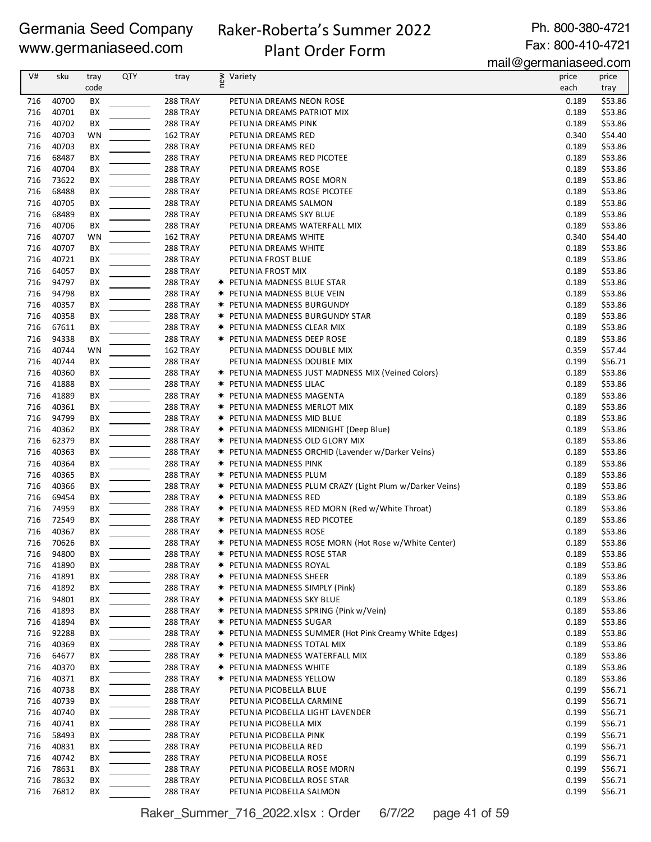### Raker-Roberta's Summer 2022 Plant Order Form

Ph. 800-380-4721 Fax: 800-410-4721

mail@germaniaseed.com

| V#         | sku            | tray     | QTY | tray                        | new | Variety                                                                                         | price          | price              |
|------------|----------------|----------|-----|-----------------------------|-----|-------------------------------------------------------------------------------------------------|----------------|--------------------|
|            |                | code     |     |                             |     |                                                                                                 | each           | tray               |
| 716        | 40700          | BX       |     | 288 TRAY                    |     | PETUNIA DREAMS NEON ROSE                                                                        | 0.189          | \$53.86            |
| 716        | 40701          | BX       |     | 288 TRAY                    |     | PETUNIA DREAMS PATRIOT MIX                                                                      | 0.189          | \$53.86            |
| 716        | 40702          | BX       |     | 288 TRAY                    |     | PETUNIA DREAMS PINK                                                                             | 0.189          | \$53.86            |
| 716        | 40703          | WN       |     | 162 TRAY                    |     | PETUNIA DREAMS RED                                                                              | 0.340          | \$54.40            |
| 716        | 40703          | ВX       |     | 288 TRAY                    |     | PETUNIA DREAMS RED                                                                              | 0.189          | \$53.86            |
| 716        | 68487          | ВX       |     | 288 TRAY                    |     | PETUNIA DREAMS RED PICOTEE                                                                      | 0.189          | \$53.86            |
| 716        | 40704          | BX       |     | 288 TRAY                    |     | PETUNIA DREAMS ROSE                                                                             | 0.189          | \$53.86            |
| 716<br>716 | 73622<br>68488 | ВX       |     | 288 TRAY                    |     | PETUNIA DREAMS ROSE MORN                                                                        | 0.189<br>0.189 | \$53.86            |
| 716        | 40705          | ВX<br>BX |     | <b>288 TRAY</b><br>288 TRAY |     | PETUNIA DREAMS ROSE PICOTEE<br>PETUNIA DREAMS SALMON                                            | 0.189          | \$53.86<br>\$53.86 |
| 716        | 68489          | BX       |     | 288 TRAY                    |     | PETUNIA DREAMS SKY BLUE                                                                         | 0.189          | \$53.86            |
| 716        | 40706          | BX       |     | 288 TRAY                    |     | PETUNIA DREAMS WATERFALL MIX                                                                    | 0.189          | \$53.86            |
| 716        | 40707          | WN       |     | 162 TRAY                    |     | PETUNIA DREAMS WHITE                                                                            | 0.340          | \$54.40            |
| 716        | 40707          | ВX       |     | 288 TRAY                    |     | PETUNIA DREAMS WHITE                                                                            | 0.189          | \$53.86            |
| 716        | 40721          | ВX       |     | 288 TRAY                    |     | PETUNIA FROST BLUE                                                                              | 0.189          | \$53.86            |
| 716        | 64057          | ВX       |     | 288 TRAY                    |     | PETUNIA FROST MIX                                                                               | 0.189          | \$53.86            |
| 716        | 94797          | ВX       |     | 288 TRAY                    |     | <b>* PETUNIA MADNESS BLUE STAR</b>                                                              | 0.189          | \$53.86            |
| 716        | 94798          | ВX       |     | 288 TRAY                    |     | <b>* PETUNIA MADNESS BLUE VEIN</b>                                                              | 0.189          | \$53.86            |
| 716        | 40357          | BX       |     | 288 TRAY                    |     | <b>* PETUNIA MADNESS BURGUNDY</b>                                                               | 0.189          | \$53.86            |
| 716        | 40358          | BX       |     | 288 TRAY                    |     | * PETUNIA MADNESS BURGUNDY STAR                                                                 | 0.189          | \$53.86            |
| 716        | 67611          | BX       |     | 288 TRAY                    |     | * PETUNIA MADNESS CLEAR MIX                                                                     | 0.189          | \$53.86            |
| 716        | 94338          | ВX       |     | 288 TRAY                    |     | * PETUNIA MADNESS DEEP ROSE                                                                     | 0.189          | \$53.86            |
| 716<br>716 | 40744<br>40744 | WN       |     | 162 TRAY<br>288 TRAY        |     | PETUNIA MADNESS DOUBLE MIX                                                                      | 0.359<br>0.199 | \$57.44<br>\$56.71 |
| 716        | 40360          | BX<br>ВX |     | 288 TRAY                    |     | PETUNIA MADNESS DOUBLE MIX<br><b>★ PETUNIA MADNESS JUST MADNESS MIX (Veined Colors)</b>         | 0.189          | \$53.86            |
| 716        | 41888          | ВX       |     | 288 TRAY                    |     | <b>★ PETUNIA MADNESS LILAC</b>                                                                  | 0.189          | \$53.86            |
| 716        | 41889          | BX       |     | 288 TRAY                    |     | <b>* PETUNIA MADNESS MAGENTA</b>                                                                | 0.189          | \$53.86            |
| 716        | 40361          | BX       |     | 288 TRAY                    |     | <b>* PETUNIA MADNESS MERLOT MIX</b>                                                             | 0.189          | \$53.86            |
| 716        | 94799          | BX       |     | <b>288 TRAY</b>             |     | <b>★ PETUNIA MADNESS MID BLUE</b>                                                               | 0.189          | \$53.86            |
| 716        | 40362          | BX       |     | 288 TRAY                    |     | * PETUNIA MADNESS MIDNIGHT (Deep Blue)                                                          | 0.189          | \$53.86            |
| 716        | 62379          | ВX       |     | 288 TRAY                    |     | * PETUNIA MADNESS OLD GLORY MIX                                                                 | 0.189          | \$53.86            |
| 716        | 40363          | ВX       |     | 288 TRAY                    |     | <b>*</b> PETUNIA MADNESS ORCHID (Lavender w/Darker Veins)                                       | 0.189          | \$53.86            |
| 716        | 40364          | BХ       |     | 288 TRAY                    |     | <b>★ PETUNIA MADNESS PINK</b>                                                                   | 0.189          | \$53.86            |
| 716        | 40365          | ВX       |     | 288 TRAY                    |     | <b>★ PETUNIA MADNESS PLUM</b>                                                                   | 0.189          | \$53.86            |
| 716<br>716 | 40366<br>69454 | ВX<br>ВX |     | <b>288 TRAY</b><br>288 TRAY |     | <b>*</b> PETUNIA MADNESS PLUM CRAZY (Light Plum w/Darker Veins)<br><b>* PETUNIA MADNESS RED</b> | 0.189<br>0.189 | \$53.86<br>\$53.86 |
| 716        | 74959          | BX       |     | 288 TRAY                    |     | <b>*</b> PETUNIA MADNESS RED MORN (Red w/White Throat)                                          | 0.189          | \$53.86            |
| 716        | 72549          | ВX       |     | <b>288 TRAY</b>             |     | <b>★ PETUNIA MADNESS RED PICOTEE</b>                                                            | 0.189          | \$53.86            |
| 716        | 40367          | BX       |     | 288 TRAY                    |     | <b>★ PETUNIA MADNESS ROSE</b>                                                                   | 0.189          | \$53.86            |
| 716        | 70626          | BX       |     | 288 TRAY                    |     | <b>*</b> PETUNIA MADNESS ROSE MORN (Hot Rose w/White Center)                                    | 0.189          | \$53.86            |
| 716        | 94800          | BX       |     | 288 TRAY                    |     | <b>★ PETUNIA MADNESS ROSE STAR</b>                                                              | 0.189          | \$53.86            |
| 716        | 41890          | BХ       |     | 288 TRAY                    |     | <b>★ PETUNIA MADNESS ROYAL</b>                                                                  | 0.189          | \$53.86            |
| 716        | 41891          | BХ       |     | 288 TRAY                    |     | <b>★ PETUNIA MADNESS SHEER</b>                                                                  | 0.189          | \$53.86            |
| 716        | 41892          | BХ       |     | 288 TRAY                    |     | <b>*</b> PETUNIA MADNESS SIMPLY (Pink)                                                          | 0.189          | \$53.86            |
| 716        | 94801          | BХ       |     | 288 TRAY                    |     | <b>* PETUNIA MADNESS SKY BLUE</b>                                                               | 0.189          | \$53.86            |
| 716        | 41893          | BX       |     | 288 TRAY                    |     | <b>*</b> PETUNIA MADNESS SPRING (Pink w/Vein)                                                   | 0.189          | \$53.86            |
| 716<br>716 | 41894<br>92288 | BХ<br>ВX |     | 288 TRAY<br>288 TRAY        |     | <b>★ PETUNIA MADNESS SUGAR</b><br>* PETUNIA MADNESS SUMMER (Hot Pink Creamy White Edges)        | 0.189<br>0.189 | \$53.86<br>\$53.86 |
| 716        | 40369          | BX       |     | 288 TRAY                    |     | <b>* PETUNIA MADNESS TOTAL MIX</b>                                                              | 0.189          | \$53.86            |
| 716        | 64677          | BХ       |     | 288 TRAY                    |     | <b>* PETUNIA MADNESS WATERFALL MIX</b>                                                          | 0.189          | \$53.86            |
| 716        | 40370          | BХ       |     | 288 TRAY                    |     | <b>★ PETUNIA MADNESS WHITE</b>                                                                  | 0.189          | \$53.86            |
| 716        | 40371          | BХ       |     | 288 TRAY                    |     | * PETUNIA MADNESS YELLOW                                                                        | 0.189          | \$53.86            |
| 716        | 40738          | BХ       |     | <b>288 TRAY</b>             |     | PETUNIA PICOBELLA BLUE                                                                          | 0.199          | \$56.71            |
| 716        | 40739          | BХ       |     | 288 TRAY                    |     | PETUNIA PICOBELLA CARMINE                                                                       | 0.199          | \$56.71            |
| 716        | 40740          | BХ       |     | 288 TRAY                    |     | PETUNIA PICOBELLA LIGHT LAVENDER                                                                | 0.199          | \$56.71            |
| 716        | 40741          | BХ       |     | 288 TRAY                    |     | PETUNIA PICOBELLA MIX                                                                           | 0.199          | \$56.71            |
| 716        | 58493          | ВX       |     | <b>288 TRAY</b>             |     | PETUNIA PICOBELLA PINK                                                                          | 0.199          | \$56.71            |
| 716        | 40831<br>40742 | ВX       |     | 288 TRAY                    |     | PETUNIA PICOBELLA RED                                                                           | 0.199<br>0.199 | \$56.71            |
| 716<br>716 | 78631          | ВX<br>BХ |     | 288 TRAY<br><b>288 TRAY</b> |     | PETUNIA PICOBELLA ROSE<br>PETUNIA PICOBELLA ROSE MORN                                           | 0.199          | \$56.71<br>\$56.71 |
| 716        | 78632          | BХ       |     | 288 TRAY                    |     | PETUNIA PICOBELLA ROSE STAR                                                                     | 0.199          | \$56.71            |
| 716        | 76812          | BХ       |     | 288 TRAY                    |     | PETUNIA PICOBELLA SALMON                                                                        | 0.199          | \$56.71            |

Raker\_Summer\_716\_2022.xlsx : Order 6/7/22 page 41 of 59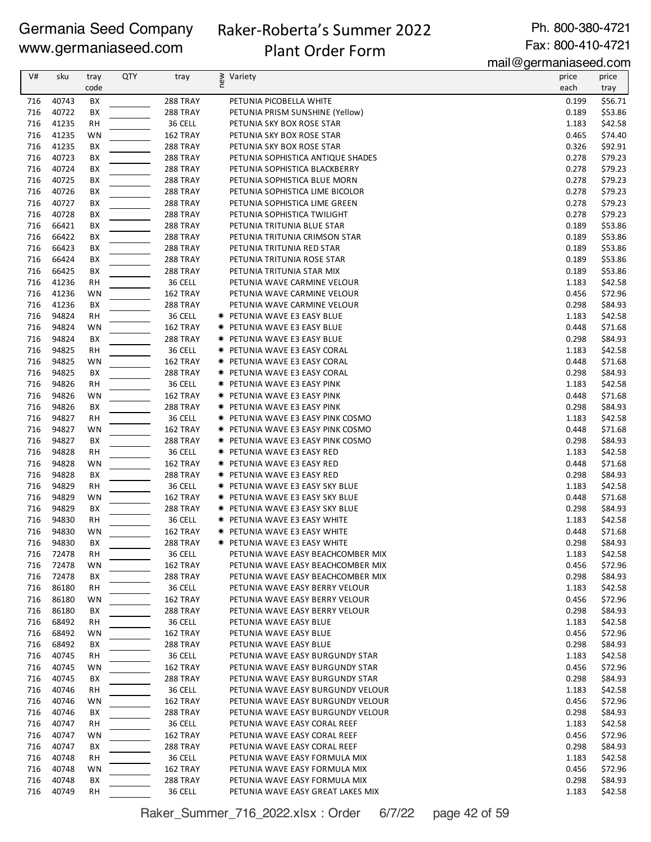# Raker-Roberta's Summer 2022 Plant Order Form

Ph. 800-380-4721 Fax: 800-410-4721

mail@germaniaseed.com

| V#  | sku   | tray      | <b>QTY</b> | tray            | new | Variety                                  | price | price   |
|-----|-------|-----------|------------|-----------------|-----|------------------------------------------|-------|---------|
|     |       | code      |            |                 |     |                                          | each  | tray    |
| 716 | 40743 | BХ        |            | 288 TRAY        |     | PETUNIA PICOBELLA WHITE                  | 0.199 | \$56.71 |
|     |       |           |            |                 |     |                                          |       |         |
| 716 | 40722 | BX        |            | 288 TRAY        |     | PETUNIA PRISM SUNSHINE (Yellow)          | 0.189 | \$53.86 |
| 716 | 41235 | <b>RH</b> |            | 36 CELL         |     | PETUNIA SKY BOX ROSE STAR                | 1.183 | \$42.58 |
| 716 | 41235 | WN        |            | 162 TRAY        |     | PETUNIA SKY BOX ROSE STAR                | 0.465 | \$74.40 |
| 716 | 41235 | BX        |            | 288 TRAY        |     | PETUNIA SKY BOX ROSE STAR                | 0.326 | \$92.91 |
| 716 | 40723 | BX        |            | 288 TRAY        |     | PETUNIA SOPHISTICA ANTIQUE SHADES        | 0.278 | \$79.23 |
| 716 | 40724 | BX        |            | 288 TRAY        |     | PETUNIA SOPHISTICA BLACKBERRY            | 0.278 | \$79.23 |
| 716 | 40725 | BX        |            | 288 TRAY        |     | PETUNIA SOPHISTICA BLUE MORN             | 0.278 | \$79.23 |
| 716 | 40726 | ВX        |            | 288 TRAY        |     | PETUNIA SOPHISTICA LIME BICOLOR          | 0.278 | \$79.23 |
| 716 | 40727 | BХ        |            | 288 TRAY        |     | PETUNIA SOPHISTICA LIME GREEN            | 0.278 | \$79.23 |
| 716 | 40728 | BX        |            | 288 TRAY        |     | PETUNIA SOPHISTICA TWILIGHT              | 0.278 | \$79.23 |
| 716 | 66421 | BX        |            | 288 TRAY        |     | PETUNIA TRITUNIA BLUE STAR               | 0.189 | \$53.86 |
| 716 | 66422 | BX        |            | 288 TRAY        |     | PETUNIA TRITUNIA CRIMSON STAR            | 0.189 | \$53.86 |
| 716 | 66423 | BX        |            | 288 TRAY        |     | PETUNIA TRITUNIA RED STAR                | 0.189 | \$53.86 |
| 716 | 66424 | BX        |            | 288 TRAY        |     | PETUNIA TRITUNIA ROSE STAR               | 0.189 | \$53.86 |
| 716 | 66425 | ВX        |            | 288 TRAY        |     | PETUNIA TRITUNIA STAR MIX                | 0.189 | \$53.86 |
| 716 | 41236 | <b>RH</b> |            | 36 CELL         |     | PETUNIA WAVE CARMINE VELOUR              | 1.183 | \$42.58 |
| 716 | 41236 | WN        |            | 162 TRAY        |     | PETUNIA WAVE CARMINE VELOUR              | 0.456 | \$72.96 |
| 716 | 41236 | ВX        |            | 288 TRAY        |     | PETUNIA WAVE CARMINE VELOUR              | 0.298 | \$84.93 |
| 716 | 94824 | <b>RH</b> |            | 36 CELL         |     | <b>* PETUNIA WAVE E3 EASY BLUE</b>       | 1.183 | \$42.58 |
| 716 | 94824 | WN        |            | 162 TRAY        |     | <b>* PETUNIA WAVE E3 EASY BLUE</b>       | 0.448 | \$71.68 |
| 716 | 94824 | BX        |            | 288 TRAY        |     | <b>* PETUNIA WAVE E3 EASY BLUE</b>       | 0.298 | \$84.93 |
| 716 | 94825 | <b>RH</b> |            | 36 CELL         |     | <b>* PETUNIA WAVE E3 EASY CORAL</b>      | 1.183 | \$42.58 |
| 716 | 94825 | WN        |            | 162 TRAY        |     | <b>* PETUNIA WAVE E3 EASY CORAL</b>      | 0.448 | \$71.68 |
| 716 | 94825 | BX        |            | 288 TRAY        |     | <b>* PETUNIA WAVE E3 EASY CORAL</b>      | 0.298 | \$84.93 |
| 716 | 94826 | RH        |            | 36 CELL         |     | * PETUNIA WAVE E3 EASY PINK              | 1.183 | \$42.58 |
| 716 | 94826 | WN        |            | 162 TRAY        |     | <b>★ PETUNIA WAVE E3 EASY PINK</b>       | 0.448 | \$71.68 |
| 716 | 94826 | BX        |            | 288 TRAY        |     | <b>★ PETUNIA WAVE E3 EASY PINK</b>       | 0.298 | \$84.93 |
| 716 | 94827 | <b>RH</b> |            | 36 CELL         |     | <b>* PETUNIA WAVE E3 EASY PINK COSMO</b> | 1.183 | \$42.58 |
| 716 | 94827 | WN        |            | 162 TRAY        |     | <b>* PETUNIA WAVE E3 EASY PINK COSMO</b> | 0.448 | \$71.68 |
| 716 | 94827 | ВX        |            | 288 TRAY        |     | <b>* PETUNIA WAVE E3 EASY PINK COSMO</b> | 0.298 | \$84.93 |
| 716 | 94828 | <b>RH</b> |            | 36 CELL         |     | <b>* PETUNIA WAVE E3 EASY RED</b>        | 1.183 | \$42.58 |
| 716 | 94828 | WN        |            | 162 TRAY        |     | <b>* PETUNIA WAVE E3 EASY RED</b>        | 0.448 | \$71.68 |
| 716 | 94828 | BX        |            | 288 TRAY        |     | <b>* PETUNIA WAVE E3 EASY RED</b>        | 0.298 | \$84.93 |
| 716 | 94829 |           |            | 36 CELL         |     |                                          | 1.183 | \$42.58 |
| 716 | 94829 | RH<br>WN  |            | 162 TRAY        |     | <b>* PETUNIA WAVE E3 EASY SKY BLUE</b>   | 0.448 | \$71.68 |
|     |       |           |            |                 |     | <b>* PETUNIA WAVE E3 EASY SKY BLUE</b>   |       |         |
| 716 | 94829 | BX        |            | 288 TRAY        |     | <b>* PETUNIA WAVE E3 EASY SKY BLUE</b>   | 0.298 | \$84.93 |
| 716 | 94830 | <b>RH</b> |            | 36 CELL         |     | <b>* PETUNIA WAVE E3 EASY WHITE</b>      | 1.183 | \$42.58 |
| 716 | 94830 | WN        |            | 162 TRAY        |     | * PETUNIA WAVE E3 EASY WHITE             | 0.448 | \$71.68 |
| 716 | 94830 | ВX        |            | 288 TRAY        |     | * PETUNIA WAVE E3 EASY WHITE             | 0.298 | \$84.93 |
| 716 | 72478 | <b>RH</b> |            | 36 CELL         |     | PETUNIA WAVE EASY BEACHCOMBER MIX        | 1.183 | \$42.58 |
| 716 | 72478 | WN        |            | 162 TRAY        |     | PETUNIA WAVE EASY BEACHCOMBER MIX        | 0.456 | \$72.96 |
| 716 | 72478 | BХ        |            | <b>288 TRAY</b> |     | PETUNIA WAVE EASY BEACHCOMBER MIX        | 0.298 | \$84.93 |
| 716 | 86180 | <b>RH</b> |            | 36 CELL         |     | PETUNIA WAVE EASY BERRY VELOUR           | 1.183 | \$42.58 |
| 716 | 86180 | WN        |            | 162 TRAY        |     | PETUNIA WAVE EASY BERRY VELOUR           | 0.456 | \$72.96 |
| 716 | 86180 | BХ        |            | 288 TRAY        |     | PETUNIA WAVE EASY BERRY VELOUR           | 0.298 | \$84.93 |
| 716 | 68492 | <b>RH</b> |            | 36 CELL         |     | PETUNIA WAVE EASY BLUE                   | 1.183 | \$42.58 |
| 716 | 68492 | WN        |            | 162 TRAY        |     | PETUNIA WAVE EASY BLUE                   | 0.456 | \$72.96 |
| 716 | 68492 | BХ        |            | <b>288 TRAY</b> |     | PETUNIA WAVE EASY BLUE                   | 0.298 | \$84.93 |
| 716 | 40745 | <b>RH</b> |            | 36 CELL         |     | PETUNIA WAVE EASY BURGUNDY STAR          | 1.183 | \$42.58 |
| 716 | 40745 | WN        |            | 162 TRAY        |     | PETUNIA WAVE EASY BURGUNDY STAR          | 0.456 | \$72.96 |
| 716 | 40745 | BХ        |            | <b>288 TRAY</b> |     | PETUNIA WAVE EASY BURGUNDY STAR          | 0.298 | \$84.93 |
| 716 | 40746 | <b>RH</b> |            | 36 CELL         |     | PETUNIA WAVE EASY BURGUNDY VELOUR        | 1.183 | \$42.58 |
| 716 | 40746 | WN        |            | 162 TRAY        |     | PETUNIA WAVE EASY BURGUNDY VELOUR        | 0.456 | \$72.96 |
| 716 | 40746 | BХ        |            | <b>288 TRAY</b> |     | PETUNIA WAVE EASY BURGUNDY VELOUR        | 0.298 | \$84.93 |
| 716 | 40747 | <b>RH</b> |            | 36 CELL         |     | PETUNIA WAVE EASY CORAL REEF             | 1.183 | \$42.58 |
| 716 | 40747 | WN        |            | 162 TRAY        |     | PETUNIA WAVE EASY CORAL REEF             | 0.456 | \$72.96 |
| 716 | 40747 | BХ        |            | <b>288 TRAY</b> |     | PETUNIA WAVE EASY CORAL REEF             | 0.298 | \$84.93 |
| 716 | 40748 | <b>RH</b> |            | 36 CELL         |     | PETUNIA WAVE EASY FORMULA MIX            | 1.183 | \$42.58 |
| 716 | 40748 | WN        |            | 162 TRAY        |     | PETUNIA WAVE EASY FORMULA MIX            | 0.456 | \$72.96 |
| 716 | 40748 | BХ        |            | <b>288 TRAY</b> |     | PETUNIA WAVE EASY FORMULA MIX            | 0.298 | \$84.93 |
| 716 | 40749 | RH        |            | 36 CELL         |     | PETUNIA WAVE EASY GREAT LAKES MIX        | 1.183 | \$42.58 |

Raker\_Summer\_716\_2022.xlsx : Order 6/7/22 page 42 of 59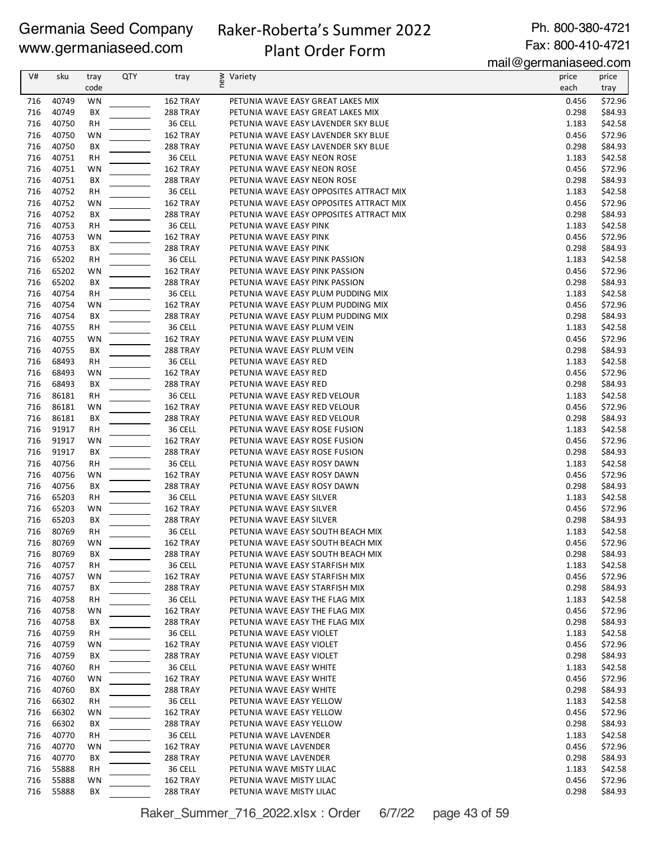# Raker-Roberta's Summer 2022

Ph. 800-380-4721 Fax: 800-410-4721

# Plant Order Form

mail@germaniaseed.com

|     |           |           |     |                 |                                         | $111$ an $\infty$ yon manasoo waxaan |         |
|-----|-----------|-----------|-----|-----------------|-----------------------------------------|--------------------------------------|---------|
| V#  | sku       | tray      | QTY | tray            | ≥ Variety<br>E                          | price                                | price   |
|     |           | code      |     |                 |                                         | each                                 | tray    |
| 716 | 40749     | <b>WN</b> |     | 162 TRAY        | PETUNIA WAVE EASY GREAT LAKES MIX       | 0.456                                | \$72.96 |
| 716 | 40749     | ВX        |     | 288 TRAY        | PETUNIA WAVE EASY GREAT LAKES MIX       | 0.298                                | \$84.93 |
| 716 | 40750     | RH        |     | 36 CELL         | PETUNIA WAVE EASY LAVENDER SKY BLUE     | 1.183                                | \$42.58 |
| 716 | 40750     | WN        |     | 162 TRAY        | PETUNIA WAVE EASY LAVENDER SKY BLUE     | 0.456                                | \$72.96 |
| 716 | 40750     | BX        |     | 288 TRAY        | PETUNIA WAVE EASY LAVENDER SKY BLUE     | 0.298                                | \$84.93 |
| 716 | 40751     | RH        |     | 36 CELL         | PETUNIA WAVE EASY NEON ROSE             | 1.183                                | \$42.58 |
| 716 | 40751     | WN        |     | 162 TRAY        | PETUNIA WAVE EASY NEON ROSE             | 0.456                                | \$72.96 |
| 716 | 40751     | ВX        |     | 288 TRAY        | PETUNIA WAVE EASY NEON ROSE             | 0.298                                | \$84.93 |
| 716 | 40752     | <b>RH</b> |     | 36 CELL         | PETUNIA WAVE EASY OPPOSITES ATTRACT MIX | 1.183                                | \$42.58 |
| 716 | 40752     | WN        |     | 162 TRAY        | PETUNIA WAVE EASY OPPOSITES ATTRACT MIX | 0.456                                | \$72.96 |
| 716 | 40752     | ВX        |     | 288 TRAY        | PETUNIA WAVE EASY OPPOSITES ATTRACT MIX | 0.298                                | \$84.93 |
| 716 | 40753     | RH        |     | 36 CELL         | PETUNIA WAVE EASY PINK                  | 1.183                                | \$42.58 |
| 716 | 40753     | WN        |     | 162 TRAY        | PETUNIA WAVE EASY PINK                  | 0.456                                | \$72.96 |
| 716 | 40753     | ВX        |     | <b>288 TRAY</b> | PETUNIA WAVE EASY PINK                  | 0.298                                | \$84.93 |
|     |           |           |     |                 |                                         |                                      |         |
| 716 | 65202     | RH        |     | 36 CELL         | PETUNIA WAVE EASY PINK PASSION          | 1.183                                | \$42.58 |
| 716 | 65202     | WN        |     | 162 TRAY        | PETUNIA WAVE EASY PINK PASSION          | 0.456                                | \$72.96 |
| 716 | 65202     | ВX        |     | 288 TRAY        | PETUNIA WAVE EASY PINK PASSION          | 0.298                                | \$84.93 |
| 716 | 40754     | <b>RH</b> |     | 36 CELL         | PETUNIA WAVE EASY PLUM PUDDING MIX      | 1.183                                | \$42.58 |
| 716 | 40754     | WN        |     | 162 TRAY        | PETUNIA WAVE EASY PLUM PUDDING MIX      | 0.456                                | \$72.96 |
| 716 | 40754     | ВX        |     | 288 TRAY        | PETUNIA WAVE EASY PLUM PUDDING MIX      | 0.298                                | \$84.93 |
| 716 | 40755     | RH        |     | 36 CELL         | PETUNIA WAVE EASY PLUM VEIN             | 1.183                                | \$42.58 |
| 716 | 40755     | WN        |     | 162 TRAY        | PETUNIA WAVE EASY PLUM VEIN             | 0.456                                | \$72.96 |
| 716 | 40755     | ВX        |     | <b>288 TRAY</b> | PETUNIA WAVE EASY PLUM VEIN             | 0.298                                | \$84.93 |
| 716 | 68493     | RH        |     | 36 CELL         | PETUNIA WAVE EASY RED                   | 1.183                                | \$42.58 |
| 716 | 68493     | WN        |     | 162 TRAY        | PETUNIA WAVE EASY RED                   | 0.456                                | \$72.96 |
| 716 | 68493     | BX        |     | 288 TRAY        | PETUNIA WAVE EASY RED                   | 0.298                                | \$84.93 |
| 716 | 86181     | <b>RH</b> |     | 36 CELL         | PETUNIA WAVE EASY RED VELOUR            | 1.183                                | \$42.58 |
| 716 | 86181     | WN        |     | 162 TRAY        | PETUNIA WAVE EASY RED VELOUR            | 0.456                                | \$72.96 |
| 716 | 86181     | ВX        |     | 288 TRAY        | PETUNIA WAVE EASY RED VELOUR            | 0.298                                | \$84.93 |
| 716 | 91917     | RH        |     | 36 CELL         | PETUNIA WAVE EASY ROSE FUSION           | 1.183                                | \$42.58 |
| 716 | 91917     | WN        |     | 162 TRAY        | PETUNIA WAVE EASY ROSE FUSION           | 0.456                                | \$72.96 |
| 716 | 91917     | ВX        |     | 288 TRAY        | PETUNIA WAVE EASY ROSE FUSION           | 0.298                                | \$84.93 |
| 716 | 40756     | RH        |     | 36 CELL         | PETUNIA WAVE EASY ROSY DAWN             | 1.183                                | \$42.58 |
| 716 | 40756     | WN        |     | 162 TRAY        | PETUNIA WAVE EASY ROSY DAWN             | 0.456                                | \$72.96 |
| 716 |           |           |     |                 |                                         |                                      |         |
|     | 40756     | BX        |     | 288 TRAY        | PETUNIA WAVE EASY ROSY DAWN             | 0.298                                | \$84.93 |
| 716 | 65203     | RH        |     | 36 CELL         | PETUNIA WAVE EASY SILVER                | 1.183                                | \$42.58 |
| 716 | 65203     | WN        |     | 162 TRAY        | PETUNIA WAVE EASY SILVER                | 0.456                                | \$72.96 |
| 716 | 65203     | BX        |     | 288 TRAY        | PETUNIA WAVE EASY SILVER                | 0.298                                | \$84.93 |
| 716 | 80769     | <b>RH</b> |     | 36 CELL         | PETUNIA WAVE EASY SOUTH BEACH MIX       | 1.183                                | \$42.58 |
|     | 716 80769 | WN        |     | 162 TRAY        | PETUNIA WAVE EASY SOUTH BEACH MIX       | 0.456                                | \$72.96 |
| 716 | 80769     | BХ        |     | <b>288 TRAY</b> | PETUNIA WAVE EASY SOUTH BEACH MIX       | 0.298                                | \$84.93 |
| 716 | 40757     | RH        |     | 36 CELL         | PETUNIA WAVE EASY STARFISH MIX          | 1.183                                | \$42.58 |
| 716 | 40757     | WN        |     | 162 TRAY        | PETUNIA WAVE EASY STARFISH MIX          | 0.456                                | \$72.96 |
| 716 | 40757     | BХ        |     | 288 TRAY        | PETUNIA WAVE EASY STARFISH MIX          | 0.298                                | \$84.93 |
| 716 | 40758     | RH        |     | 36 CELL         | PETUNIA WAVE EASY THE FLAG MIX          | 1.183                                | \$42.58 |
| 716 | 40758     | WN        |     | 162 TRAY        | PETUNIA WAVE EASY THE FLAG MIX          | 0.456                                | \$72.96 |
| 716 | 40758     | ВX        |     | 288 TRAY        | PETUNIA WAVE EASY THE FLAG MIX          | 0.298                                | \$84.93 |
| 716 | 40759     | RH        |     | 36 CELL         | PETUNIA WAVE EASY VIOLET                | 1.183                                | \$42.58 |
| 716 | 40759     | WN        |     | 162 TRAY        | PETUNIA WAVE EASY VIOLET                | 0.456                                | \$72.96 |
| 716 | 40759     | BХ        |     | 288 TRAY        | PETUNIA WAVE EASY VIOLET                | 0.298                                | \$84.93 |
| 716 | 40760     | RH        |     | 36 CELL         | PETUNIA WAVE EASY WHITE                 | 1.183                                | \$42.58 |
| 716 | 40760     | WN        |     | 162 TRAY        | PETUNIA WAVE EASY WHITE                 | 0.456                                | \$72.96 |
| 716 | 40760     | ВX        |     | 288 TRAY        | PETUNIA WAVE EASY WHITE                 | 0.298                                | \$84.93 |
| 716 | 66302     | RH        |     | 36 CELL         | PETUNIA WAVE EASY YELLOW                | 1.183                                | \$42.58 |
| 716 | 66302     | WN        |     | 162 TRAY        | PETUNIA WAVE EASY YELLOW                | 0.456                                | \$72.96 |
| 716 | 66302     | ВX        |     | <b>288 TRAY</b> | PETUNIA WAVE EASY YELLOW                | 0.298                                | \$84.93 |
| 716 | 40770     |           |     | 36 CELL         | PETUNIA WAVE LAVENDER                   | 1.183                                |         |
|     |           | RH        |     |                 |                                         |                                      | \$42.58 |
| 716 | 40770     | WN        |     | 162 TRAY        | PETUNIA WAVE LAVENDER                   | 0.456                                | \$72.96 |
| 716 | 40770     | BХ        |     | 288 TRAY        | PETUNIA WAVE LAVENDER                   | 0.298                                | \$84.93 |
| 716 | 55888     | RH        |     | 36 CELL         | PETUNIA WAVE MISTY LILAC                | 1.183                                | \$42.58 |
| 716 | 55888     | WN        |     | 162 TRAY        | PETUNIA WAVE MISTY LILAC                | 0.456                                | \$72.96 |
| 716 | 55888     | ВX        |     | 288 TRAY        | PETUNIA WAVE MISTY LILAC                | 0.298                                | \$84.93 |

Raker\_Summer\_716\_2022.xlsx : Order 6/7/22 page 43 of 59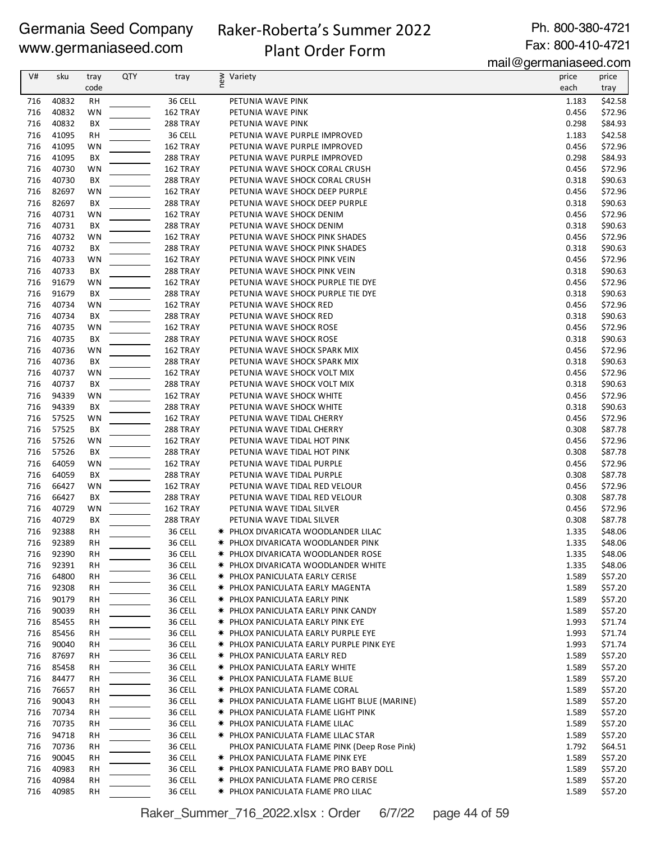### Raker-Roberta's Summer 2022 Plant Order Form

Ph. 800-380-4721 Fax: 800-410-4721

mail@germaniaseed.com

|            |                |              |            |                      |                                                            | $111$ an $\sim$ gormaniao oo a.oo n |                    |
|------------|----------------|--------------|------------|----------------------|------------------------------------------------------------|-------------------------------------|--------------------|
| V#         | sku            | tray<br>code | <b>QTY</b> | tray                 | new<br>Variety                                             | price<br>each                       | price              |
| 716        | 40832          | RH           |            | 36 CELL              | PETUNIA WAVE PINK                                          | 1.183                               | tray<br>\$42.58    |
| 716        | 40832          | WN           |            | 162 TRAY             | PETUNIA WAVE PINK                                          | 0.456                               | \$72.96            |
| 716        | 40832          | BX           |            | 288 TRAY             | PETUNIA WAVE PINK                                          | 0.298                               | \$84.93            |
| 716        | 41095          | <b>RH</b>    |            | 36 CELL              | PETUNIA WAVE PURPLE IMPROVED                               | 1.183                               | \$42.58            |
| 716        | 41095          | WN           |            | 162 TRAY             | PETUNIA WAVE PURPLE IMPROVED                               | 0.456                               | \$72.96            |
| 716        | 41095          | BX           |            | 288 TRAY             | PETUNIA WAVE PURPLE IMPROVED                               | 0.298                               | \$84.93            |
| 716        | 40730          | WN           |            | 162 TRAY             | PETUNIA WAVE SHOCK CORAL CRUSH                             | 0.456                               | \$72.96            |
| 716        | 40730          | BX           |            | 288 TRAY             | PETUNIA WAVE SHOCK CORAL CRUSH                             | 0.318                               | \$90.63            |
| 716        | 82697          | WN           |            | 162 TRAY             | PETUNIA WAVE SHOCK DEEP PURPLE                             | 0.456                               | \$72.96            |
| 716        | 82697          | BX           |            | <b>288 TRAY</b>      | PETUNIA WAVE SHOCK DEEP PURPLE                             | 0.318                               | \$90.63            |
| 716        | 40731          | WN           |            | 162 TRAY             | PETUNIA WAVE SHOCK DENIM                                   | 0.456                               | \$72.96            |
| 716        | 40731          | BX           |            | 288 TRAY             | PETUNIA WAVE SHOCK DENIM                                   | 0.318                               | \$90.63            |
| 716        | 40732          | WN           |            | 162 TRAY             | PETUNIA WAVE SHOCK PINK SHADES                             | 0.456                               | \$72.96            |
| 716        | 40732          | BX           |            | <b>288 TRAY</b>      | PETUNIA WAVE SHOCK PINK SHADES                             | 0.318                               | \$90.63            |
| 716        | 40733          | WN           |            | 162 TRAY             | PETUNIA WAVE SHOCK PINK VEIN                               | 0.456                               | \$72.96            |
| 716        | 40733          | ВX           |            | 288 TRAY             | PETUNIA WAVE SHOCK PINK VEIN                               | 0.318                               | \$90.63            |
| 716        | 91679          | WN           |            | 162 TRAY             | PETUNIA WAVE SHOCK PURPLE TIE DYE                          | 0.456                               | \$72.96            |
| 716        | 91679          | BX           |            | 288 TRAY             | PETUNIA WAVE SHOCK PURPLE TIE DYE                          | 0.318                               | \$90.63            |
| 716        | 40734          | WN           |            | 162 TRAY             | PETUNIA WAVE SHOCK RED                                     | 0.456                               | \$72.96            |
| 716        | 40734          | BX           |            | <b>288 TRAY</b>      | PETUNIA WAVE SHOCK RED                                     | 0.318                               | \$90.63            |
| 716        | 40735          | WN           |            | 162 TRAY             | PETUNIA WAVE SHOCK ROSE                                    | 0.456                               | \$72.96            |
| 716        | 40735          | BX           |            | 288 TRAY             | PETUNIA WAVE SHOCK ROSE                                    | 0.318                               | \$90.63            |
| 716        | 40736          | WN           |            | 162 TRAY             | PETUNIA WAVE SHOCK SPARK MIX                               | 0.456                               | \$72.96            |
| 716        | 40736          | BX           |            | 288 TRAY             | PETUNIA WAVE SHOCK SPARK MIX                               | 0.318                               | \$90.63            |
| 716        | 40737          | WN           |            | 162 TRAY             | PETUNIA WAVE SHOCK VOLT MIX                                | 0.456                               | \$72.96            |
| 716        | 40737          | BX           |            | 288 TRAY             | PETUNIA WAVE SHOCK VOLT MIX                                | 0.318                               | \$90.63            |
| 716        | 94339          | WN           |            | 162 TRAY             | PETUNIA WAVE SHOCK WHITE                                   | 0.456                               | \$72.96            |
| 716        | 94339          | BX           |            | <b>288 TRAY</b>      | PETUNIA WAVE SHOCK WHITE                                   | 0.318                               | \$90.63            |
| 716        | 57525          | WN           |            | 162 TRAY             | PETUNIA WAVE TIDAL CHERRY                                  | 0.456                               | \$72.96            |
| 716        | 57525          | BX           |            | <b>288 TRAY</b>      | PETUNIA WAVE TIDAL CHERRY                                  | 0.308                               | \$87.78            |
| 716        | 57526          | WN           |            | 162 TRAY             | PETUNIA WAVE TIDAL HOT PINK                                | 0.456                               | \$72.96            |
| 716        | 57526          | BX           |            | 288 TRAY             | PETUNIA WAVE TIDAL HOT PINK                                | 0.308                               | \$87.78            |
| 716        | 64059          | WN           |            | 162 TRAY             | PETUNIA WAVE TIDAL PURPLE                                  | 0.456                               | \$72.96            |
| 716        | 64059          | ВX           |            | 288 TRAY             | PETUNIA WAVE TIDAL PURPLE                                  | 0.308                               | \$87.78            |
| 716        | 66427<br>66427 | WN           |            | 162 TRAY             | PETUNIA WAVE TIDAL RED VELOUR                              | 0.456                               | \$72.96            |
| 716        | 40729          | ВX           |            | <b>288 TRAY</b>      | PETUNIA WAVE TIDAL RED VELOUR<br>PETUNIA WAVE TIDAL SILVER | 0.308                               | \$87.78<br>\$72.96 |
| 716<br>716 | 40729          | WN<br>ВX     |            | 162 TRAY<br>288 TRAY | PETUNIA WAVE TIDAL SILVER                                  | 0.456<br>0.308                      | \$87.78            |
| 716        | 92388          | RH           |            | 36 CELL              | * PHLOX DIVARICATA WOODLANDER LILAC                        | 1.335                               | \$48.06            |
| 716        | 92389          | <b>RH</b>    |            | 36 CELL              | <b>★ PHLOX DIVARICATA WOODLANDER PINK</b>                  | 1.335                               | \$48.06            |
| 716        | 92390          | RH           |            | 36 CELL              | <b>★ PHLOX DIVARICATA WOODLANDER ROSE</b>                  | 1.335                               | \$48.06            |
| 716        | 92391          | RH           |            | 36 CELL              | * PHLOX DIVARICATA WOODLANDER WHITE                        | 1.335                               | \$48.06            |
| 716        | 64800          | <b>RH</b>    |            | 36 CELL              | <b>* PHLOX PANICULATA EARLY CERISE</b>                     | 1.589                               | \$57.20            |
| 716        | 92308          | <b>RH</b>    |            | 36 CELL              | <b>* PHLOX PANICULATA EARLY MAGENTA</b>                    | 1.589                               | \$57.20            |
| 716        | 90179          | <b>RH</b>    |            | 36 CELL              | <b>★ PHLOX PANICULATA EARLY PINK</b>                       | 1.589                               | \$57.20            |
| 716        | 90039          | RH           |            | 36 CELL              | <b>★ PHLOX PANICULATA EARLY PINK CANDY</b>                 | 1.589                               | \$57.20            |
| 716        | 85455          | RН           |            | 36 CELL              | <b>* PHLOX PANICULATA EARLY PINK EYE</b>                   | 1.993                               | \$71.74            |
| 716        | 85456          | <b>RH</b>    |            | 36 CELL              | <b>* PHLOX PANICULATA EARLY PURPLE EYE</b>                 | 1.993                               | \$71.74            |
| 716        | 90040          | <b>RH</b>    |            | 36 CELL              | <b>★ PHLOX PANICULATA EARLY PURPLE PINK EYE</b>            | 1.993                               | \$71.74            |
| 716        | 87697          | RH           |            | 36 CELL              | * PHLOX PANICULATA EARLY RED                               | 1.589                               | \$57.20            |
| 716        | 85458          | RH           |            | 36 CELL              | <b>* PHLOX PANICULATA EARLY WHITE</b>                      | 1.589                               | \$57.20            |
| 716        | 84477          | <b>RH</b>    |            | 36 CELL              | * PHLOX PANICULATA FLAME BLUE                              | 1.589                               | \$57.20            |
| 716        | 76657          | <b>RH</b>    |            | 36 CELL              | <b>★ PHLOX PANICULATA FLAME CORAL</b>                      | 1.589                               | \$57.20            |
| 716        | 90043          | <b>RH</b>    |            | 36 CELL              | * PHLOX PANICULATA FLAME LIGHT BLUE (MARINE)               | 1.589                               | \$57.20            |
| 716        | 70734          | RH           |            | 36 CELL              | <b>★ PHLOX PANICULATA FLAME LIGHT PINK</b>                 | 1.589                               | \$57.20            |
| 716        | 70735          | <b>RH</b>    |            | 36 CELL              | <b>* PHLOX PANICULATA FLAME LILAC</b>                      | 1.589                               | \$57.20            |
| 716        | 94718          | <b>RH</b>    |            | 36 CELL              | <b>★ PHLOX PANICULATA FLAME LILAC STAR</b>                 | 1.589                               | \$57.20            |
| 716        | 70736          | <b>RH</b>    |            | 36 CELL              | PHLOX PANICULATA FLAME PINK (Deep Rose Pink)               | 1.792                               | \$64.51            |
| 716        | 90045          | RH           |            | 36 CELL              | <b>★ PHLOX PANICULATA FLAME PINK EYE</b>                   | 1.589                               | \$57.20            |
| 716        | 40983          | RН           |            | 36 CELL              | <b>★ PHLOX PANICULATA FLAME PRO BABY DOLL</b>              | 1.589                               | \$57.20            |
| 716        | 40984          | <b>RH</b>    |            | 36 CELL              | <b>★ PHLOX PANICULATA FLAME PRO CERISE</b>                 | 1.589                               | \$57.20            |
| 716        | 40985          | RH           |            | 36 CELL              | <b>★ PHLOX PANICULATA FLAME PRO LILAC</b>                  | 1.589                               | \$57.20            |

Raker\_Summer\_716\_2022.xlsx : Order 6/7/22 page 44 of 59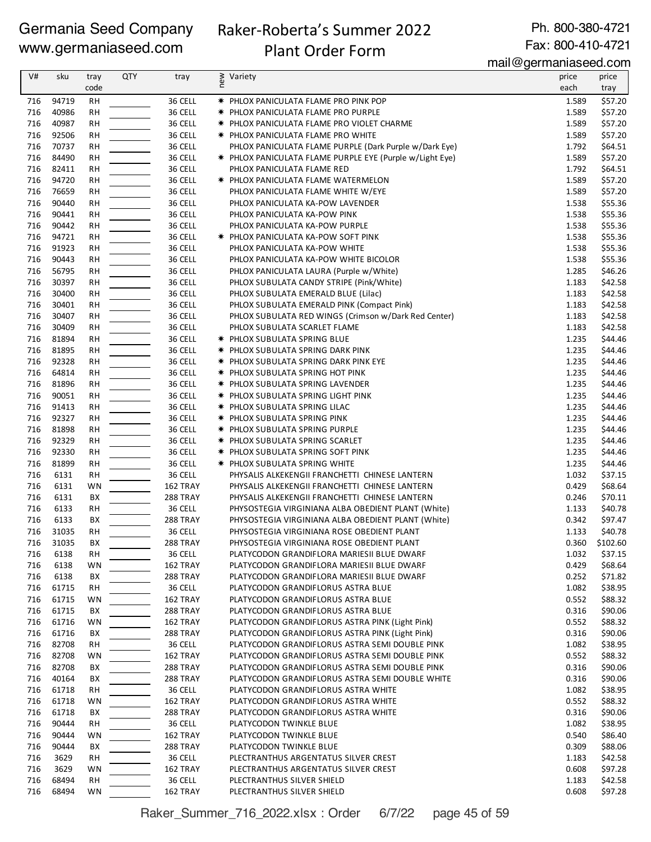# Raker-Roberta's Summer 2022

Ph. 800-380-4721 Fax: 800-410-4721

# Plant Order Form

mail@germaniaseed.com

| V#         | sku            | tray            | <b>QTY</b> | tray                 | new | Variety                                                                          | price          | price              |
|------------|----------------|-----------------|------------|----------------------|-----|----------------------------------------------------------------------------------|----------------|--------------------|
|            |                | code            |            |                      |     |                                                                                  | each           | tray               |
| 716        | 94719          | <b>RH</b>       |            | 36 CELL              |     | * PHLOX PANICULATA FLAME PRO PINK POP                                            | 1.589          | \$57.20            |
| 716        | 40986          | <b>RH</b>       |            | 36 CELL              |     | <b>* PHLOX PANICULATA FLAME PRO PURPLE</b>                                       | 1.589          | \$57.20            |
| 716        | 40987          | <b>RH</b>       |            | 36 CELL              |     | <b>* PHLOX PANICULATA FLAME PRO VIOLET CHARME</b>                                | 1.589          | \$57.20            |
| 716        | 92506          | <b>RH</b>       |            | 36 CELL              |     | <b>★ PHLOX PANICULATA FLAME PRO WHITE</b>                                        | 1.589          | \$57.20            |
| 716        | 70737          | RH              |            | 36 CELL              |     | PHLOX PANICULATA FLAME PURPLE (Dark Purple w/Dark Eye)                           | 1.792          | \$64.51            |
| 716        | 84490          | <b>RH</b>       |            | 36 CELL              |     | * PHLOX PANICULATA FLAME PURPLE EYE (Purple w/Light Eye)                         | 1.589          | \$57.20            |
| 716        | 82411          | <b>RH</b>       |            | 36 CELL              |     | PHLOX PANICULATA FLAME RED                                                       | 1.792          | \$64.51            |
| 716        | 94720          | RH              |            | 36 CELL              |     | * PHLOX PANICULATA FLAME WATERMELON                                              | 1.589          | \$57.20            |
| 716        | 76659          | RH              |            | 36 CELL              |     | PHLOX PANICULATA FLAME WHITE W/EYE                                               | 1.589          | \$57.20            |
| 716        | 90440          | <b>RH</b>       |            | 36 CELL              |     | PHLOX PANICULATA KA-POW LAVENDER                                                 | 1.538          | \$55.36            |
| 716        | 90441          | <b>RH</b>       |            | 36 CELL              |     | PHLOX PANICULATA KA-POW PINK                                                     | 1.538          | \$55.36            |
| 716        | 90442          | <b>RH</b>       |            | 36 CELL              |     | PHLOX PANICULATA KA-POW PURPLE                                                   | 1.538          | \$55.36            |
| 716        | 94721          | RH              |            | 36 CELL              |     | <b>★ PHLOX PANICULATA KA-POW SOFT PINK</b>                                       | 1.538          | \$55.36            |
| 716<br>716 | 91923<br>90443 | RH<br><b>RH</b> |            | 36 CELL<br>36 CELL   |     | PHLOX PANICULATA KA-POW WHITE                                                    | 1.538<br>1.538 | \$55.36<br>\$55.36 |
| 716        | 56795          | <b>RH</b>       |            | 36 CELL              |     | PHLOX PANICULATA KA-POW WHITE BICOLOR<br>PHLOX PANICULATA LAURA (Purple w/White) | 1.285          | \$46.26            |
| 716        | 30397          | RH              |            | 36 CELL              |     | PHLOX SUBULATA CANDY STRIPE (Pink/White)                                         | 1.183          | \$42.58            |
| 716        | 30400          | RH              |            | 36 CELL              |     | PHLOX SUBULATA EMERALD BLUE (Lilac)                                              | 1.183          | \$42.58            |
| 716        | 30401          | <b>RH</b>       |            | 36 CELL              |     | PHLOX SUBULATA EMERALD PINK (Compact Pink)                                       | 1.183          | \$42.58            |
| 716        | 30407          | <b>RH</b>       |            | 36 CELL              |     | PHLOX SUBULATA RED WINGS (Crimson w/Dark Red Center)                             | 1.183          | \$42.58            |
| 716        | 30409          | <b>RH</b>       |            | 36 CELL              |     | PHLOX SUBULATA SCARLET FLAME                                                     | 1.183          | \$42.58            |
| 716        | 81894          | <b>RH</b>       |            | 36 CELL              |     | <b>★ PHLOX SUBULATA SPRING BLUE</b>                                              | 1.235          | \$44.46            |
| 716        | 81895          | RH              |            | 36 CELL              |     | * PHLOX SUBULATA SPRING DARK PINK                                                | 1.235          | \$44.46            |
| 716        | 92328          | RH              |            | 36 CELL              |     | <b>★ PHLOX SUBULATA SPRING DARK PINK EYE</b>                                     | 1.235          | \$44.46            |
| 716        | 64814          | <b>RH</b>       |            | 36 CELL              |     | <b>★ PHLOX SUBULATA SPRING HOT PINK</b>                                          | 1.235          | \$44.46            |
| 716        | 81896          | <b>RH</b>       |            | 36 CELL              |     | <b>★ PHLOX SUBULATA SPRING LAVENDER</b>                                          | 1.235          | \$44.46            |
| 716        | 90051          | RH              |            | 36 CELL              |     | * PHLOX SUBULATA SPRING LIGHT PINK                                               | 1.235          | \$44.46            |
| 716        | 91413          | <b>RH</b>       |            | 36 CELL              |     | * PHLOX SUBULATA SPRING LILAC                                                    | 1.235          | \$44.46            |
| 716        | 92327          | <b>RH</b>       |            | 36 CELL              |     | <b>★ PHLOX SUBULATA SPRING PINK</b>                                              | 1.235          | \$44.46            |
| 716        | 81898          | <b>RH</b>       |            | 36 CELL              |     | * PHLOX SUBULATA SPRING PURPLE                                                   | 1.235          | \$44.46            |
| 716        | 92329          | <b>RH</b>       |            | 36 CELL              |     | * PHLOX SUBULATA SPRING SCARLET                                                  | 1.235          | \$44.46            |
| 716        | 92330          | RH              |            | 36 CELL              |     | * PHLOX SUBULATA SPRING SOFT PINK                                                | 1.235          | \$44.46            |
| 716        | 81899          | <b>RH</b>       |            | 36 CELL              |     | <b>★ PHLOX SUBULATA SPRING WHITE</b>                                             | 1.235          | \$44.46            |
| 716        | 6131           | <b>RH</b>       |            | 36 CELL              |     | PHYSALIS ALKEKENGII FRANCHETTI CHINESE LANTERN                                   | 1.032          | \$37.15            |
| 716        | 6131           | WN              |            | 162 TRAY             |     | PHYSALIS ALKEKENGII FRANCHETTI CHINESE LANTERN                                   | 0.429          | \$68.64            |
| 716        | 6131           | ВX              |            | 288 TRAY             |     | PHYSALIS ALKEKENGII FRANCHETTI CHINESE LANTERN                                   | 0.246          | \$70.11            |
| 716        | 6133           | <b>RH</b>       |            | 36 CELL              |     | PHYSOSTEGIA VIRGINIANA ALBA OBEDIENT PLANT (White)                               | 1.133          | \$40.78            |
| 716        | 6133           | BX              |            | 288 TRAY             |     | PHYSOSTEGIA VIRGINIANA ALBA OBEDIENT PLANT (White)                               | 0.342          | \$97.47            |
| 716        | 31035          | <b>RH</b>       |            | 36 CELL              |     | PHYSOSTEGIA VIRGINIANA ROSE OBEDIENT PLANT                                       | 1.133          | \$40.78            |
| 716        | 31035          | BX              |            | 288 TRAY             |     | PHYSOSTEGIA VIRGINIANA ROSE OBEDIENT PLANT                                       | 0.360          | \$102.60           |
| 716        | 6138           | RH              |            | 36 CELL              |     | PLATYCODON GRANDIFLORA MARIESII BLUE DWARF                                       | 1.032          | \$37.15            |
| 716        | 6138           | WN              |            | 162 TRAY             |     | PLATYCODON GRANDIFLORA MARIESII BLUE DWARF                                       | 0.429          | \$68.64            |
| 716        | 6138           | ВX              |            | <b>288 TRAY</b>      |     | PLATYCODON GRANDIFLORA MARIESII BLUE DWARF                                       | 0.252          | \$71.82<br>\$38.95 |
| 716        | 61715          | RH              |            | 36 CELL              |     | PLATYCODON GRANDIFLORUS ASTRA BLUE                                               | 1.082          |                    |
| 716<br>716 | 61715<br>61715 | WN<br>BХ        |            | 162 TRAY<br>288 TRAY |     | PLATYCODON GRANDIFLORUS ASTRA BLUE<br>PLATYCODON GRANDIFLORUS ASTRA BLUE         | 0.552<br>0.316 | \$88.32<br>\$90.06 |
| 716        | 61716          | WN              |            | 162 TRAY             |     | PLATYCODON GRANDIFLORUS ASTRA PINK (Light Pink)                                  | 0.552          | \$88.32            |
| 716        | 61716          | BX              |            | <b>288 TRAY</b>      |     | PLATYCODON GRANDIFLORUS ASTRA PINK (Light Pink)                                  | 0.316          | \$90.06            |
| 716        | 82708          | RH              |            | 36 CELL              |     | PLATYCODON GRANDIFLORUS ASTRA SEMI DOUBLE PINK                                   | 1.082          | \$38.95            |
| 716        | 82708          | WN              |            | 162 TRAY             |     | PLATYCODON GRANDIFLORUS ASTRA SEMI DOUBLE PINK                                   | 0.552          | \$88.32            |
| 716        | 82708          | ВX              |            | 288 TRAY             |     | PLATYCODON GRANDIFLORUS ASTRA SEMI DOUBLE PINK                                   | 0.316          | \$90.06            |
| 716        | 40164          | ВX              |            | 288 TRAY             |     | PLATYCODON GRANDIFLORUS ASTRA SEMI DOUBLE WHITE                                  | 0.316          | \$90.06            |
| 716        | 61718          | RH              |            | 36 CELL              |     | PLATYCODON GRANDIFLORUS ASTRA WHITE                                              | 1.082          | \$38.95            |
| 716        | 61718          | WN              |            | 162 TRAY             |     | PLATYCODON GRANDIFLORUS ASTRA WHITE                                              | 0.552          | \$88.32            |
| 716        | 61718          | ВX              |            | <b>288 TRAY</b>      |     | PLATYCODON GRANDIFLORUS ASTRA WHITE                                              | 0.316          | \$90.06            |
| 716        | 90444          | RH              |            | 36 CELL              |     | PLATYCODON TWINKLE BLUE                                                          | 1.082          | \$38.95            |
| 716        | 90444          | WN              |            | 162 TRAY             |     | PLATYCODON TWINKLE BLUE                                                          | 0.540          | \$86.40            |
| 716        | 90444          | BX              |            | <b>288 TRAY</b>      |     | PLATYCODON TWINKLE BLUE                                                          | 0.309          | \$88.06            |
| 716        | 3629           | RH              |            | 36 CELL              |     | PLECTRANTHUS ARGENTATUS SILVER CREST                                             | 1.183          | \$42.58            |
| 716        | 3629           | WN              |            | 162 TRAY             |     | PLECTRANTHUS ARGENTATUS SILVER CREST                                             | 0.608          | \$97.28            |
| 716        | 68494          | <b>RH</b>       |            | 36 CELL              |     | PLECTRANTHUS SILVER SHIELD                                                       | 1.183          | \$42.58            |
| 716        | 68494          | WN              |            | 162 TRAY             |     | PLECTRANTHUS SILVER SHIELD                                                       | 0.608          | \$97.28            |

Raker\_Summer\_716\_2022.xlsx : Order 6/7/22 page 45 of 59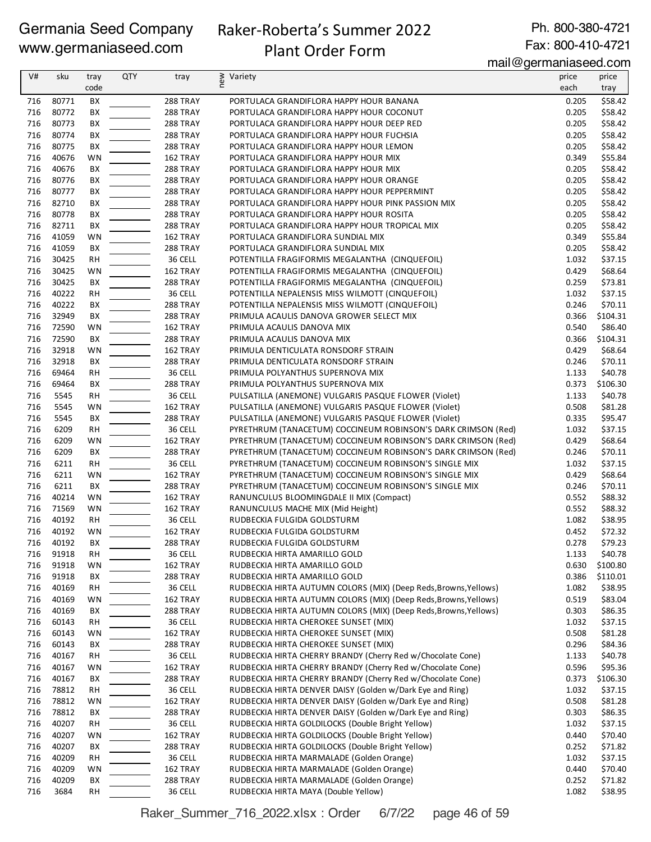# Raker-Roberta's Summer 2022

Ph. 800-380-4721 Fax: 800-410-4721

# Plant Order Form

mail@germaniaseed.com

| V#  | sku   | tray      | <b>QTY</b> | tray            | new<br>Variety                                                   | price | price    |
|-----|-------|-----------|------------|-----------------|------------------------------------------------------------------|-------|----------|
|     |       | code      |            |                 |                                                                  | each  | tray     |
| 716 | 80771 | BХ        |            | <b>288 TRAY</b> | PORTULACA GRANDIFLORA HAPPY HOUR BANANA                          | 0.205 | \$58.42  |
|     |       |           |            |                 |                                                                  |       |          |
| 716 | 80772 | BX        |            | 288 TRAY        | PORTULACA GRANDIFLORA HAPPY HOUR COCONUT                         | 0.205 | \$58.42  |
| 716 | 80773 | BX        |            | 288 TRAY        | PORTULACA GRANDIFLORA HAPPY HOUR DEEP RED                        | 0.205 | \$58.42  |
| 716 | 80774 | BX        |            | <b>288 TRAY</b> | PORTULACA GRANDIFLORA HAPPY HOUR FUCHSIA                         | 0.205 | \$58.42  |
| 716 | 80775 | BХ        |            | <b>288 TRAY</b> | PORTULACA GRANDIFLORA HAPPY HOUR LEMON                           | 0.205 | \$58.42  |
| 716 | 40676 | WN        |            | 162 TRAY        | PORTULACA GRANDIFLORA HAPPY HOUR MIX                             | 0.349 | \$55.84  |
| 716 | 40676 | BХ        |            | <b>288 TRAY</b> | PORTULACA GRANDIFLORA HAPPY HOUR MIX                             | 0.205 | \$58.42  |
|     |       |           |            |                 |                                                                  |       |          |
| 716 | 80776 | ВX        |            | <b>288 TRAY</b> | PORTULACA GRANDIFLORA HAPPY HOUR ORANGE                          | 0.205 | \$58.42  |
| 716 | 80777 | BХ        |            | <b>288 TRAY</b> | PORTULACA GRANDIFLORA HAPPY HOUR PEPPERMINT                      | 0.205 | \$58.42  |
| 716 | 82710 | BХ        |            | <b>288 TRAY</b> | PORTULACA GRANDIFLORA HAPPY HOUR PINK PASSION MIX                | 0.205 | \$58.42  |
| 716 | 80778 | BХ        |            | <b>288 TRAY</b> | PORTULACA GRANDIFLORA HAPPY HOUR ROSITA                          | 0.205 | \$58.42  |
| 716 | 82711 | BX        |            | 288 TRAY        | PORTULACA GRANDIFLORA HAPPY HOUR TROPICAL MIX                    | 0.205 | \$58.42  |
| 716 | 41059 | WN        |            | 162 TRAY        | PORTULACA GRANDIFLORA SUNDIAL MIX                                | 0.349 | \$55.84  |
|     |       |           |            |                 |                                                                  |       |          |
| 716 | 41059 | BX        |            | <b>288 TRAY</b> | PORTULACA GRANDIFLORA SUNDIAL MIX                                | 0.205 | \$58.42  |
| 716 | 30425 | RH        |            | 36 CELL         | POTENTILLA FRAGIFORMIS MEGALANTHA (CINQUEFOIL)                   | 1.032 | \$37.15  |
| 716 | 30425 | WN        |            | 162 TRAY        | POTENTILLA FRAGIFORMIS MEGALANTHA (CINQUEFOIL)                   | 0.429 | \$68.64  |
| 716 | 30425 | ВX        |            | <b>288 TRAY</b> | POTENTILLA FRAGIFORMIS MEGALANTHA (CINQUEFOIL)                   | 0.259 | \$73.81  |
| 716 | 40222 | RH        |            | 36 CELL         | POTENTILLA NEPALENSIS MISS WILMOTT (CINQUEFOIL)                  | 1.032 | \$37.15  |
| 716 | 40222 | BХ        |            | <b>288 TRAY</b> | POTENTILLA NEPALENSIS MISS WILMOTT (CINQUEFOIL)                  | 0.246 | \$70.11  |
|     |       |           |            |                 |                                                                  |       |          |
| 716 | 32949 | BX        |            | <b>288 TRAY</b> | PRIMULA ACAULIS DANOVA GROWER SELECT MIX                         | 0.366 | \$104.31 |
| 716 | 72590 | WN        |            | 162 TRAY        | PRIMULA ACAULIS DANOVA MIX                                       | 0.540 | \$86.40  |
| 716 | 72590 | BX        |            | 288 TRAY        | PRIMULA ACAULIS DANOVA MIX                                       | 0.366 | \$104.31 |
| 716 | 32918 | WN        |            | 162 TRAY        | PRIMULA DENTICULATA RONSDORF STRAIN                              | 0.429 | \$68.64  |
| 716 | 32918 | BX        |            | <b>288 TRAY</b> | PRIMULA DENTICULATA RONSDORF STRAIN                              | 0.246 | \$70.11  |
| 716 | 69464 | <b>RH</b> |            | 36 CELL         | PRIMULA POLYANTHUS SUPERNOVA MIX                                 | 1.133 | \$40.78  |
|     |       |           |            |                 |                                                                  |       |          |
| 716 | 69464 | BX        |            | <b>288 TRAY</b> | PRIMULA POLYANTHUS SUPERNOVA MIX                                 | 0.373 | \$106.30 |
| 716 | 5545  | RH        |            | 36 CELL         | PULSATILLA (ANEMONE) VULGARIS PASQUE FLOWER (Violet)             | 1.133 | \$40.78  |
| 716 | 5545  | WN        |            | 162 TRAY        | PULSATILLA (ANEMONE) VULGARIS PASQUE FLOWER (Violet)             | 0.508 | \$81.28  |
| 716 | 5545  | BX        |            | <b>288 TRAY</b> | PULSATILLA (ANEMONE) VULGARIS PASQUE FLOWER (Violet)             | 0.335 | \$95.47  |
| 716 | 6209  | <b>RH</b> |            | 36 CELL         | PYRETHRUM (TANACETUM) COCCINEUM ROBINSON'S DARK CRIMSON (Red)    | 1.032 | \$37.15  |
| 716 | 6209  | WN        |            | 162 TRAY        | PYRETHRUM (TANACETUM) COCCINEUM ROBINSON'S DARK CRIMSON (Red)    | 0.429 | \$68.64  |
|     |       |           |            |                 |                                                                  |       |          |
| 716 | 6209  | BX        |            | 288 TRAY        | PYRETHRUM (TANACETUM) COCCINEUM ROBINSON'S DARK CRIMSON (Red)    | 0.246 | \$70.11  |
| 716 | 6211  | <b>RH</b> |            | 36 CELL         | PYRETHRUM (TANACETUM) COCCINEUM ROBINSON'S SINGLE MIX            | 1.032 | \$37.15  |
| 716 | 6211  | WN        |            | 162 TRAY        | PYRETHRUM (TANACETUM) COCCINEUM ROBINSON'S SINGLE MIX            | 0.429 | \$68.64  |
| 716 | 6211  | BХ        |            | <b>288 TRAY</b> | PYRETHRUM (TANACETUM) COCCINEUM ROBINSON'S SINGLE MIX            | 0.246 | \$70.11  |
| 716 | 40214 | <b>WN</b> |            | 162 TRAY        | RANUNCULUS BLOOMINGDALE II MIX (Compact)                         | 0.552 | \$88.32  |
| 716 | 71569 | WN        |            | 162 TRAY        | RANUNCULUS MACHE MIX (Mid Height)                                | 0.552 | \$88.32  |
| 716 | 40192 | <b>RH</b> |            | 36 CELL         | RUDBECKIA FULGIDA GOLDSTURM                                      | 1.082 | \$38.95  |
|     |       |           |            |                 |                                                                  |       |          |
| 716 | 40192 | WN        |            | 162 TRAY        | RUDBECKIA FULGIDA GOLDSTURM                                      | 0.452 | \$72.32  |
| 716 | 40192 | ВX        |            | 288 TRAY        | RUDBECKIA FULGIDA GOLDSTURM                                      | 0.278 | \$79.23  |
| 716 | 91918 | RH        |            | 36 CELL         | RUDBECKIA HIRTA AMARILLO GOLD                                    | 1.133 | \$40.78  |
| 716 | 91918 | WN        |            | 162 TRAY        | RUDBECKIA HIRTA AMARILLO GOLD                                    | 0.630 | \$100.80 |
| 716 | 91918 | ВX        |            | 288 TRAY        | RUDBECKIA HIRTA AMARILLO GOLD                                    | 0.386 | \$110.01 |
| 716 | 40169 | RH        |            | 36 CELL         | RUDBECKIA HIRTA AUTUMN COLORS (MIX) (Deep Reds, Browns, Yellows) | 1.082 | \$38.95  |
|     |       |           |            |                 |                                                                  |       |          |
| 716 | 40169 | WN        |            | 162 TRAY        | RUDBECKIA HIRTA AUTUMN COLORS (MIX) (Deep Reds, Browns, Yellows) | 0.519 | \$83.04  |
| 716 | 40169 | BХ        |            | 288 TRAY        | RUDBECKIA HIRTA AUTUMN COLORS (MIX) (Deep Reds, Browns, Yellows) | 0.303 | \$86.35  |
| 716 | 60143 | RH        |            | 36 CELL         | RUDBECKIA HIRTA CHEROKEE SUNSET (MIX)                            | 1.032 | \$37.15  |
| 716 | 60143 | WN        |            | 162 TRAY        | RUDBECKIA HIRTA CHEROKEE SUNSET (MIX)                            | 0.508 | \$81.28  |
| 716 | 60143 | BХ        |            | 288 TRAY        | RUDBECKIA HIRTA CHEROKEE SUNSET (MIX)                            | 0.296 | \$84.36  |
| 716 | 40167 | RH        |            | 36 CELL         | RUDBECKIA HIRTA CHERRY BRANDY (Cherry Red w/Chocolate Cone)      | 1.133 | \$40.78  |
| 716 |       |           |            |                 |                                                                  | 0.596 |          |
|     | 40167 | WN        |            | 162 TRAY        | RUDBECKIA HIRTA CHERRY BRANDY (Cherry Red w/Chocolate Cone)      |       | \$95.36  |
| 716 | 40167 | BХ        |            | 288 TRAY        | RUDBECKIA HIRTA CHERRY BRANDY (Cherry Red w/Chocolate Cone)      | 0.373 | \$106.30 |
| 716 | 78812 | RH        |            | 36 CELL         | RUDBECKIA HIRTA DENVER DAISY (Golden w/Dark Eye and Ring)        | 1.032 | \$37.15  |
| 716 | 78812 | WN        |            | 162 TRAY        | RUDBECKIA HIRTA DENVER DAISY (Golden w/Dark Eye and Ring)        | 0.508 | \$81.28  |
| 716 | 78812 | BХ        |            | <b>288 TRAY</b> | RUDBECKIA HIRTA DENVER DAISY (Golden w/Dark Eye and Ring)        | 0.303 | \$86.35  |
| 716 | 40207 | RH        |            | 36 CELL         | RUDBECKIA HIRTA GOLDILOCKS (Double Bright Yellow)                | 1.032 | \$37.15  |
| 716 | 40207 | WN        |            | 162 TRAY        | RUDBECKIA HIRTA GOLDILOCKS (Double Bright Yellow)                | 0.440 | \$70.40  |
|     |       |           |            |                 |                                                                  |       |          |
| 716 | 40207 | BХ        |            | <b>288 TRAY</b> | RUDBECKIA HIRTA GOLDILOCKS (Double Bright Yellow)                | 0.252 | \$71.82  |
| 716 | 40209 | RH        |            | 36 CELL         | RUDBECKIA HIRTA MARMALADE (Golden Orange)                        | 1.032 | \$37.15  |
| 716 | 40209 | WN        |            | 162 TRAY        | RUDBECKIA HIRTA MARMALADE (Golden Orange)                        | 0.440 | \$70.40  |
| 716 | 40209 | ВX        |            | <b>288 TRAY</b> | RUDBECKIA HIRTA MARMALADE (Golden Orange)                        | 0.252 | \$71.82  |
| 716 | 3684  | RH        |            | 36 CELL         | RUDBECKIA HIRTA MAYA (Double Yellow)                             | 1.082 | \$38.95  |
|     |       |           |            |                 |                                                                  |       |          |

Raker\_Summer\_716\_2022.xlsx : Order 6/7/22 page 46 of 59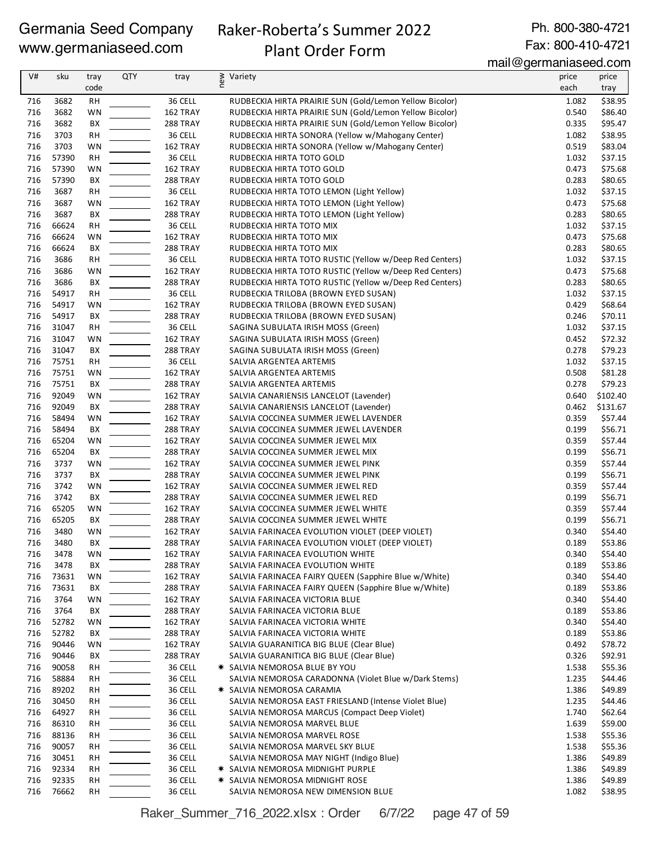# Raker-Roberta's Summer 2022

Ph. 800-380-4721 Fax: 800-410-4721

# Plant Order Form

mail@germaniaseed.com

|     |       |           |            |          |                                                         | 11811290111811800000001 |          |
|-----|-------|-----------|------------|----------|---------------------------------------------------------|-------------------------|----------|
| V#  | sku   | tray      | <b>QTY</b> | tray     | new<br>Variety                                          | price                   | price    |
|     |       | code      |            |          |                                                         | each                    | tray     |
| 716 | 3682  | RH        |            | 36 CELL  | RUDBECKIA HIRTA PRAIRIE SUN (Gold/Lemon Yellow Bicolor) | 1.082                   | \$38.95  |
| 716 | 3682  | WN        |            | 162 TRAY | RUDBECKIA HIRTA PRAIRIE SUN (Gold/Lemon Yellow Bicolor) | 0.540                   | \$86.40  |
| 716 | 3682  | BX        |            | 288 TRAY | RUDBECKIA HIRTA PRAIRIE SUN (Gold/Lemon Yellow Bicolor) | 0.335                   | \$95.47  |
| 716 | 3703  | <b>RH</b> |            | 36 CELL  | RUDBECKIA HIRTA SONORA (Yellow w/Mahogany Center)       | 1.082                   | \$38.95  |
| 716 | 3703  | WN        |            | 162 TRAY | RUDBECKIA HIRTA SONORA (Yellow w/Mahogany Center)       | 0.519                   | \$83.04  |
| 716 | 57390 | <b>RH</b> |            | 36 CELL  | RUDBECKIA HIRTA TOTO GOLD                               | 1.032                   | \$37.15  |
| 716 | 57390 | WN        |            | 162 TRAY | RUDBECKIA HIRTA TOTO GOLD                               | 0.473                   | \$75.68  |
| 716 | 57390 | BX        |            | 288 TRAY | RUDBECKIA HIRTA TOTO GOLD                               | 0.283                   | \$80.65  |
| 716 | 3687  | <b>RH</b> |            | 36 CELL  | RUDBECKIA HIRTA TOTO LEMON (Light Yellow)               | 1.032                   | \$37.15  |
| 716 | 3687  | WN        |            | 162 TRAY | RUDBECKIA HIRTA TOTO LEMON (Light Yellow)               | 0.473                   | \$75.68  |
| 716 | 3687  | ВX        |            | 288 TRAY | RUDBECKIA HIRTA TOTO LEMON (Light Yellow)               | 0.283                   | \$80.65  |
| 716 | 66624 | <b>RH</b> |            | 36 CELL  | RUDBECKIA HIRTA TOTO MIX                                | 1.032                   | \$37.15  |
| 716 | 66624 | WN        |            | 162 TRAY | RUDBECKIA HIRTA TOTO MIX                                | 0.473                   | \$75.68  |
| 716 | 66624 | ВX        |            | 288 TRAY | RUDBECKIA HIRTA TOTO MIX                                | 0.283                   | \$80.65  |
| 716 | 3686  | <b>RH</b> |            | 36 CELL  | RUDBECKIA HIRTA TOTO RUSTIC (Yellow w/Deep Red Centers) | 1.032                   | \$37.15  |
| 716 | 3686  | WN        |            | 162 TRAY | RUDBECKIA HIRTA TOTO RUSTIC (Yellow w/Deep Red Centers) | 0.473                   | \$75.68  |
| 716 | 3686  | BX        |            | 288 TRAY | RUDBECKIA HIRTA TOTO RUSTIC (Yellow w/Deep Red Centers) | 0.283                   | \$80.65  |
| 716 | 54917 | <b>RH</b> |            | 36 CELL  | RUDBECKIA TRILOBA (BROWN EYED SUSAN)                    | 1.032                   | \$37.15  |
| 716 | 54917 | WN        |            | 162 TRAY | RUDBECKIA TRILOBA (BROWN EYED SUSAN)                    | 0.429                   | \$68.64  |
| 716 | 54917 | ВX        |            | 288 TRAY | RUDBECKIA TRILOBA (BROWN EYED SUSAN)                    | 0.246                   | \$70.11  |
| 716 | 31047 | <b>RH</b> |            | 36 CELL  | SAGINA SUBULATA IRISH MOSS (Green)                      | 1.032                   | \$37.15  |
|     |       |           |            |          |                                                         |                         |          |
| 716 | 31047 | WN        |            | 162 TRAY | SAGINA SUBULATA IRISH MOSS (Green)                      | 0.452                   | \$72.32  |
| 716 | 31047 | BX        |            | 288 TRAY | SAGINA SUBULATA IRISH MOSS (Green)                      | 0.278                   | \$79.23  |
| 716 | 75751 | RH        |            | 36 CELL  | SALVIA ARGENTEA ARTEMIS                                 | 1.032                   | \$37.15  |
| 716 | 75751 | WN        |            | 162 TRAY | SALVIA ARGENTEA ARTEMIS                                 | 0.508                   | \$81.28  |
| 716 | 75751 | BX        |            | 288 TRAY | SALVIA ARGENTEA ARTEMIS                                 | 0.278                   | \$79.23  |
| 716 | 92049 | WN        |            | 162 TRAY | SALVIA CANARIENSIS LANCELOT (Lavender)                  | 0.640                   | \$102.40 |
| 716 | 92049 | ВX        |            | 288 TRAY | SALVIA CANARIENSIS LANCELOT (Lavender)                  | 0.462                   | \$131.67 |
| 716 | 58494 | WN        |            | 162 TRAY | SALVIA COCCINEA SUMMER JEWEL LAVENDER                   | 0.359                   | \$57.44  |
| 716 | 58494 | BX        |            | 288 TRAY | SALVIA COCCINEA SUMMER JEWEL LAVENDER                   | 0.199                   | \$56.71  |
| 716 | 65204 | <b>WN</b> |            | 162 TRAY | SALVIA COCCINEA SUMMER JEWEL MIX                        | 0.359                   | \$57.44  |
| 716 | 65204 | ВX        |            | 288 TRAY | SALVIA COCCINEA SUMMER JEWEL MIX                        | 0.199                   | \$56.71  |
| 716 | 3737  | WN        |            | 162 TRAY | SALVIA COCCINEA SUMMER JEWEL PINK                       | 0.359                   | \$57.44  |
| 716 | 3737  | ВX        |            | 288 TRAY | SALVIA COCCINEA SUMMER JEWEL PINK                       | 0.199                   | \$56.71  |
| 716 | 3742  | <b>WN</b> |            | 162 TRAY | SALVIA COCCINEA SUMMER JEWEL RED                        | 0.359                   | \$57.44  |
| 716 | 3742  | BX        |            | 288 TRAY | SALVIA COCCINEA SUMMER JEWEL RED                        | 0.199                   | \$56.71  |
| 716 | 65205 | WN        |            | 162 TRAY | SALVIA COCCINEA SUMMER JEWEL WHITE                      | 0.359                   | \$57.44  |
| 716 | 65205 | BX        |            | 288 TRAY | SALVIA COCCINEA SUMMER JEWEL WHITE                      | 0.199                   | \$56.71  |
| 716 | 3480  | WN        |            | 162 TRAY | SALVIA FARINACEA EVOLUTION VIOLET (DEEP VIOLET)         | 0.340                   | \$54.40  |
| 716 | 3480  | ВX        |            | 288 TRAY | SALVIA FARINACEA EVOLUTION VIOLET (DEEP VIOLET)         | 0.189                   | \$53.86  |
| 716 | 3478  | <b>WN</b> |            | 162 TRAY | SALVIA FARINACEA EVOLUTION WHITE                        | 0.340                   | \$54.40  |
| 716 | 3478  | BХ        |            | 288 TRAY | SALVIA FARINACEA EVOLUTION WHITE                        | 0.189                   | \$53.86  |
| 716 | 73631 | WN        |            | 162 TRAY | SALVIA FARINACEA FAIRY QUEEN (Sapphire Blue w/White)    | 0.340                   | \$54.40  |
| 716 | 73631 | BХ        |            | 288 TRAY | SALVIA FARINACEA FAIRY QUEEN (Sapphire Blue w/White)    | 0.189                   | \$53.86  |
| 716 | 3764  | <b>WN</b> |            | 162 TRAY | SALVIA FARINACEA VICTORIA BLUE                          | 0.340                   | \$54.40  |
| 716 | 3764  | BХ        |            | 288 TRAY | SALVIA FARINACEA VICTORIA BLUE                          | 0.189                   | \$53.86  |
| 716 | 52782 | WN        |            | 162 TRAY | SALVIA FARINACEA VICTORIA WHITE                         | 0.340                   | \$54.40  |
| 716 | 52782 | BХ        |            | 288 TRAY | SALVIA FARINACEA VICTORIA WHITE                         | 0.189                   | \$53.86  |
| 716 | 90446 | <b>WN</b> |            | 162 TRAY | SALVIA GUARANITICA BIG BLUE (Clear Blue)                | 0.492                   | \$78.72  |
| 716 | 90446 | BХ        |            | 288 TRAY | SALVIA GUARANITICA BIG BLUE (Clear Blue)                | 0.326                   | \$92.91  |
| 716 | 90058 | RH        |            | 36 CELL  | * SALVIA NEMOROSA BLUE BY YOU                           | 1.538                   | \$55.36  |
| 716 | 58884 | <b>RH</b> |            | 36 CELL  | SALVIA NEMOROSA CARADONNA (Violet Blue w/Dark Stems)    | 1.235                   | \$44.46  |
| 716 | 89202 | RH        |            | 36 CELL  | * SALVIA NEMOROSA CARAMIA                               | 1.386                   | \$49.89  |
| 716 | 30450 | RH        |            | 36 CELL  | SALVIA NEMOROSA EAST FRIESLAND (Intense Violet Blue)    | 1.235                   | \$44.46  |
| 716 | 64927 | RH        |            | 36 CELL  | SALVIA NEMOROSA MARCUS (Compact Deep Violet)            | 1.740                   | \$62.64  |
| 716 | 86310 | <b>RH</b> |            | 36 CELL  | SALVIA NEMOROSA MARVEL BLUE                             | 1.639                   | \$59.00  |
| 716 | 88136 | RH        |            | 36 CELL  | SALVIA NEMOROSA MARVEL ROSE                             | 1.538                   | \$55.36  |
| 716 | 90057 | RH        |            | 36 CELL  | SALVIA NEMOROSA MARVEL SKY BLUE                         | 1.538                   | \$55.36  |
| 716 | 30451 | RH        |            | 36 CELL  | SALVIA NEMOROSA MAY NIGHT (Indigo Blue)                 | 1.386                   | \$49.89  |
| 716 | 92334 | <b>RH</b> |            | 36 CELL  | * SALVIA NEMOROSA MIDNIGHT PURPLE                       | 1.386                   | \$49.89  |
| 716 | 92335 | RH        |            | 36 CELL  | * SALVIA NEMOROSA MIDNIGHT ROSE                         | 1.386                   | \$49.89  |
| 716 | 76662 | <b>RH</b> |            | 36 CELL  | SALVIA NEMOROSA NEW DIMENSION BLUE                      | 1.082                   | \$38.95  |
|     |       |           |            |          |                                                         |                         |          |

Raker\_Summer\_716\_2022.xlsx : Order 6/7/22 page 47 of 59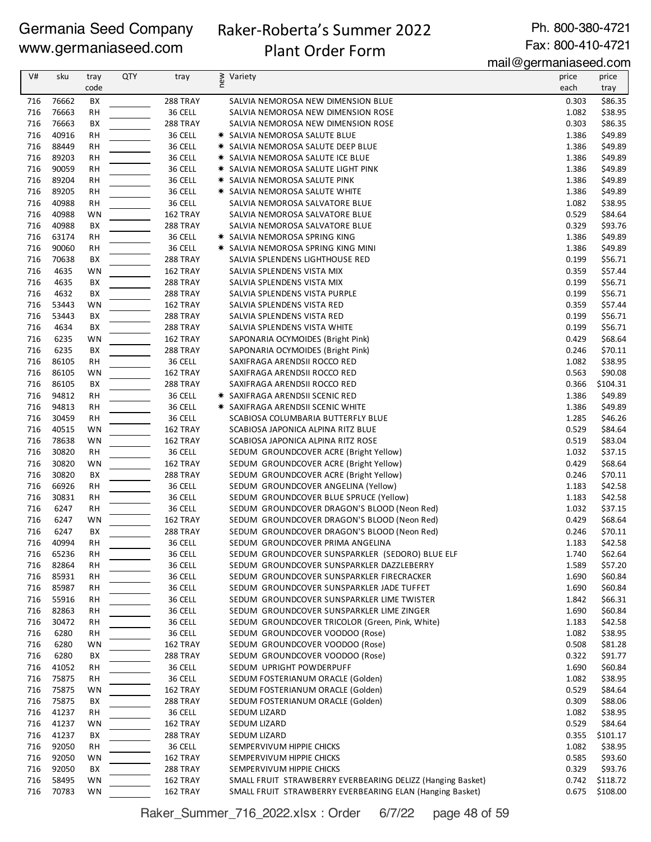# Raker-Roberta's Summer 2022

Ph. 800-380-4721 Fax: 800-410-4721

# Plant Order Form

mail@germaniaseed.com

| V#         | sku            | tray                   | <b>QTY</b> | tray                 | new<br>Variety                                                                      | price          | price               |
|------------|----------------|------------------------|------------|----------------------|-------------------------------------------------------------------------------------|----------------|---------------------|
|            |                | code                   |            |                      |                                                                                     | each           | tray                |
| 716        | 76662          | ВX                     |            | 288 TRAY             | SALVIA NEMOROSA NEW DIMENSION BLUE                                                  | 0.303          | \$86.35             |
| 716        | 76663          | <b>RH</b>              |            | 36 CELL              | SALVIA NEMOROSA NEW DIMENSION ROSE                                                  | 1.082          | \$38.95             |
| 716        | 76663          | BX                     |            | 288 TRAY             | SALVIA NEMOROSA NEW DIMENSION ROSE                                                  | 0.303          | \$86.35             |
| 716        | 40916          | RH                     |            | 36 CELL              | * SALVIA NEMOROSA SALUTE BLUE                                                       | 1.386          | \$49.89             |
| 716        | 88449          | RH                     |            | 36 CELL              | * SALVIA NEMOROSA SALUTE DEEP BLUE                                                  | 1.386          | \$49.89             |
| 716        | 89203          | RH                     |            | 36 CELL              | * SALVIA NEMOROSA SALUTE ICE BLUE                                                   | 1.386          | \$49.89             |
| 716        | 90059          | <b>RH</b>              |            | 36 CELL              | * SALVIA NEMOROSA SALUTE LIGHT PINK                                                 | 1.386          | \$49.89             |
| 716<br>716 | 89204<br>89205 | <b>RH</b><br>RH        |            | 36 CELL<br>36 CELL   | * SALVIA NEMOROSA SALUTE PINK<br>* SALVIA NEMOROSA SALUTE WHITE                     | 1.386<br>1.386 | \$49.89<br>\$49.89  |
| 716        | 40988          | <b>RH</b>              |            | 36 CELL              | SALVIA NEMOROSA SALVATORE BLUE                                                      | 1.082          | \$38.95             |
| 716        | 40988          | WN                     |            | 162 TRAY             | SALVIA NEMOROSA SALVATORE BLUE                                                      | 0.529          | \$84.64             |
| 716        | 40988          | BX                     |            | 288 TRAY             | SALVIA NEMOROSA SALVATORE BLUE                                                      | 0.329          | \$93.76             |
| 716        | 63174          | RH                     |            | 36 CELL              | * SALVIA NEMOROSA SPRING KING                                                       | 1.386          | \$49.89             |
| 716        | 90060          | <b>RH</b>              |            | 36 CELL              | <b>* SALVIA NEMOROSA SPRING KING MINI</b>                                           | 1.386          | \$49.89             |
| 716        | 70638          | ВX                     |            | 288 TRAY             | SALVIA SPLENDENS LIGHTHOUSE RED                                                     | 0.199          | \$56.71             |
| 716        | 4635           | WN                     |            | 162 TRAY             | SALVIA SPLENDENS VISTA MIX                                                          | 0.359          | \$57.44             |
| 716        | 4635           | BX                     |            | 288 TRAY             | SALVIA SPLENDENS VISTA MIX                                                          | 0.199          | \$56.71             |
| 716        | 4632           | BX                     |            | 288 TRAY             | SALVIA SPLENDENS VISTA PURPLE                                                       | 0.199          | \$56.71             |
| 716        | 53443          | WN                     |            | 162 TRAY             | SALVIA SPLENDENS VISTA RED                                                          | 0.359          | \$57.44             |
| 716        | 53443          | BX                     |            | 288 TRAY             | SALVIA SPLENDENS VISTA RED                                                          | 0.199          | \$56.71             |
| 716        | 4634           | BX                     |            | 288 TRAY             | SALVIA SPLENDENS VISTA WHITE                                                        | 0.199          | \$56.71             |
| 716        | 6235           | WN                     |            | 162 TRAY             | SAPONARIA OCYMOIDES (Bright Pink)                                                   | 0.429          | \$68.64             |
| 716        | 6235           | ВX                     |            | 288 TRAY             | SAPONARIA OCYMOIDES (Bright Pink)                                                   | 0.246          | \$70.11             |
| 716        | 86105          | <b>RH</b>              |            | 36 CELL              | SAXIFRAGA ARENDSII ROCCO RED                                                        | 1.082          | \$38.95             |
| 716<br>716 | 86105<br>86105 | <b>WN</b><br>ВX        |            | 162 TRAY<br>288 TRAY | SAXIFRAGA ARENDSII ROCCO RED<br>SAXIFRAGA ARENDSII ROCCO RED                        | 0.563<br>0.366 | \$90.08<br>\$104.31 |
| 716        | 94812          | RH                     |            | 36 CELL              | ☀ SAXIFRAGA ARENDSII SCENIC RED                                                     | 1.386          | \$49.89             |
| 716        | 94813          | <b>RH</b>              |            | 36 CELL              | <b>★ SAXIFRAGA ARENDSII SCENIC WHITE</b>                                            | 1.386          | \$49.89             |
| 716        | 30459          | <b>RH</b>              |            | 36 CELL              | SCABIOSA COLUMBARIA BUTTERFLY BLUE                                                  | 1.285          | \$46.26             |
| 716        | 40515          | WN                     |            | 162 TRAY             | SCABIOSA JAPONICA ALPINA RITZ BLUE                                                  | 0.529          | \$84.64             |
| 716        | 78638          | WN                     |            | 162 TRAY             | SCABIOSA JAPONICA ALPINA RITZ ROSE                                                  | 0.519          | \$83.04             |
| 716        | 30820          | <b>RH</b>              |            | 36 CELL              | SEDUM GROUNDCOVER ACRE (Bright Yellow)                                              | 1.032          | \$37.15             |
| 716        | 30820          | WN                     |            | 162 TRAY             | SEDUM GROUNDCOVER ACRE (Bright Yellow)                                              | 0.429          | \$68.64             |
| 716        | 30820          | BX                     |            | <b>288 TRAY</b>      | SEDUM GROUNDCOVER ACRE (Bright Yellow)                                              | 0.246          | \$70.11             |
| 716        | 66926          | <b>RH</b>              |            | 36 CELL              | SEDUM GROUNDCOVER ANGELINA (Yellow)                                                 | 1.183          | \$42.58             |
| 716        | 30831          | RH                     |            | 36 CELL              | SEDUM GROUNDCOVER BLUE SPRUCE (Yellow)                                              | 1.183          | \$42.58             |
| 716        | 6247           | <b>RH</b>              |            | 36 CELL              | SEDUM GROUNDCOVER DRAGON'S BLOOD (Neon Red)                                         | 1.032          | \$37.15             |
| 716        | 6247           | WN                     |            | 162 TRAY             | SEDUM GROUNDCOVER DRAGON'S BLOOD (Neon Red)                                         | 0.429          | \$68.64             |
| 716        | 6247           | BX                     |            | 288 TRAY             | SEDUM GROUNDCOVER DRAGON'S BLOOD (Neon Red)                                         | 0.246          | \$70.11             |
| 716<br>716 | 40994<br>65236 | <b>RH</b><br><b>RH</b> |            | 36 CELL<br>36 CELL   | SEDUM GROUNDCOVER PRIMA ANGELINA<br>SEDUM GROUNDCOVER SUNSPARKLER (SEDORO) BLUE ELF | 1.183<br>1.740 | \$42.58<br>\$62.64  |
| 716        | 82864          | RH                     |            | 36 CELL              | SEDUM GROUNDCOVER SUNSPARKLER DAZZLEBERRY                                           | 1.589          | \$57.20             |
| 716        | 85931          | RH                     |            | 36 CELL              | SEDUM GROUNDCOVER SUNSPARKLER FIRECRACKER                                           | 1.690          | \$60.84             |
| 716        | 85987          | RH                     |            | 36 CELL              | SEDUM GROUNDCOVER SUNSPARKLER JADE TUFFET                                           | 1.690          | \$60.84             |
| 716        | 55916          | RH                     |            | 36 CELL              | SEDUM GROUNDCOVER SUNSPARKLER LIME TWISTER                                          | 1.842          | \$66.31             |
| 716        | 82863          | RH                     |            | 36 CELL              | SEDUM GROUNDCOVER SUNSPARKLER LIME ZINGER                                           | 1.690          | \$60.84             |
| 716        | 30472          | RH                     |            | 36 CELL              | SEDUM GROUNDCOVER TRICOLOR (Green, Pink, White)                                     | 1.183          | \$42.58             |
| 716        | 6280           | RH                     |            | 36 CELL              | SEDUM GROUNDCOVER VOODOO (Rose)                                                     | 1.082          | \$38.95             |
| 716        | 6280           | WN                     |            | 162 TRAY             | SEDUM GROUNDCOVER VOODOO (Rose)                                                     | 0.508          | \$81.28             |
| 716        | 6280           | BХ                     |            | 288 TRAY             | SEDUM GROUNDCOVER VOODOO (Rose)                                                     | 0.322          | \$91.77             |
| 716        | 41052          | RH                     |            | 36 CELL              | SEDUM UPRIGHT POWDERPUFF                                                            | 1.690          | \$60.84             |
| 716        | 75875          | RH                     |            | 36 CELL              | SEDUM FOSTERIANUM ORACLE (Golden)                                                   | 1.082          | \$38.95             |
| 716        | 75875          | WN                     |            | 162 TRAY             | SEDUM FOSTERIANUM ORACLE (Golden)                                                   | 0.529          | \$84.64             |
| 716        | 75875          | ВX                     |            | 288 TRAY             | SEDUM FOSTERIANUM ORACLE (Golden)                                                   | 0.309          | \$88.06             |
| 716<br>716 | 41237<br>41237 | RH<br>WN               |            | 36 CELL<br>162 TRAY  | SEDUM LIZARD<br>SEDUM LIZARD                                                        | 1.082<br>0.529 | \$38.95<br>\$84.64  |
| 716        | 41237          | BХ                     |            | 288 TRAY             | SEDUM LIZARD                                                                        | 0.355          | \$101.17            |
| 716        | 92050          | RH                     |            | 36 CELL              | SEMPERVIVUM HIPPIE CHICKS                                                           | 1.082          | \$38.95             |
| 716        | 92050          | WN                     |            | 162 TRAY             | SEMPERVIVUM HIPPIE CHICKS                                                           | 0.585          | \$93.60             |
| 716        | 92050          | BX                     |            | 288 TRAY             | SEMPERVIVUM HIPPIE CHICKS                                                           | 0.329          | \$93.76             |
| 716        | 58495          | <b>WN</b>              |            | 162 TRAY             | SMALL FRUIT STRAWBERRY EVERBEARING DELIZZ (Hanging Basket)                          | 0.742          | \$118.72            |
| 716        | 70783          | WN                     |            | 162 TRAY             | SMALL FRUIT STRAWBERRY EVERBEARING ELAN (Hanging Basket)                            | 0.675          | \$108.00            |

Raker\_Summer\_716\_2022.xlsx : Order 6/7/22 page 48 of 59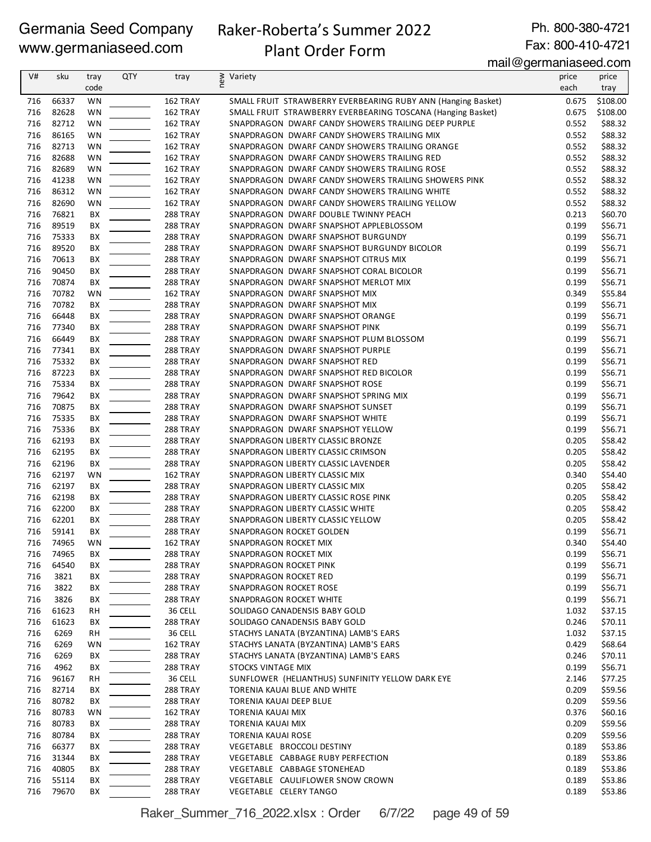# Raker-Roberta's Summer 2022

Ph. 800-380-4721 Fax: 800-410-4721

### Plant Order Form

mail@germaniaseed.com

| V#         | sku            | tray                   | <b>QTY</b> | tray                        | new<br>Variety                                                                                       | price          | price              |
|------------|----------------|------------------------|------------|-----------------------------|------------------------------------------------------------------------------------------------------|----------------|--------------------|
|            |                | code                   |            |                             |                                                                                                      | each           | tray               |
| 716        | 66337          | WN                     |            | 162 TRAY                    | SMALL FRUIT STRAWBERRY EVERBEARING RUBY ANN (Hanging Basket)                                         | 0.675          | \$108.00           |
| 716        | 82628          | WN                     |            | 162 TRAY                    | SMALL FRUIT STRAWBERRY EVERBEARING TOSCANA (Hanging Basket)                                          | 0.675          | \$108.00           |
| 716        | 82712          | <b>WN</b>              |            | 162 TRAY                    | SNAPDRAGON DWARF CANDY SHOWERS TRAILING DEEP PURPLE                                                  | 0.552          | \$88.32            |
| 716        | 86165          | <b>WN</b>              |            | 162 TRAY                    | SNAPDRAGON DWARF CANDY SHOWERS TRAILING MIX                                                          | 0.552          | \$88.32            |
| 716<br>716 | 82713          | WN                     |            | 162 TRAY                    | SNAPDRAGON DWARF CANDY SHOWERS TRAILING ORANGE                                                       | 0.552          | \$88.32            |
| 716        | 82688<br>82689 | WN                     |            | 162 TRAY                    | SNAPDRAGON DWARF CANDY SHOWERS TRAILING RED                                                          | 0.552          | \$88.32            |
| 716        | 41238          | <b>WN</b><br><b>WN</b> |            | 162 TRAY<br>162 TRAY        | SNAPDRAGON DWARF CANDY SHOWERS TRAILING ROSE<br>SNAPDRAGON DWARF CANDY SHOWERS TRAILING SHOWERS PINK | 0.552<br>0.552 | \$88.32<br>\$88.32 |
| 716        | 86312          | WN                     |            | 162 TRAY                    | SNAPDRAGON DWARF CANDY SHOWERS TRAILING WHITE                                                        | 0.552          | \$88.32            |
| 716        | 82690          | WN                     |            | 162 TRAY                    | SNAPDRAGON DWARF CANDY SHOWERS TRAILING YELLOW                                                       | 0.552          | \$88.32            |
| 716        | 76821          | ВX                     |            | 288 TRAY                    | SNAPDRAGON DWARF DOUBLE TWINNY PEACH                                                                 | 0.213          | \$60.70            |
| 716        | 89519          | ВX                     |            | 288 TRAY                    | SNAPDRAGON DWARF SNAPSHOT APPLEBLOSSOM                                                               | 0.199          | \$56.71            |
| 716        | 75333          | BХ                     |            | 288 TRAY                    | SNAPDRAGON DWARF SNAPSHOT BURGUNDY                                                                   | 0.199          | \$56.71            |
| 716        | 89520          | BХ                     |            | <b>288 TRAY</b>             | SNAPDRAGON DWARF SNAPSHOT BURGUNDY BICOLOR                                                           | 0.199          | \$56.71            |
| 716        | 70613          | BХ                     |            | <b>288 TRAY</b>             | SNAPDRAGON DWARF SNAPSHOT CITRUS MIX                                                                 | 0.199          | \$56.71            |
| 716        | 90450          | ВX                     |            | <b>288 TRAY</b>             | SNAPDRAGON DWARF SNAPSHOT CORAL BICOLOR                                                              | 0.199          | \$56.71            |
| 716        | 70874          | ВX                     |            | 288 TRAY                    | SNAPDRAGON DWARF SNAPSHOT MERLOT MIX                                                                 | 0.199          | \$56.71            |
| 716        | 70782          | WN                     |            | 162 TRAY                    | SNAPDRAGON DWARF SNAPSHOT MIX                                                                        | 0.349          | \$55.84            |
| 716        | 70782          | ВX                     |            | 288 TRAY                    | SNAPDRAGON DWARF SNAPSHOT MIX                                                                        | 0.199          | \$56.71            |
| 716        | 66448          | ВX                     |            | 288 TRAY                    | SNAPDRAGON DWARF SNAPSHOT ORANGE                                                                     | 0.199          | \$56.71            |
| 716        | 77340          | ВX                     |            | 288 TRAY                    | SNAPDRAGON DWARF SNAPSHOT PINK                                                                       | 0.199          | \$56.71            |
| 716        | 66449          | BХ                     |            | 288 TRAY                    | SNAPDRAGON DWARF SNAPSHOT PLUM BLOSSOM                                                               | 0.199          | \$56.71            |
| 716        | 77341          | BХ                     |            | <b>288 TRAY</b>             | SNAPDRAGON DWARF SNAPSHOT PURPLE                                                                     | 0.199          | \$56.71            |
| 716        | 75332          | BX                     |            | <b>288 TRAY</b>             | SNAPDRAGON DWARF SNAPSHOT RED                                                                        | 0.199          | \$56.71            |
| 716        | 87223          | ВX                     |            | 288 TRAY                    | SNAPDRAGON DWARF SNAPSHOT RED BICOLOR                                                                | 0.199          | \$56.71            |
| 716        | 75334          | BХ                     |            | 288 TRAY                    | SNAPDRAGON DWARF SNAPSHOT ROSE                                                                       | 0.199          | \$56.71            |
| 716        | 79642          | ВX                     |            | 288 TRAY                    | SNAPDRAGON DWARF SNAPSHOT SPRING MIX                                                                 | 0.199          | \$56.71            |
| 716        | 70875          | ВX                     |            | 288 TRAY                    | SNAPDRAGON DWARF SNAPSHOT SUNSET                                                                     | 0.199          | \$56.71            |
| 716        | 75335          | ВX                     |            | <b>288 TRAY</b>             | SNAPDRAGON DWARF SNAPSHOT WHITE                                                                      | 0.199          | \$56.71            |
| 716        | 75336          | ВX                     |            | 288 TRAY                    | SNAPDRAGON DWARF SNAPSHOT YELLOW                                                                     | 0.199          | \$56.71            |
| 716        | 62193          | ВX                     |            | 288 TRAY                    | SNAPDRAGON LIBERTY CLASSIC BRONZE                                                                    | 0.205          | \$58.42            |
| 716        | 62195          | ВX                     |            | 288 TRAY                    | SNAPDRAGON LIBERTY CLASSIC CRIMSON                                                                   | 0.205          | \$58.42            |
| 716        | 62196          | ВX                     |            | 288 TRAY                    | SNAPDRAGON LIBERTY CLASSIC LAVENDER                                                                  | 0.205          | \$58.42            |
| 716        | 62197          | WN                     |            | 162 TRAY                    | SNAPDRAGON LIBERTY CLASSIC MIX                                                                       | 0.340          | \$54.40            |
| 716        | 62197          | BХ                     |            | <b>288 TRAY</b>             | SNAPDRAGON LIBERTY CLASSIC MIX                                                                       | 0.205          | \$58.42            |
| 716<br>716 | 62198          | ВX                     |            | <b>288 TRAY</b>             | SNAPDRAGON LIBERTY CLASSIC ROSE PINK                                                                 | 0.205          | \$58.42            |
| 716        | 62200<br>62201 | ВX<br>ВX               |            | 288 TRAY<br><b>288 TRAY</b> | SNAPDRAGON LIBERTY CLASSIC WHITE<br>SNAPDRAGON LIBERTY CLASSIC YELLOW                                | 0.205<br>0.205 | \$58.42<br>\$58.42 |
| 716        | 59141          | ВX                     |            | 288 TRAY                    | SNAPDRAGON ROCKET GOLDEN                                                                             | 0.199          | \$56.71            |
| 716        | 74965          | WN                     |            | 162 TRAY                    | SNAPDRAGON ROCKET MIX                                                                                | 0.340          | \$54.40            |
| 716        | 74965          | BХ                     |            | 288 TRAY                    | SNAPDRAGON ROCKET MIX                                                                                | 0.199          | \$56.71            |
| 716        | 64540          | ВX                     |            | 288 TRAY                    | SNAPDRAGON ROCKET PINK                                                                               | 0.199          | \$56.71            |
| 716        | 3821           | BХ                     |            | 288 TRAY                    | SNAPDRAGON ROCKET RED                                                                                | 0.199          | \$56.71            |
| 716        | 3822           | BХ                     |            | 288 TRAY                    | SNAPDRAGON ROCKET ROSE                                                                               | 0.199          | \$56.71            |
| 716        | 3826           | BХ                     |            | <b>288 TRAY</b>             | SNAPDRAGON ROCKET WHITE                                                                              | 0.199          | \$56.71            |
| 716        | 61623          | RH                     |            | 36 CELL                     | SOLIDAGO CANADENSIS BABY GOLD                                                                        | 1.032          | \$37.15            |
| 716        | 61623          | BХ                     |            | 288 TRAY                    | SOLIDAGO CANADENSIS BABY GOLD                                                                        | 0.246          | \$70.11            |
| 716        | 6269           | RH                     |            | 36 CELL                     | STACHYS LANATA (BYZANTINA) LAMB'S EARS                                                               | 1.032          | \$37.15            |
| 716        | 6269           | WN                     |            | 162 TRAY                    | STACHYS LANATA (BYZANTINA) LAMB'S EARS                                                               | 0.429          | \$68.64            |
| 716        | 6269           | ВX                     |            | 288 TRAY                    | STACHYS LANATA (BYZANTINA) LAMB'S EARS                                                               | 0.246          | \$70.11            |
| 716        | 4962           | BХ                     |            | 288 TRAY                    | STOCKS VINTAGE MIX                                                                                   | 0.199          | \$56.71            |
| 716        | 96167          | RH                     |            | 36 CELL                     | SUNFLOWER (HELIANTHUS) SUNFINITY YELLOW DARK EYE                                                     | 2.146          | \$77.25            |
| 716        | 82714          | BХ                     |            | <b>288 TRAY</b>             | TORENIA KAUAI BLUE AND WHITE                                                                         | 0.209          | \$59.56            |
| 716        | 80782          | BХ                     |            | 288 TRAY                    | TORENIA KAUAI DEEP BLUE                                                                              | 0.209          | \$59.56            |
| 716        | 80783          | WN                     |            | 162 TRAY                    | TORENIA KAUAI MIX                                                                                    | 0.376          | \$60.16            |
| 716        | 80783          | BХ                     |            | 288 TRAY                    | TORENIA KAUAI MIX                                                                                    | 0.209          | \$59.56            |
| 716        | 80784          | ВX                     |            | <b>288 TRAY</b>             | TORENIA KAUAI ROSE                                                                                   | 0.209          | \$59.56            |
| 716        | 66377          | BХ                     |            | <b>288 TRAY</b>             | VEGETABLE BROCCOLI DESTINY                                                                           | 0.189          | \$53.86            |
| 716        | 31344          | BХ                     |            | 288 TRAY                    | VEGETABLE CABBAGE RUBY PERFECTION                                                                    | 0.189          | \$53.86            |
| 716        | 40805          | ВX                     |            | 288 TRAY                    | VEGETABLE CABBAGE STONEHEAD                                                                          | 0.189          | \$53.86            |
| 716        | 55114          | BХ                     |            | 288 TRAY                    | VEGETABLE CAULIFLOWER SNOW CROWN                                                                     | 0.189          | \$53.86            |
| 716        | 79670          | ВX                     |            | <b>288 TRAY</b>             | VEGETABLE CELERY TANGO                                                                               | 0.189          | \$53.86            |

Raker\_Summer\_716\_2022.xlsx : Order 6/7/22 page 49 of 59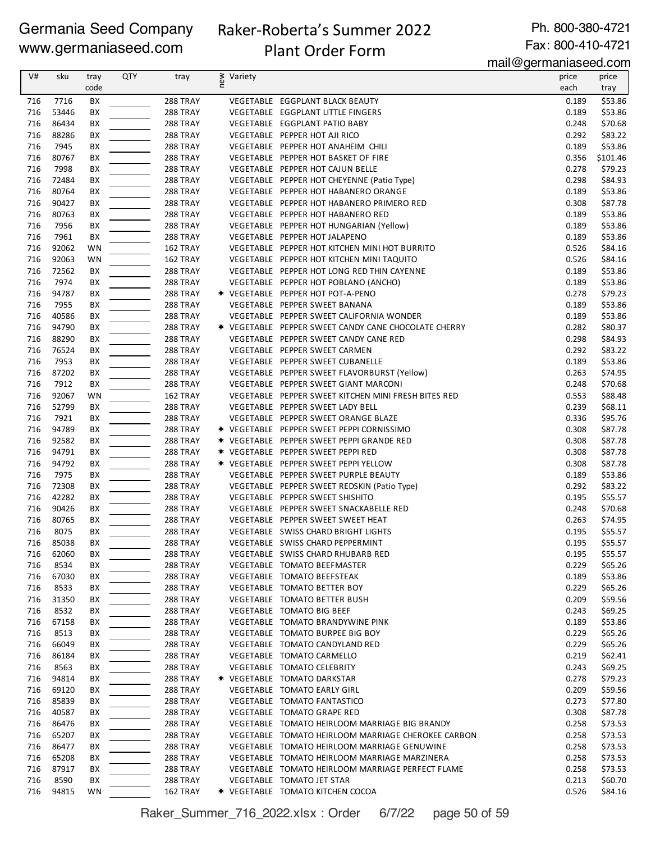# Raker-Roberta's Summer 2022

Ph. 800-380-4721 Fax: 800-410-4721

### Plant Order Form

mail@germaniaseed.com

|     |       |           |            |                 |                |                                                      | 118129011181180000000011 |          |
|-----|-------|-----------|------------|-----------------|----------------|------------------------------------------------------|--------------------------|----------|
| V#  | sku   | tray      | <b>QTY</b> | tray            | ≷ Variety<br>E |                                                      | price                    | price    |
|     |       | code      |            |                 |                |                                                      | each                     | tray     |
| 716 | 7716  | BX        |            | 288 TRAY        |                | VEGETABLE EGGPLANT BLACK BEAUTY                      | 0.189                    | \$53.86  |
| 716 | 53446 | ВX        |            | 288 TRAY        |                | VEGETABLE EGGPLANT LITTLE FINGERS                    | 0.189                    | \$53.86  |
| 716 | 86434 | BX        |            | 288 TRAY        |                | VEGETABLE EGGPLANT PATIO BABY                        | 0.248                    | \$70.68  |
| 716 | 88286 | BX        |            | 288 TRAY        |                | VEGETABLE PEPPER HOT AJI RICO                        | 0.292                    | \$83.22  |
|     |       |           |            |                 |                |                                                      |                          |          |
| 716 | 7945  | BX        |            | 288 TRAY        |                | VEGETABLE PEPPER HOT ANAHEIM CHILI                   | 0.189                    | \$53.86  |
| 716 | 80767 | BХ        |            | 288 TRAY        |                | VEGETABLE PEPPER HOT BASKET OF FIRE                  | 0.356                    | \$101.46 |
| 716 | 7998  | BХ        |            | 288 TRAY        |                | VEGETABLE PEPPER HOT CAJUN BELLE                     | 0.278                    | \$79.23  |
| 716 | 72484 | ВX        |            | 288 TRAY        |                | VEGETABLE PEPPER HOT CHEYENNE (Patio Type)           | 0.298                    | \$84.93  |
| 716 | 80764 | BX        |            | 288 TRAY        |                | VEGETABLE PEPPER HOT HABANERO ORANGE                 | 0.189                    | \$53.86  |
| 716 | 90427 | BХ        |            | 288 TRAY        |                | VEGETABLE PEPPER HOT HABANERO PRIMERO RED            | 0.308                    | \$87.78  |
| 716 | 80763 | BХ        |            | 288 TRAY        |                | VEGETABLE PEPPER HOT HABANERO RED                    | 0.189                    | \$53.86  |
| 716 | 7956  | ВX        |            | 288 TRAY        |                | VEGETABLE PEPPER HOT HUNGARIAN (Yellow)              | 0.189                    | \$53.86  |
| 716 | 7961  | BX        |            | 288 TRAY        |                | VEGETABLE PEPPER HOT JALAPENO                        | 0.189                    | \$53.86  |
| 716 | 92062 | WN        |            | 162 TRAY        |                | VEGETABLE PEPPER HOT KITCHEN MINI HOT BURRITO        | 0.526                    | \$84.16  |
| 716 | 92063 | WN        |            | 162 TRAY        |                | VEGETABLE PEPPER HOT KITCHEN MINI TAQUITO            | 0.526                    | \$84.16  |
| 716 | 72562 | BX        |            | 288 TRAY        |                | VEGETABLE PEPPER HOT LONG RED THIN CAYENNE           | 0.189                    | \$53.86  |
|     |       |           |            |                 |                |                                                      |                          |          |
| 716 | 7974  | ВX        |            | 288 TRAY        |                | VEGETABLE PEPPER HOT POBLANO (ANCHO)                 | 0.189                    | \$53.86  |
| 716 | 94787 | BX        |            | 288 TRAY        |                | * VEGETABLE PEPPER HOT POT-A-PENO                    | 0.278                    | \$79.23  |
| 716 | 7955  | BХ        |            | 288 TRAY        |                | VEGETABLE PEPPER SWEET BANANA                        | 0.189                    | \$53.86  |
| 716 | 40586 | ВX        |            | 288 TRAY        |                | VEGETABLE PEPPER SWEET CALIFORNIA WONDER             | 0.189                    | \$53.86  |
| 716 | 94790 | ВX        |            | 288 TRAY        |                | * VEGETABLE PEPPER SWEET CANDY CANE CHOCOLATE CHERRY | 0.282                    | \$80.37  |
| 716 | 88290 | BX        |            | 288 TRAY        |                | VEGETABLE PEPPER SWEET CANDY CANE RED                | 0.298                    | \$84.93  |
| 716 | 76524 | BX        |            | 288 TRAY        |                | VEGETABLE PEPPER SWEET CARMEN                        | 0.292                    | \$83.22  |
| 716 | 7953  | BХ        |            | 288 TRAY        |                | VEGETABLE PEPPER SWEET CUBANELLE                     | 0.189                    | \$53.86  |
| 716 | 87202 | ВX        |            | 288 TRAY        |                | VEGETABLE PEPPER SWEET FLAVORBURST (Yellow)          | 0.263                    | \$74.95  |
| 716 | 7912  | ВX        |            | 288 TRAY        |                | VEGETABLE PEPPER SWEET GIANT MARCONI                 | 0.248                    | \$70.68  |
| 716 | 92067 | <b>WN</b> |            | 162 TRAY        |                | VEGETABLE PEPPER SWEET KITCHEN MINI FRESH BITES RED  | 0.553                    | \$88.48  |
| 716 | 52799 | BX        |            | 288 TRAY        |                | VEGETABLE PEPPER SWEET LADY BELL                     | 0.239                    | \$68.11  |
|     |       |           |            |                 |                |                                                      |                          |          |
| 716 | 7921  | BX        |            | <b>288 TRAY</b> |                | VEGETABLE PEPPER SWEET ORANGE BLAZE                  | 0.336                    | \$95.76  |
| 716 | 94789 | BХ        |            | 288 TRAY        |                | * VEGETABLE PEPPER SWEET PEPPI CORNISSIMO            | 0.308                    | \$87.78  |
| 716 | 92582 | BX        |            | <b>288 TRAY</b> |                | * VEGETABLE PEPPER SWEET PEPPI GRANDE RED            | 0.308                    | \$87.78  |
| 716 | 94791 | BX        |            | 288 TRAY        |                | * VEGETABLE PEPPER SWEET PEPPI RED                   | 0.308                    | \$87.78  |
| 716 | 94792 | BX        |            | 288 TRAY        |                | * VEGETABLE PEPPER SWEET PEPPI YELLOW                | 0.308                    | \$87.78  |
| 716 | 7975  | BX        |            | 288 TRAY        |                | VEGETABLE PEPPER SWEET PURPLE BEAUTY                 | 0.189                    | \$53.86  |
| 716 | 72308 | ВX        |            | 288 TRAY        |                | VEGETABLE PEPPER SWEET REDSKIN (Patio Type)          | 0.292                    | \$83.22  |
| 716 | 42282 | BX        |            | 288 TRAY        |                | VEGETABLE PEPPER SWEET SHISHITO                      | 0.195                    | \$55.57  |
| 716 | 90426 | BХ        |            | 288 TRAY        |                | VEGETABLE PEPPER SWEET SNACKABELLE RED               | 0.248                    | \$70.68  |
| 716 | 80765 | ВX        |            | 288 TRAY        |                | VEGETABLE PEPPER SWEET SWEET HEAT                    | 0.263                    | \$74.95  |
| 716 | 8075  | ВX        |            | <b>288 TRAY</b> |                | VEGETABLE SWISS CHARD BRIGHT LIGHTS                  | 0.195                    | \$55.57  |
| 716 | 85038 | ВX        |            | 288 TRAY        |                | VEGETABLE SWISS CHARD PEPPERMINT                     | 0.195                    | \$55.57  |
| 716 | 62060 | BХ        |            | <b>288 TRAY</b> |                | VEGETABLE SWISS CHARD RHUBARB RED                    | 0.195                    | \$55.57  |
|     |       |           |            |                 |                |                                                      |                          |          |
| 716 | 8534  | BХ        |            | 288 TRAY        |                | VEGETABLE TOMATO BEEFMASTER                          | 0.229                    | \$65.26  |
| 716 | 67030 | BХ        |            | 288 TRAY        |                | VEGETABLE TOMATO BEEFSTEAK                           | 0.189                    | \$53.86  |
| 716 | 8533  | BХ        |            | 288 TRAY        |                | VEGETABLE TOMATO BETTER BOY                          | 0.229                    | \$65.26  |
| 716 | 31350 | BХ        |            | 288 TRAY        |                | VEGETABLE TOMATO BETTER BUSH                         | 0.209                    | \$59.56  |
| 716 | 8532  | BХ        |            | <b>288 TRAY</b> |                | VEGETABLE TOMATO BIG BEEF                            | 0.243                    | \$69.25  |
| 716 | 67158 | BХ        |            | 288 TRAY        |                | VEGETABLE TOMATO BRANDYWINE PINK                     | 0.189                    | \$53.86  |
| 716 | 8513  | BХ        |            | 288 TRAY        |                | VEGETABLE TOMATO BURPEE BIG BOY                      | 0.229                    | \$65.26  |
| 716 | 66049 | BХ        |            | 288 TRAY        |                | VEGETABLE TOMATO CANDYLAND RED                       | 0.229                    | \$65.26  |
| 716 | 86184 | BХ        |            | 288 TRAY        |                | VEGETABLE TOMATO CARMELLO                            | 0.219                    | \$62.41  |
| 716 | 8563  | BХ        |            | 288 TRAY        |                | VEGETABLE TOMATO CELEBRITY                           | 0.243                    | \$69.25  |
| 716 | 94814 | BХ        |            | 288 TRAY        |                | * VEGETABLE TOMATO DARKSTAR                          | 0.278                    | \$79.23  |
| 716 | 69120 | BХ        |            | <b>288 TRAY</b> |                | VEGETABLE TOMATO EARLY GIRL                          | 0.209                    | \$59.56  |
| 716 | 85839 | BХ        |            | <b>288 TRAY</b> |                | VEGETABLE TOMATO FANTASTICO                          | 0.273                    | \$77.80  |
| 716 | 40587 |           |            | <b>288 TRAY</b> |                | VEGETABLE TOMATO GRAPE RED                           | 0.308                    | \$87.78  |
|     |       | BХ        |            |                 |                |                                                      |                          |          |
| 716 | 86476 | BХ        |            | 288 TRAY        |                | VEGETABLE TOMATO HEIRLOOM MARRIAGE BIG BRANDY        | 0.258                    | \$73.53  |
| 716 | 65207 | BХ        |            | 288 TRAY        |                | VEGETABLE TOMATO HEIRLOOM MARRIAGE CHEROKEE CARBON   | 0.258                    | \$73.53  |
| 716 | 86477 | BХ        |            | 288 TRAY        |                | VEGETABLE TOMATO HEIRLOOM MARRIAGE GENUWINE          | 0.258                    | \$73.53  |
| 716 | 65208 | BХ        |            | 288 TRAY        |                | VEGETABLE TOMATO HEIRLOOM MARRIAGE MARZINERA         | 0.258                    | \$73.53  |
| 716 | 87917 | BХ        |            | 288 TRAY        |                | VEGETABLE TOMATO HEIRLOOM MARRIAGE PERFECT FLAME     | 0.258                    | \$73.53  |
| 716 | 8590  | BХ        |            | 288 TRAY        |                | VEGETABLE TOMATO JET STAR                            | 0.213                    | \$60.70  |
| 716 | 94815 | WN        |            | 162 TRAY        |                | * VEGETABLE TOMATO KITCHEN COCOA                     | 0.526                    | \$84.16  |

Raker\_Summer\_716\_2022.xlsx : Order 6/7/22 page 50 of 59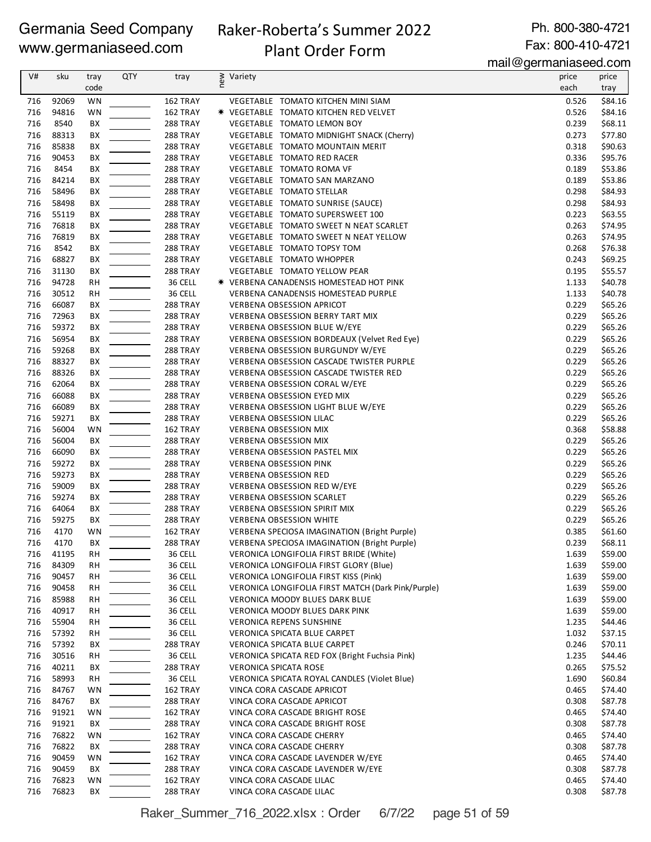# Raker-Roberta's Summer 2022

Ph. 800-380-4721 Fax: 800-410-4721

# Plant Order Form

mail@germaniaseed.com

|            |                |                 |            |                      |                                                                         | $1.1811$ $\sim$ gorman nao oo alloom. |                    |
|------------|----------------|-----------------|------------|----------------------|-------------------------------------------------------------------------|---------------------------------------|--------------------|
| V#         | sku            | tray            | <b>QTY</b> | tray                 | new<br>Variety                                                          | price                                 | price              |
|            |                | code            |            |                      |                                                                         | each                                  | tray               |
| 716        | 92069          | <b>WN</b>       |            | 162 TRAY             | VEGETABLE TOMATO KITCHEN MINI SIAM                                      | 0.526                                 | \$84.16            |
| 716        | 94816          | WN              |            | 162 TRAY             | * VEGETABLE TOMATO KITCHEN RED VELVET                                   | 0.526                                 | \$84.16            |
| 716        | 8540           | ВX              |            | 288 TRAY             | VEGETABLE TOMATO LEMON BOY                                              | 0.239                                 | \$68.11            |
| 716        | 88313          | BХ              |            | 288 TRAY             | VEGETABLE TOMATO MIDNIGHT SNACK (Cherry)                                | 0.273                                 | \$77.80            |
| 716        | 85838          | ВX              |            | 288 TRAY             | VEGETABLE TOMATO MOUNTAIN MERIT                                         | 0.318                                 | \$90.63            |
| 716        | 90453          | BХ              |            | 288 TRAY             | VEGETABLE TOMATO RED RACER                                              | 0.336                                 | \$95.76            |
| 716        | 8454           | BX              |            | 288 TRAY             | VEGETABLE TOMATO ROMA VF                                                | 0.189                                 | \$53.86            |
| 716        | 84214          | ВX              |            | 288 TRAY             | VEGETABLE TOMATO SAN MARZANO                                            | 0.189                                 | \$53.86            |
| 716        | 58496          | BX              |            | 288 TRAY             | VEGETABLE TOMATO STELLAR                                                | 0.298                                 | \$84.93            |
| 716        | 58498          | BХ              |            | 288 TRAY             | VEGETABLE TOMATO SUNRISE (SAUCE)                                        | 0.298                                 | \$84.93            |
| 716        | 55119          | BХ              |            | 288 TRAY             | VEGETABLE TOMATO SUPERSWEET 100                                         | 0.223                                 | \$63.55            |
| 716        | 76818          | BХ              |            | 288 TRAY             | VEGETABLE TOMATO SWEET N NEAT SCARLET                                   | 0.263                                 | \$74.95            |
| 716        | 76819          | ВX              |            | 288 TRAY             | VEGETABLE TOMATO SWEET N NEAT YELLOW                                    | 0.263                                 | \$74.95            |
| 716        | 8542           | BХ              |            | 288 TRAY             | VEGETABLE TOMATO TOPSY TOM                                              | 0.268                                 | \$76.38            |
| 716        | 68827          | BХ              |            | 288 TRAY             | VEGETABLE TOMATO WHOPPER                                                | 0.243                                 | \$69.25            |
| 716        | 31130          | ВX              |            | 288 TRAY             | VEGETABLE TOMATO YELLOW PEAR                                            | 0.195                                 | \$55.57            |
| 716        | 94728          | <b>RH</b>       |            | 36 CELL              | * VERBENA CANADENSIS HOMESTEAD HOT PINK                                 | 1.133                                 | \$40.78            |
| 716        | 30512          | <b>RH</b>       |            | 36 CELL              | VERBENA CANADENSIS HOMESTEAD PURPLE                                     | 1.133                                 | \$40.78            |
| 716        | 66087          | BХ              |            | 288 TRAY             | <b>VERBENA OBSESSION APRICOT</b>                                        | 0.229                                 | \$65.26            |
| 716        | 72963          | BХ              |            | 288 TRAY             | <b>VERBENA OBSESSION BERRY TART MIX</b>                                 | 0.229                                 | \$65.26            |
| 716        | 59372          | BX              |            | 288 TRAY             | VERBENA OBSESSION BLUE W/EYE                                            | 0.229                                 | \$65.26            |
| 716        | 56954          | ВX              |            | 288 TRAY             | VERBENA OBSESSION BORDEAUX (Velvet Red Eye)                             | 0.229                                 | \$65.26            |
| 716        | 59268          | BХ              |            | 288 TRAY             | <b>VERBENA OBSESSION BURGUNDY W/EYE</b>                                 | 0.229                                 | \$65.26            |
| 716        | 88327          | BХ              |            | 288 TRAY             | VERBENA OBSESSION CASCADE TWISTER PURPLE                                | 0.229                                 | \$65.26            |
| 716        | 88326          | BX              |            | 288 TRAY             | <b>VERBENA OBSESSION CASCADE TWISTER RED</b>                            | 0.229                                 | \$65.26            |
| 716        | 62064          | ВX              |            | 288 TRAY             | VERBENA OBSESSION CORAL W/EYE                                           | 0.229                                 | \$65.26            |
| 716        | 66088          | BX              |            | 288 TRAY             | <b>VERBENA OBSESSION EYED MIX</b>                                       | 0.229                                 | \$65.26            |
| 716<br>716 | 66089          | ВX              |            | 288 TRAY             | VERBENA OBSESSION LIGHT BLUE W/EYE                                      | 0.229                                 | \$65.26            |
|            | 59271          | BX              |            | 288 TRAY             | <b>VERBENA OBSESSION LILAC</b>                                          | 0.229                                 | \$65.26            |
| 716        | 56004          | WN              |            | 162 TRAY             | <b>VERBENA OBSESSION MIX</b>                                            | 0.368                                 | \$58.88            |
| 716        | 56004          | BX              |            | 288 TRAY             | <b>VERBENA OBSESSION MIX</b><br>VERBENA OBSESSION PASTEL MIX            | 0.229                                 | \$65.26            |
| 716<br>716 | 66090          | ВX              |            | 288 TRAY             |                                                                         | 0.229                                 | \$65.26            |
| 716        | 59272<br>59273 | BХ              |            | 288 TRAY             | <b>VERBENA OBSESSION PINK</b>                                           | 0.229<br>0.229                        | \$65.26<br>\$65.26 |
| 716        | 59009          | BХ<br>ВX        |            | 288 TRAY<br>288 TRAY | <b>VERBENA OBSESSION RED</b><br><b>VERBENA OBSESSION RED W/EYE</b>      | 0.229                                 | \$65.26            |
| 716        | 59274          |                 |            | 288 TRAY             |                                                                         | 0.229                                 | \$65.26            |
| 716        | 64064          | ВX              |            | 288 TRAY             | <b>VERBENA OBSESSION SCARLET</b><br><b>VERBENA OBSESSION SPIRIT MIX</b> | 0.229                                 | \$65.26            |
| 716        | 59275          | BХ<br>ВX        |            | 288 TRAY             | <b>VERBENA OBSESSION WHITE</b>                                          | 0.229                                 | \$65.26            |
| 716        | 4170           | WN              |            | 162 TRAY             | <b>VERBENA SPECIOSA IMAGINATION (Bright Purple)</b>                     | 0.385                                 | \$61.60            |
|            | 716 4170       | BX              |            | 288 TRAY             | VERBENA SPECIOSA IMAGINATION (Bright Purple)                            | 0.239                                 | \$68.11            |
| 716        | 41195          | <b>RH</b>       |            | 36 CELL              | VERONICA LONGIFOLIA FIRST BRIDE (White)                                 | 1.639                                 | \$59.00            |
| 716        | 84309          |                 |            | 36 CELL              | VERONICA LONGIFOLIA FIRST GLORY (Blue)                                  | 1.639                                 | \$59.00            |
| 716        | 90457          | RH<br><b>RH</b> |            | 36 CELL              | VERONICA LONGIFOLIA FIRST KISS (Pink)                                   | 1.639                                 | \$59.00            |
| 716        | 90458          | RH              |            | 36 CELL              | VERONICA LONGIFOLIA FIRST MATCH (Dark Pink/Purple)                      | 1.639                                 | \$59.00            |
| 716        | 85988          | <b>RH</b>       |            | 36 CELL              | VERONICA MOODY BLUES DARK BLUE                                          | 1.639                                 | \$59.00            |
| 716        | 40917          | RH              |            | 36 CELL              | VERONICA MOODY BLUES DARK PINK                                          | 1.639                                 | \$59.00            |
| 716        | 55904          | <b>RH</b>       |            | 36 CELL              | <b>VERONICA REPENS SUNSHINE</b>                                         | 1.235                                 | \$44.46            |
| 716        | 57392          | RH              |            | 36 CELL              | VERONICA SPICATA BLUE CARPET                                            | 1.032                                 | \$37.15            |
| 716        | 57392          | BХ              |            | 288 TRAY             | VERONICA SPICATA BLUE CARPET                                            | 0.246                                 | \$70.11            |
| 716        | 30516          | RH              |            | 36 CELL              | VERONICA SPICATA RED FOX (Bright Fuchsia Pink)                          | 1.235                                 | \$44.46            |
| 716        | 40211          | BХ              |            | 288 TRAY             | VERONICA SPICATA ROSE                                                   | 0.265                                 | \$75.52            |
| 716        | 58993          | RH              |            | 36 CELL              | VERONICA SPICATA ROYAL CANDLES (Violet Blue)                            | 1.690                                 | \$60.84            |
| 716        | 84767          | WN              |            | 162 TRAY             | VINCA CORA CASCADE APRICOT                                              | 0.465                                 | \$74.40            |
| 716        | 84767          | BХ              |            | 288 TRAY             | VINCA CORA CASCADE APRICOT                                              | 0.308                                 | \$87.78            |
| 716        | 91921          | WN              |            | 162 TRAY             | VINCA CORA CASCADE BRIGHT ROSE                                          | 0.465                                 | \$74.40            |
| 716        | 91921          | BХ              |            | 288 TRAY             | VINCA CORA CASCADE BRIGHT ROSE                                          | 0.308                                 | \$87.78            |
| 716        | 76822          | WN              |            | 162 TRAY             | VINCA CORA CASCADE CHERRY                                               | 0.465                                 | \$74.40            |
| 716        | 76822          | BХ              |            | 288 TRAY             | VINCA CORA CASCADE CHERRY                                               | 0.308                                 | \$87.78            |
| 716        | 90459          | WN              |            | 162 TRAY             | VINCA CORA CASCADE LAVENDER W/EYE                                       | 0.465                                 | \$74.40            |
| 716        | 90459          | BХ              |            | 288 TRAY             | VINCA CORA CASCADE LAVENDER W/EYE                                       | 0.308                                 | \$87.78            |
| 716        | 76823          | WN              |            | 162 TRAY             | VINCA CORA CASCADE LILAC                                                | 0.465                                 | \$74.40            |
| 716        | 76823          | ВX              |            | <b>288 TRAY</b>      | VINCA CORA CASCADE LILAC                                                | 0.308                                 | \$87.78            |
|            |                |                 |            |                      |                                                                         |                                       |                    |

Raker\_Summer\_716\_2022.xlsx : Order 6/7/22 page 51 of 59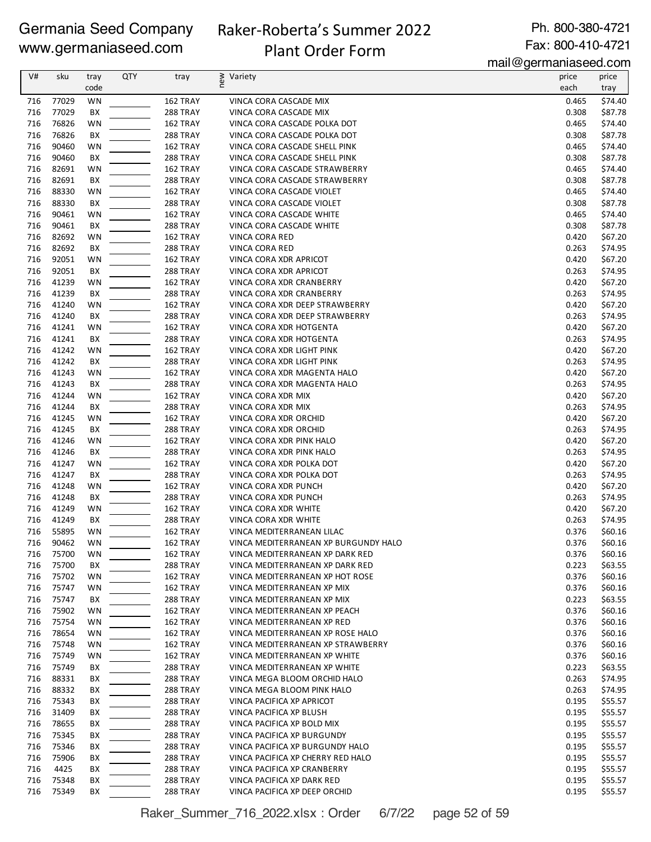# Raker-Roberta's Summer 2022 Plant Order Form

Ph. 800-380-4721 Fax: 800-410-4721

mail@germaniaseed.com

|            |                |           |     |                                    |                                                           | $\mu$ an wyt $\mu$ nianiastru.com |                    |
|------------|----------------|-----------|-----|------------------------------------|-----------------------------------------------------------|-----------------------------------|--------------------|
| V#         | sku            | tray      | QTY | tray                               | new<br>Variety                                            | price                             | price              |
|            |                | code      |     |                                    |                                                           | each                              | tray               |
| 716        | 77029<br>77029 | WN        |     | 162 TRAY                           | VINCA CORA CASCADE MIX                                    | 0.465                             | \$74.40            |
| 716<br>716 | 76826          | BX<br>WN  |     | 288 TRAY<br>162 TRAY               | VINCA CORA CASCADE MIX<br>VINCA CORA CASCADE POLKA DOT    | 0.308<br>0.465                    | \$87.78<br>\$74.40 |
| 716        | 76826          | BX        |     | 288 TRAY                           | VINCA CORA CASCADE POLKA DOT                              | 0.308                             | \$87.78            |
| 716        | 90460          | WN        |     | 162 TRAY                           | VINCA CORA CASCADE SHELL PINK                             | 0.465                             | \$74.40            |
| 716        | 90460          | BX        |     | 288 TRAY                           | VINCA CORA CASCADE SHELL PINK                             | 0.308                             | \$87.78            |
| 716        | 82691          | WN        |     | 162 TRAY                           | VINCA CORA CASCADE STRAWBERRY                             | 0.465                             | \$74.40            |
| 716        | 82691          | BX        |     | 288 TRAY                           | VINCA CORA CASCADE STRAWBERRY                             | 0.308                             | \$87.78            |
| 716        | 88330          | WN        |     | 162 TRAY                           | VINCA CORA CASCADE VIOLET                                 | 0.465                             | \$74.40            |
| 716        | 88330          | BX        |     | 288 TRAY                           | VINCA CORA CASCADE VIOLET                                 | 0.308                             | \$87.78            |
| 716        | 90461          | WN        |     | 162 TRAY                           | VINCA CORA CASCADE WHITE                                  | 0.465                             | \$74.40            |
| 716        | 90461          | BX        |     | 288 TRAY                           | VINCA CORA CASCADE WHITE                                  | 0.308                             | \$87.78            |
| 716        | 82692          | WN        |     | 162 TRAY                           | VINCA CORA RED                                            | 0.420                             | \$67.20            |
| 716        | 82692          | BX        |     | 288 TRAY                           | VINCA CORA RED                                            | 0.263                             | \$74.95            |
| 716        | 92051          | <b>WN</b> |     | 162 TRAY                           | VINCA CORA XDR APRICOT                                    | 0.420                             | \$67.20            |
| 716        | 92051          | BX        |     | 288 TRAY                           | VINCA CORA XDR APRICOT                                    | 0.263                             | \$74.95            |
| 716        | 41239          | WN        |     | 162 TRAY                           | VINCA CORA XDR CRANBERRY                                  | 0.420                             | \$67.20            |
| 716        | 41239          | ВX        |     | 288 TRAY                           | VINCA CORA XDR CRANBERRY                                  | 0.263                             | \$74.95            |
| 716        | 41240          | <b>WN</b> |     | 162 TRAY                           | VINCA CORA XDR DEEP STRAWBERRY                            | 0.420                             | \$67.20            |
| 716        | 41240          | BX        |     | 288 TRAY                           | VINCA CORA XDR DEEP STRAWBERRY                            | 0.263                             | \$74.95            |
| 716        | 41241          | WN        |     | 162 TRAY                           | VINCA CORA XDR HOTGENTA                                   | 0.420                             | \$67.20            |
| 716        | 41241          | BX        |     | 288 TRAY                           | VINCA CORA XDR HOTGENTA                                   | 0.263                             | \$74.95            |
| 716        | 41242          | WN        |     | 162 TRAY                           | VINCA CORA XDR LIGHT PINK                                 | 0.420                             | \$67.20            |
| 716        | 41242          | BX        |     | 288 TRAY                           | VINCA CORA XDR LIGHT PINK                                 | 0.263                             | \$74.95            |
| 716        | 41243          | WN        |     | 162 TRAY                           | VINCA CORA XDR MAGENTA HALO                               | 0.420                             | \$67.20            |
| 716        | 41243          | BX        |     | 288 TRAY                           | VINCA CORA XDR MAGENTA HALO                               | 0.263                             | \$74.95            |
| 716        | 41244          | WN        |     | 162 TRAY                           | VINCA CORA XDR MIX                                        | 0.420                             | \$67.20            |
| 716        | 41244          | BX        |     | 288 TRAY                           | VINCA CORA XDR MIX                                        | 0.263                             | \$74.95            |
| 716        | 41245          | WN        |     | 162 TRAY                           | VINCA CORA XDR ORCHID                                     | 0.420                             | \$67.20            |
| 716        | 41245          | BX        |     | 288 TRAY                           | VINCA CORA XDR ORCHID                                     | 0.263                             | \$74.95            |
| 716        | 41246          | WN        |     | 162 TRAY                           | VINCA CORA XDR PINK HALO                                  | 0.420                             | \$67.20            |
| 716        | 41246          | BX        |     | 288 TRAY                           | VINCA CORA XDR PINK HALO                                  | 0.263                             | \$74.95            |
| 716        | 41247          | WN        |     | 162 TRAY                           | VINCA CORA XDR POLKA DOT                                  | 0.420                             | \$67.20            |
| 716        | 41247          | BX        |     | 288 TRAY                           | VINCA CORA XDR POLKA DOT                                  | 0.263                             | \$74.95            |
| 716        | 41248          | WN        |     | 162 TRAY                           | VINCA CORA XDR PUNCH                                      | 0.420                             | \$67.20            |
| 716        | 41248          | BX        |     | 288 TRAY                           | VINCA CORA XDR PUNCH                                      | 0.263                             | \$74.95            |
| 716        | 41249          | <b>WN</b> |     | 162 TRAY                           | VINCA CORA XDR WHITE                                      | 0.420                             | \$67.20            |
| 716        | 41249          | BX        |     | 288 TRAY                           | VINCA CORA XDR WHITE                                      | 0.263                             | \$74.95            |
| 716        | 55895          | <b>WN</b> |     | 162 TRAY                           | VINCA MEDITERRANEAN LILAC                                 | 0.376                             | \$60.16            |
| 716        | 90462          | <b>WN</b> |     | 162 TRAY                           | VINCA MEDITERRANEAN XP BURGUNDY HALO                      | 0.376                             | \$60.16            |
| 716        | 75700          | WN        |     | 162 TRAY                           | VINCA MEDITERRANEAN XP DARK RED                           | 0.376                             | \$60.16            |
| 716        | 75700          | ВX        |     | <b>288 TRAY</b>                    | VINCA MEDITERRANEAN XP DARK RED                           | 0.223                             | \$63.55            |
| 716        | 75702          | WN        |     | 162 TRAY                           | VINCA MEDITERRANEAN XP HOT ROSE                           | 0.376                             | \$60.16            |
| 716        | 75747          | WN        |     | 162 TRAY                           | VINCA MEDITERRANEAN XP MIX                                | 0.376                             | \$60.16            |
| 716        | 75747          | BX        |     | 288 TRAY                           | VINCA MEDITERRANEAN XP MIX                                | 0.223                             | \$63.55            |
| 716        | 75902          | WN        |     | 162 TRAY                           | VINCA MEDITERRANEAN XP PEACH                              | 0.376                             | \$60.16            |
| 716        | 75754          | WN        |     | 162 TRAY                           | VINCA MEDITERRANEAN XP RED                                | 0.376                             | \$60.16            |
| 716        | 78654          | WN        |     | 162 TRAY                           | VINCA MEDITERRANEAN XP ROSE HALO                          | 0.376                             | \$60.16            |
| 716        | 75748          | WN        |     | 162 TRAY                           | VINCA MEDITERRANEAN XP STRAWBERRY                         | 0.376                             | \$60.16            |
| 716        | 75749          | <b>WN</b> |     | 162 TRAY                           | VINCA MEDITERRANEAN XP WHITE                              | 0.376                             | \$60.16            |
| 716        | 75749          | BХ        |     | <b>288 TRAY</b>                    | VINCA MEDITERRANEAN XP WHITE                              | 0.223                             | \$63.55            |
| 716        | 88331          | BX        |     | <b>288 TRAY</b>                    | VINCA MEGA BLOOM ORCHID HALO                              | 0.263                             | \$74.95            |
| 716        | 88332          | ВX        |     | 288 TRAY                           | VINCA MEGA BLOOM PINK HALO                                | 0.263                             | \$74.95            |
| 716        | 75343          | BX        |     | <b>288 TRAY</b>                    | VINCA PACIFICA XP APRICOT                                 | 0.195                             | \$55.57            |
| 716        | 31409          | ВX        |     | <b>288 TRAY</b>                    | VINCA PACIFICA XP BLUSH                                   | 0.195                             | \$55.57            |
| 716        | 78655          | BХ        |     | <b>288 TRAY</b>                    | VINCA PACIFICA XP BOLD MIX                                | 0.195                             | \$55.57            |
| 716        | 75345          | BХ        |     | <b>288 TRAY</b>                    | VINCA PACIFICA XP BURGUNDY                                | 0.195                             | \$55.57            |
| 716<br>716 | 75346<br>75906 | BХ        |     | <b>288 TRAY</b><br><b>288 TRAY</b> | VINCA PACIFICA XP BURGUNDY HALO                           | 0.195<br>0.195                    | \$55.57<br>\$55.57 |
| 716        |                | BХ        |     |                                    | VINCA PACIFICA XP CHERRY RED HALO                         |                                   |                    |
| 716        | 4425<br>75348  | BХ<br>BХ  |     | <b>288 TRAY</b><br>288 TRAY        | VINCA PACIFICA XP CRANBERRY<br>VINCA PACIFICA XP DARK RED | 0.195<br>0.195                    | \$55.57<br>\$55.57 |
| 716        | 75349          | ВX        |     | 288 TRAY                           | VINCA PACIFICA XP DEEP ORCHID                             | 0.195                             | \$55.57            |
|            |                |           |     |                                    |                                                           |                                   |                    |

Raker\_Summer\_716\_2022.xlsx : Order 6/7/22 page 52 of 59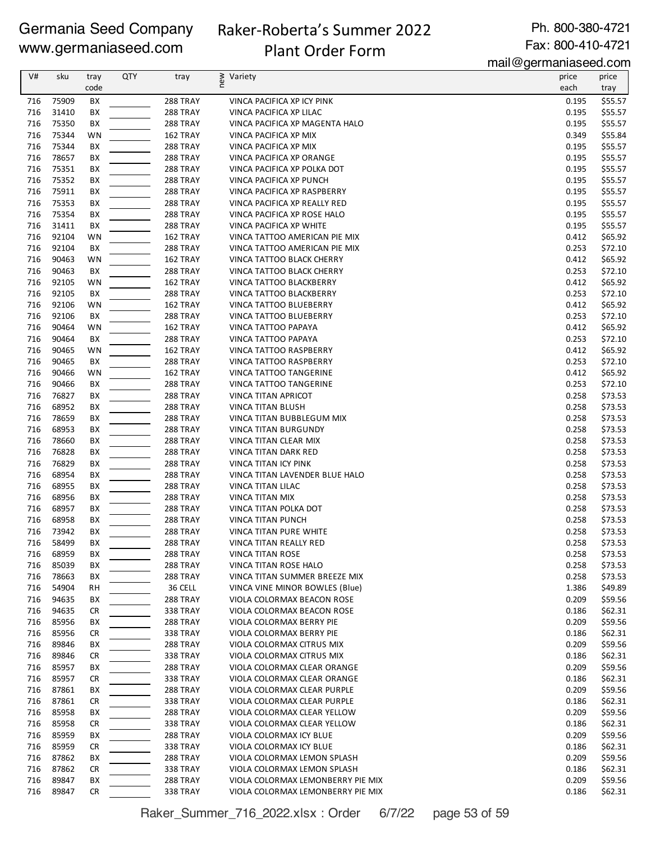### Raker-Roberta's Summer 2022 Plant Order Form

Ph. 800-380-4721 Fax: 800-410-4721

mail@germaniaseed.com

| V#  | sku   | tray      | QTY | tray            | new<br>Variety                    | price | price   |
|-----|-------|-----------|-----|-----------------|-----------------------------------|-------|---------|
|     |       | code      |     |                 |                                   | each  | tray    |
| 716 | 75909 | BX        |     | 288 TRAY        | VINCA PACIFICA XP ICY PINK        | 0.195 | \$55.57 |
| 716 | 31410 | BX        |     | 288 TRAY        | VINCA PACIFICA XP LILAC           | 0.195 | \$55.57 |
| 716 | 75350 | BХ        |     | 288 TRAY        | VINCA PACIFICA XP MAGENTA HALO    | 0.195 | \$55.57 |
| 716 | 75344 | WN        |     | 162 TRAY        | VINCA PACIFICA XP MIX             | 0.349 | \$55.84 |
|     |       |           |     |                 |                                   |       |         |
| 716 | 75344 | BХ        |     | 288 TRAY        | VINCA PACIFICA XP MIX             | 0.195 | \$55.57 |
| 716 | 78657 | BХ        |     | 288 TRAY        | VINCA PACIFICA XP ORANGE          | 0.195 | \$55.57 |
| 716 | 75351 | BX        |     | 288 TRAY        | VINCA PACIFICA XP POLKA DOT       | 0.195 | \$55.57 |
| 716 | 75352 | BХ        |     | 288 TRAY        | VINCA PACIFICA XP PUNCH           | 0.195 | \$55.57 |
| 716 | 75911 | BХ        |     | 288 TRAY        | VINCA PACIFICA XP RASPBERRY       | 0.195 | \$55.57 |
| 716 | 75353 | BХ        |     | 288 TRAY        | VINCA PACIFICA XP REALLY RED      | 0.195 | \$55.57 |
| 716 | 75354 | BХ        |     | 288 TRAY        | VINCA PACIFICA XP ROSE HALO       | 0.195 | \$55.57 |
| 716 | 31411 | BХ        |     | 288 TRAY        | VINCA PACIFICA XP WHITE           | 0.195 | \$55.57 |
| 716 | 92104 | WN        |     | 162 TRAY        | VINCA TATTOO AMERICAN PIE MIX     | 0.412 | \$65.92 |
| 716 | 92104 | BX        |     | 288 TRAY        | VINCA TATTOO AMERICAN PIE MIX     | 0.253 | \$72.10 |
| 716 | 90463 | <b>WN</b> |     | 162 TRAY        | VINCA TATTOO BLACK CHERRY         | 0.412 | \$65.92 |
| 716 | 90463 | BХ        |     | 288 TRAY        | VINCA TATTOO BLACK CHERRY         | 0.253 | \$72.10 |
| 716 | 92105 | <b>WN</b> |     | 162 TRAY        | VINCA TATTOO BLACKBERRY           | 0.412 | \$65.92 |
| 716 | 92105 | BХ        |     | 288 TRAY        | VINCA TATTOO BLACKBERRY           | 0.253 | \$72.10 |
| 716 | 92106 | <b>WN</b> |     | 162 TRAY        | VINCA TATTOO BLUEBERRY            | 0.412 | \$65.92 |
| 716 | 92106 | BX        |     | 288 TRAY        | VINCA TATTOO BLUEBERRY            | 0.253 | \$72.10 |
| 716 | 90464 | WN        |     | 162 TRAY        | VINCA TATTOO PAPAYA               | 0.412 | \$65.92 |
| 716 | 90464 | BХ        |     | 288 TRAY        | VINCA TATTOO PAPAYA               | 0.253 | \$72.10 |
| 716 | 90465 | WN        |     | 162 TRAY        | VINCA TATTOO RASPBERRY            | 0.412 | \$65.92 |
| 716 | 90465 | BX        |     | 288 TRAY        | VINCA TATTOO RASPBERRY            | 0.253 | \$72.10 |
| 716 | 90466 | <b>WN</b> |     | 162 TRAY        | VINCA TATTOO TANGERINE            | 0.412 | \$65.92 |
| 716 | 90466 | BХ        |     | 288 TRAY        | VINCA TATTOO TANGERINE            | 0.253 | \$72.10 |
| 716 | 76827 | BХ        |     |                 | VINCA TITAN APRICOT               | 0.258 | \$73.53 |
|     |       |           |     | 288 TRAY        |                                   |       |         |
| 716 | 68952 | BХ        |     | 288 TRAY        | VINCA TITAN BLUSH                 | 0.258 | \$73.53 |
| 716 | 78659 | ВX        |     | 288 TRAY        | VINCA TITAN BUBBLEGUM MIX         | 0.258 | \$73.53 |
| 716 | 68953 | BX        |     | 288 TRAY        | <b>VINCA TITAN BURGUNDY</b>       | 0.258 | \$73.53 |
| 716 | 78660 | BХ        |     | 288 TRAY        | VINCA TITAN CLEAR MIX             | 0.258 | \$73.53 |
| 716 | 76828 | BX        |     | 288 TRAY        | VINCA TITAN DARK RED              | 0.258 | \$73.53 |
| 716 | 76829 | BХ        |     | 288 TRAY        | VINCA TITAN ICY PINK              | 0.258 | \$73.53 |
| 716 | 68954 | ВX        |     | 288 TRAY        | VINCA TITAN LAVENDER BLUE HALO    | 0.258 | \$73.53 |
| 716 | 68955 | BХ        |     | 288 TRAY        | VINCA TITAN LILAC                 | 0.258 | \$73.53 |
| 716 | 68956 | BХ        |     | 288 TRAY        | VINCA TITAN MIX                   | 0.258 | \$73.53 |
| 716 | 68957 | BХ        |     | 288 TRAY        | VINCA TITAN POLKA DOT             | 0.258 | \$73.53 |
| 716 | 68958 | ВX        |     | 288 TRAY        | VINCA TITAN PUNCH                 | 0.258 | \$73.53 |
| 716 | 73942 | ВX        |     | 288 TRAY        | VINCA TITAN PURE WHITE            | 0.258 | \$73.53 |
| 716 | 58499 | BX        |     | 288 TRAY        | VINCA TITAN REALLY RED            | 0.258 | \$73.53 |
| 716 | 68959 | BX        |     | <b>288 TRAY</b> | <b>VINCA TITAN ROSE</b>           | 0.258 | \$73.53 |
| 716 | 85039 | BХ        |     | 288 TRAY        | VINCA TITAN ROSE HALO             | 0.258 | \$73.53 |
| 716 | 78663 | BХ        |     | <b>288 TRAY</b> | VINCA TITAN SUMMER BREEZE MIX     | 0.258 | \$73.53 |
| 716 | 54904 | RH        |     | 36 CELL         | VINCA VINE MINOR BOWLES (Blue)    | 1.386 | \$49.89 |
| 716 | 94635 | BХ        |     | 288 TRAY        | VIOLA COLORMAX BEACON ROSE        | 0.209 | \$59.56 |
| 716 | 94635 | <b>CR</b> |     | 338 TRAY        | VIOLA COLORMAX BEACON ROSE        | 0.186 | \$62.31 |
| 716 | 85956 | BХ        |     | <b>288 TRAY</b> | VIOLA COLORMAX BERRY PIE          | 0.209 | \$59.56 |
| 716 | 85956 | CR        |     | 338 TRAY        | VIOLA COLORMAX BERRY PIE          | 0.186 | \$62.31 |
| 716 | 89846 | BХ        |     | 288 TRAY        | VIOLA COLORMAX CITRUS MIX         | 0.209 | \$59.56 |
| 716 | 89846 | <b>CR</b> |     | 338 TRAY        | VIOLA COLORMAX CITRUS MIX         | 0.186 | \$62.31 |
| 716 | 85957 | BХ        |     | 288 TRAY        | VIOLA COLORMAX CLEAR ORANGE       | 0.209 | \$59.56 |
| 716 | 85957 | <b>CR</b> |     | <b>338 TRAY</b> | VIOLA COLORMAX CLEAR ORANGE       | 0.186 | \$62.31 |
| 716 | 87861 | ВX        |     | 288 TRAY        | VIOLA COLORMAX CLEAR PURPLE       | 0.209 | \$59.56 |
| 716 | 87861 | <b>CR</b> |     | 338 TRAY        | VIOLA COLORMAX CLEAR PURPLE       | 0.186 | \$62.31 |
|     |       |           |     |                 |                                   |       | \$59.56 |
| 716 | 85958 | BХ        |     | 288 TRAY        | VIOLA COLORMAX CLEAR YELLOW       | 0.209 |         |
| 716 | 85958 | CR        |     | 338 TRAY        | VIOLA COLORMAX CLEAR YELLOW       | 0.186 | \$62.31 |
| 716 | 85959 | BХ        |     | 288 TRAY        | VIOLA COLORMAX ICY BLUE           | 0.209 | \$59.56 |
| 716 | 85959 | <b>CR</b> |     | 338 TRAY        | VIOLA COLORMAX ICY BLUE           | 0.186 | \$62.31 |
| 716 | 87862 | BХ        |     | 288 TRAY        | VIOLA COLORMAX LEMON SPLASH       | 0.209 | \$59.56 |
| 716 | 87862 | <b>CR</b> |     | 338 TRAY        | VIOLA COLORMAX LEMON SPLASH       | 0.186 | \$62.31 |
| 716 | 89847 | BХ        |     | 288 TRAY        | VIOLA COLORMAX LEMONBERRY PIE MIX | 0.209 | \$59.56 |
| 716 | 89847 | <b>CR</b> |     | 338 TRAY        | VIOLA COLORMAX LEMONBERRY PIE MIX | 0.186 | \$62.31 |

Raker\_Summer\_716\_2022.xlsx : Order 6/7/22 page 53 of 59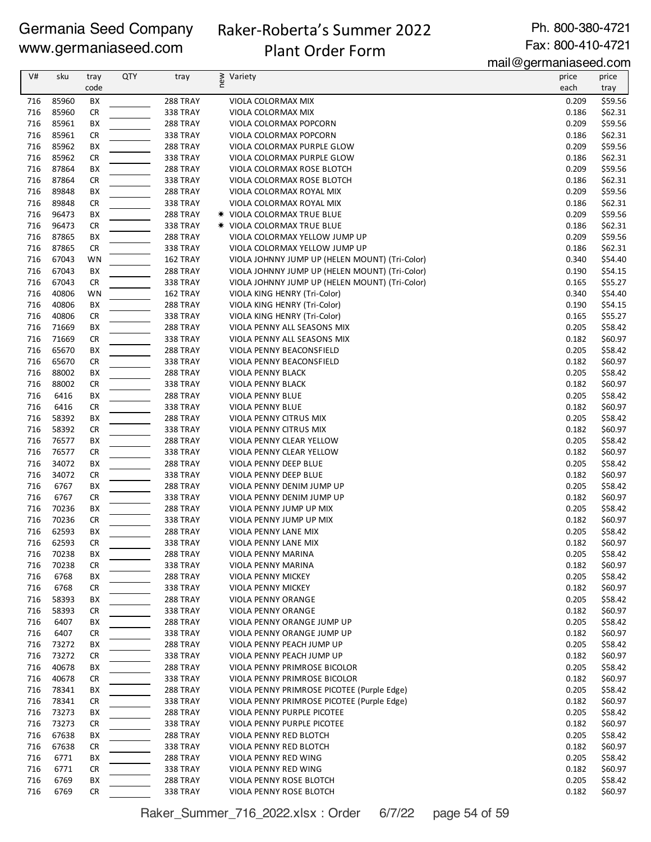# Raker-Roberta's Summer 2022 Plant Order Form

Ph. 800-380-4721 Fax: 800-410-4721

mail@germaniaseed.com

| V#         | sku            | tray<br>code    | <b>QTY</b> | tray                        | new<br>Variety                                                                  | price<br>each  | price              |
|------------|----------------|-----------------|------------|-----------------------------|---------------------------------------------------------------------------------|----------------|--------------------|
|            |                |                 |            |                             |                                                                                 |                | tray               |
| 716<br>716 | 85960<br>85960 | BX<br><b>CR</b> |            | 288 TRAY<br>338 TRAY        | VIOLA COLORMAX MIX<br>VIOLA COLORMAX MIX                                        | 0.209<br>0.186 | \$59.56<br>\$62.31 |
| 716        | 85961          | BX              |            | 288 TRAY                    | VIOLA COLORMAX POPCORN                                                          | 0.209          | \$59.56            |
| 716        | 85961          | <b>CR</b>       |            | 338 TRAY                    | VIOLA COLORMAX POPCORN                                                          | 0.186          | \$62.31            |
| 716        | 85962          | ВX              |            | 288 TRAY                    | VIOLA COLORMAX PURPLE GLOW                                                      | 0.209          | \$59.56            |
| 716        | 85962          | <b>CR</b>       |            | 338 TRAY                    | VIOLA COLORMAX PURPLE GLOW                                                      | 0.186          | \$62.31            |
| 716        | 87864          | BX              |            | 288 TRAY                    | VIOLA COLORMAX ROSE BLOTCH                                                      | 0.209          | \$59.56            |
| 716        | 87864          | <b>CR</b>       |            | <b>338 TRAY</b>             | VIOLA COLORMAX ROSE BLOTCH                                                      | 0.186          | \$62.31            |
| 716        | 89848          | BX              |            | 288 TRAY                    | VIOLA COLORMAX ROYAL MIX                                                        | 0.209          | \$59.56            |
| 716        | 89848          | <b>CR</b>       |            | <b>338 TRAY</b>             | VIOLA COLORMAX ROYAL MIX                                                        | 0.186          | \$62.31            |
| 716        | 96473          | BX              |            | 288 TRAY                    | <b>* VIOLA COLORMAX TRUE BLUE</b>                                               | 0.209          | \$59.56            |
| 716        | 96473          | <b>CR</b>       |            | <b>338 TRAY</b>             | <b>* VIOLA COLORMAX TRUE BLUE</b>                                               | 0.186          | \$62.31            |
| 716<br>716 | 87865<br>87865 | ВX              |            | 288 TRAY                    | VIOLA COLORMAX YELLOW JUMP UP                                                   | 0.209<br>0.186 | \$59.56            |
| 716        | 67043          | <b>CR</b><br>WN |            | <b>338 TRAY</b><br>162 TRAY | VIOLA COLORMAX YELLOW JUMP UP<br>VIOLA JOHNNY JUMP UP (HELEN MOUNT) (Tri-Color) | 0.340          | \$62.31<br>\$54.40 |
| 716        | 67043          | BX              |            | 288 TRAY                    | VIOLA JOHNNY JUMP UP (HELEN MOUNT) (Tri-Color)                                  | 0.190          | \$54.15            |
| 716        | 67043          | <b>CR</b>       |            | <b>338 TRAY</b>             | VIOLA JOHNNY JUMP UP (HELEN MOUNT) (Tri-Color)                                  | 0.165          | \$55.27            |
| 716        | 40806          | <b>WN</b>       |            | 162 TRAY                    | VIOLA KING HENRY (Tri-Color)                                                    | 0.340          | \$54.40            |
| 716        | 40806          | BX              |            | 288 TRAY                    | VIOLA KING HENRY (Tri-Color)                                                    | 0.190          | \$54.15            |
| 716        | 40806          | <b>CR</b>       |            | <b>338 TRAY</b>             | VIOLA KING HENRY (Tri-Color)                                                    | 0.165          | \$55.27            |
| 716        | 71669          | ВX              |            | 288 TRAY                    | VIOLA PENNY ALL SEASONS MIX                                                     | 0.205          | \$58.42            |
| 716        | 71669          | <b>CR</b>       |            | 338 TRAY                    | VIOLA PENNY ALL SEASONS MIX                                                     | 0.182          | \$60.97            |
| 716        | 65670          | ВX              |            | 288 TRAY                    | VIOLA PENNY BEACONSFIELD                                                        | 0.205          | \$58.42            |
| 716        | 65670          | <b>CR</b>       |            | <b>338 TRAY</b>             | VIOLA PENNY BEACONSFIELD                                                        | 0.182          | \$60.97            |
| 716        | 88002          | BX              |            | 288 TRAY                    | VIOLA PENNY BLACK                                                               | 0.205          | \$58.42            |
| 716        | 88002          | <b>CR</b>       |            | <b>338 TRAY</b>             | VIOLA PENNY BLACK                                                               | 0.182          | \$60.97            |
| 716        | 6416           | BX              |            | 288 TRAY                    | <b>VIOLA PENNY BLUE</b>                                                         | 0.205          | \$58.42            |
| 716        | 6416           | <b>CR</b>       |            | <b>338 TRAY</b>             | VIOLA PENNY BLUE                                                                | 0.182          | \$60.97            |
| 716<br>716 | 58392<br>58392 | BX<br><b>CR</b> |            | 288 TRAY                    | VIOLA PENNY CITRUS MIX<br>VIOLA PENNY CITRUS MIX                                | 0.205<br>0.182 | \$58.42<br>\$60.97 |
| 716        | 76577          | ВX              |            | <b>338 TRAY</b><br>288 TRAY | VIOLA PENNY CLEAR YELLOW                                                        | 0.205          | \$58.42            |
| 716        | 76577          | <b>CR</b>       |            | <b>338 TRAY</b>             | VIOLA PENNY CLEAR YELLOW                                                        | 0.182          | \$60.97            |
| 716        | 34072          | BX              |            | 288 TRAY                    | VIOLA PENNY DEEP BLUE                                                           | 0.205          | \$58.42            |
| 716        | 34072          | <b>CR</b>       |            | <b>338 TRAY</b>             | VIOLA PENNY DEEP BLUE                                                           | 0.182          | \$60.97            |
| 716        | 6767           | BX              |            | 288 TRAY                    | VIOLA PENNY DENIM JUMP UP                                                       | 0.205          | \$58.42            |
| 716        | 6767           | <b>CR</b>       |            | 338 TRAY                    | VIOLA PENNY DENIM JUMP UP                                                       | 0.182          | \$60.97            |
| 716        | 70236          | ВX              |            | 288 TRAY                    | VIOLA PENNY JUMP UP MIX                                                         | 0.205          | \$58.42            |
| 716        | 70236          | <b>CR</b>       |            | <b>338 TRAY</b>             | VIOLA PENNY JUMP UP MIX                                                         | 0.182          | \$60.97            |
| 716        | 62593          | BX              |            | <b>288 TRAY</b>             | VIOLA PENNY LANE MIX                                                            | 0.205          | \$58.42            |
| 716        | 62593          | <b>CR</b>       |            | 338 TRAY                    | VIOLA PENNY LANE MIX                                                            | 0.182          | \$60.97            |
| 716        | 70238          | ВX              |            | 288 TRAY                    | VIOLA PENNY MARINA                                                              | 0.205          | \$58.42            |
| 716        | 70238          | <b>CR</b>       |            | <b>338 TRAY</b>             | VIOLA PENNY MARINA                                                              | 0.182          | \$60.97            |
| 716        | 6768           | BX              |            | 288 TRAY                    | VIOLA PENNY MICKEY                                                              | 0.205          | \$58.42            |
| 716        | 6768           | <b>CR</b>       |            | 338 TRAY                    | VIOLA PENNY MICKEY                                                              | 0.182          | \$60.97            |
| 716<br>716 | 58393<br>58393 | BХ<br><b>CR</b> |            | 288 TRAY<br>338 TRAY        | VIOLA PENNY ORANGE<br>VIOLA PENNY ORANGE                                        | 0.205<br>0.182 | \$58.42<br>\$60.97 |
| 716        | 6407           | BХ              |            | 288 TRAY                    | <b>VIOLA PENNY ORANGE JUMP UP</b>                                               | 0.205          | \$58.42            |
| 716        | 6407           | <b>CR</b>       |            | 338 TRAY                    | VIOLA PENNY ORANGE JUMP UP                                                      | 0.182          | \$60.97            |
| 716        | 73272          | BХ              |            | 288 TRAY                    | VIOLA PENNY PEACH JUMP UP                                                       | 0.205          | \$58.42            |
| 716        | 73272          | <b>CR</b>       |            | <b>338 TRAY</b>             | VIOLA PENNY PEACH JUMP UP                                                       | 0.182          | \$60.97            |
| 716        | 40678          | BХ              |            | 288 TRAY                    | VIOLA PENNY PRIMROSE BICOLOR                                                    | 0.205          | \$58.42            |
| 716        | 40678          | CR              |            | <b>338 TRAY</b>             | VIOLA PENNY PRIMROSE BICOLOR                                                    | 0.182          | \$60.97            |
| 716        | 78341          | ВX              |            | 288 TRAY                    | VIOLA PENNY PRIMROSE PICOTEE (Purple Edge)                                      | 0.205          | \$58.42            |
| 716        | 78341          | <b>CR</b>       |            | 338 TRAY                    | VIOLA PENNY PRIMROSE PICOTEE (Purple Edge)                                      | 0.182          | \$60.97            |
| 716        | 73273          | BХ              |            | 288 TRAY                    | VIOLA PENNY PURPLE PICOTEE                                                      | 0.205          | \$58.42            |
| 716        | 73273          | CR              |            | 338 TRAY                    | VIOLA PENNY PURPLE PICOTEE                                                      | 0.182          | \$60.97            |
| 716        | 67638          | BХ              |            | 288 TRAY                    | VIOLA PENNY RED BLOTCH                                                          | 0.205          | \$58.42            |
| 716        | 67638          | CR              |            | <b>338 TRAY</b>             | VIOLA PENNY RED BLOTCH                                                          | 0.182          | \$60.97            |
| 716        | 6771           | BХ              |            | 288 TRAY                    | VIOLA PENNY RED WING                                                            | 0.205          | \$58.42            |
| 716        | 6771           | <b>CR</b>       |            | 338 TRAY                    | VIOLA PENNY RED WING                                                            | 0.182          | \$60.97            |
| 716<br>716 | 6769<br>6769   | ВX<br><b>CR</b> |            | 288 TRAY<br>338 TRAY        | VIOLA PENNY ROSE BLOTCH                                                         | 0.205<br>0.182 | \$58.42<br>\$60.97 |
|            |                |                 |            |                             | VIOLA PENNY ROSE BLOTCH                                                         |                |                    |

Raker\_Summer\_716\_2022.xlsx : Order 6/7/22 page 54 of 59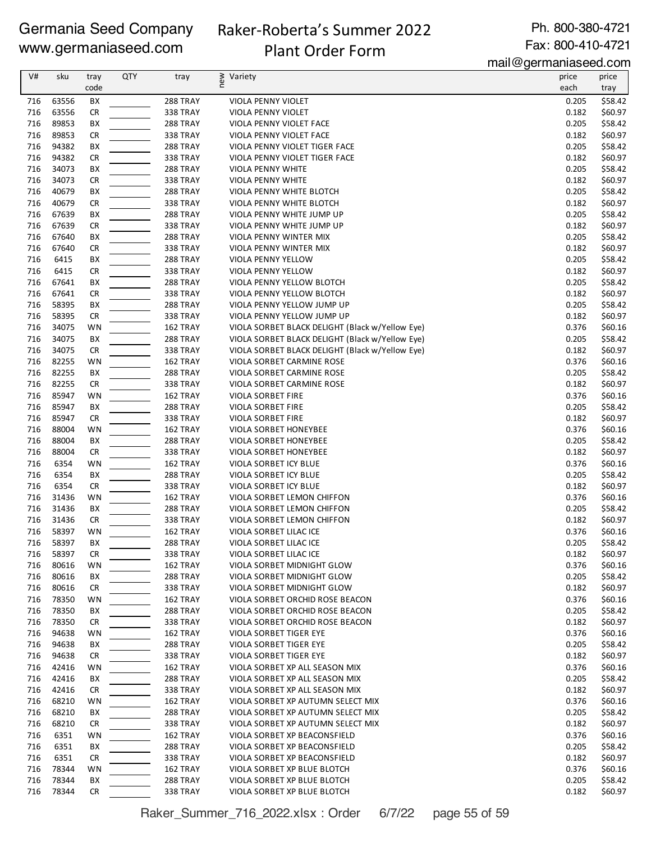# Raker-Roberta's Summer 2022 Plant Order Form

Ph. 800-380-4721 Fax: 800-410-4721

mail@germaniaseed.com

| V#         | sku            |              | <b>QTY</b> |                      | Variety                                                       | $1.1911 - 9$<br>price | .                  |
|------------|----------------|--------------|------------|----------------------|---------------------------------------------------------------|-----------------------|--------------------|
|            |                | tray<br>code |            | tray                 | new                                                           |                       | price              |
|            |                |              |            |                      |                                                               | each                  | tray               |
| 716        | 63556          | BX           |            | 288 TRAY             | VIOLA PENNY VIOLET                                            | 0.205                 | \$58.42            |
| 716        | 63556          | <b>CR</b>    |            | 338 TRAY             | VIOLA PENNY VIOLET                                            | 0.182                 | \$60.97            |
| 716        | 89853          | BX           |            | 288 TRAY             | VIOLA PENNY VIOLET FACE                                       | 0.205                 | \$58.42            |
| 716        | 89853          | <b>CR</b>    |            | <b>338 TRAY</b>      | VIOLA PENNY VIOLET FACE                                       | 0.182                 | \$60.97            |
| 716        | 94382          | BX           |            | 288 TRAY             | VIOLA PENNY VIOLET TIGER FACE                                 | 0.205                 | \$58.42            |
| 716        | 94382          | <b>CR</b>    |            | 338 TRAY             | VIOLA PENNY VIOLET TIGER FACE                                 | 0.182                 | \$60.97            |
| 716        | 34073          | BX           |            | 288 TRAY             | VIOLA PENNY WHITE                                             | 0.205                 | \$58.42            |
| 716        | 34073          | <b>CR</b>    |            | 338 TRAY             | <b>VIOLA PENNY WHITE</b>                                      | 0.182                 | \$60.97            |
| 716        | 40679          | BX           |            | 288 TRAY             | VIOLA PENNY WHITE BLOTCH                                      | 0.205                 | \$58.42            |
| 716        | 40679          | <b>CR</b>    |            | <b>338 TRAY</b>      | VIOLA PENNY WHITE BLOTCH                                      | 0.182                 | \$60.97            |
| 716        | 67639          | BX           |            | <b>288 TRAY</b>      | VIOLA PENNY WHITE JUMP UP                                     | 0.205                 | \$58.42            |
| 716        | 67639          | <b>CR</b>    |            | <b>338 TRAY</b>      | VIOLA PENNY WHITE JUMP UP                                     | 0.182                 | \$60.97            |
| 716        | 67640          | BX           |            | <b>288 TRAY</b>      | VIOLA PENNY WINTER MIX                                        | 0.205                 | \$58.42            |
| 716        | 67640          | <b>CR</b>    |            | <b>338 TRAY</b>      | VIOLA PENNY WINTER MIX                                        | 0.182                 | \$60.97            |
| 716        | 6415           | BX           |            | 288 TRAY             | VIOLA PENNY YELLOW                                            | 0.205                 | \$58.42            |
| 716        | 6415           | <b>CR</b>    |            | <b>338 TRAY</b>      | VIOLA PENNY YELLOW                                            | 0.182                 | \$60.97            |
| 716        | 67641          | BX           |            | 288 TRAY             | VIOLA PENNY YELLOW BLOTCH                                     | 0.205                 | \$58.42            |
| 716        | 67641          | <b>CR</b>    |            | 338 TRAY             | VIOLA PENNY YELLOW BLOTCH                                     | 0.182                 | \$60.97            |
| 716        | 58395          | BX           |            | 288 TRAY             | VIOLA PENNY YELLOW JUMP UP                                    | 0.205                 | \$58.42            |
| 716        | 58395          | <b>CR</b>    |            | <b>338 TRAY</b>      | VIOLA PENNY YELLOW JUMP UP                                    | 0.182                 | \$60.97            |
| 716        | 34075          | WN           |            | 162 TRAY             | VIOLA SORBET BLACK DELIGHT (Black w/Yellow Eye)               | 0.376                 | \$60.16            |
| 716        | 34075          | BX           |            | 288 TRAY             | VIOLA SORBET BLACK DELIGHT (Black w/Yellow Eye)               | 0.205                 | \$58.42            |
| 716        | 34075          | <b>CR</b>    |            | 338 TRAY             | VIOLA SORBET BLACK DELIGHT (Black w/Yellow Eye)               | 0.182                 | \$60.97            |
| 716        | 82255          | WN           |            | 162 TRAY             | VIOLA SORBET CARMINE ROSE                                     | 0.376                 | \$60.16            |
| 716        | 82255          | BX           |            | <b>288 TRAY</b>      | VIOLA SORBET CARMINE ROSE                                     | 0.205                 | \$58.42            |
| 716        | 82255          | <b>CR</b>    |            | <b>338 TRAY</b>      | VIOLA SORBET CARMINE ROSE                                     | 0.182                 | \$60.97            |
| 716        | 85947          | WN           |            | 162 TRAY             | VIOLA SORBET FIRE                                             | 0.376                 | \$60.16            |
| 716        | 85947          | BX           |            | 288 TRAY             | VIOLA SORBET FIRE                                             | 0.205                 | \$58.42            |
| 716        | 85947          | <b>CR</b>    |            | 338 TRAY             | VIOLA SORBET FIRE                                             | 0.182                 | \$60.97            |
| 716        | 88004          | WN           |            | 162 TRAY             | VIOLA SORBET HONEYBEE                                         | 0.376                 | \$60.16            |
| 716        | 88004          | BX           |            | <b>288 TRAY</b>      | VIOLA SORBET HONEYBEE                                         | 0.205                 | \$58.42            |
| 716        | 88004          | <b>CR</b>    |            | 338 TRAY             | VIOLA SORBET HONEYBEE                                         | 0.182                 | \$60.97            |
| 716        | 6354           | WN           |            | 162 TRAY             | VIOLA SORBET ICY BLUE                                         | 0.376                 | \$60.16            |
| 716        | 6354           | BX           |            | <b>288 TRAY</b>      | VIOLA SORBET ICY BLUE                                         | 0.205                 | \$58.42            |
| 716        | 6354           | <b>CR</b>    |            | <b>338 TRAY</b>      | VIOLA SORBET ICY BLUE                                         | 0.182                 | \$60.97            |
| 716        | 31436          | WN           |            | 162 TRAY             | VIOLA SORBET LEMON CHIFFON                                    | 0.376                 | \$60.16            |
| 716        | 31436          | BX           |            | 288 TRAY             | VIOLA SORBET LEMON CHIFFON                                    | 0.205                 | \$58.42            |
| 716        | 31436          | <b>CR</b>    |            | 338 TRAY             | VIOLA SORBET LEMON CHIFFON                                    | 0.182                 | \$60.97            |
| 716        | 58397          | WN           |            | 162 TRAY             | VIOLA SORBET LILAC ICE                                        | 0.376                 | \$60.16            |
| 716        | 58397          | BX           |            | 288 TRAY             | VIOLA SORBET LILAC ICE                                        | 0.205                 | \$58.42            |
| 716        | 58397          | CR           |            | <b>338 TRAY</b>      | VIOLA SORBET LILAC ICE                                        | 0.182                 | \$60.97            |
| 716        | 80616          |              |            | 162 TRAY             | VIOLA SORBET MIDNIGHT GLOW                                    | 0.376                 | \$60.16            |
| 716        | 80616          | WN<br>BХ     |            | 288 TRAY             | VIOLA SORBET MIDNIGHT GLOW                                    | 0.205                 | \$58.42            |
|            |                |              |            |                      |                                                               |                       |                    |
| 716<br>716 | 80616<br>78350 | CR<br>WN     |            | 338 TRAY<br>162 TRAY | VIOLA SORBET MIDNIGHT GLOW<br>VIOLA SORBET ORCHID ROSE BEACON | 0.182<br>0.376        | \$60.97<br>\$60.16 |
|            |                |              |            |                      |                                                               |                       |                    |
| 716        | 78350          | BХ           |            | <b>288 TRAY</b>      | VIOLA SORBET ORCHID ROSE BEACON                               | 0.205                 | \$58.42            |
| 716        | 78350          | CR           |            | 338 TRAY             | VIOLA SORBET ORCHID ROSE BEACON                               | 0.182                 | \$60.97            |
| 716        | 94638          | WN           |            | 162 TRAY             | VIOLA SORBET TIGER EYE                                        | 0.376                 | \$60.16            |
| 716        | 94638          | BХ           |            | 288 TRAY             | VIOLA SORBET TIGER EYE                                        | 0.205                 | \$58.42            |
| 716        | 94638          | CR           |            | <b>338 TRAY</b>      | VIOLA SORBET TIGER EYE                                        | 0.182                 | \$60.97            |
| 716        | 42416          | WN           |            | 162 TRAY             | VIOLA SORBET XP ALL SEASON MIX                                | 0.376                 | \$60.16            |
| 716        | 42416          | BХ           |            | <b>288 TRAY</b>      | VIOLA SORBET XP ALL SEASON MIX                                | 0.205                 | \$58.42            |
| 716        | 42416          | CR           |            | <b>338 TRAY</b>      | VIOLA SORBET XP ALL SEASON MIX                                | 0.182                 | \$60.97            |
| 716        | 68210          | WN           |            | 162 TRAY             | VIOLA SORBET XP AUTUMN SELECT MIX                             | 0.376                 | \$60.16            |
| 716        | 68210          | BX           |            | <b>288 TRAY</b>      | VIOLA SORBET XP AUTUMN SELECT MIX                             | 0.205                 | \$58.42            |
| 716        | 68210          | CR           |            | 338 TRAY             | VIOLA SORBET XP AUTUMN SELECT MIX                             | 0.182                 | \$60.97            |
| 716        | 6351           | WN           |            | 162 TRAY             | VIOLA SORBET XP BEACONSFIELD                                  | 0.376                 | \$60.16            |
| 716        | 6351           | BХ           |            | 288 TRAY             | VIOLA SORBET XP BEACONSFIELD                                  | 0.205                 | \$58.42            |
| 716        | 6351           | CR           |            | <b>338 TRAY</b>      | VIOLA SORBET XP BEACONSFIELD                                  | 0.182                 | \$60.97            |
| 716        | 78344          | WN           |            | 162 TRAY             | VIOLA SORBET XP BLUE BLOTCH                                   | 0.376                 | \$60.16            |
| 716        | 78344          | BХ           |            | <b>288 TRAY</b>      | VIOLA SORBET XP BLUE BLOTCH                                   | 0.205                 | \$58.42            |
| 716        | 78344          | <b>CR</b>    |            | <b>338 TRAY</b>      | VIOLA SORBET XP BLUE BLOTCH                                   | 0.182                 | \$60.97            |

Raker\_Summer\_716\_2022.xlsx : Order 6/7/22 page 55 of 59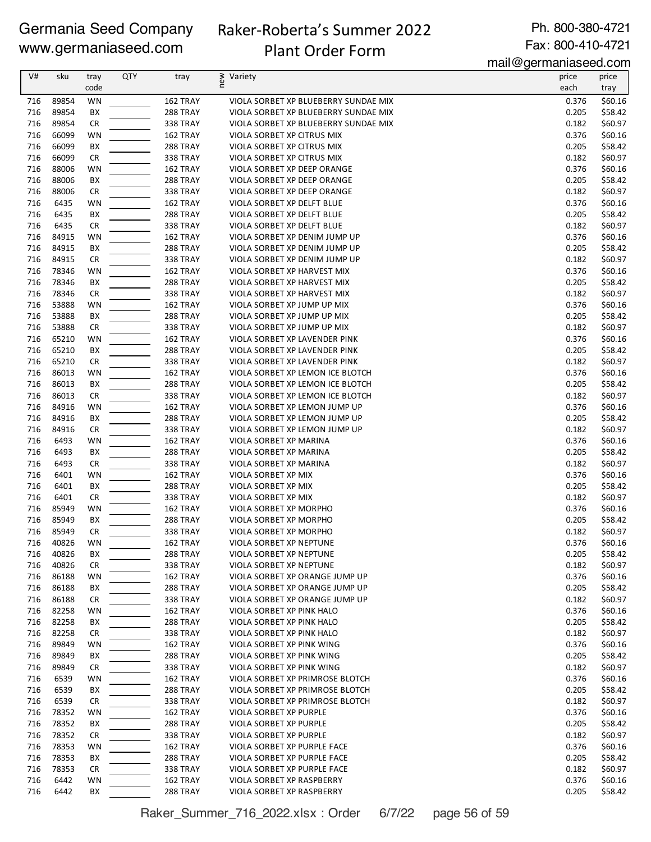### Raker-Roberta's Summer 2022 Plant Order Form

Ph. 800-380-4721 Fax: 800-410-4721

mail@germaniaseed.com

| each<br>code<br>tray<br>89854<br>WN<br>162 TRAY<br>VIOLA SORBET XP BLUEBERRY SUNDAE MIX<br>0.376<br>716<br>89854<br>BX<br>288 TRAY<br>0.205<br>716<br>VIOLA SORBET XP BLUEBERRY SUNDAE MIX<br>89854<br><b>CR</b><br>338 TRAY<br>0.182<br>716<br>VIOLA SORBET XP BLUEBERRY SUNDAE MIX<br>66099<br>0.376<br>716<br>WN<br>162 TRAY<br>VIOLA SORBET XP CITRUS MIX<br>716<br>66099<br>ВX<br>288 TRAY<br>VIOLA SORBET XP CITRUS MIX<br>0.205<br>66099<br><b>CR</b><br>0.182<br>\$60.97<br>716<br>338 TRAY<br>VIOLA SORBET XP CITRUS MIX<br>88006<br>716<br>WN<br>162 TRAY<br>VIOLA SORBET XP DEEP ORANGE<br>0.376<br>0.205<br>716<br>88006<br>ВX<br><b>288 TRAY</b><br>VIOLA SORBET XP DEEP ORANGE<br>\$58.42<br>716<br>88006<br>CR<br><b>338 TRAY</b><br>VIOLA SORBET XP DEEP ORANGE<br>0.182<br>\$60.97<br>6435<br>WN<br>0.376<br>\$60.16<br>716<br>162 TRAY<br>VIOLA SORBET XP DELFT BLUE<br>6435<br>BX<br>0.205<br>716<br>288 TRAY<br>VIOLA SORBET XP DELFT BLUE<br>\$58.42<br>716<br>6435<br><b>CR</b><br>338 TRAY<br>0.182<br>\$60.97<br>VIOLA SORBET XP DELFT BLUE<br>0.376<br>\$60.16<br>716<br>84915<br>WN<br>162 TRAY<br>VIOLA SORBET XP DENIM JUMP UP<br>84915<br>716<br>ВX<br>288 TRAY<br>VIOLA SORBET XP DENIM JUMP UP<br>0.205<br>\$58.42<br>84915<br><b>CR</b><br>0.182<br>\$60.97<br>716<br>338 TRAY<br>VIOLA SORBET XP DENIM JUMP UP<br>78346<br>716<br>WN<br>162 TRAY<br>VIOLA SORBET XP HARVEST MIX<br>0.376<br>\$60.16<br>0.205<br>716<br>78346<br>BX<br><b>288 TRAY</b><br>VIOLA SORBET XP HARVEST MIX<br>\$58.42<br>716<br>78346<br>CR<br><b>338 TRAY</b><br>VIOLA SORBET XP HARVEST MIX<br>0.182<br>\$60.97<br>WN<br>716<br>53888<br>162 TRAY<br>VIOLA SORBET XP JUMP UP MIX<br>0.376<br>\$60.16<br>53888<br>BX<br>0.205<br>\$58.42<br>716<br>288 TRAY<br>VIOLA SORBET XP JUMP UP MIX<br>53888<br>0.182<br>\$60.97<br>716<br>CR<br><b>338 TRAY</b><br>VIOLA SORBET XP JUMP UP MIX<br>716<br>65210<br>0.376<br>\$60.16<br>WN<br>162 TRAY<br>VIOLA SORBET XP LAVENDER PINK<br>716<br>65210<br>0.205<br>ВX<br>288 TRAY<br>VIOLA SORBET XP LAVENDER PINK<br>\$58.42<br>65210<br><b>CR</b><br>0.182<br>716<br><b>338 TRAY</b><br>VIOLA SORBET XP LAVENDER PINK<br>86013<br>716<br>WN<br>162 TRAY<br>VIOLA SORBET XP LEMON ICE BLOTCH<br>0.376<br>86013<br>0.205<br>716<br>ВX<br><b>288 TRAY</b><br>VIOLA SORBET XP LEMON ICE BLOTCH<br>86013<br>716<br>CR<br><b>338 TRAY</b><br>VIOLA SORBET XP LEMON ICE BLOTCH<br>0.182<br>84916<br>WN<br>716<br>162 TRAY<br>VIOLA SORBET XP LEMON JUMP UP<br>0.376<br>716<br>84916<br>BХ<br>288 TRAY<br>VIOLA SORBET XP LEMON JUMP UP<br>0.205<br>84916<br>0.182<br>716<br><b>CR</b><br><b>338 TRAY</b><br>VIOLA SORBET XP LEMON JUMP UP<br>0.376<br>716<br>6493<br>WN<br>162 TRAY<br>VIOLA SORBET XP MARINA<br>716<br>6493<br>BX<br>0.205<br>288 TRAY<br>VIOLA SORBET XP MARINA<br>6493<br><b>CR</b><br>0.182<br>716<br><b>338 TRAY</b><br>VIOLA SORBET XP MARINA<br>0.376<br>716<br>6401<br>WN<br>162 TRAY<br>VIOLA SORBET XP MIX<br>0.205<br>716<br>6401<br>BX<br>288 TRAY<br>VIOLA SORBET XP MIX<br>716<br>6401<br>CR<br><b>338 TRAY</b><br>VIOLA SORBET XP MIX<br>0.182<br>\$60.97<br>\$60.16<br>716<br>85949<br>WN<br>162 TRAY<br>VIOLA SORBET XP MORPHO<br>0.376<br>85949<br>BХ<br>288 TRAY<br>VIOLA SORBET XP MORPHO<br>0.205<br>\$58.42<br>716<br>85949<br>\$60.97<br>716<br>CR<br><b>338 TRAY</b><br>VIOLA SORBET XP MORPHO<br>0.182<br>40826<br>0.376<br>716<br>WN<br>162 TRAY<br>VIOLA SORBET XP NEPTUNE<br>\$60.16<br>40826<br>ВX<br>288 TRAY<br>VIOLA SORBET XP NEPTUNE<br>0.205<br>\$58.42<br>716<br>40826<br><b>CR</b><br>0.182<br>\$60.97<br>716<br>338 TRAY<br>VIOLA SORBET XP NEPTUNE<br>0.376<br>716<br>86188<br>WN<br>162 TRAY<br>\$60.16<br>VIOLA SORBET XP ORANGE JUMP UP<br>0.205<br>716<br>86188<br>288 TRAY<br>VIOLA SORBET XP ORANGE JUMP UP<br>\$58.42<br>BХ<br>716<br>86188<br>338 TRAY<br>0.182<br>\$60.97<br>CR<br>VIOLA SORBET XP ORANGE JUMP UP<br>82258<br>716<br>WN<br>162 TRAY<br>VIOLA SORBET XP PINK HALO<br>0.376<br>\$60.16<br>716<br>82258<br>BХ<br>288 TRAY<br>VIOLA SORBET XP PINK HALO<br>0.205<br>\$58.42<br>716<br>82258<br>CR<br><b>338 TRAY</b><br>VIOLA SORBET XP PINK HALO<br>0.182<br>\$60.97<br>89849<br>WN<br>162 TRAY<br>VIOLA SORBET XP PINK WING<br>0.376<br>\$60.16<br>716<br>89849<br>716<br>BХ<br>288 TRAY<br>VIOLA SORBET XP PINK WING<br>0.205<br>\$58.42<br>716<br>89849<br><b>CR</b><br><b>338 TRAY</b><br>VIOLA SORBET XP PINK WING<br>0.182<br>0.376<br>716<br>6539<br>WN<br>162 TRAY<br>VIOLA SORBET XP PRIMROSE BLOTCH<br>0.205<br>716<br>6539<br>ВX<br>288 TRAY<br>VIOLA SORBET XP PRIMROSE BLOTCH<br>716<br>6539<br><b>CR</b><br>338 TRAY<br>0.182<br>VIOLA SORBET XP PRIMROSE BLOTCH<br>78352<br>WN<br>0.376<br>716<br>162 TRAY<br>VIOLA SORBET XP PURPLE<br>78352<br>0.205<br>716<br>BХ<br>288 TRAY<br>VIOLA SORBET XP PURPLE<br>78352<br><b>338 TRAY</b><br>VIOLA SORBET XP PURPLE<br>0.182<br>716<br>CR<br>716<br>78353<br>WN<br>162 TRAY<br>VIOLA SORBET XP PURPLE FACE<br>0.376<br>716<br>78353<br>ВX<br>288 TRAY<br>0.205<br>VIOLA SORBET XP PURPLE FACE<br>78353<br>716<br><b>CR</b><br><b>338 TRAY</b><br>VIOLA SORBET XP PURPLE FACE<br>0.182<br>6442<br>0.376<br>716<br>WN<br>162 TRAY<br>VIOLA SORBET XP RASPBERRY<br>716<br>6442<br>BХ<br>288 TRAY<br>VIOLA SORBET XP RASPBERRY<br>0.205 | V# | sku | tray | QTY | tray | new<br>Variety | price | price   |
|---------------------------------------------------------------------------------------------------------------------------------------------------------------------------------------------------------------------------------------------------------------------------------------------------------------------------------------------------------------------------------------------------------------------------------------------------------------------------------------------------------------------------------------------------------------------------------------------------------------------------------------------------------------------------------------------------------------------------------------------------------------------------------------------------------------------------------------------------------------------------------------------------------------------------------------------------------------------------------------------------------------------------------------------------------------------------------------------------------------------------------------------------------------------------------------------------------------------------------------------------------------------------------------------------------------------------------------------------------------------------------------------------------------------------------------------------------------------------------------------------------------------------------------------------------------------------------------------------------------------------------------------------------------------------------------------------------------------------------------------------------------------------------------------------------------------------------------------------------------------------------------------------------------------------------------------------------------------------------------------------------------------------------------------------------------------------------------------------------------------------------------------------------------------------------------------------------------------------------------------------------------------------------------------------------------------------------------------------------------------------------------------------------------------------------------------------------------------------------------------------------------------------------------------------------------------------------------------------------------------------------------------------------------------------------------------------------------------------------------------------------------------------------------------------------------------------------------------------------------------------------------------------------------------------------------------------------------------------------------------------------------------------------------------------------------------------------------------------------------------------------------------------------------------------------------------------------------------------------------------------------------------------------------------------------------------------------------------------------------------------------------------------------------------------------------------------------------------------------------------------------------------------------------------------------------------------------------------------------------------------------------------------------------------------------------------------------------------------------------------------------------------------------------------------------------------------------------------------------------------------------------------------------------------------------------------------------------------------------------------------------------------------------------------------------------------------------------------------------------------------------------------------------------------------------------------------------------------------------------------------------------------------------------------------------------------------------------------------------------------------------------------------------------------------------------------------------------------------------------------------------------------------------------------------------------------------------------------------------------------------------------------------------------------------------------------------------------------------------------------------------------------------------------------------------------------------------------------------------------------------------------------------------------------------------------------------------------------------------------------------------------------------------------------------------------------------------------------------------------------------------------------------------------------------------------------------------------------------------------------------------------------------------------------------------------------------|----|-----|------|-----|------|----------------|-------|---------|
|                                                                                                                                                                                                                                                                                                                                                                                                                                                                                                                                                                                                                                                                                                                                                                                                                                                                                                                                                                                                                                                                                                                                                                                                                                                                                                                                                                                                                                                                                                                                                                                                                                                                                                                                                                                                                                                                                                                                                                                                                                                                                                                                                                                                                                                                                                                                                                                                                                                                                                                                                                                                                                                                                                                                                                                                                                                                                                                                                                                                                                                                                                                                                                                                                                                                                                                                                                                                                                                                                                                                                                                                                                                                                                                                                                                                                                                                                                                                                                                                                                                                                                                                                                                                                                                                                                                                                                                                                                                                                                                                                                                                                                                                                                                                                                                                                                                                                                                                                                                                                                                                                                                                                                                                                                                                                                                           |    |     |      |     |      |                |       |         |
|                                                                                                                                                                                                                                                                                                                                                                                                                                                                                                                                                                                                                                                                                                                                                                                                                                                                                                                                                                                                                                                                                                                                                                                                                                                                                                                                                                                                                                                                                                                                                                                                                                                                                                                                                                                                                                                                                                                                                                                                                                                                                                                                                                                                                                                                                                                                                                                                                                                                                                                                                                                                                                                                                                                                                                                                                                                                                                                                                                                                                                                                                                                                                                                                                                                                                                                                                                                                                                                                                                                                                                                                                                                                                                                                                                                                                                                                                                                                                                                                                                                                                                                                                                                                                                                                                                                                                                                                                                                                                                                                                                                                                                                                                                                                                                                                                                                                                                                                                                                                                                                                                                                                                                                                                                                                                                                           |    |     |      |     |      |                |       | \$60.16 |
|                                                                                                                                                                                                                                                                                                                                                                                                                                                                                                                                                                                                                                                                                                                                                                                                                                                                                                                                                                                                                                                                                                                                                                                                                                                                                                                                                                                                                                                                                                                                                                                                                                                                                                                                                                                                                                                                                                                                                                                                                                                                                                                                                                                                                                                                                                                                                                                                                                                                                                                                                                                                                                                                                                                                                                                                                                                                                                                                                                                                                                                                                                                                                                                                                                                                                                                                                                                                                                                                                                                                                                                                                                                                                                                                                                                                                                                                                                                                                                                                                                                                                                                                                                                                                                                                                                                                                                                                                                                                                                                                                                                                                                                                                                                                                                                                                                                                                                                                                                                                                                                                                                                                                                                                                                                                                                                           |    |     |      |     |      |                |       | \$58.42 |
|                                                                                                                                                                                                                                                                                                                                                                                                                                                                                                                                                                                                                                                                                                                                                                                                                                                                                                                                                                                                                                                                                                                                                                                                                                                                                                                                                                                                                                                                                                                                                                                                                                                                                                                                                                                                                                                                                                                                                                                                                                                                                                                                                                                                                                                                                                                                                                                                                                                                                                                                                                                                                                                                                                                                                                                                                                                                                                                                                                                                                                                                                                                                                                                                                                                                                                                                                                                                                                                                                                                                                                                                                                                                                                                                                                                                                                                                                                                                                                                                                                                                                                                                                                                                                                                                                                                                                                                                                                                                                                                                                                                                                                                                                                                                                                                                                                                                                                                                                                                                                                                                                                                                                                                                                                                                                                                           |    |     |      |     |      |                |       | \$60.97 |
|                                                                                                                                                                                                                                                                                                                                                                                                                                                                                                                                                                                                                                                                                                                                                                                                                                                                                                                                                                                                                                                                                                                                                                                                                                                                                                                                                                                                                                                                                                                                                                                                                                                                                                                                                                                                                                                                                                                                                                                                                                                                                                                                                                                                                                                                                                                                                                                                                                                                                                                                                                                                                                                                                                                                                                                                                                                                                                                                                                                                                                                                                                                                                                                                                                                                                                                                                                                                                                                                                                                                                                                                                                                                                                                                                                                                                                                                                                                                                                                                                                                                                                                                                                                                                                                                                                                                                                                                                                                                                                                                                                                                                                                                                                                                                                                                                                                                                                                                                                                                                                                                                                                                                                                                                                                                                                                           |    |     |      |     |      |                |       | \$60.16 |
|                                                                                                                                                                                                                                                                                                                                                                                                                                                                                                                                                                                                                                                                                                                                                                                                                                                                                                                                                                                                                                                                                                                                                                                                                                                                                                                                                                                                                                                                                                                                                                                                                                                                                                                                                                                                                                                                                                                                                                                                                                                                                                                                                                                                                                                                                                                                                                                                                                                                                                                                                                                                                                                                                                                                                                                                                                                                                                                                                                                                                                                                                                                                                                                                                                                                                                                                                                                                                                                                                                                                                                                                                                                                                                                                                                                                                                                                                                                                                                                                                                                                                                                                                                                                                                                                                                                                                                                                                                                                                                                                                                                                                                                                                                                                                                                                                                                                                                                                                                                                                                                                                                                                                                                                                                                                                                                           |    |     |      |     |      |                |       | \$58.42 |
|                                                                                                                                                                                                                                                                                                                                                                                                                                                                                                                                                                                                                                                                                                                                                                                                                                                                                                                                                                                                                                                                                                                                                                                                                                                                                                                                                                                                                                                                                                                                                                                                                                                                                                                                                                                                                                                                                                                                                                                                                                                                                                                                                                                                                                                                                                                                                                                                                                                                                                                                                                                                                                                                                                                                                                                                                                                                                                                                                                                                                                                                                                                                                                                                                                                                                                                                                                                                                                                                                                                                                                                                                                                                                                                                                                                                                                                                                                                                                                                                                                                                                                                                                                                                                                                                                                                                                                                                                                                                                                                                                                                                                                                                                                                                                                                                                                                                                                                                                                                                                                                                                                                                                                                                                                                                                                                           |    |     |      |     |      |                |       |         |
|                                                                                                                                                                                                                                                                                                                                                                                                                                                                                                                                                                                                                                                                                                                                                                                                                                                                                                                                                                                                                                                                                                                                                                                                                                                                                                                                                                                                                                                                                                                                                                                                                                                                                                                                                                                                                                                                                                                                                                                                                                                                                                                                                                                                                                                                                                                                                                                                                                                                                                                                                                                                                                                                                                                                                                                                                                                                                                                                                                                                                                                                                                                                                                                                                                                                                                                                                                                                                                                                                                                                                                                                                                                                                                                                                                                                                                                                                                                                                                                                                                                                                                                                                                                                                                                                                                                                                                                                                                                                                                                                                                                                                                                                                                                                                                                                                                                                                                                                                                                                                                                                                                                                                                                                                                                                                                                           |    |     |      |     |      |                |       | \$60.16 |
|                                                                                                                                                                                                                                                                                                                                                                                                                                                                                                                                                                                                                                                                                                                                                                                                                                                                                                                                                                                                                                                                                                                                                                                                                                                                                                                                                                                                                                                                                                                                                                                                                                                                                                                                                                                                                                                                                                                                                                                                                                                                                                                                                                                                                                                                                                                                                                                                                                                                                                                                                                                                                                                                                                                                                                                                                                                                                                                                                                                                                                                                                                                                                                                                                                                                                                                                                                                                                                                                                                                                                                                                                                                                                                                                                                                                                                                                                                                                                                                                                                                                                                                                                                                                                                                                                                                                                                                                                                                                                                                                                                                                                                                                                                                                                                                                                                                                                                                                                                                                                                                                                                                                                                                                                                                                                                                           |    |     |      |     |      |                |       |         |
|                                                                                                                                                                                                                                                                                                                                                                                                                                                                                                                                                                                                                                                                                                                                                                                                                                                                                                                                                                                                                                                                                                                                                                                                                                                                                                                                                                                                                                                                                                                                                                                                                                                                                                                                                                                                                                                                                                                                                                                                                                                                                                                                                                                                                                                                                                                                                                                                                                                                                                                                                                                                                                                                                                                                                                                                                                                                                                                                                                                                                                                                                                                                                                                                                                                                                                                                                                                                                                                                                                                                                                                                                                                                                                                                                                                                                                                                                                                                                                                                                                                                                                                                                                                                                                                                                                                                                                                                                                                                                                                                                                                                                                                                                                                                                                                                                                                                                                                                                                                                                                                                                                                                                                                                                                                                                                                           |    |     |      |     |      |                |       |         |
|                                                                                                                                                                                                                                                                                                                                                                                                                                                                                                                                                                                                                                                                                                                                                                                                                                                                                                                                                                                                                                                                                                                                                                                                                                                                                                                                                                                                                                                                                                                                                                                                                                                                                                                                                                                                                                                                                                                                                                                                                                                                                                                                                                                                                                                                                                                                                                                                                                                                                                                                                                                                                                                                                                                                                                                                                                                                                                                                                                                                                                                                                                                                                                                                                                                                                                                                                                                                                                                                                                                                                                                                                                                                                                                                                                                                                                                                                                                                                                                                                                                                                                                                                                                                                                                                                                                                                                                                                                                                                                                                                                                                                                                                                                                                                                                                                                                                                                                                                                                                                                                                                                                                                                                                                                                                                                                           |    |     |      |     |      |                |       |         |
|                                                                                                                                                                                                                                                                                                                                                                                                                                                                                                                                                                                                                                                                                                                                                                                                                                                                                                                                                                                                                                                                                                                                                                                                                                                                                                                                                                                                                                                                                                                                                                                                                                                                                                                                                                                                                                                                                                                                                                                                                                                                                                                                                                                                                                                                                                                                                                                                                                                                                                                                                                                                                                                                                                                                                                                                                                                                                                                                                                                                                                                                                                                                                                                                                                                                                                                                                                                                                                                                                                                                                                                                                                                                                                                                                                                                                                                                                                                                                                                                                                                                                                                                                                                                                                                                                                                                                                                                                                                                                                                                                                                                                                                                                                                                                                                                                                                                                                                                                                                                                                                                                                                                                                                                                                                                                                                           |    |     |      |     |      |                |       |         |
|                                                                                                                                                                                                                                                                                                                                                                                                                                                                                                                                                                                                                                                                                                                                                                                                                                                                                                                                                                                                                                                                                                                                                                                                                                                                                                                                                                                                                                                                                                                                                                                                                                                                                                                                                                                                                                                                                                                                                                                                                                                                                                                                                                                                                                                                                                                                                                                                                                                                                                                                                                                                                                                                                                                                                                                                                                                                                                                                                                                                                                                                                                                                                                                                                                                                                                                                                                                                                                                                                                                                                                                                                                                                                                                                                                                                                                                                                                                                                                                                                                                                                                                                                                                                                                                                                                                                                                                                                                                                                                                                                                                                                                                                                                                                                                                                                                                                                                                                                                                                                                                                                                                                                                                                                                                                                                                           |    |     |      |     |      |                |       |         |
|                                                                                                                                                                                                                                                                                                                                                                                                                                                                                                                                                                                                                                                                                                                                                                                                                                                                                                                                                                                                                                                                                                                                                                                                                                                                                                                                                                                                                                                                                                                                                                                                                                                                                                                                                                                                                                                                                                                                                                                                                                                                                                                                                                                                                                                                                                                                                                                                                                                                                                                                                                                                                                                                                                                                                                                                                                                                                                                                                                                                                                                                                                                                                                                                                                                                                                                                                                                                                                                                                                                                                                                                                                                                                                                                                                                                                                                                                                                                                                                                                                                                                                                                                                                                                                                                                                                                                                                                                                                                                                                                                                                                                                                                                                                                                                                                                                                                                                                                                                                                                                                                                                                                                                                                                                                                                                                           |    |     |      |     |      |                |       |         |
|                                                                                                                                                                                                                                                                                                                                                                                                                                                                                                                                                                                                                                                                                                                                                                                                                                                                                                                                                                                                                                                                                                                                                                                                                                                                                                                                                                                                                                                                                                                                                                                                                                                                                                                                                                                                                                                                                                                                                                                                                                                                                                                                                                                                                                                                                                                                                                                                                                                                                                                                                                                                                                                                                                                                                                                                                                                                                                                                                                                                                                                                                                                                                                                                                                                                                                                                                                                                                                                                                                                                                                                                                                                                                                                                                                                                                                                                                                                                                                                                                                                                                                                                                                                                                                                                                                                                                                                                                                                                                                                                                                                                                                                                                                                                                                                                                                                                                                                                                                                                                                                                                                                                                                                                                                                                                                                           |    |     |      |     |      |                |       |         |
|                                                                                                                                                                                                                                                                                                                                                                                                                                                                                                                                                                                                                                                                                                                                                                                                                                                                                                                                                                                                                                                                                                                                                                                                                                                                                                                                                                                                                                                                                                                                                                                                                                                                                                                                                                                                                                                                                                                                                                                                                                                                                                                                                                                                                                                                                                                                                                                                                                                                                                                                                                                                                                                                                                                                                                                                                                                                                                                                                                                                                                                                                                                                                                                                                                                                                                                                                                                                                                                                                                                                                                                                                                                                                                                                                                                                                                                                                                                                                                                                                                                                                                                                                                                                                                                                                                                                                                                                                                                                                                                                                                                                                                                                                                                                                                                                                                                                                                                                                                                                                                                                                                                                                                                                                                                                                                                           |    |     |      |     |      |                |       |         |
|                                                                                                                                                                                                                                                                                                                                                                                                                                                                                                                                                                                                                                                                                                                                                                                                                                                                                                                                                                                                                                                                                                                                                                                                                                                                                                                                                                                                                                                                                                                                                                                                                                                                                                                                                                                                                                                                                                                                                                                                                                                                                                                                                                                                                                                                                                                                                                                                                                                                                                                                                                                                                                                                                                                                                                                                                                                                                                                                                                                                                                                                                                                                                                                                                                                                                                                                                                                                                                                                                                                                                                                                                                                                                                                                                                                                                                                                                                                                                                                                                                                                                                                                                                                                                                                                                                                                                                                                                                                                                                                                                                                                                                                                                                                                                                                                                                                                                                                                                                                                                                                                                                                                                                                                                                                                                                                           |    |     |      |     |      |                |       |         |
|                                                                                                                                                                                                                                                                                                                                                                                                                                                                                                                                                                                                                                                                                                                                                                                                                                                                                                                                                                                                                                                                                                                                                                                                                                                                                                                                                                                                                                                                                                                                                                                                                                                                                                                                                                                                                                                                                                                                                                                                                                                                                                                                                                                                                                                                                                                                                                                                                                                                                                                                                                                                                                                                                                                                                                                                                                                                                                                                                                                                                                                                                                                                                                                                                                                                                                                                                                                                                                                                                                                                                                                                                                                                                                                                                                                                                                                                                                                                                                                                                                                                                                                                                                                                                                                                                                                                                                                                                                                                                                                                                                                                                                                                                                                                                                                                                                                                                                                                                                                                                                                                                                                                                                                                                                                                                                                           |    |     |      |     |      |                |       |         |
|                                                                                                                                                                                                                                                                                                                                                                                                                                                                                                                                                                                                                                                                                                                                                                                                                                                                                                                                                                                                                                                                                                                                                                                                                                                                                                                                                                                                                                                                                                                                                                                                                                                                                                                                                                                                                                                                                                                                                                                                                                                                                                                                                                                                                                                                                                                                                                                                                                                                                                                                                                                                                                                                                                                                                                                                                                                                                                                                                                                                                                                                                                                                                                                                                                                                                                                                                                                                                                                                                                                                                                                                                                                                                                                                                                                                                                                                                                                                                                                                                                                                                                                                                                                                                                                                                                                                                                                                                                                                                                                                                                                                                                                                                                                                                                                                                                                                                                                                                                                                                                                                                                                                                                                                                                                                                                                           |    |     |      |     |      |                |       |         |
|                                                                                                                                                                                                                                                                                                                                                                                                                                                                                                                                                                                                                                                                                                                                                                                                                                                                                                                                                                                                                                                                                                                                                                                                                                                                                                                                                                                                                                                                                                                                                                                                                                                                                                                                                                                                                                                                                                                                                                                                                                                                                                                                                                                                                                                                                                                                                                                                                                                                                                                                                                                                                                                                                                                                                                                                                                                                                                                                                                                                                                                                                                                                                                                                                                                                                                                                                                                                                                                                                                                                                                                                                                                                                                                                                                                                                                                                                                                                                                                                                                                                                                                                                                                                                                                                                                                                                                                                                                                                                                                                                                                                                                                                                                                                                                                                                                                                                                                                                                                                                                                                                                                                                                                                                                                                                                                           |    |     |      |     |      |                |       |         |
|                                                                                                                                                                                                                                                                                                                                                                                                                                                                                                                                                                                                                                                                                                                                                                                                                                                                                                                                                                                                                                                                                                                                                                                                                                                                                                                                                                                                                                                                                                                                                                                                                                                                                                                                                                                                                                                                                                                                                                                                                                                                                                                                                                                                                                                                                                                                                                                                                                                                                                                                                                                                                                                                                                                                                                                                                                                                                                                                                                                                                                                                                                                                                                                                                                                                                                                                                                                                                                                                                                                                                                                                                                                                                                                                                                                                                                                                                                                                                                                                                                                                                                                                                                                                                                                                                                                                                                                                                                                                                                                                                                                                                                                                                                                                                                                                                                                                                                                                                                                                                                                                                                                                                                                                                                                                                                                           |    |     |      |     |      |                |       |         |
|                                                                                                                                                                                                                                                                                                                                                                                                                                                                                                                                                                                                                                                                                                                                                                                                                                                                                                                                                                                                                                                                                                                                                                                                                                                                                                                                                                                                                                                                                                                                                                                                                                                                                                                                                                                                                                                                                                                                                                                                                                                                                                                                                                                                                                                                                                                                                                                                                                                                                                                                                                                                                                                                                                                                                                                                                                                                                                                                                                                                                                                                                                                                                                                                                                                                                                                                                                                                                                                                                                                                                                                                                                                                                                                                                                                                                                                                                                                                                                                                                                                                                                                                                                                                                                                                                                                                                                                                                                                                                                                                                                                                                                                                                                                                                                                                                                                                                                                                                                                                                                                                                                                                                                                                                                                                                                                           |    |     |      |     |      |                |       |         |
|                                                                                                                                                                                                                                                                                                                                                                                                                                                                                                                                                                                                                                                                                                                                                                                                                                                                                                                                                                                                                                                                                                                                                                                                                                                                                                                                                                                                                                                                                                                                                                                                                                                                                                                                                                                                                                                                                                                                                                                                                                                                                                                                                                                                                                                                                                                                                                                                                                                                                                                                                                                                                                                                                                                                                                                                                                                                                                                                                                                                                                                                                                                                                                                                                                                                                                                                                                                                                                                                                                                                                                                                                                                                                                                                                                                                                                                                                                                                                                                                                                                                                                                                                                                                                                                                                                                                                                                                                                                                                                                                                                                                                                                                                                                                                                                                                                                                                                                                                                                                                                                                                                                                                                                                                                                                                                                           |    |     |      |     |      |                |       |         |
|                                                                                                                                                                                                                                                                                                                                                                                                                                                                                                                                                                                                                                                                                                                                                                                                                                                                                                                                                                                                                                                                                                                                                                                                                                                                                                                                                                                                                                                                                                                                                                                                                                                                                                                                                                                                                                                                                                                                                                                                                                                                                                                                                                                                                                                                                                                                                                                                                                                                                                                                                                                                                                                                                                                                                                                                                                                                                                                                                                                                                                                                                                                                                                                                                                                                                                                                                                                                                                                                                                                                                                                                                                                                                                                                                                                                                                                                                                                                                                                                                                                                                                                                                                                                                                                                                                                                                                                                                                                                                                                                                                                                                                                                                                                                                                                                                                                                                                                                                                                                                                                                                                                                                                                                                                                                                                                           |    |     |      |     |      |                |       | \$60.97 |
|                                                                                                                                                                                                                                                                                                                                                                                                                                                                                                                                                                                                                                                                                                                                                                                                                                                                                                                                                                                                                                                                                                                                                                                                                                                                                                                                                                                                                                                                                                                                                                                                                                                                                                                                                                                                                                                                                                                                                                                                                                                                                                                                                                                                                                                                                                                                                                                                                                                                                                                                                                                                                                                                                                                                                                                                                                                                                                                                                                                                                                                                                                                                                                                                                                                                                                                                                                                                                                                                                                                                                                                                                                                                                                                                                                                                                                                                                                                                                                                                                                                                                                                                                                                                                                                                                                                                                                                                                                                                                                                                                                                                                                                                                                                                                                                                                                                                                                                                                                                                                                                                                                                                                                                                                                                                                                                           |    |     |      |     |      |                |       | \$60.16 |
|                                                                                                                                                                                                                                                                                                                                                                                                                                                                                                                                                                                                                                                                                                                                                                                                                                                                                                                                                                                                                                                                                                                                                                                                                                                                                                                                                                                                                                                                                                                                                                                                                                                                                                                                                                                                                                                                                                                                                                                                                                                                                                                                                                                                                                                                                                                                                                                                                                                                                                                                                                                                                                                                                                                                                                                                                                                                                                                                                                                                                                                                                                                                                                                                                                                                                                                                                                                                                                                                                                                                                                                                                                                                                                                                                                                                                                                                                                                                                                                                                                                                                                                                                                                                                                                                                                                                                                                                                                                                                                                                                                                                                                                                                                                                                                                                                                                                                                                                                                                                                                                                                                                                                                                                                                                                                                                           |    |     |      |     |      |                |       | \$58.42 |
|                                                                                                                                                                                                                                                                                                                                                                                                                                                                                                                                                                                                                                                                                                                                                                                                                                                                                                                                                                                                                                                                                                                                                                                                                                                                                                                                                                                                                                                                                                                                                                                                                                                                                                                                                                                                                                                                                                                                                                                                                                                                                                                                                                                                                                                                                                                                                                                                                                                                                                                                                                                                                                                                                                                                                                                                                                                                                                                                                                                                                                                                                                                                                                                                                                                                                                                                                                                                                                                                                                                                                                                                                                                                                                                                                                                                                                                                                                                                                                                                                                                                                                                                                                                                                                                                                                                                                                                                                                                                                                                                                                                                                                                                                                                                                                                                                                                                                                                                                                                                                                                                                                                                                                                                                                                                                                                           |    |     |      |     |      |                |       | \$60.97 |
|                                                                                                                                                                                                                                                                                                                                                                                                                                                                                                                                                                                                                                                                                                                                                                                                                                                                                                                                                                                                                                                                                                                                                                                                                                                                                                                                                                                                                                                                                                                                                                                                                                                                                                                                                                                                                                                                                                                                                                                                                                                                                                                                                                                                                                                                                                                                                                                                                                                                                                                                                                                                                                                                                                                                                                                                                                                                                                                                                                                                                                                                                                                                                                                                                                                                                                                                                                                                                                                                                                                                                                                                                                                                                                                                                                                                                                                                                                                                                                                                                                                                                                                                                                                                                                                                                                                                                                                                                                                                                                                                                                                                                                                                                                                                                                                                                                                                                                                                                                                                                                                                                                                                                                                                                                                                                                                           |    |     |      |     |      |                |       | \$60.16 |
|                                                                                                                                                                                                                                                                                                                                                                                                                                                                                                                                                                                                                                                                                                                                                                                                                                                                                                                                                                                                                                                                                                                                                                                                                                                                                                                                                                                                                                                                                                                                                                                                                                                                                                                                                                                                                                                                                                                                                                                                                                                                                                                                                                                                                                                                                                                                                                                                                                                                                                                                                                                                                                                                                                                                                                                                                                                                                                                                                                                                                                                                                                                                                                                                                                                                                                                                                                                                                                                                                                                                                                                                                                                                                                                                                                                                                                                                                                                                                                                                                                                                                                                                                                                                                                                                                                                                                                                                                                                                                                                                                                                                                                                                                                                                                                                                                                                                                                                                                                                                                                                                                                                                                                                                                                                                                                                           |    |     |      |     |      |                |       | \$58.42 |
|                                                                                                                                                                                                                                                                                                                                                                                                                                                                                                                                                                                                                                                                                                                                                                                                                                                                                                                                                                                                                                                                                                                                                                                                                                                                                                                                                                                                                                                                                                                                                                                                                                                                                                                                                                                                                                                                                                                                                                                                                                                                                                                                                                                                                                                                                                                                                                                                                                                                                                                                                                                                                                                                                                                                                                                                                                                                                                                                                                                                                                                                                                                                                                                                                                                                                                                                                                                                                                                                                                                                                                                                                                                                                                                                                                                                                                                                                                                                                                                                                                                                                                                                                                                                                                                                                                                                                                                                                                                                                                                                                                                                                                                                                                                                                                                                                                                                                                                                                                                                                                                                                                                                                                                                                                                                                                                           |    |     |      |     |      |                |       | \$60.97 |
|                                                                                                                                                                                                                                                                                                                                                                                                                                                                                                                                                                                                                                                                                                                                                                                                                                                                                                                                                                                                                                                                                                                                                                                                                                                                                                                                                                                                                                                                                                                                                                                                                                                                                                                                                                                                                                                                                                                                                                                                                                                                                                                                                                                                                                                                                                                                                                                                                                                                                                                                                                                                                                                                                                                                                                                                                                                                                                                                                                                                                                                                                                                                                                                                                                                                                                                                                                                                                                                                                                                                                                                                                                                                                                                                                                                                                                                                                                                                                                                                                                                                                                                                                                                                                                                                                                                                                                                                                                                                                                                                                                                                                                                                                                                                                                                                                                                                                                                                                                                                                                                                                                                                                                                                                                                                                                                           |    |     |      |     |      |                |       | \$60.16 |
|                                                                                                                                                                                                                                                                                                                                                                                                                                                                                                                                                                                                                                                                                                                                                                                                                                                                                                                                                                                                                                                                                                                                                                                                                                                                                                                                                                                                                                                                                                                                                                                                                                                                                                                                                                                                                                                                                                                                                                                                                                                                                                                                                                                                                                                                                                                                                                                                                                                                                                                                                                                                                                                                                                                                                                                                                                                                                                                                                                                                                                                                                                                                                                                                                                                                                                                                                                                                                                                                                                                                                                                                                                                                                                                                                                                                                                                                                                                                                                                                                                                                                                                                                                                                                                                                                                                                                                                                                                                                                                                                                                                                                                                                                                                                                                                                                                                                                                                                                                                                                                                                                                                                                                                                                                                                                                                           |    |     |      |     |      |                |       | \$58.42 |
|                                                                                                                                                                                                                                                                                                                                                                                                                                                                                                                                                                                                                                                                                                                                                                                                                                                                                                                                                                                                                                                                                                                                                                                                                                                                                                                                                                                                                                                                                                                                                                                                                                                                                                                                                                                                                                                                                                                                                                                                                                                                                                                                                                                                                                                                                                                                                                                                                                                                                                                                                                                                                                                                                                                                                                                                                                                                                                                                                                                                                                                                                                                                                                                                                                                                                                                                                                                                                                                                                                                                                                                                                                                                                                                                                                                                                                                                                                                                                                                                                                                                                                                                                                                                                                                                                                                                                                                                                                                                                                                                                                                                                                                                                                                                                                                                                                                                                                                                                                                                                                                                                                                                                                                                                                                                                                                           |    |     |      |     |      |                |       | \$60.97 |
|                                                                                                                                                                                                                                                                                                                                                                                                                                                                                                                                                                                                                                                                                                                                                                                                                                                                                                                                                                                                                                                                                                                                                                                                                                                                                                                                                                                                                                                                                                                                                                                                                                                                                                                                                                                                                                                                                                                                                                                                                                                                                                                                                                                                                                                                                                                                                                                                                                                                                                                                                                                                                                                                                                                                                                                                                                                                                                                                                                                                                                                                                                                                                                                                                                                                                                                                                                                                                                                                                                                                                                                                                                                                                                                                                                                                                                                                                                                                                                                                                                                                                                                                                                                                                                                                                                                                                                                                                                                                                                                                                                                                                                                                                                                                                                                                                                                                                                                                                                                                                                                                                                                                                                                                                                                                                                                           |    |     |      |     |      |                |       | \$60.16 |
|                                                                                                                                                                                                                                                                                                                                                                                                                                                                                                                                                                                                                                                                                                                                                                                                                                                                                                                                                                                                                                                                                                                                                                                                                                                                                                                                                                                                                                                                                                                                                                                                                                                                                                                                                                                                                                                                                                                                                                                                                                                                                                                                                                                                                                                                                                                                                                                                                                                                                                                                                                                                                                                                                                                                                                                                                                                                                                                                                                                                                                                                                                                                                                                                                                                                                                                                                                                                                                                                                                                                                                                                                                                                                                                                                                                                                                                                                                                                                                                                                                                                                                                                                                                                                                                                                                                                                                                                                                                                                                                                                                                                                                                                                                                                                                                                                                                                                                                                                                                                                                                                                                                                                                                                                                                                                                                           |    |     |      |     |      |                |       | \$58.42 |
|                                                                                                                                                                                                                                                                                                                                                                                                                                                                                                                                                                                                                                                                                                                                                                                                                                                                                                                                                                                                                                                                                                                                                                                                                                                                                                                                                                                                                                                                                                                                                                                                                                                                                                                                                                                                                                                                                                                                                                                                                                                                                                                                                                                                                                                                                                                                                                                                                                                                                                                                                                                                                                                                                                                                                                                                                                                                                                                                                                                                                                                                                                                                                                                                                                                                                                                                                                                                                                                                                                                                                                                                                                                                                                                                                                                                                                                                                                                                                                                                                                                                                                                                                                                                                                                                                                                                                                                                                                                                                                                                                                                                                                                                                                                                                                                                                                                                                                                                                                                                                                                                                                                                                                                                                                                                                                                           |    |     |      |     |      |                |       |         |
|                                                                                                                                                                                                                                                                                                                                                                                                                                                                                                                                                                                                                                                                                                                                                                                                                                                                                                                                                                                                                                                                                                                                                                                                                                                                                                                                                                                                                                                                                                                                                                                                                                                                                                                                                                                                                                                                                                                                                                                                                                                                                                                                                                                                                                                                                                                                                                                                                                                                                                                                                                                                                                                                                                                                                                                                                                                                                                                                                                                                                                                                                                                                                                                                                                                                                                                                                                                                                                                                                                                                                                                                                                                                                                                                                                                                                                                                                                                                                                                                                                                                                                                                                                                                                                                                                                                                                                                                                                                                                                                                                                                                                                                                                                                                                                                                                                                                                                                                                                                                                                                                                                                                                                                                                                                                                                                           |    |     |      |     |      |                |       |         |
|                                                                                                                                                                                                                                                                                                                                                                                                                                                                                                                                                                                                                                                                                                                                                                                                                                                                                                                                                                                                                                                                                                                                                                                                                                                                                                                                                                                                                                                                                                                                                                                                                                                                                                                                                                                                                                                                                                                                                                                                                                                                                                                                                                                                                                                                                                                                                                                                                                                                                                                                                                                                                                                                                                                                                                                                                                                                                                                                                                                                                                                                                                                                                                                                                                                                                                                                                                                                                                                                                                                                                                                                                                                                                                                                                                                                                                                                                                                                                                                                                                                                                                                                                                                                                                                                                                                                                                                                                                                                                                                                                                                                                                                                                                                                                                                                                                                                                                                                                                                                                                                                                                                                                                                                                                                                                                                           |    |     |      |     |      |                |       |         |
|                                                                                                                                                                                                                                                                                                                                                                                                                                                                                                                                                                                                                                                                                                                                                                                                                                                                                                                                                                                                                                                                                                                                                                                                                                                                                                                                                                                                                                                                                                                                                                                                                                                                                                                                                                                                                                                                                                                                                                                                                                                                                                                                                                                                                                                                                                                                                                                                                                                                                                                                                                                                                                                                                                                                                                                                                                                                                                                                                                                                                                                                                                                                                                                                                                                                                                                                                                                                                                                                                                                                                                                                                                                                                                                                                                                                                                                                                                                                                                                                                                                                                                                                                                                                                                                                                                                                                                                                                                                                                                                                                                                                                                                                                                                                                                                                                                                                                                                                                                                                                                                                                                                                                                                                                                                                                                                           |    |     |      |     |      |                |       |         |
|                                                                                                                                                                                                                                                                                                                                                                                                                                                                                                                                                                                                                                                                                                                                                                                                                                                                                                                                                                                                                                                                                                                                                                                                                                                                                                                                                                                                                                                                                                                                                                                                                                                                                                                                                                                                                                                                                                                                                                                                                                                                                                                                                                                                                                                                                                                                                                                                                                                                                                                                                                                                                                                                                                                                                                                                                                                                                                                                                                                                                                                                                                                                                                                                                                                                                                                                                                                                                                                                                                                                                                                                                                                                                                                                                                                                                                                                                                                                                                                                                                                                                                                                                                                                                                                                                                                                                                                                                                                                                                                                                                                                                                                                                                                                                                                                                                                                                                                                                                                                                                                                                                                                                                                                                                                                                                                           |    |     |      |     |      |                |       |         |
|                                                                                                                                                                                                                                                                                                                                                                                                                                                                                                                                                                                                                                                                                                                                                                                                                                                                                                                                                                                                                                                                                                                                                                                                                                                                                                                                                                                                                                                                                                                                                                                                                                                                                                                                                                                                                                                                                                                                                                                                                                                                                                                                                                                                                                                                                                                                                                                                                                                                                                                                                                                                                                                                                                                                                                                                                                                                                                                                                                                                                                                                                                                                                                                                                                                                                                                                                                                                                                                                                                                                                                                                                                                                                                                                                                                                                                                                                                                                                                                                                                                                                                                                                                                                                                                                                                                                                                                                                                                                                                                                                                                                                                                                                                                                                                                                                                                                                                                                                                                                                                                                                                                                                                                                                                                                                                                           |    |     |      |     |      |                |       |         |
|                                                                                                                                                                                                                                                                                                                                                                                                                                                                                                                                                                                                                                                                                                                                                                                                                                                                                                                                                                                                                                                                                                                                                                                                                                                                                                                                                                                                                                                                                                                                                                                                                                                                                                                                                                                                                                                                                                                                                                                                                                                                                                                                                                                                                                                                                                                                                                                                                                                                                                                                                                                                                                                                                                                                                                                                                                                                                                                                                                                                                                                                                                                                                                                                                                                                                                                                                                                                                                                                                                                                                                                                                                                                                                                                                                                                                                                                                                                                                                                                                                                                                                                                                                                                                                                                                                                                                                                                                                                                                                                                                                                                                                                                                                                                                                                                                                                                                                                                                                                                                                                                                                                                                                                                                                                                                                                           |    |     |      |     |      |                |       |         |
|                                                                                                                                                                                                                                                                                                                                                                                                                                                                                                                                                                                                                                                                                                                                                                                                                                                                                                                                                                                                                                                                                                                                                                                                                                                                                                                                                                                                                                                                                                                                                                                                                                                                                                                                                                                                                                                                                                                                                                                                                                                                                                                                                                                                                                                                                                                                                                                                                                                                                                                                                                                                                                                                                                                                                                                                                                                                                                                                                                                                                                                                                                                                                                                                                                                                                                                                                                                                                                                                                                                                                                                                                                                                                                                                                                                                                                                                                                                                                                                                                                                                                                                                                                                                                                                                                                                                                                                                                                                                                                                                                                                                                                                                                                                                                                                                                                                                                                                                                                                                                                                                                                                                                                                                                                                                                                                           |    |     |      |     |      |                |       |         |
|                                                                                                                                                                                                                                                                                                                                                                                                                                                                                                                                                                                                                                                                                                                                                                                                                                                                                                                                                                                                                                                                                                                                                                                                                                                                                                                                                                                                                                                                                                                                                                                                                                                                                                                                                                                                                                                                                                                                                                                                                                                                                                                                                                                                                                                                                                                                                                                                                                                                                                                                                                                                                                                                                                                                                                                                                                                                                                                                                                                                                                                                                                                                                                                                                                                                                                                                                                                                                                                                                                                                                                                                                                                                                                                                                                                                                                                                                                                                                                                                                                                                                                                                                                                                                                                                                                                                                                                                                                                                                                                                                                                                                                                                                                                                                                                                                                                                                                                                                                                                                                                                                                                                                                                                                                                                                                                           |    |     |      |     |      |                |       |         |
|                                                                                                                                                                                                                                                                                                                                                                                                                                                                                                                                                                                                                                                                                                                                                                                                                                                                                                                                                                                                                                                                                                                                                                                                                                                                                                                                                                                                                                                                                                                                                                                                                                                                                                                                                                                                                                                                                                                                                                                                                                                                                                                                                                                                                                                                                                                                                                                                                                                                                                                                                                                                                                                                                                                                                                                                                                                                                                                                                                                                                                                                                                                                                                                                                                                                                                                                                                                                                                                                                                                                                                                                                                                                                                                                                                                                                                                                                                                                                                                                                                                                                                                                                                                                                                                                                                                                                                                                                                                                                                                                                                                                                                                                                                                                                                                                                                                                                                                                                                                                                                                                                                                                                                                                                                                                                                                           |    |     |      |     |      |                |       |         |
|                                                                                                                                                                                                                                                                                                                                                                                                                                                                                                                                                                                                                                                                                                                                                                                                                                                                                                                                                                                                                                                                                                                                                                                                                                                                                                                                                                                                                                                                                                                                                                                                                                                                                                                                                                                                                                                                                                                                                                                                                                                                                                                                                                                                                                                                                                                                                                                                                                                                                                                                                                                                                                                                                                                                                                                                                                                                                                                                                                                                                                                                                                                                                                                                                                                                                                                                                                                                                                                                                                                                                                                                                                                                                                                                                                                                                                                                                                                                                                                                                                                                                                                                                                                                                                                                                                                                                                                                                                                                                                                                                                                                                                                                                                                                                                                                                                                                                                                                                                                                                                                                                                                                                                                                                                                                                                                           |    |     |      |     |      |                |       |         |
|                                                                                                                                                                                                                                                                                                                                                                                                                                                                                                                                                                                                                                                                                                                                                                                                                                                                                                                                                                                                                                                                                                                                                                                                                                                                                                                                                                                                                                                                                                                                                                                                                                                                                                                                                                                                                                                                                                                                                                                                                                                                                                                                                                                                                                                                                                                                                                                                                                                                                                                                                                                                                                                                                                                                                                                                                                                                                                                                                                                                                                                                                                                                                                                                                                                                                                                                                                                                                                                                                                                                                                                                                                                                                                                                                                                                                                                                                                                                                                                                                                                                                                                                                                                                                                                                                                                                                                                                                                                                                                                                                                                                                                                                                                                                                                                                                                                                                                                                                                                                                                                                                                                                                                                                                                                                                                                           |    |     |      |     |      |                |       |         |
|                                                                                                                                                                                                                                                                                                                                                                                                                                                                                                                                                                                                                                                                                                                                                                                                                                                                                                                                                                                                                                                                                                                                                                                                                                                                                                                                                                                                                                                                                                                                                                                                                                                                                                                                                                                                                                                                                                                                                                                                                                                                                                                                                                                                                                                                                                                                                                                                                                                                                                                                                                                                                                                                                                                                                                                                                                                                                                                                                                                                                                                                                                                                                                                                                                                                                                                                                                                                                                                                                                                                                                                                                                                                                                                                                                                                                                                                                                                                                                                                                                                                                                                                                                                                                                                                                                                                                                                                                                                                                                                                                                                                                                                                                                                                                                                                                                                                                                                                                                                                                                                                                                                                                                                                                                                                                                                           |    |     |      |     |      |                |       |         |
|                                                                                                                                                                                                                                                                                                                                                                                                                                                                                                                                                                                                                                                                                                                                                                                                                                                                                                                                                                                                                                                                                                                                                                                                                                                                                                                                                                                                                                                                                                                                                                                                                                                                                                                                                                                                                                                                                                                                                                                                                                                                                                                                                                                                                                                                                                                                                                                                                                                                                                                                                                                                                                                                                                                                                                                                                                                                                                                                                                                                                                                                                                                                                                                                                                                                                                                                                                                                                                                                                                                                                                                                                                                                                                                                                                                                                                                                                                                                                                                                                                                                                                                                                                                                                                                                                                                                                                                                                                                                                                                                                                                                                                                                                                                                                                                                                                                                                                                                                                                                                                                                                                                                                                                                                                                                                                                           |    |     |      |     |      |                |       |         |
|                                                                                                                                                                                                                                                                                                                                                                                                                                                                                                                                                                                                                                                                                                                                                                                                                                                                                                                                                                                                                                                                                                                                                                                                                                                                                                                                                                                                                                                                                                                                                                                                                                                                                                                                                                                                                                                                                                                                                                                                                                                                                                                                                                                                                                                                                                                                                                                                                                                                                                                                                                                                                                                                                                                                                                                                                                                                                                                                                                                                                                                                                                                                                                                                                                                                                                                                                                                                                                                                                                                                                                                                                                                                                                                                                                                                                                                                                                                                                                                                                                                                                                                                                                                                                                                                                                                                                                                                                                                                                                                                                                                                                                                                                                                                                                                                                                                                                                                                                                                                                                                                                                                                                                                                                                                                                                                           |    |     |      |     |      |                |       | \$60.97 |
|                                                                                                                                                                                                                                                                                                                                                                                                                                                                                                                                                                                                                                                                                                                                                                                                                                                                                                                                                                                                                                                                                                                                                                                                                                                                                                                                                                                                                                                                                                                                                                                                                                                                                                                                                                                                                                                                                                                                                                                                                                                                                                                                                                                                                                                                                                                                                                                                                                                                                                                                                                                                                                                                                                                                                                                                                                                                                                                                                                                                                                                                                                                                                                                                                                                                                                                                                                                                                                                                                                                                                                                                                                                                                                                                                                                                                                                                                                                                                                                                                                                                                                                                                                                                                                                                                                                                                                                                                                                                                                                                                                                                                                                                                                                                                                                                                                                                                                                                                                                                                                                                                                                                                                                                                                                                                                                           |    |     |      |     |      |                |       | \$60.16 |
|                                                                                                                                                                                                                                                                                                                                                                                                                                                                                                                                                                                                                                                                                                                                                                                                                                                                                                                                                                                                                                                                                                                                                                                                                                                                                                                                                                                                                                                                                                                                                                                                                                                                                                                                                                                                                                                                                                                                                                                                                                                                                                                                                                                                                                                                                                                                                                                                                                                                                                                                                                                                                                                                                                                                                                                                                                                                                                                                                                                                                                                                                                                                                                                                                                                                                                                                                                                                                                                                                                                                                                                                                                                                                                                                                                                                                                                                                                                                                                                                                                                                                                                                                                                                                                                                                                                                                                                                                                                                                                                                                                                                                                                                                                                                                                                                                                                                                                                                                                                                                                                                                                                                                                                                                                                                                                                           |    |     |      |     |      |                |       | \$58.42 |
|                                                                                                                                                                                                                                                                                                                                                                                                                                                                                                                                                                                                                                                                                                                                                                                                                                                                                                                                                                                                                                                                                                                                                                                                                                                                                                                                                                                                                                                                                                                                                                                                                                                                                                                                                                                                                                                                                                                                                                                                                                                                                                                                                                                                                                                                                                                                                                                                                                                                                                                                                                                                                                                                                                                                                                                                                                                                                                                                                                                                                                                                                                                                                                                                                                                                                                                                                                                                                                                                                                                                                                                                                                                                                                                                                                                                                                                                                                                                                                                                                                                                                                                                                                                                                                                                                                                                                                                                                                                                                                                                                                                                                                                                                                                                                                                                                                                                                                                                                                                                                                                                                                                                                                                                                                                                                                                           |    |     |      |     |      |                |       | \$60.97 |
|                                                                                                                                                                                                                                                                                                                                                                                                                                                                                                                                                                                                                                                                                                                                                                                                                                                                                                                                                                                                                                                                                                                                                                                                                                                                                                                                                                                                                                                                                                                                                                                                                                                                                                                                                                                                                                                                                                                                                                                                                                                                                                                                                                                                                                                                                                                                                                                                                                                                                                                                                                                                                                                                                                                                                                                                                                                                                                                                                                                                                                                                                                                                                                                                                                                                                                                                                                                                                                                                                                                                                                                                                                                                                                                                                                                                                                                                                                                                                                                                                                                                                                                                                                                                                                                                                                                                                                                                                                                                                                                                                                                                                                                                                                                                                                                                                                                                                                                                                                                                                                                                                                                                                                                                                                                                                                                           |    |     |      |     |      |                |       | \$60.16 |
|                                                                                                                                                                                                                                                                                                                                                                                                                                                                                                                                                                                                                                                                                                                                                                                                                                                                                                                                                                                                                                                                                                                                                                                                                                                                                                                                                                                                                                                                                                                                                                                                                                                                                                                                                                                                                                                                                                                                                                                                                                                                                                                                                                                                                                                                                                                                                                                                                                                                                                                                                                                                                                                                                                                                                                                                                                                                                                                                                                                                                                                                                                                                                                                                                                                                                                                                                                                                                                                                                                                                                                                                                                                                                                                                                                                                                                                                                                                                                                                                                                                                                                                                                                                                                                                                                                                                                                                                                                                                                                                                                                                                                                                                                                                                                                                                                                                                                                                                                                                                                                                                                                                                                                                                                                                                                                                           |    |     |      |     |      |                |       | \$58.42 |
|                                                                                                                                                                                                                                                                                                                                                                                                                                                                                                                                                                                                                                                                                                                                                                                                                                                                                                                                                                                                                                                                                                                                                                                                                                                                                                                                                                                                                                                                                                                                                                                                                                                                                                                                                                                                                                                                                                                                                                                                                                                                                                                                                                                                                                                                                                                                                                                                                                                                                                                                                                                                                                                                                                                                                                                                                                                                                                                                                                                                                                                                                                                                                                                                                                                                                                                                                                                                                                                                                                                                                                                                                                                                                                                                                                                                                                                                                                                                                                                                                                                                                                                                                                                                                                                                                                                                                                                                                                                                                                                                                                                                                                                                                                                                                                                                                                                                                                                                                                                                                                                                                                                                                                                                                                                                                                                           |    |     |      |     |      |                |       | \$60.97 |
|                                                                                                                                                                                                                                                                                                                                                                                                                                                                                                                                                                                                                                                                                                                                                                                                                                                                                                                                                                                                                                                                                                                                                                                                                                                                                                                                                                                                                                                                                                                                                                                                                                                                                                                                                                                                                                                                                                                                                                                                                                                                                                                                                                                                                                                                                                                                                                                                                                                                                                                                                                                                                                                                                                                                                                                                                                                                                                                                                                                                                                                                                                                                                                                                                                                                                                                                                                                                                                                                                                                                                                                                                                                                                                                                                                                                                                                                                                                                                                                                                                                                                                                                                                                                                                                                                                                                                                                                                                                                                                                                                                                                                                                                                                                                                                                                                                                                                                                                                                                                                                                                                                                                                                                                                                                                                                                           |    |     |      |     |      |                |       | \$60.16 |
|                                                                                                                                                                                                                                                                                                                                                                                                                                                                                                                                                                                                                                                                                                                                                                                                                                                                                                                                                                                                                                                                                                                                                                                                                                                                                                                                                                                                                                                                                                                                                                                                                                                                                                                                                                                                                                                                                                                                                                                                                                                                                                                                                                                                                                                                                                                                                                                                                                                                                                                                                                                                                                                                                                                                                                                                                                                                                                                                                                                                                                                                                                                                                                                                                                                                                                                                                                                                                                                                                                                                                                                                                                                                                                                                                                                                                                                                                                                                                                                                                                                                                                                                                                                                                                                                                                                                                                                                                                                                                                                                                                                                                                                                                                                                                                                                                                                                                                                                                                                                                                                                                                                                                                                                                                                                                                                           |    |     |      |     |      |                |       | \$58.42 |
|                                                                                                                                                                                                                                                                                                                                                                                                                                                                                                                                                                                                                                                                                                                                                                                                                                                                                                                                                                                                                                                                                                                                                                                                                                                                                                                                                                                                                                                                                                                                                                                                                                                                                                                                                                                                                                                                                                                                                                                                                                                                                                                                                                                                                                                                                                                                                                                                                                                                                                                                                                                                                                                                                                                                                                                                                                                                                                                                                                                                                                                                                                                                                                                                                                                                                                                                                                                                                                                                                                                                                                                                                                                                                                                                                                                                                                                                                                                                                                                                                                                                                                                                                                                                                                                                                                                                                                                                                                                                                                                                                                                                                                                                                                                                                                                                                                                                                                                                                                                                                                                                                                                                                                                                                                                                                                                           |    |     |      |     |      |                |       | \$60.97 |
|                                                                                                                                                                                                                                                                                                                                                                                                                                                                                                                                                                                                                                                                                                                                                                                                                                                                                                                                                                                                                                                                                                                                                                                                                                                                                                                                                                                                                                                                                                                                                                                                                                                                                                                                                                                                                                                                                                                                                                                                                                                                                                                                                                                                                                                                                                                                                                                                                                                                                                                                                                                                                                                                                                                                                                                                                                                                                                                                                                                                                                                                                                                                                                                                                                                                                                                                                                                                                                                                                                                                                                                                                                                                                                                                                                                                                                                                                                                                                                                                                                                                                                                                                                                                                                                                                                                                                                                                                                                                                                                                                                                                                                                                                                                                                                                                                                                                                                                                                                                                                                                                                                                                                                                                                                                                                                                           |    |     |      |     |      |                |       | \$60.16 |
|                                                                                                                                                                                                                                                                                                                                                                                                                                                                                                                                                                                                                                                                                                                                                                                                                                                                                                                                                                                                                                                                                                                                                                                                                                                                                                                                                                                                                                                                                                                                                                                                                                                                                                                                                                                                                                                                                                                                                                                                                                                                                                                                                                                                                                                                                                                                                                                                                                                                                                                                                                                                                                                                                                                                                                                                                                                                                                                                                                                                                                                                                                                                                                                                                                                                                                                                                                                                                                                                                                                                                                                                                                                                                                                                                                                                                                                                                                                                                                                                                                                                                                                                                                                                                                                                                                                                                                                                                                                                                                                                                                                                                                                                                                                                                                                                                                                                                                                                                                                                                                                                                                                                                                                                                                                                                                                           |    |     |      |     |      |                |       | \$58.42 |

Raker\_Summer\_716\_2022.xlsx : Order 6/7/22 page 56 of 59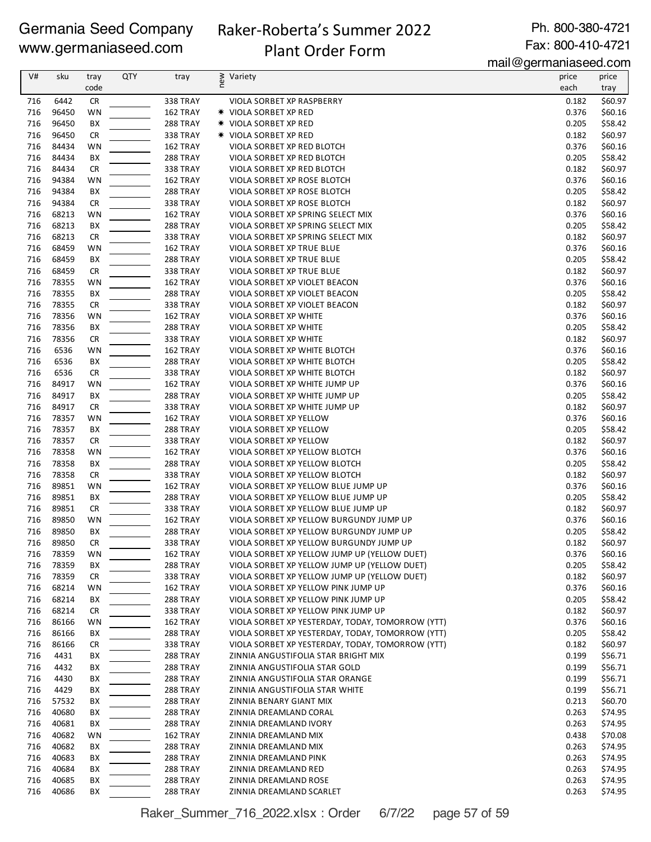# Raker-Roberta's Summer 2022 Plant Order Form

Ph. 800-380-4721 Fax: 800-410-4721

| V#  | sku   | tray      | QTY | tray            | new<br>Variety                                   | price | price   |
|-----|-------|-----------|-----|-----------------|--------------------------------------------------|-------|---------|
|     |       | code      |     |                 |                                                  | each  | tray    |
| 716 | 6442  | <b>CR</b> |     | <b>338 TRAY</b> | VIOLA SORBET XP RASPBERRY                        | 0.182 | \$60.97 |
| 716 | 96450 | WN        |     | 162 TRAY        | <b>* VIOLA SORBET XP RED</b>                     | 0.376 | \$60.16 |
| 716 | 96450 | BX        |     | 288 TRAY        | <b>* VIOLA SORBET XP RED</b>                     | 0.205 | \$58.42 |
| 716 | 96450 | <b>CR</b> |     | 338 TRAY        | <b>★ VIOLA SORBET XP RED</b>                     | 0.182 | \$60.97 |
| 716 | 84434 | WN        |     | 162 TRAY        |                                                  | 0.376 | \$60.16 |
|     |       |           |     |                 | VIOLA SORBET XP RED BLOTCH                       |       |         |
| 716 | 84434 | BX        |     | 288 TRAY        | VIOLA SORBET XP RED BLOTCH                       | 0.205 | \$58.42 |
| 716 | 84434 | <b>CR</b> |     | 338 TRAY        | VIOLA SORBET XP RED BLOTCH                       | 0.182 | \$60.97 |
| 716 | 94384 | WN        |     | 162 TRAY        | VIOLA SORBET XP ROSE BLOTCH                      | 0.376 | \$60.16 |
| 716 | 94384 | BХ        |     | 288 TRAY        | VIOLA SORBET XP ROSE BLOTCH                      | 0.205 | \$58.42 |
| 716 | 94384 | <b>CR</b> |     | <b>338 TRAY</b> | VIOLA SORBET XP ROSE BLOTCH                      | 0.182 | \$60.97 |
| 716 | 68213 | WN        |     | 162 TRAY        | VIOLA SORBET XP SPRING SELECT MIX                | 0.376 | \$60.16 |
| 716 | 68213 | BX        |     | 288 TRAY        | VIOLA SORBET XP SPRING SELECT MIX                | 0.205 | \$58.42 |
| 716 | 68213 | <b>CR</b> |     | 338 TRAY        | VIOLA SORBET XP SPRING SELECT MIX                | 0.182 | \$60.97 |
| 716 | 68459 | <b>WN</b> |     | 162 TRAY        | VIOLA SORBET XP TRUE BLUE                        | 0.376 | \$60.16 |
| 716 | 68459 | BX        |     | 288 TRAY        | VIOLA SORBET XP TRUE BLUE                        | 0.205 | \$58.42 |
| 716 | 68459 | <b>CR</b> |     | 338 TRAY        | VIOLA SORBET XP TRUE BLUE                        | 0.182 | \$60.97 |
| 716 | 78355 | WN        |     | 162 TRAY        | VIOLA SORBET XP VIOLET BEACON                    | 0.376 | \$60.16 |
| 716 | 78355 | BХ        |     | 288 TRAY        | VIOLA SORBET XP VIOLET BEACON                    | 0.205 | \$58.42 |
| 716 | 78355 | <b>CR</b> |     | <b>338 TRAY</b> | VIOLA SORBET XP VIOLET BEACON                    | 0.182 | \$60.97 |
| 716 | 78356 | WN        |     | 162 TRAY        | <b>VIOLA SORBET XP WHITE</b>                     | 0.376 | \$60.16 |
| 716 | 78356 | ВX        |     | 288 TRAY        | VIOLA SORBET XP WHITE                            | 0.205 | \$58.42 |
| 716 | 78356 | <b>CR</b> |     | 338 TRAY        | VIOLA SORBET XP WHITE                            | 0.182 | \$60.97 |
| 716 | 6536  | WN        |     | 162 TRAY        | VIOLA SORBET XP WHITE BLOTCH                     | 0.376 | \$60.16 |
| 716 | 6536  | BX        |     | 288 TRAY        | VIOLA SORBET XP WHITE BLOTCH                     | 0.205 | \$58.42 |
| 716 | 6536  | <b>CR</b> |     | 338 TRAY        | VIOLA SORBET XP WHITE BLOTCH                     | 0.182 | \$60.97 |
| 716 | 84917 | WN        |     | 162 TRAY        | VIOLA SORBET XP WHITE JUMP UP                    | 0.376 | \$60.16 |
| 716 | 84917 | BX        |     | 288 TRAY        | VIOLA SORBET XP WHITE JUMP UP                    | 0.205 | \$58.42 |
| 716 | 84917 | <b>CR</b> |     | <b>338 TRAY</b> | VIOLA SORBET XP WHITE JUMP UP                    | 0.182 | \$60.97 |
| 716 | 78357 | WN        |     | 162 TRAY        | VIOLA SORBET XP YELLOW                           | 0.376 | \$60.16 |
| 716 | 78357 | BХ        |     | 288 TRAY        | VIOLA SORBET XP YELLOW                           | 0.205 | \$58.42 |
| 716 | 78357 | <b>CR</b> |     |                 | VIOLA SORBET XP YELLOW                           | 0.182 | \$60.97 |
|     |       |           |     | <b>338 TRAY</b> |                                                  |       |         |
| 716 | 78358 | <b>WN</b> |     | 162 TRAY        | VIOLA SORBET XP YELLOW BLOTCH                    | 0.376 | \$60.16 |
| 716 | 78358 | BX        |     | 288 TRAY        | VIOLA SORBET XP YELLOW BLOTCH                    | 0.205 | \$58.42 |
| 716 | 78358 | <b>CR</b> |     | <b>338 TRAY</b> | VIOLA SORBET XP YELLOW BLOTCH                    | 0.182 | \$60.97 |
| 716 | 89851 | WN        |     | 162 TRAY        | VIOLA SORBET XP YELLOW BLUE JUMP UP              | 0.376 | \$60.16 |
| 716 | 89851 | BX        |     | 288 TRAY        | VIOLA SORBET XP YELLOW BLUE JUMP UP              | 0.205 | \$58.42 |
| 716 | 89851 | <b>CR</b> |     | <b>338 TRAY</b> | VIOLA SORBET XP YELLOW BLUE JUMP UP              | 0.182 | \$60.97 |
| 716 | 89850 | WN        |     | 162 TRAY        | VIOLA SORBET XP YELLOW BURGUNDY JUMP UP          | 0.376 | \$60.16 |
| 716 | 89850 | ВX        |     | 288 TRAY        | VIOLA SORBET XP YELLOW BURGUNDY JUMP UP          | 0.205 | \$58.42 |
| 716 | 89850 | <b>CR</b> |     | <b>338 TRAY</b> | VIOLA SORBET XP YELLOW BURGUNDY JUMP UP          | 0.182 | \$60.97 |
| 716 | 78359 | <b>WN</b> |     | 162 TRAY        | VIOLA SORBET XP YELLOW JUMP UP (YELLOW DUET)     | 0.376 | \$60.16 |
| 716 | 78359 | BХ        |     | 288 TRAY        | VIOLA SORBET XP YELLOW JUMP UP (YELLOW DUET)     | 0.205 | \$58.42 |
| 716 | 78359 | <b>CR</b> |     | <b>338 TRAY</b> | VIOLA SORBET XP YELLOW JUMP UP (YELLOW DUET)     | 0.182 | \$60.97 |
| 716 | 68214 | WN        |     | 162 TRAY        | VIOLA SORBET XP YELLOW PINK JUMP UP              | 0.376 | \$60.16 |
| 716 | 68214 | BХ        |     | 288 TRAY        | VIOLA SORBET XP YELLOW PINK JUMP UP              | 0.205 | \$58.42 |
| 716 | 68214 | CR        |     | 338 TRAY        | VIOLA SORBET XP YELLOW PINK JUMP UP              | 0.182 | \$60.97 |
| 716 | 86166 | WN        |     | 162 TRAY        | VIOLA SORBET XP YESTERDAY, TODAY, TOMORROW (YTT) | 0.376 | \$60.16 |
| 716 | 86166 | BХ        |     | 288 TRAY        | VIOLA SORBET XP YESTERDAY, TODAY, TOMORROW (YTT) | 0.205 | \$58.42 |
| 716 | 86166 | CR        |     | 338 TRAY        | VIOLA SORBET XP YESTERDAY, TODAY, TOMORROW (YTT) | 0.182 | \$60.97 |
| 716 | 4431  | BХ        |     | <b>288 TRAY</b> | ZINNIA ANGUSTIFOLIA STAR BRIGHT MIX              | 0.199 | \$56.71 |
| 716 | 4432  | BХ        |     | <b>288 TRAY</b> | ZINNIA ANGUSTIFOLIA STAR GOLD                    | 0.199 | \$56.71 |
| 716 | 4430  | BХ        |     | 288 TRAY        | ZINNIA ANGUSTIFOLIA STAR ORANGE                  | 0.199 | \$56.71 |
| 716 | 4429  | BX        |     | 288 TRAY        | ZINNIA ANGUSTIFOLIA STAR WHITE                   | 0.199 | \$56.71 |
| 716 | 57532 | BХ        |     | 288 TRAY        | ZINNIA BENARY GIANT MIX                          | 0.213 | \$60.70 |
| 716 | 40680 | BХ        |     | 288 TRAY        | ZINNIA DREAMLAND CORAL                           | 0.263 | \$74.95 |
| 716 | 40681 | BХ        |     | 288 TRAY        | ZINNIA DREAMLAND IVORY                           | 0.263 | \$74.95 |
| 716 | 40682 | WN        |     | 162 TRAY        | ZINNIA DREAMLAND MIX                             | 0.438 | \$70.08 |
| 716 | 40682 | BХ        |     | 288 TRAY        | ZINNIA DREAMLAND MIX                             | 0.263 | \$74.95 |
| 716 | 40683 | BХ        |     | 288 TRAY        | ZINNIA DREAMLAND PINK                            | 0.263 | \$74.95 |
| 716 | 40684 | BХ        |     | <b>288 TRAY</b> | ZINNIA DREAMLAND RED                             | 0.263 | \$74.95 |
| 716 | 40685 | BХ        |     | <b>288 TRAY</b> | ZINNIA DREAMLAND ROSE                            | 0.263 | \$74.95 |
| 716 | 40686 | ВX        |     |                 |                                                  | 0.263 | \$74.95 |
|     |       |           |     | 288 TRAY        | ZINNIA DREAMLAND SCARLET                         |       |         |

Raker\_Summer\_716\_2022.xlsx : Order 6/7/22 page 57 of 59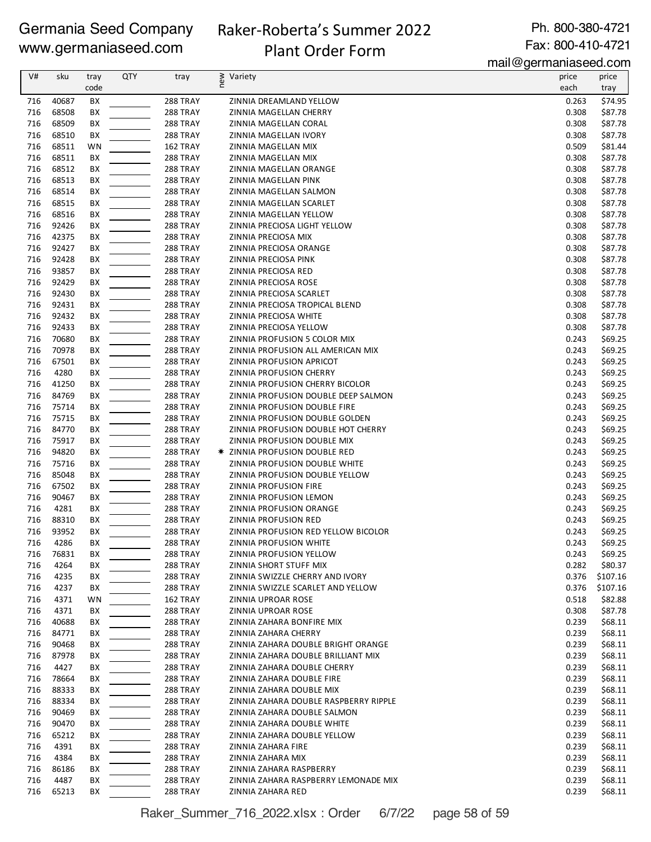# Raker-Roberta's Summer 2022 Plant Order Form

Ph. 800-380-4721 Fax: 800-410-4721

mail@germaniaseed.com

| V#         | sku            | tray     | QTY | tray                               | new<br>Variety                                          | price          | price              |
|------------|----------------|----------|-----|------------------------------------|---------------------------------------------------------|----------------|--------------------|
|            |                | code     |     |                                    |                                                         | each           | tray               |
| 716        | 40687          | BX       |     | 288 TRAY                           | ZINNIA DREAMLAND YELLOW                                 | 0.263          | \$74.95            |
| 716        | 68508          | BX       |     | 288 TRAY                           | ZINNIA MAGELLAN CHERRY                                  | 0.308          | \$87.78            |
| 716        | 68509          | BX       |     | <b>288 TRAY</b>                    | ZINNIA MAGELLAN CORAL                                   | 0.308          | \$87.78            |
| 716        | 68510          | BХ       |     | <b>288 TRAY</b>                    | ZINNIA MAGELLAN IVORY                                   | 0.308          | \$87.78            |
| 716<br>716 | 68511<br>68511 | WN       |     | 162 TRAY                           | ZINNIA MAGELLAN MIX                                     | 0.509<br>0.308 | \$81.44            |
| 716        | 68512          | BХ<br>BX |     | 288 TRAY<br>288 TRAY               | ZINNIA MAGELLAN MIX<br>ZINNIA MAGELLAN ORANGE           | 0.308          | \$87.78<br>\$87.78 |
| 716        | 68513          | BХ       |     | 288 TRAY                           | ZINNIA MAGELLAN PINK                                    | 0.308          | \$87.78            |
| 716        | 68514          | BХ       |     | 288 TRAY                           | ZINNIA MAGELLAN SALMON                                  | 0.308          | \$87.78            |
| 716        | 68515          | BX       |     | 288 TRAY                           | ZINNIA MAGELLAN SCARLET                                 | 0.308          | \$87.78            |
| 716        | 68516          | BX       |     | 288 TRAY                           | ZINNIA MAGELLAN YELLOW                                  | 0.308          | \$87.78            |
| 716        | 92426          | BХ       |     | <b>288 TRAY</b>                    | ZINNIA PRECIOSA LIGHT YELLOW                            | 0.308          | \$87.78            |
| 716        | 42375          | BХ       |     | <b>288 TRAY</b>                    | ZINNIA PRECIOSA MIX                                     | 0.308          | \$87.78            |
| 716        | 92427          | BХ       |     | <b>288 TRAY</b>                    | ZINNIA PRECIOSA ORANGE                                  | 0.308          | \$87.78            |
| 716        | 92428          | BХ       |     | 288 TRAY                           | ZINNIA PRECIOSA PINK                                    | 0.308          | \$87.78            |
| 716        | 93857          | BХ       |     | <b>288 TRAY</b>                    | ZINNIA PRECIOSA RED                                     | 0.308          | \$87.78            |
| 716        | 92429          | BХ       |     | 288 TRAY                           | ZINNIA PRECIOSA ROSE                                    | 0.308          | \$87.78            |
| 716        | 92430          | BХ       |     | 288 TRAY                           | ZINNIA PRECIOSA SCARLET                                 | 0.308          | \$87.78            |
| 716        | 92431          | BX       |     | 288 TRAY                           | ZINNIA PRECIOSA TROPICAL BLEND                          | 0.308          | \$87.78            |
| 716        | 92432          | BX       |     | 288 TRAY                           | ZINNIA PRECIOSA WHITE                                   | 0.308          | \$87.78            |
| 716        | 92433          | BХ       |     | 288 TRAY                           | ZINNIA PRECIOSA YELLOW                                  | 0.308          | \$87.78            |
| 716        | 70680          | BХ       |     | 288 TRAY                           | ZINNIA PROFUSION 5 COLOR MIX                            | 0.243          | \$69.25            |
| 716        | 70978          | BХ       |     | <b>288 TRAY</b>                    | ZINNIA PROFUSION ALL AMERICAN MIX                       | 0.243          | \$69.25            |
| 716        | 67501          | BХ       |     | 288 TRAY                           | ZINNIA PROFUSION APRICOT                                | 0.243          | \$69.25            |
| 716        | 4280           | BХ       |     | <b>288 TRAY</b>                    | ZINNIA PROFUSION CHERRY                                 | 0.243          | \$69.25            |
| 716        | 41250          | BХ       |     | <b>288 TRAY</b>                    | ZINNIA PROFUSION CHERRY BICOLOR                         | 0.243          | \$69.25            |
| 716        | 84769          | BХ       |     | 288 TRAY                           | ZINNIA PROFUSION DOUBLE DEEP SALMON                     | 0.243          | \$69.25            |
| 716        | 75714          | BX       |     | 288 TRAY                           | ZINNIA PROFUSION DOUBLE FIRE                            | 0.243          | \$69.25            |
| 716        | 75715          | BХ       |     | <b>288 TRAY</b>                    | ZINNIA PROFUSION DOUBLE GOLDEN                          | 0.243          | \$69.25            |
| 716        | 84770          | BХ       |     | 288 TRAY                           | ZINNIA PROFUSION DOUBLE HOT CHERRY                      | 0.243          | \$69.25            |
| 716        | 75917          | BХ       |     | <b>288 TRAY</b>                    | ZINNIA PROFUSION DOUBLE MIX                             | 0.243          | \$69.25            |
| 716        | 94820          | BХ       |     | 288 TRAY                           | ☀ ZINNIA PROFUSION DOUBLE RED                           | 0.243          | \$69.25            |
| 716<br>716 | 75716<br>85048 | BХ<br>BХ |     | <b>288 TRAY</b><br><b>288 TRAY</b> | ZINNIA PROFUSION DOUBLE WHITE                           | 0.243<br>0.243 | \$69.25<br>\$69.25 |
| 716        | 67502          | BХ       |     | <b>288 TRAY</b>                    | ZINNIA PROFUSION DOUBLE YELLOW<br>ZINNIA PROFUSION FIRE | 0.243          | \$69.25            |
| 716        | 90467          | BХ       |     | <b>288 TRAY</b>                    | ZINNIA PROFUSION LEMON                                  | 0.243          | \$69.25            |
| 716        | 4281           | BХ       |     | 288 TRAY                           | ZINNIA PROFUSION ORANGE                                 | 0.243          | \$69.25            |
| 716        | 88310          | BX       |     | 288 TRAY                           | ZINNIA PROFUSION RED                                    | 0.243          | \$69.25            |
| 716        | 93952          | BX       |     | 288 TRAY                           | ZINNIA PROFUSION RED YELLOW BICOLOR                     | 0.243          | \$69.25            |
| 716        | 4286           | BX       |     | 288 TRAY                           | ZINNIA PROFUSION WHITE                                  | 0.243          | \$69.25            |
| 716        | 76831          | BХ       |     | 288 TRAY                           | ZINNIA PROFUSION YELLOW                                 | 0.243          | \$69.25            |
| 716        | 4264           | BХ       |     | 288 TRAY                           | ZINNIA SHORT STUFF MIX                                  | 0.282          | \$80.37            |
| 716        | 4235           | BХ       |     | 288 TRAY                           | ZINNIA SWIZZLE CHERRY AND IVORY                         | 0.376          | \$107.16           |
| 716        | 4237           | BХ       |     | 288 TRAY                           | ZINNIA SWIZZLE SCARLET AND YELLOW                       | 0.376          | \$107.16           |
| 716        | 4371           | WN       |     | 162 TRAY                           | ZINNIA UPROAR ROSE                                      | 0.518          | \$82.88            |
| 716        | 4371           | BХ       |     | 288 TRAY                           | ZINNIA UPROAR ROSE                                      | 0.308          | \$87.78            |
| 716        | 40688          | BХ       |     | 288 TRAY                           | ZINNIA ZAHARA BONFIRE MIX                               | 0.239          | \$68.11            |
| 716        | 84771          | BХ       |     | <b>288 TRAY</b>                    | ZINNIA ZAHARA CHERRY                                    | 0.239          | \$68.11            |
| 716        | 90468          | BХ       |     | <b>288 TRAY</b>                    | ZINNIA ZAHARA DOUBLE BRIGHT ORANGE                      | 0.239          | \$68.11            |
| 716        | 87978          | BХ       |     | 288 TRAY                           | ZINNIA ZAHARA DOUBLE BRILLIANT MIX                      | 0.239          | \$68.11            |
| 716        | 4427           | BХ       |     | <b>288 TRAY</b>                    | ZINNIA ZAHARA DOUBLE CHERRY                             | 0.239          | \$68.11            |
| 716        | 78664          | BХ       |     | 288 TRAY                           | ZINNIA ZAHARA DOUBLE FIRE                               | 0.239          | \$68.11            |
| 716        | 88333          | BХ       |     | <b>288 TRAY</b>                    | ZINNIA ZAHARA DOUBLE MIX                                | 0.239          | \$68.11            |
| 716        | 88334          | BХ       |     | 288 TRAY                           | ZINNIA ZAHARA DOUBLE RASPBERRY RIPPLE                   | 0.239          | \$68.11            |
| 716        | 90469          | BХ       |     | <b>288 TRAY</b>                    | ZINNIA ZAHARA DOUBLE SALMON                             | 0.239          | \$68.11            |
| 716        | 90470          | BХ       |     | <b>288 TRAY</b>                    | ZINNIA ZAHARA DOUBLE WHITE                              | 0.239          | \$68.11            |
| 716        | 65212          | BХ       |     | <b>288 TRAY</b>                    | ZINNIA ZAHARA DOUBLE YELLOW                             | 0.239          | \$68.11            |
| 716<br>716 | 4391<br>4384   | BХ<br>BХ |     | <b>288 TRAY</b><br>288 TRAY        | ZINNIA ZAHARA FIRE<br>ZINNIA ZAHARA MIX                 | 0.239<br>0.239 | \$68.11<br>\$68.11 |
| 716        | 86186          | BХ       |     | <b>288 TRAY</b>                    | ZINNIA ZAHARA RASPBERRY                                 | 0.239          | \$68.11            |
| 716        | 4487           | BХ       |     | 288 TRAY                           | ZINNIA ZAHARA RASPBERRY LEMONADE MIX                    | 0.239          | \$68.11            |
| 716        | 65213          | BХ       |     | 288 TRAY                           | ZINNIA ZAHARA RED                                       | 0.239          | \$68.11            |
|            |                |          |     |                                    |                                                         |                |                    |

Raker\_Summer\_716\_2022.xlsx : Order 6/7/22 page 58 of 59